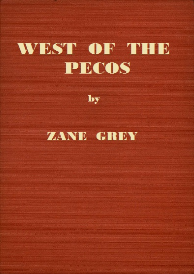# WEST OF THE **PECOS**



## **ZANE GREY**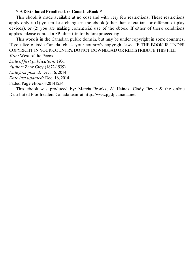### **\* ADistributedProofreaders Canada eBook \***

This ebook is made available at no cost and with very few restrictions. These restrictions apply only if (1) you make a change in the ebook (other than alteration for different display devices), or (2) you are making commercial use of the ebook. If either of these conditions applies, please contact a FPadministrator before proceeding.

This work is in the Canadian public domain, but may be under copyright in some countries. If you live outside Canada, check your country's copyright laws. IF THE BOOK IS UNDER COPYRIGHT IN YOUR COUNTRY, DO NOT DOWNLOAD OR REDISTRIBUTE THIS FILE.

*Title:* West of the Pecos *Date of first publication:* 1931 *Author:* Zane Grey (1872-1939) *Date first posted:* Dec. 16, 2014 *Date last updated:* Dec. 16, 2014

Faded Page eBook #20141234

This ebook was produced by: Marcia Brooks, Al Haines, Cindy Beyer & the online Distributed Proofreaders Canada teamat http://www.pgdpcanada.net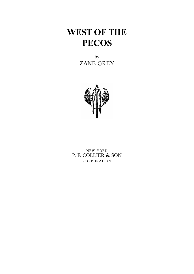### **WEST OF THE PECOS**

by ZANE GREY



NEW YORK P. F. COLLIER & SON CORPORAT ION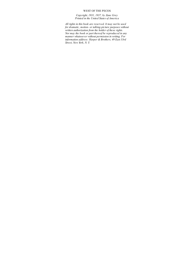#### WEST OF THE PECOS

*Copyright, 1931, 1937, by Zane Grey Printed in the United States of America*

All rights in this book are reserved. It may not be used<br>for dramatic, motion- or talking-picture purposes without<br>written authorization from the holder of these rights.<br>Nor may the book or part thereof be reproduced in an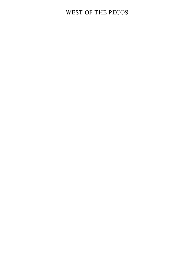### WEST OF THE PECOS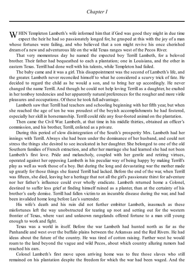$W$  HEN Templeton Lambeth's wife informed him that if God was good they might in due time<br>expect the heir he had so passionately longed for he grasped at this with the joy of a man expect the heir he had so passionately longed for, he grasped at this with the joy of a man whose fortunes were failing, and who believed that a son might revive his once cherished dreamof a new and adventurous life on the wild Texas ranges west of the Pecos River.

That very momentous day he named the expected boy Terrill Lambeth, for a beloved brother. Their father had bequeathed to each a plantation; one in Louisiana, and the other in eastern Texas. Terrill had done well with his talents, while Templeton had failed.

The baby came and it was a girl. This disappointment was the second of Lambeth's life, and the greater. Lambeth never reconciled himself to what he considered a scurvy trick of fate. He decided to regard the child as he would a son, and to bring her up accordingly. He never changed the name Terrill. And though he could not help loving Terrill as a daughter, he exulted in her tomboy tendencies and her apparently natural preferences for the rougher and more virile pleasures and occupations. Of these he took full advantage.

Lambeth saw that Terrill had teachers and schooling beginning with her fifth year, but when she reached the age of ten he was proudest of the boyish accomplishments he had fostered, especially her skill in horsemanship. Terrill could ride any four-footed animal on the plantation.

Then came the Civil War. Lambeth, at that time in his middle thirties, obtained an officer's commission, and his brother, Terrill, enlisted as a private.

During this period of slow disintegration of the South's prosperity Mrs. Lambeth had her innings with Terrill. Always she had been under the dominance of her husband, and could not stress the things she desired to see inculcated in her daughter. She belonged to one of the old Southern families of French extraction, and after her marriage she had learned she had not been Lambeth's first love. Pride and melancholy, coupled with her gentle and retiring virtues, operated against her opposing Lambeth in his peculiar way of being happy by making Terrill's play as well as work those of a boy. But during the long and devastating war the mother made up greatly for those things she feared Terrill had lacked. Before the end of the war, when Terrill was fifteen, she died, leaving her a heritage that not all the girl's passionate thirst for adventure nor her father's influence could ever wholly eradicate. Lambeth returned home a Colonel, destined to suffer less grief at finding himself ruined as a planter, than at the certainty of his brother's early demise. Terrill had fallen victim to an incurable disease during the war, and had been invalided home long before Lee's surrender.

His wife's death and his ruin did not further embitter Lambeth, inasmuch as these misfortunes left the way unobstructed for tearing up root and setting out for the western frontier of Texas, where vast and unknown rangelands offered fortune to a man still young enough to work and fight.

Texas was a world in itself. Before the war Lambeth had hunted north as far as the Panhandle and west over the buffalo plains between the Arkansas and the Red Rivers. He had ideas about the future of the country. He was tired of cotton raising. Farther west he would roam to the land beyond the vague and wild Pecos, about which country alluring rumors had reached his ears.

Colonel Lambeth's first move upon arriving home was to free those slaves who still remained on his plantation despite the freedom for which the war had been waged. And the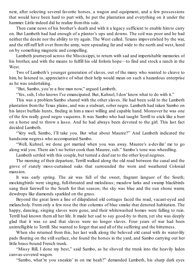next, after selecting several favorite horses, a wagon and equipment, and a few possessions that would have been hard to part with, he put the plantation and everything on it under the hammer. Little indeed did he realize fromthis sale.

Then came news of his brother's death and with it a legacy sufficient to enable him to carry on. But Lambeth had had enough of a planter's ups and downs. The soil was poor and he had neither the desire nor the ability to try again. The West called. Texans impoverished by the war, and the riff-raff left over fromthe army, were spreading far and wide to the north and west, lured on by something magnetic and compelling.

Lambeth journeyed across the Mississippi, to return with sad and imperishable memories of his brother, and with the means to fulfill his old forlorn hope—to find and stock a ranch in the **West**.

Two of Lambeth's younger generation of slaves, out of the many who wanted to cleave to him, he listened to, appreciative of what their help would mean on such a hazardous enterprise as he was undertaking.

"But, Sambo, you're a free man now," argued Lambeth.

"Yes, suh, I sho knows I'se emancipated. But, Kuhnel, I don' know what to do with it."

This was a problem Sambo shared with the other slaves. He had been sold to the Lambeth plantation from the Texas plains, and was a stalwart, sober negro. Lambeth had taken Sambo on his latest buffalo hunts, finding in him a most willing and capable hand. Moreover he was one of the few really good negro vaqueros. It was Sambo who had taught Terrill to stick like a burr on a horse and to throw a lasso. And he had always been devoted to the girl. This last fact decided Lambeth.

"Very well, Sambo, I'll take you. But what about Mauree?" And Lambeth indicated the handsome negress who accompanied Sambo.

"Well, Kuhnel, we done got married when you was away. Mauree's a-devilin' me to go along wid you. There ain't no better cook than Mauree, suh." Sambo's tone was wheedling.

Lambeth settled with this couple, but turned a deaf ear to the other loyal negroes.

The morning of their departure, Terrill walked along the old road between the canal and the grove of stately moss-curtained oaks that surrounded the worn and weathered Colonial mansion.

It was early spring. The air was full of the sweet, fragrant languor of the South; mockingbirds were singing, full-throated and melodious; meadow larks and swamp blackbirds sang their farewell to the South for that season; the sky was blue and the sun shone warm; dewdrops like diamonds sparkled on the grass.

Beyond the great lawn a line of dilapidated old cottages faced the road, vacant-eyed and melancholy. From only a few rose the thin columns of blue smoke that denoted habitation. The happy, dancing, singing slaves were gone, and their whitewashed homes were falling to ruin. Terrill had known them all her life. It made her sad to say good-by to them, yet she was deeply glad that it was so and that slaves were no longer slaves. Four years of war had been unintelligible to Terrill. She wanted to forget that and all of the suffering and the bitterness.

When she returned from this, her last walk along the beloved old canal with its water-lily pads floating on the still surface, she found the horses in the yard, and Sambo carrying out her little brass-bound French trunk.

"Missy Rill, I done my best," said Sambo, as he shoved the trunk into the heavily laden canvas-covered wagon.

"Sambo, what're you sneakin' in on me heah?" demanded Lambeth, his sharp dark eyes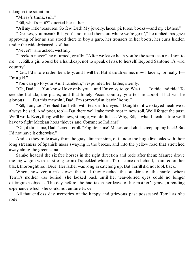taking in the situation.

"Missy's trunk, suh."

"Rill, what's in it?" queried her father.

"All my little treasures. So few, Dad! My jewelry, laces, pictures, books—and my clothes."

"Dresses, you mean? Rill, you'll not need them out where we're goin'," he replied, his gaze approving of her as she stood there in boy's garb, her trousers in her boots, her curls hidden under the wide-brimmed, soft hat.

"Never?" she asked, wistfully.

"I reckon never," he returned, gruffly. "After we leave heah you're the same as a real son to me. . . . Rill, a girl would be a handicap, not to speak of risk to herself. Beyond Santone it's wild country."

"Dad, I'd shore rather be a boy, and I will be. But it troubles me, now I face it, for really I— I'ma girl."

"You can go to your Aunt Lambeth," responded her father, sternly.

"Oh, Dad! . . . You know I love only you—and I'mcrazy to go West. . . . To ride and ride! To see the buffalo, the plains, and that lonely Pecos country you tell me aboot! That will be glorious. . . . But this mawnin', Dad, I'msorrowful at leavin' home."

"Rill, I am, too," replied Lambeth, with tears in his eyes. "Daughter, if we stayed heah we'd always be sad. And poor, too!—But there we'll take fresh root in new soil. We'll forget the past. We'll work. Everything will be new, strange, wonderful. . . . Why, Rill, if what I heah is true we'll have to fight Mexican hoss thieves and Comanche Indians!"

"Oh, it thrills me, Dad," cried Terrill. "Frightens me! Makes cold chills creep up my back! But I'd not have it otherwise."

And so they rode away from the gray, dim mansion, out under the huge live oaks with their long streamers of Spanish moss swaying in the breeze, and into the yellow road that stretched away along the green canal.

Sambo headed the six free horses in the right direction and rode after them; Mauree drove the big wagon with its strong team of speckled whites. Terrill came on behind, mounted on her black thoroughbred, Dixie. Her father was long in catching up. But Terrill did not look back.

When, however, a mile down the road they reached the outskirts of the hamlet where Terrill's mother was buried, she looked back until her tear-blurred eyes could no longer distinguish objects. The day before she had taken her leave of her mother's grave, a rending experience which she could not endure twice.

All that endless day memories of the happy and grievous past possessed Terrill as she rode.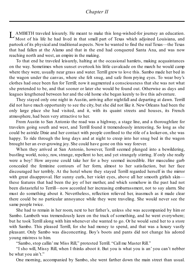L AMBETH traveled leisurely. He meant to make this long-wished-for journey an education.<br>Most of his life he had lived in that small part of Texas which adioined Louisiana, and Most of his life he had lived in that small part of Texas which adjoined Louisiana, and partook of its physical and traditional aspects. Now he wanted to find the real Texas—the Texas that had fallen at the Alamo and that in the end had conquered Santa Ana, and was now reaching north and west, an empire in the making.

To that end he traveled leisurely, halting at the occasional hamlets, making acquaintances on the way. Sometimes when sunset overtook his little cavalcade on the march he would camp where they were, usually near grass and water. Terrill grew to love this. Sambo made her bed in the wagon under the canvas, where she felt snug, and safe from prying eyes. To wear boy's clothes had once been fun for Terrill; now it augmented a consciousness that she was not what she pretended to be, and that sooner or later she would be found out. Otherwise as days and leagues lengthened between her and the old home she began keenly to live this adventure.

They stayed only one night in Austin, arriving after nightfall and departing at dawn. Terrill did not have much opportunity to see the city, but she did not like it. New Orleans had been the only large place she had visited, and it, with its quaint streets and houses, its French atmosphere, had been very attractive to her.

From Austin to San Antonio the road was a highway, a stage line, and a thoroughfare for travelers going south and west, and Terrill found it tremendously interesting. So long as she could be astride Dixie and her contact with people confined to the rôle of a looker-on, she was happy. To ride through the long days and at night to creep into her snug bed in the wagon brought her an ever-growing joy. She could have gone on this way forever.

When they arrived at San Antonio, however, Terrill seemed plunged into a bewildering, bustling world, noisy, raw, strange, repellent to her, and yet strangely stirring. If only she really were a boy! How anyone could take her for a boy seemed incredible. Her masculine garb concealed the feminine contours of her form, almost to her satisfaction, but her face discouraged her terribly. At the hotel where they stayed Terrill regarded herself in the mirror with great disapproval. Her sunny curls, her violet eyes, above all her smooth girlish skin these features that had been the joy of her mother, and which somehow in the past had not been distasteful to Terrill—now accorded her increasing embarrassment, not to say alarm. She must do something about it. Nevertheless, reflection relieved her, inasmuch as it made clear there could be no particular annoyance while they were traveling. She would never see the same people twice.

She had to remain in her room, next to her father's, unless she was accompanied by him or Sambo. Lambeth was tremendously keen on the track of something, and he went everywhere; but he took Terrill along with him whenever she wanted to go. Or he would send her to a store with Sambo. This pleased Terrill, for she had money to spend, and that was a luxury vastly pleasant. Only Sambo was disconcerting. Boy's boots and pants did not change his adored young mistress to him.

"Sambo, stop callin'me Miss Rill," protested Terrill. "Call me Master Rill."

"I sho will, Missy Rill, when I thinks aboot it. But you is what you is an' you can't nebber be what you ain't."

One morning, accompanied by Sambo, she went farther down the main street than usual.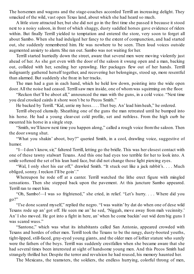The horsemen and wagons and the stage-coaches accorded Terrill an increasing delight. They smacked of the wild, vast open Texas land, about which she had heard so much.

A little store attracted her, but she did not go in the first time she passed it because it stood next to a noisy saloon, in front of which shaggy, dusty saddled horses gave evidence of riders within. But finally Terrill yielded to temptation and entered the store, very soon to forget all about Sambo. When she had indulged her fancy to the extent of compunction, and had started out, she suddenly remembered him. He was nowhere to be seen. Then loud voices outside augmented anxiety to alarm. She ran out. Sambo was not waiting for her.

Terrill started hurriedly down the street, aware that several men were moving violently just ahead of her. As she got even with the door of the saloon it swung open and a man, backing out, collided with her, sending her sprawling. Her packages flew out of her hands. Terrill indignantly gathered herself together, and recovering her belongings, stood up, more resentful than alarmed. But suddenly she froze in her tracks.

The man had a gun in each hand, which he held low down, pointing into the wide open door. All the noise had ceased. Terrill saw men inside, one of whom was squirming on the floor.

"Reckon thet'll be aboot all," announced the man with the guns, in a cold voice. "Next time you deal crooked cairds it shore won't be to Pecos Smith."

He backed by Terrill. "Kid, untie my hoss. . . . Thet bay. An'lead himheah," he ordered.

Terrill obeyed clumsily. Sheathing one of the guns the man retreated until he bumped into his horse. He had a young clear-cut cold profile, set and ruthless. From the high curb he mounted his horse in a single step.

"Smith, we'll know next time you happen along," called a rough voice fromthe saloon. Then the door swung shut.

"What you shakin' aboot, boy?" queried Smith, in a cool, drawling voice, suggestive of humor.

"I—I don't know, sir," faltered Terrill, letting go the bridle. This was her closest contact with one of these tawny stalwart Texans. And this one had eyes too terrible for her to look into. A smile softened the set of his lean hard face, but did not change those light piercing eyes.

"Wal, I only shot his ear off," drawled Smith. "It stuck out like a jack rabbit's. . . . Much obliged, sonny. I reckon I'll be goin'."

Whereupon he rode off at a canter. Terrill watched the lithe erect figure with mingled sensations. Then she stepped back upon the pavement. At this juncture Sambo appeared. Terrill ran to meet him.

"Oh, Sambo!—I was so frightened," she cried, in relief. "Let's hurry. . . . Where did you go?"

"I'se done scared myself," replied the negro. "I was waitin' by dat do when one of dese wild Texans rode up an' got off. He seen me an' he sed, 'Niggah, move away from mah vecinnity.' An'I sho moved. He got into a fight in here, an' when he come backin' out wid dem big guns I was scared wuss."

"Santone," which was what its inhabitants called San Antonio, appeared crowded with Texans and hordes of other men. Terrill took the Texans to be the rangy, dusty-booted youths, tight-lipped, still-faced, gray-eyed young giants, and the older men of loftier stature who surely were the fathers of the boys. Terrill was suddenly crestfallen when she became aware that she had several times been interested at sight of handsome young men. And this Pecos Smith had strangely thrilled her. Despite the terror and revulsion he had roused, his memory haunted her.

The Mexicans, the teamsters, the soldiers, the endless hurrying, colorful throng of men,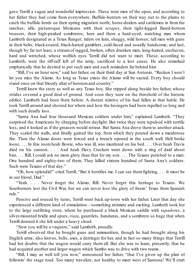gave Terrill a vague and wonderful impression. These were men of the open, and according to her father they had come from everywhere. Buffalo-hunters on their way out to the plains to catch the buffalo herds on their spring migration north; horse-dealers and cattlemen in from the ranches; idle, picturesque Mexicans with their *serapes*, their tight-legged flared-bottom trousers, their high-peaked sombreros; here and there a hard-eyed, watching man whom Lambeth designated as a Texas Ranger; riders on lean, shaggy, wild horses; tall men with guns in their belts; black-coated, black-hatted gamblers, cold-faced and usually handsome; and last, though by far not least, a stream of ragged, broken, often drunken men, long-haired, unshaven, hard and wretched, whose wolfish eyes Terrill did not want to meet. These, according to Lambeth, were the riff-raff left of the army, sacrificed to a lost cause. He also remarked emphatically that he desired to put such men and such reminders far behind him.

"Rill, I've an hour now," said her father, on their third day at San Antonio. "Reckon I won't let you miss the Alamo. As long as Texas exists the Alamo will be sacred. Every boy should stand once on that bloody altar of heroismand country."

Terrill knew the story as well as any Texas boy. She tripped along beside her father, whose strides covered a good deal of ground. And soon they were on the threshold of the historic edifice. Lambeth had been there before. A distant relative of his had fallen in that battle. He took Terrill around and showed her where and how the besiegers had been repelled so long and with such deadly loss.

"Santa Ana had four thousand Mexican soldiers under him," explained Lambeth. "They surprised the Americans by charging before daylight. But twice they were repulsed with terrific loss, and it looked as if the greasers would retreat. But Santa Ana drove themto another attack. They scaled the walls, and finally gained the top, from which they poured down a murderous fire. Then the Alamo doors were forced and a breach opened in the south wall. Hell broke loose. . . . In this room heah Bowie, who was ill, was murdered on his bed. . . . Over heah Travis died on his cannon. . . . And heah Davy Crockett went down with a ring of daid aboot him. . . . Rill, I could ask no more glory than that for my son. . . . The Texans perished to a man. One hundred and eighty-two of them. They killed sixteen hundred of Santa Ana's soldiers. Such were Texans of that day."

"Oh, how splendid!" cried Terrill. "But it horrifies me. I can see them fighting. . . . It must be in our blood, Dad."

"Yeah. . . . Never forget the Alamo, Rill. Never forget this heritage to Texans. We Southerners lost the Civil War, but we can never lose the glory of freein' Texas from Spanish rule."

Pensive and roused by turns, Terrill went back up-town with her father. Later that day she experienced a different kind of stimulation—something intimate and exciting. Lambeth took her to the large outfitting store, where he purchased a black Mexican saddle with *tapadores*, a silver-mounted bridle and spurs, *riata*, gauntlets, bandanas, and a sombrero so huge that when Terrill donned it she felt under a heavy cloud.

"Now you will be a vaquero," said Lambeth, proudly.

Terrill observed that he bought guns and ammunition, though he had brought along his English arms; also knives, belts, axes, a derringer for her, and in fact so many things that Terrill had her doubts that the wagon would carry them all. But she was to learn, presently, that he had acquired another and larger wagon which Sambo was to drive with two teams.

"Rill, I may as well tell you now," announced her father, "that I've given up the plan of followin' the stage road. Too many travelers, not healthy to meet west of Santone! We'll start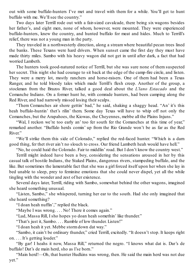out with some buffalo-hunters I've met and travel with them for a while. You'll get to hunt buffalo with me. We'll see the country."

Two days later Terrill rode out with a fair-sized cavalcade, there being six wagons besides her father's, and eight men, none of whom, however, were mounted. They were experienced buffalo-hunters, knew the country, and hunted buffalo for meat and hides. Much to Terrill's relief, there was not a young man in the party.

They traveled in a northwesterly direction, along a stream where beautiful pecan trees lined the banks. These Texans were hard drivers. When sunset came the first day they must have made thirty miles. Sambo with his heavy wagon did not get in until after dark, a fact that had worried Lambeth.

The hunters took good-natured notice of Terrill, but she was sure none of them suspected her secret. This night she had courage to sit back at the edge of the camp-fire circle, and listen. They were a merry lot, mostly ranchers and horse-raisers. One of them had been a Texas Ranger, and he told bloody tales which made Terrill's flesh creep. Another of the group, a stockman from the Brazos River, talked a good deal about the *L'lano Estacado* and the Comanche Indians. On a former hunt he, with comrade hunters, had been camping along the Red River, and had narrowly missed losing their scalps.

"Them Comanches air shore gettin' bad," he said, shaking a shaggy head. "An' it's this heah buffalo-huntin' thet's rilin' them. Some day Texas will have to whip off not only the Comanches, but the Arapahoes, the Kiowas, the Cheyennes, mebbe all the Plains Injuns."

"Wal, I reckon we're too early an' too fer south fer the Comanches at this time of year," remarked another. "Buffalo herds comin' up from the Rio Grande won't be as far as the Red River."

"We'll strike them this side of Colorado," replied the red-faced hunter. "Which is a darn good thing, fer thet river ain't no slouch to cross. Our friend Lambeth heah would have hell."

"No, he could haid the Colorado. Fair to middlin' road. But I don't know the country west."

Terrill might indeed have been a boy, considering the sensations aroused in her by this casual talk of hostile Indians, the Staked Plains, dangerous rivers, stampeding buffalo, and the like. But sometimes the lamentable fact that she was a girl forced itself upon her when she lay in bed unable to sleep, prey to feminine emotions that she could never dispel, yet all the while tingling with the wonder and zest of her existence.

Several days later, Terrill, riding with Sambo, somewhat behind the other wagons, imagined she heard something unusual.

"Listen, Sambo," she whispered, turning her ear to the south. Had she only imagined that she heard something?

"I doan heah nuffin'," replied the black.

"Maybe I was wrong.... No! There it comes again."

"Lud, Massa Rill, I sho hopes yo doan heah somethin' like thunder."

"That's just it, Sambo. . . . Rumble of low thunder. Listen!"

"I doan heah it yet. Mebbe stormdown dat way."

"Sambo, it cain't be ordinary thunder," cried Terrill, excitedly. "It doesn't stop. It keeps right on. . . . It's getting louder."

"By gar! I heahs it now, Massa Rill," returned the negro. "I knows what dat is. Dar's de buffalo! Dat's de main herd, sho as I'se born."

"Main herd!—Oh, that hunter Hudkins was wrong, then. He said the main herd was not due yet."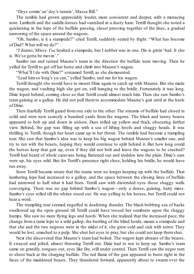"Deys comin' an' dey's runnin', Massa Rill."

The rumble had grown appreciably louder, more consistent and deeper, with a menacing note. Lambeth and the saddle-horses had vanished in a dusty haze. Terrill thought she noted a quickening in the lope of the buffalo passing, closer pressing together of the lines, a gradual narrowing of the space around the wagons.

"Oh, Sambo, is it a stampede?" cried Terrill, suddenly seized by fright. "What has become of Dad? What will we do?"

"I dunno, Missy. I'se heahed a stampede, but I nebber was in one. Dis is gittin' bad. It sho is. We'se gotta be movin'."

Sambo ran and turned Mauree's team in the direction the buffalo were moving. Then he yelled for Terrill to get off her horse and climb into Mauree's wagon.

"What'll I do with Dixie?" screamed Terrill, as she dismounted.

"Lead himso long's yu can," yelled Sambo, and ran for his wagon.

Terrill thought she would have to mount Dixie again to catch up with Mauree. But she made the wagon, and vaulting high she got on, still hanging to the bridle. Fortunately it was long. Dixie loped behind, coming close so that Terrill could almost reach him. Then she saw Sambo's team gaining at a gallop. He did not pull them to accommodate Mauree's gait until at the heels of Dixie.

Then fearfully Terrill gazed from one side to the other. The streams of buffalo had closed in solid and were now scarcely a hundred yards from the wagons. The black and tawny beasts appeared to bob up and down in unison. Dust rolled up yellow and thick, obscuring farther view. Behind, the gap was filling up with a sea of lifting hoofs and shaggy heads. It was thrilling to Terrill, though her heart came up in her throat. The rumble had become a trampling roar. She saw that Sambo's idea was to keep his big wagon behind Mauree's smaller one, and try to run with the beasts, hoping they would continue to split behind it. But how long could the horses keep that gait up, even if they did not bolt and leave the wagons to be crushed? Terrill had heard of whole caravans being flattened out and trodden into the plain. Dixie's ears were up, his eyes wild. But for Terrill's presence right close, holding his bridle, he would have run away.

Soon Terrill became aware that the teams were no longer keeping up with the buffalo. That lumbering lope had increased to a gallop, and the space between the closing lines of buffalo had narrowed to half what it had been. Terrill saw with distended eyes those shaggy walls converging. There was no gap behind Sambo's wagon—only a dense, gaining, hairy mass. Sambo's eyes rolled till the whites stood out. He was yelling to his horses, but Terrill could not hear a word.

The trampling roar seemed engulfed in deafening thunder. The black bobbing sea of backs swallowed up the open ground till Terrill could have tossed her sombrero upon the shaggy humps. She saw no more flying legs and hoofs. When she realized that the increased pace, the change from a tame lope to a wild gallop, the hurtling of the blind horde, meant a stampede and that she and the two negroes were in the midst of it, she grew cold and sick with terror. They would be lost, smashed to a pulp. She shut her eyes to pray, but she could not keep themshut.

Next she discovered that Mauree's team had bolted. The wagon kept abreast of the beasts. It swayed and jolted, almost throwing Terrill out. Dixie had to run to keep up. Sambo's team came on grandly, tongues out, eyes like fire, still under control. Then Terrill saw the negro turn to shoot back at the charging buffalo. The red flame of the gun appeared to burst right in the faces of the maddened beasts. They thundered forward, apparently about to swarm over the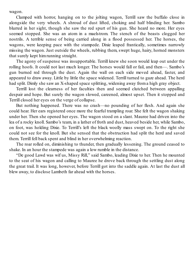wagon.

Clamped with horror, hanging on to the jolting wagon, Terrill saw the buffalo close in alongside the very wheels. A shroud of dust lifted, choking and half blinding her. Sambo blurred in her sight, though she saw the red spurt of his gun. She heard no more. Her eyes seemed stopped. She was an atom in a maelstrom. The stench of the beasts clogged her nostrils. A terrible sense of being carried along in a flood possessed her. The horses, the wagons, were keeping pace with the stampede. Dixie leaped frantically, sometimes narrowly missing the wagon. Just outside the wheels, rubbing them, swept huge, hairy, horned monsters that surely kept himrunning straight.

The agony of suspense was insupportable. Terrill knew she soon would leap out under the rolling hoofs. It could not last much longer. The horses would fall or fail, and then—. Sambo's gun burned red through the dust. Again the wall on each side moved ahead, faster, and appeared to draw away. Little by little the space widened. Terrill turned to gaze ahead. The herd had split. Dimly she saw an X-shaped space splitting, widening away froma high gray object.

Terrill lost the clearness of her faculties then and seemed clutched between appalling despair and hope. But surely the wagon slowed, careened, almost upset. Then it stopped and Terrill closed her eyes on the verge of collapse.

But nothing happened. There was no crash—no pounding of her flesh. And again she could hear. Her ears registered once more the fearful trampling roar. She felt the wagon shaking under her. Then she opened her eyes. The wagon stood on a slant. Mauree had driven into the lea of a rocky knoll. Sambo's team, in a lather of froth and dust, heaved beside her, while Sambo, on foot, was holding Dixie. To Terrill's left the black woolly mass swept on. To the right she could not see for the knoll. But she sensed that the obstruction had split the herd and saved them. Terrill fell back spent and blind in her overwhelming reaction.

The roar rolled on, diminishing to thunder, then gradually lessening. The ground ceased to shake. In an hour the stampede was again a low rumble in the distance.

"De good Lawd was wif us, Missy Rill," said Sambo, leading Dixie to her. Then he mounted to the seat of his wagon and calling to Mauree he drove back through the settling dust along the great trail. It was long, however, before Terrill got into the saddle again. At last the dust all blew away, to disclose Lambeth far ahead with the horses.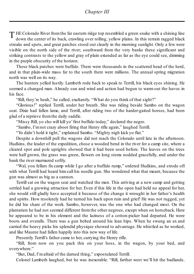$T$  HE Colorado River from the far eastern ridge top resembled a green snake with a shining line down the center of its back, crawling over rolling, vellow plains. In this terrain ragged black down the center of its back, crawling over rolling, yellow plains. In this terrain ragged black streaks and spots, and great patches stood out clearly in the morning sunlight. Only a few were visible on the north side of the river; southward from the very banks these significant and striking contrasts to the yellow and gray of plain extended as far as the eye could see, dimming in the purple obscurity of the horizon.

These black patches were buffalo. There were thousands in the scattered head of the herd, and in that plain-wide mass far to the south there were millions. The annual spring migration north was well on its way.

The hunters yelled lustily. Lambeth rode back to speak to Terrill, his black eyes shining. He seemed a changed man. Already sun and wind and action had begun to warm out the havoc in his face.

"Rill, they're heah," he called, exultantly. "What do you think of that sight?"

"Glorious!" replied Terrill, under her breath. She was riding beside Sambo on the wagon seat. Dixie had fallen lame, and Terrill, after riding two of the harder-gaited horses, had been glad of a reprieve fromthe daily saddle.

"Missy Rill, yo sho will kill yo'first buffalo today," declared the negro.

"Sambo, I'mnot crazy aboot firing that Henry rifle again," laughed Terrill.

"Yo didn't hold it tight," explained Sambo. "Mighty nigh kick yo flat."

Despite a downhill pull the wagons did not reach the Colorado until late in the afternoon. Hudkins, the leader of the expedition, chose a wooded bend in the river for a camp site, where a cleared spot and pole uprights showed that it had been used before. The leaves on the trees were half grown, the grass was green, flowers on long stems nodded gracefully, and under the bank the river murmured softly.

"Wal, you fellars fix camp while I go after a buffalo rump," ordered Hudkins, and strode off with what Terrill had heard him call his needle gun. She wondered what that meant, because the gun was almost as big as a cannon.

Terrill sat on the wagon seat and watched the men. This arriving at a new camp and getting settled had a growing attraction for her. Even if this life in the open had held no appeal for her, she would still gladly have accepted it because of the change it wrought in her father's health and spirits. How resolutely had he turned his back upon ruin and grief! He was not rugged, yet he did his share of the work. Sambo, however, was the one who had changed most. On the plantation he had not seemed different fromthe other negroes, except when on horseback. Here he appeared to be in his element and the laziness of a cotton-picker had departed. He wore boots and overalls. There was a gun belted around his lean hips. When he swung an ax and carried the heavy picks his splendid physique showed to advantage. He whistled as he worked, and like Mauree had fallen happily into this new way of life.

Presently Terrill's father came to her, carrying the Henry rifle.

"Rill, from now on you pack this on your hoss, in the wagon, by your bed, and everywhere."

"But, Dad, I'mafraid of the darned thing," expostulated Terrill.

Colonel Lambeth laughed, but he was inexorable. "Rill, farther west we'll hit the badlands.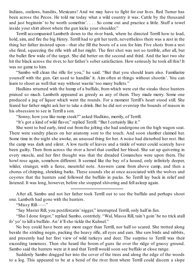Indians, outlaws, bandits, Mexicans! And we may have to fight for our lives. Red Turner has been across the Pecos. He told me today what a wild country it was. Cattle by the thousand and just beginnin' to be worth somethin'. . . . So come out and practice a little. Stuff a towel inside your shirt aboot where the gun kicks your shoulder."

Terrill accompanied Lambeth down to the river bank, where he directed Terrill how to load, hold, aim, and fire the big Henry. Terrill had to grit her teeth, nevertheless there was a zest in the thing her father insisted upon—that she fill the boots of a son for him. Five shots from a rest she fired, squeezing the rifle with all her might. The first shot was not so terrible, after all, but the bullet flew wide of the target. She did better on the second and third. And the last two she hit the black across the river, to her father's sober satisfaction. How seriously he took all this! It was no game to him.

"Sambo will clean the rifle for you," he said. "But that you should learn also. Familiarize yourself with the gun. Get used to handlin' it. Aim often at things without shootin'. You can learn to shoot as well that way without wastin' too many bullets."

Hudkins returned with the hump of a buffalo, from which were cut the steaks these hunters praised so much. Lambeth appeared as greedy as any of them. They made merry. Some one produced a jug of liquor which went the rounds. For a moment Terrill's heart stood still. She feared her father might ask her to take a drink. But he did not overstep the bounds of reason in his obsession to see in Terrill a son.

"Sonny, how you like rump steak?" asked Hudkins, merrily, of Terrill.

"It's got a kind of wild flavor," replied Terrill. "But I certainly like it."

She went to bed early, tired out fromthe jolting she had undergone on the high wagon seat. There were sundry places on her anatomy sore to the touch. And soon slumber claimed her. Some time in the night she awoke, an unusual thing for her. A noise had disturbed her rest. But the camp was dark and silent. A low rustle of leaves and a tinkle of water could scarcely have been guilty. Then from across the river a howl that curdled her blood. She sat up quivering in every muscle, and her first thought was that the dreaded Comanches were upon them. The howl rose again, somehow different. It seemed like the bay of a hound, only infinitely deeper, wilder, stranger, with a fierce, mournful note. Answers came from above camp, and then a chorus of chirping, shrieking barks. These sounds she at once associated with the wolves and coyotes that the hunters said followed the buffalo in packs. So Terrill lay back in relief and listened. It was long, however, before she stopped shivering and fell asleep again.

After all, Sambo and not her father took Terrill out to see the buffalo and perhaps shoot one. Lambeth had gone with the hunters.

"Missy Rill——"

"Say Master Rill, you pestifercatin' nigger," interrupted Terrill, only half in fun.

"Sho I done forgot," replied Sambo, contritely. "Wal, Massa Rill, tain't goin' be no trick atall fo' yo' to kill a buffalo. An'it'llsho tickle the Kuhnel."

No boy could have been any more eager than Terrill, nor half so scared. She trotted along beside the striding negro, packing the heavy rifle, all eyes and ears. She saw birds and rabbits, and presently had her first view of wild turkeys and deer. The surprise to Terrill was their exceeding tameness. Then she heard the boom of guns far over the ridge of grassy ground. Sambo said the hunters were at it and that Terrill would soon see buffalo at close range.

Suddenly Sambo dragged her into the cover of the trees and along the edge of the woods to a log. This appeared to be at a bend of the river from where Terrill could discern a slope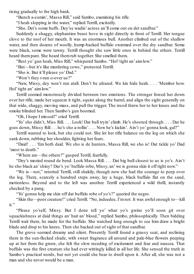rising gradually to the high bank.

"Bunch a-comin', Massa Rill," said Sambo, examining his rifle.

"I heah slopping in the water," replied Terrill, excitedly.

"Sho. Det's some buffs. Dey'se wadin' across an'll come out on det sandbar."

Suddenly a shaggy, elephantine beast hove in sight directly in front of Terrill. Her tongue clove to the roof of her mouth. It was an enormous bull. Another climbed out of the shallow water, and then dozens of woolly, hump-backed buffalo swarmed over the dry sandbar. Some were black, some were tawny. Terrill thought she saw little ones in behind the others. Terrill heard thempant. She heard themrub together. She smelled them.

"Rest yo' gun heah, Miss Rill," whispered Sambo. "Hol'tight an' aimlow."

"But—but it's like murdering cows," protested Terrill.

"Sho is. But it'll please yo'Dad."

"Won't they r-run o-over us?"

"Naw, Missy, dey won't run atall. Don't be afeared. We kin hide heah. . . . 'Member how. Hol'tight an' aimlow."

Terrill seemed monstrously divided between two emotions. The stronger forced her down over her rifle, made her squeeze it tight, squint along the barrel, and align the sight generally on that wide, shaggy, moving mass, and pull the trigger. The recoil threw her to her knees and the smoke blinded her. Then Sambo's gun boomed.

"Oh, I hope I missed!" cried Terrill.

"Yo'sho didn't, Miss Rill. . . . Look! Dat bull tryin' climb. He's shooted through. . . . Dar he goes down, Missy Rill . . . he's sho a-rollin'. . . . Now he's kickin'. Ain't yo' gonna look, gal?"

Terrill wanted to look, but she could not. She let her rifle balance on the log on which she sank down, rubbing her shoulder, fighting her fears.

"Daid! . . . 'Em both daid. We sho is de hunters, Massa Rill, we sho is! Dat tickle yo' Dad 'most to death."

"Where are—the others?" gasped Terrill, fearfully.

"Dey's mozied round de bend. Look Massa Rill. . . . Dat big bull closest to us is yo's. Ain't he sho black an'shiny? Dar's yo' buffalo robe, Missy, an'we is gonna skin it off right now."

"We is—not," retorted Terrill, still shakily, though now she had the courage to peep over the log. There, scarcely a hundred steps away, lay a huge, black buffalo flat on the sand, motionless. Beyond and to the left was another. Terrill experienced a wild thrill, instantly checked by a pang.

"Yo' gonna help me skin off dat buffalo robe of yo's?" queried the negro.

"Skin the—poor creature!" cried Terrill. "No, indeedee, I'mnot. It was awful enough to—kill it."

"Please yo'self, Missy. But I done tell yo' whar yo's gwine yo'll soon git over squackishness at daid things an' hair an' blood," replied Sambo, philosophically. Then bidding Terrill wait there, he made for the buffalo. She watched long enough to see him draw a bright blade and drop to his knees. Then she backed out of sight of that sandbar.

The grove seemed dreamy and silent. Presently Terrill found a grassy seat, and reclining there in the sun-flecked shade, with sweet fragrance all around and pale-blue flowers peeping up at her from the green, she felt the slow receding of excitement and fear and nausea. That buffalo was the first creature she had ever wittingly killed in all her life. She sensed the truth in Sambo's practical words, but not yet could she bear to dwell upon it. After all, she was not a man and she never would be a man.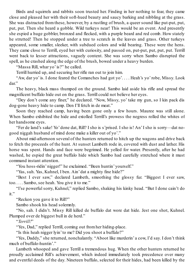Birds and squirrels and rabbits soon trusted her. Finding in her nothing to fear, they came close and pleased her with their soft-hued beauty and saucy barking and nibbling at the grass. She was distracted from these, however, by a rustling of brush, a queer sound like put-put, put, put, put. Then she heard a gobble. Wild turkeys near! This would be an event. And presently she espied a huge gobbler, bronzed and flecked, with a purple beard and red comb. How stately he strutted! Then he stopped under a tree to scratch in the leaves and grass. Other turkeys appeared, some smaller, sleeker, with subdued colors and wild bearing. These were the hens. They came close to Terrill, eyed her with curiosity, and passed on, put-put, put, put, put. Terrill went back to lesser attractions, vaguely content. She was sorry when Sambo disrupted the spell, as he crashed along the edge of the brush, bowed under a heavy burden.

"Massa Rill, whar yo' is?" he called.

Terrill hurried up, and securing her rifle ran out to join him.

"Aw, dar yo'is. I done feared the Comanches had got yo'. . . . Heah's yo'robe, Missy. Look dar."

The heavy, black mass thumped on the ground. Sambo laid aside his rifle and spread the magnificent buffalo hide out on the grass. Terrill could not believe her eyes.

"Dey don't come any finer," he declared. "Now, Missy, yo' take my gun, so I kin pack dis dog-gone heavy hide to camp. Den I'll fetch in de meat."

Soon they reached camp, having been gone only a few hours. Mauree was still alone. When Sambo exhibited the hide and extolled Terrill's prowess the negress rolled the whites of her handsome eyes.

"Fer de land's sake! Yo' done dat, Rill? I sho is s'prised. I sho is! An'I sho is sorry—dat nogood niggah husband of mind done make a killer out of yo'."

About mid-afternoon several of the hunters returned to hitch up the wagons and drive back to fetch the proceeds of the hunt. At sunset Lambeth rode in, covered with dust and lather. His horse was spent. Hands and face were begrimed. He yelled for water. Presently, after he had washed, he espied the great buffalo hide which Sambo had carefully stretched where it must command instant attention.

"You hoss-ridin' nigger!" he exclaimed. "Been huntin' yourself."

"Yas, suh. Yas, Kuhnel, I ben. Ain' dat a mighty fine hide?"

"Best I ever saw," declared Lambeth, smoothing the glossy fur. "Biggest I ever saw, too. . . . Sambo, see heah. You give it to me."

"I'se powerful sorry, Kuhnel," replied Sambo, shaking his kinky head. "But I done cain't do it."

"Reckon you gave it to Rill?"

Sambo shook his head solemnly.

"No, sah. I didn't. Missy Rill killed de buffalo dat wore dat hide. Jest one shot, Kuhnel. Plumped over de biggest bull in de herd."

"*Terrill!*"

"Yes, Dad," replied Terrill, coming out fromher hiding-place.

"Is this heah nigger lyin'to me? Did you shoot a buffalo?"

"Yes, Daddy," she returned, nonchalantly. "Aboot like murderin' a cow, I'd say. I don't think much of buffalo-huntin'."

Lambeth whooped and gave Terrill a tremendous hug. When the other hunters returned he proudly acclaimed Rill's achievement, which indeed immediately took precedence over many and eventful deeds of the day. Nineteen buffalo, selected for their hides, had been killed by the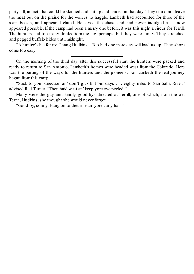party, all, in fact, that could be skinned and cut up and hauled in that day. They could not leave the meat out on the prairie for the wolves to haggle. Lambeth had accounted for three of the slain beasts, and appeared elated. He loved the chase and had never indulged it as now appeared possible. If the camp had been a merry one before, it was this night a circus for Terrill. The hunters had too many drinks from the jug, perhaps, but they were funny. They stretched and pegged buffalo hides until midnight.

"A hunter's life for me!" sang Hudkins. "Too bad one more day will load us up. They shore come too easy."

On the morning of the third day after this successful start the hunters were packed and ready to return to San Antonio. Lambeth's horses were headed west from the Colorado. Here was the parting of the ways for the hunters and the pioneers. For Lambeth the real journey began fromthis camp.

"Stick to your direction an' don't git off. Four days . . . eighty miles to San Saba River," advised Red Turner. "Then haid west an' keep yore eye peeled."

Many were the gay and kindly good-bys directed at Terrill, one of which, from the old Texan, Hudkins, she thought she would never forget.

"Good-by, sonny. Hang on to thet rifle an' yore curly hair."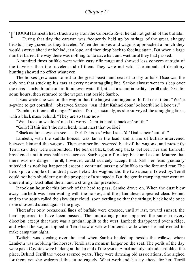T HOUGH Lambeth had struck away from the Colorado River he did not get rid of the buffalo.<br>During that day the caravan was frequently held up by strings of the great, shaggy

During that day the caravan was frequently held up by strings of the great, shaggy beasts. They grazed as they traveled. When the horses and wagons approached a bunch they would swerve ahead or behind, at a lope, and then drop back to feeding again. But when a large number barred the way there was nothing to do save halt and wait until they had passed.

A hundred times buffalo were within easy rifle range and showed less concern at sight of the travelers than the travelers did of them. They were not wild. The inroads of desultory hunting showed no effect whatever.

The horses grew accustomed to the great beasts and ceased to shy or balk. Dixie was the only one that stuck up his ears at every new straggling line. Sambo almost went to sleep over the reins. Lambeth rode out in front, ever watchful, at last a scout in reality. Terrill rode Dixie for some hours, then returned to the wagon seat beside Sambo.

It was while she was on the wagon that the largest contingent of buffalo met them. "We'se a-gwine to get corralled," observed Sambo. "An'if dat Kuhnel doan' be keerful he'll lose us."

"Sambo, is there still danger?" asked Terrill, anxiously, as she surveyed the straggling lines, with a black mass behind. "They are so tame now."

"Wal, I reckon we doan' need to worry. De main herd is back an'south."

"Golly! If this isn't the main herd, what must that be like?"

"Black as fur as eye kin see. . . . Dar! Dat is jes' what I sed. Yo'Dad is bein' cut off."

Lambeth, with the saddle horses, was far in the lead, and a line of buffalo intervened between him and the wagons. Then another line swerved back of the wagons, and presently Terrill saw they were surrounded. The belt of black, bobbing backs between her and Lambeth broadened until it was half a mile across. Sambo got off to step back and assure Mauree that there was no danger. Terrill, however, could scarcely accept that. Still her fears gradually subsided as nothing happened except a continual passing of buffalo to the fore and rear. The herd split a couple of hundred paces below the wagons and the two streams flowed by. Terrill could not help shuddering at the prospect of a stampede. But the gentle trampling roar went on uneventfully. Dust filled the air and a strong odor prevailed.

It took an hour for this branch of the herd to pass. Sambo drove on. When the dust blew away Lambeth was seen waiting with the horses, and the plain ahead appeared clear. Behind and to the south rolled the slow dust cloud, soon settling so that the stringy, black horde once more showed distinct against the gray.

Thereafter only occasional lines of buffalo were crossed, until at last, toward sunset, the herd appeared to have been passed. The undulating prairie appeared the same in every direction, except that there was a gradual uplift to the west. Lambeth disappeared over a ridge, and when the wagon topped it Terrill saw a willow-bordered swale where he had elected to make camp that night.

Twilight was stealing over the land when Sambo hauled up beside the willows where Lambeth was hobbling the horses. Terrill sat a moment longer on the seat. The perils of the day were past. Coyotes were barking at the far end of the swale. A melancholy solitude enfolded the place. Behind Terrill the weeks seemed years. They were dimming old associations. She sighed for them, yet she welcomed the future eagerly. What work and life lay ahead for her! Terrill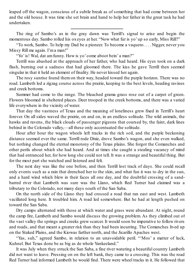leaped off the wagon, conscious of a subtle break as of something that had come between her and the old house. It was time she set brain and hand to help her father in the great task he had undertaken.

The ring of Sambo's ax in the gray dawn was Terrill's signal to arise and begin the momentous day. Sambo rolled his oxeyes at her. "Now what fur is yo' up so early, Miss Rill?"

"To work, Sambo. To help my Dad be a pioneer. To become a vaquero. . . . Nigger, never you Missy Rill me again. I'ma man!"

"Yo' is! Wal, dat am funny. How is yo' come aboot bein' a man?"

Terrill was abashed at the approach of her father, who had heard. His eyes took on a dark flash, burning out a sadness that had gloomed there. The kiss he gave Terrill then seemed singular in that it held an element of finality. He never kissed her again.

The rosy sunrise found them on their way, headed toward the purple horizon. There was no road. Lambeth led a zigzag course across the prairie, keeping to the best levels, heading ravines and creek bottoms.

Summer had come to the range. The bleached grama grass rose out of a carpet of green. Flowers bloomed in sheltered places. Deer trooped in the creek bottoms, and there was a varied life everywhere in the vicinity of water.

That day the vastness of Texas and the meaning of loneliness grew fixed in Terrill's heart forever. On all sides waved the prairie, on and on, in an endless solitude. The wild animals, the hawks and ravens, the black clouds of passenger pigeons that coursed by, the faint, dark lines behind in the Colorado valley,—all these only accentuated the solitude.

Hour after hour the wagon wheels left tracks in the rich soil, and the purple beckoning distance seemed ever the same. Terrill rode Dixie, drove Sambo's wagon, and she even walked, but nothing changed the eternal monotony of the Texas plains. She forgot the Comanches and other perils about which she had heard. And at times she caught a stealing vacancy of mind that had entranced her, for how long she could not tell. It was a strange and beautiful thing. But for the most part she watched and listened and felt.

The next day was like the one before, and then Terrill lost track of days. She could recall only events such as a rain that drenched her to the skin, and what fun it was to dry in the sun, and a hard wind which blew in their faces all one day, and the doubtful crossing of a sandbarred river that Lambeth was sure was the Llano, which Red Turner had claimed was a tributary to the Colorado, not many days south of the San Saba.

On the north side of the Llano they had crossed a road that ran east and west. Lambeth vacillated long here. It troubled him. A road led somewhere. But he had at length pushed on toward the San Saba.

Dry camps alternated with those at which water and grass were abundant. At night, round the camp fire, Lambeth and Sambo would discuss the growing problem. As they climbed out of the vast valley the springs and creeks grew scarcer. It would soon be imperative to follow rivers and roads, and that meant a greater risk than they had been incurring. The Comanches lived up on the Staked Plains, and the Kiowas farther north, and the Jicarillo Apaches west.

"Yas, suh," agreed Sambo, in relation to an unavoidable peril. "'Mos' a matter of luck, Kuhnel. But Texas done be as big as de whole Yankeeland."

It was July when they struck the San Saba, a fine river watering a beautiful country Lambeth did not want to leave. Pressing on on the left bank, they came to a crossing. This was the road Red Turner had informed Lambeth he would find. There were wheel tracks in it. He followed that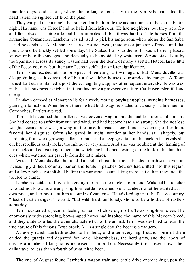road for days, and at last, where the forking of creeks with the San Saba indicated the headwaters, he sighted cattle on the plain.

They camped near a ranch that sunset. Lambeth made the acquaintance of the settler before night. His name was Hetcoff and he hailed from Missouri. He had neighbors, but they were few and far between. Their cattle had been unmolested, but it was hard to hide horses from the marauding Comanches. Lambeth was advised to pick his range somewhere along the San Saba. It had possibilities. At Menardsville, a day's ride west, there was a junction of roads and that point would be thickly settled some day. The Staked Plains to the north was a barren plateau, known only to the savages, and decidedly to be avoided by white men. A road staked out by the Spaniards across its sandy wastes had been the death of many a settler. Hetcoff knew little of the Pecos country, but the name Pecos itself had a sinister significance.

Terrill was excited at the prospect of entering a town again. But Menardsville was disappointing, as it consisted of but a few adobe houses surrounded by ranges. A Texan named Bartlett maintained a post there, freighting supplies at infrequent intervals. He was also in the cattle business, which at that time had only a prospective future. Cattle were plentiful and cheap.

Lambeth camped at Menardsville for a week, resting, buying supplies, mending harnesses, gaining information. When he left there he had both wagons loaded to capacity—a fine haul for Comanches, Bartlett averred.

Terrill still occupied the smaller canvas-covered wagon, but she had less room and comfort. She had ceased to suffer fromsun and wind, and had become hard and strong. She did not lose weight because she was growing all the time. Increased height and a widening of her frame favored her disguise. Often she gazed in rueful wonder at her hands, still shapely, but hardening fromwork, growing callous of palmand a deep gold tan on the back. At intervals she cut her rebellious curly locks, though never very short. And she was troubled at the thinning of her cheeks and coarsening of her skin, which she had once desired; at the look in the dark blue eyes which watched her gravely fromthe little mirror.

West of Menardsville the road Lambeth chose to travel headed northwest over an increasingly difficult country, barren and fertile in patches. Settlers had drifted into this region, and a few ranches established before the war were accumulating more cattle than they took the trouble to brand.

Lambeth decided to buy cattle enough to make the nucleus of a herd. Wakefield, a rancher who did not know how many long-horn cattle he owned, sold Lambeth what he wanted at his own price, and to boot lent him a couple of vaqueros. He advised against the Pecos country. "Best of cattle ranges," he said; "but wild, hard, an' lonely, shore to be a hotbed of rustlers some day."

Terrill sustained a peculiar feeling at her first close sight of a Texas long-horn steer. The enormously wide-spreading, bow-shaped horns had inspired the name of this Mexican breed, and they quite dwarfed the other characteristics of the animal. Terrill was destined to learn the true nature of this famous Texas stock. All in a single day she became a vaquero.

At every ranch Lambeth added to his herd; and after every night stand some of them eluded the guards and departed for home. Nevertheless, the herd grew, and the labors of driving a number of long-horns increased in proportion. Necessarily this slowed down their daily travel to less than a fourth of what it had been.

The end of August found Lambeth's wagon train and cattle drive encroaching upon the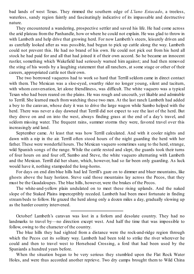bad lands of west Texas. They rimmed the southern edge of *L'lano Estacado*, a treeless, waterless, sandy region faintly and fascinatingly indicative of its impassable and destructive nature.

They encountered a wandering, prospective settler and saved his life. He had come across the arid plateau fromthe Panhandle, how or where he could not explain. He was glad to throw in with Lambeth and help drive that growing herd. For now Lambeth's steers, leisurely driven and as carefully looked after as was possible, had begun to pick up cattle along the way. Lambeth could not prevent this. He had no brand of his own. He could not pick out from his herd all stock he had paid for and all that had joined it of their own accord. So he became an innocent rustler, something which Wakefield had seriously warned him against; and had then removed the sting of his words by a laughing statement that all ranchers, at some stage or other of their careers, appropriated cattle not their own.

The two borrowed vaqueros had to work so hard that Terrill seldom came in direct contact with them. The Mexican was a sloe-eyed, swarthy rider no longer young, silent and taciturn, with whom conversation, let alone friendliness, was difficult. The white vaquero was a typical Texan who had been reared on the plains. He was rough and uncouth, yet likable and admirable to Terrill. She learned much fromwatching these two men. At the last ranch Lambeth had added a boy to the caravan, whose duty it was to drive the large wagon while Sambo helped with the herd. There was never a day dawned that Terrill did not expect to see the last of the herd. But they drove on and on into the west, always finding grass at the end of a day's travel, and seldom missing water. The frequent rains, summer storms they were, favored travel over this increasingly arid land.

September came. At least that was how Terrill calculated. And with it cooler nights and dawn with a nip in the air. Terrill often stood hours of the night guarding the herd with her father. These were wonderful hours. The Mexican vaquero sometimes sang to the herd, strange, wild Spanish songs of the range. While the cattle rested and slept, the guards took their turns of four hours on and four off, Sambo and Steve, the white vaquero alternating with Lambeth and the Mexican. Terrill did her share, which, however, had so far been only guarding. As luck would have it, nothing stampeded the long-horns.

For days on end dim blue hills had led Terrill's gaze on to dimmer and bluer mountains, like ghosts above the hazy horizon. Steve said those mountains lay across the Pecos, that they must be the Guadaloupes. The blue hills, however, were the brakes of the Pecos.

The white-and-yellow plain undulated on to meet these rising uplands. And the naked slope of the Staked Plains imperceptibly receded. Lambeth had been most fortunate in finding stream beds to follow. He grazed the herd along only a dozen miles a day, gradually slowing up as the harder country intervened.

October! Lambeth's caravan was lost in a forlorn and desolate country. They had no landmarks to travel by—no direction except west. And half the time that was impossible to follow, owing to the character of the country.

The blue hills they had sighted from a distance were the rock-and-ridge region through which the Pecos cut its solitary way. Lambeth had been told to strike the river wherever he could and then to travel west to Horsehead Crossing, a ford that had been used by the Spaniards a hundred years before.

When the situation began to be very serious they stumbled upon the Flat Rock Water Holes, and were thus accorded another reprieve. Two dry camps brought them to Wild China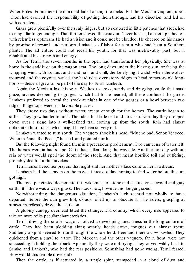Water Holes. From there the dim road faded among the rocks. But the Mexican vaquero, upon whom had evolved the responsibility of getting them through, had his direction, and led on with confidence.

Grass grew plentifully over the scaly ridges, but so scattered in little patches that stock had to range far to get enough. That further slowed the caravan. Nevertheless, Lambeth pushed on with relentless optimism. He had a vision and it could not be clouded. He cheered on his hands by promise of reward, and performed miracles of labor for a man who had been a Southern planter. The adventure could not recall his youth, for that was irretrievably past, but it rehabilitated his strength and energy.

As for Terrill, the seven months in the open had transformed her physically. She was at home in the saddle or on the wagon seat. The long days under the blazing sun, or facing the whipping wind with its dust and sand, rain and chill, the lonely night watch when the wolves mourned and the coyotes wailed, the hard rides over stony ridges to head refractory old longhorns—these all grew to be part of the day to Terrill Lambeth.

Again the Mexican lost his way. Washes to cross, sandy and dragging, cattle that must graze, ravines deepening to gorges, which had to be headed, all these confused the guide. Lambeth preferred to corral the stock at night in one of the gorges or a bowl between two ridges. Ridge tops were less favorable places.

They drove two days without water, except enough for the horses. The cattle began to suffer. They grew harder to hold. The riders had little rest and no sleep. Next day they dropped down over a ridge into a well-defined trail coming up from the south. Rain had almost obliterated hoof tracks which might have been so very old.

Lambeth wanted to turn south. The vaquero shook his head. "Mucho bad, Señor. Ver seco. Water mañana. Rio Pecos," he said, and pointed north.

But the following night found them in a precarious predicament. Two canteens of water left! The horses were in bad shape. Cattle had fallen along the wayside. Another hot day without rain or water would spell the doom of the stock. And that meant horrible toil and suffering, probably death, for the travelers.

Terrill remembered her prayers that night and her mother's face came to her in a dream.

Lambeth had the caravan on the move at break of day, hoping to find water before the sun got high.

The road penetrated deeper into this wilderness of stone and cactus, greasewood and gray earth. Still there was always grass. The stock now, however, no longer grazed.

Notwithstanding the dangerous situation, Lambeth's luck seemed not wholly to have departed. Before the sun grew hot, clouds rolled up to obscure it. The riders, grasping at straws, mercilessly drove the cattle on.

A gloomy canopy overhead fitted the strange, wild country, which every mile appeared to take on more of its peculiar characteristics.

Terrill, driving the smaller wagon, noticed a developing uneasiness in the long column of cattle. They had been plodding along wearily, heads down, tongues out, almost spent. Suddenly a spirit seemed to run through the whole herd. Here and there a cow bawled. They quickened from a crawl to a trot. The Mexican and the other vaquero, far in front, were not succeeding in holding them back. Apparently they were not trying. They waved wildly back to Sambo and Lambeth, who had the rear positions. Something had gone wrong, Terrill feared. How would this terrible drive end?

Then the cattle, as if actuated by a single spirit, stampeded in a cloud of dust and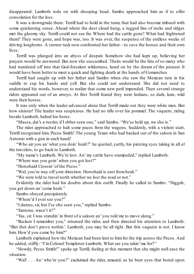disappeared. Lambeth rode on with drooping head. Sambo approached him as if to offer consolation for the loss.

It was a downgrade there. Terrill had to hold in the team, that had also become imbued with some quickening sense. Ahead where the dust cloud hung, a rugged line of rocks and ridges met the gloomy sky. Terrill could not see far. Where had the cattle gone? What had frightened them? They were gone, and hope was, too. It was over, the suspense of the endless weeks of driving longhorns. A sterner task now confronted her father—to save the horses and their own lives.

Terrill was plunged into an abyss of despair. Somehow she had kept up, believing her prayers would be answered. But now she succumbed. Theirs would be the fate of so many who had wandered off into that God-forsaken wilderness, lured on by the dream of the pioneer. It would have been better to meet a quick and fighting death at the hands of Comanches.

Terrill had caught up with her father and Sambo when she saw the Mexican turn in his saddle to cup his hands and yell. But she could not understand. She did not need to understand his words, however, to realize that some new peril impended. Then several strange riders appeared out of an arroyo. At first Terrill feared they were Indians, so dark, lean, wild were their horses.

It was only when the leader advanced alone that Terrill made out they were white men. But how sinister! The leader was suspicious. He had no rifle over his pommel. The vaquero, riding beside Lambeth, halted his horse.

"Massa, dat's a rustler, if I ebber seen one," said Sambo. "We'se held up, we sho is."

The rider approached to halt some paces from the wagons. Suddenly, with a violent start, Terrill recognized him. Pecos Smith! The young Texan who had backed out of the saloon in San Antonio with a gun in each hand!

"Who air you an'what you doin' heah?" he queried, curtly, his piercing eyes taking in all of the travelers, to go back to Lambeth.

"My name's Lambeth. We're lost. An'my cattle have stampeded," replied Lambeth.

"Where was you goin'when you got lost?"

"Horsehaid Crossin' of the Pecos."

"Wal, you're way off yore direction. Horsehaid is east fromheah."

"We were told to travel north whether we lost the road or not."

Evidently the rider had his doubts about this outfit. Finally he called to Sambo: "Niggah, you get down an' come heah."

Sambo obeyed precipitately.

"Where'd I ever see you?"

"I dunno, sir, but I'se sho seen you," replied Sambo.

"Santone, wasn't it?"

"Yas, sir. I was standin' in front of a saloon an' you told me to move along."

"Reckon I remember you," returned the rider, and then directed his attention to Lambeth. "But thet don't prove nothin'. Lambeth, you may be all right. But this vaquero is not. I know him. How'd you come by him?"

Lambeth explained how the Mexican had been lent to himfor the trip across the Pecos. And he added, stiffly: "I'mColonel Templeton Lambeth. What are you takin'me for?"

"Howdy, Pecos Smith!" spoke up Terrill, feeling at this moment that she might well ease the situation.

"Wal! . . . An' who're you?" exclaimed the rider, amazed, as he bent eyes that bored upon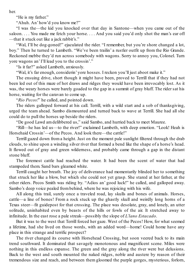her.

"He is my father."

"Ahuh. An' how'd you know me?"

"I was the—the kid you knocked over that day in Santone—when you came out of the saloon. . . . You made me fetch your horse. . . . And you said you'd only shot the man's ear off —that it stuck out like a jack rabbit's."

"Wal, I'll be dog-goned!" ejaculated the rider. "I remember, but you're shore changed a lot, boy." Then he turned to Lambeth. "We've been trailin' a rustler outfit up from the Rio Grande. Reckoned mebbe they'd run across somebody with wagons. Sorry to annoy you, Colonel. Turn yore wagons an'I'll lead you to the crossin'."

"Is it far?" asked Lambeth, anxiously.

"Wal, it's far enough, considerin' yore hosses. I reckon you'll just aboot make it."

The ensuing drive, short though it might have been, proved to Terrill that if they had not been led out of this maze of hot draws and ridges they would have been irrevocably lost. As it was, the weary horses were barely goaded to the gap in a summit of gray bluff. The rider sat his horse, waiting for the caravan to come up.

"*Rio Pecos!*" he called, and pointed down.

The riders galloped forward at his call. Terrill, with a wild start and a sob of thanksgiving, urged the team ahead. Sambo dismounted and turned back to wave at Terrill. She had all she could do to pull the horses up beside the riders.

"De good Lawd amdelibbered us," said Sambo, and hurried back to meet Mauree.

"Rill—he has led us—to the river!" exclaimed Lambeth, with deep emotion. "Look! Heah is Horsehaid Crossin'—of the Pecos. And look there—the cattle!"

Terrill gazed down from a height. Just on the moment pale sunlight filtered through the drab clouds, to shine upon a winding silver river that formed a bend like the shape of a horse's head. It flowed out of gray and green wilderness, and probably came through a gap in the distant stone bluff.

The foremost cattle had reached the water. It had been the scent of water that had stampeded them. Sand bars gleamed white.

Terrill caught her breath. The joy of deliverance had momentarily blinded her to something that struck her like a blow, but which she could not yet grasp. She stared at her father, at the other riders. Pecos Smith was riding by. "Adios an' good luck!" he called, and galloped away. Sambo's deep voice pealed frombehind, where he was rejoicing with his wife.

All along this trail, surely once a traveled road, lay skulls and bones of animals. Horses, cattle—a line of bones! From a rock stuck up the ghastly skull and weirdly long horns of a Texas steer—fit guidepost for that crossing. The place was desolate, gray, and lonely, an utter solitude, uninhabited even by beasts of the hills or fowls of the air. It stretched away to infinitude. In the east rose a pale streak—possibly the slope of *L'lano Estacado*.

But it was to the west that Terrill forced her gaze. West of the Pecos! How, for what seemed a lifetime, had she lived on those words, with an added word—home! Could home have any place in this strange and terrific prospect?

The river changed its course with Horsehead Crossing, but soon veered back to its main trend southward. It dominated that savagely monotonous and magnificent scene. Miles were nothing in this endless expanse. The green and the gray along the river were but delusions. Back to the west and south mounted the naked ridges, noble and austere by reason of their tremendous size and reach, and between them gloomed the purple gorges, mysterious, forlorn,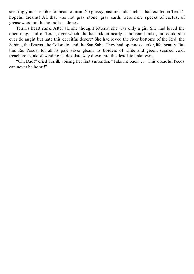seemingly inaccessible for beast or man. No grassy pasturelands such as had existed in Terrill's hopeful dreams! All that was not gray stone, gray earth, were mere specks of cactus, of greasewood on the boundless slopes.

Terrill's heart sank. After all, she thought bitterly, she was only a girl. She had loved the open rangeland of Texas, over which she had ridden nearly a thousand miles, but could she ever do aught but hate this deceitful desert? She had loved the river bottoms of the Red, the Sabine, the Brazos, the Colorado, and the San Saba. They had openness, color, life, beauty. But this Rio Pecos, for all its pale silver gleam, its borders of white and green, seemed cold, treacherous, aloof, winding its desolate way down into the desolate unknown.

"Oh, Dad!" cried Terrill, voicing her first surrender. "Take me back! . . . This dreadful Pecos can never be home!"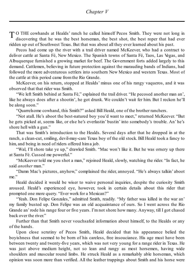T O THE cowhands at Healds' ranch he called himself Pecos Smith. They were not long in discovering that he was the best horseman, the best shot, the best roper that had ever discovering that he was the best horseman, the best shot, the best roper that had ever ridden up out of Southwest Texas. But that was about all they ever learned about his past.

Pecos had come up the river with a trail driver named McKeever, who had a contract to deliver cattle at Santa Fé, New Mexico. The Spanish towns of Santa Fé, Taos, Las Vegas, and Albuquerque furnished a growing market for beef. The Government forts added largely to this demand. Cattlemen, believing in future protection against the marauding bands of Indians, had followed the more adventurous settlers into southern New Mexico and western Texas. Most of the cattle at this period came fromthe Rio Grande.

McKeever, on his return, stopped at Healds' minus one of his rangy vaqueros, and it was observed that that rider was Smith.

"We left Smith behind at Santa Fé," explained the trail driver. "He pecosed another man an', like he always does after a shootin', he got drunk. We couldn't wait fer him. But I reckon he'll be along soon."

"Quarrelsome cowhand, this Smith?" asked Bill Heald, one of the brother ranchers.

"Not atall. He's aboot the best-natured boy you'd want to meet," returned McKeever. "But he gets picked at, seems like, or else he's everlastin' bustin' into somebody's trouble. An' he's shore hell with a gun."

That was Smith's introduction to the Healds. Several days after that he dropped in at the ranch, a clean-cut, smiling, devil-may-care Texas boy of the old stock. Bill Heald took a fancy to him, and being in need of riders offered hima job.

"Wal, I'll shore take ye up," drawled Smith. "Mac won't like it. But he was ornery up there at Santa Fé. Cussed me powerful."

"McKeever told me you shot a man," rejoined Heald, slowly, watching the rider. "In fact, he said *another* man."

"Damn Mac's pictures, anyhow," complained the rider, annoyed. "He's always talkin' aboot me."

Heald decided it would be wiser to waive personal inquiries, despite the curiosity Smith aroused. Heald's experienced eye, however, took in certain details about this rider that prompted one more query. "Ever work for a Mexican?"

"Yeah. Don Felipe Gonzales," admitted Smith, readily. "My father was killed in the war an' my family busted up. Don Felipe was an old acquaintance of ours. So I went across the Rio Grande an'rode his range four or five years. I'm not shore how many. Anyway, till I got chased back over the river."

Further than that Smith never vouchsafed information about himself, to the Healds or any of the hands.

Upon close scrutiny of Pecos Smith, Heald decided that his appearance belied the boyishness that seemed to be born of his careless, free insouciance. His age must have been between twenty and twenty-five years, which was not very young for a range rider in Texas. He was just above medium height, not so lean and rangy as most horsemen, having wide shoulders and muscular round limbs. He struck Heald as a remarkably able horseman, which opinion was soon more than verified. All the leather trappings about Smith and his horse were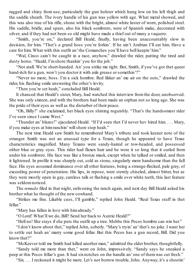ragged and shiny from use, particularly the gun holster which hung low on his left thigh and the saddle sheath. The ivory handle of his gun was yellow with age. What metal showed, and this was also true of his rifle, shone with the bright, almost white luster of worn, polished steel. His saddle, bridle, and spurs, also his black sombrero, were of Spanish make, decorated with silver; and if they had not been so old might have made a thief out of many a vaquero.

"Smith, you're on," declared Bill Heald, finally, having been unaccountably slow in decision, for him. "Thet's a grand hoss you're forkin'. If he ain't Arabian I'll eat him. Have a care for him. What with this outfit an'the Comanches you'll have hell keepin' him."

"Wal, Cinco cain't be caught in a race, anyhow," drawled the rider, patting the tired and dusty horse. "Heald, I'mshore thankin' you for the job."

"Not atall. We're short-handed. An' you strike me right. But, Smith, if you've got thet queer hand-itch fer a gun, won't you doctor it with axle grease or somethin'?"

"Never no more, boss. I'm a sick hombre. Red likker an' me air on the oots," drawled the rider, his flashing smile answering the other's levity.

"Then you're set heah," concluded Bill Heald.

It chanced that Heald's sister, Mary, had watched this interview from the door, unobserved. She was only sixteen, and with the brothers had been made an orphan not so long ago. She was the pride of their eyes as well as the disturber of their peace.

"Oh, Billy!" she exclaimed, her black eyes shining roguishly. "That's the handsomest rider I've seen since I came West."

"Thunder an' blazes!" ejaculated Heald. "If I'd seen thet I'd never hev hired him. . . . Mary, if you make eyes at himranchin'willshore stop heah."

The next time Heald saw Smith he remembered Mary's tribute and took keener note of the stranger. Smith was not an unusual type for a Texan, though he appeared to have Texas characteristics magnified. Many Texans were sandy-haired or tow-headed, and possessed either blue or gray eyes. This rider had flaxen hair and he wore it so long that it curled from under his sombrero. His face was like a bronze mask, except when he talked or smiled, and then it lightened. In profile it was sharply cut, cold as stone, singularly more handsome than the full face. His eyes assumed dominance over all other features, being a strange-flecked, pale gray, of exceeding power of penetration. His lips, in repose, were sternly chiseled, almost bitter, but as they were mostly open in gay, careless talk or flashing a smile over white teeth, this last feature was seldomnoticed.

The *remudo* filed in that night, enlivening the ranch again, and next day Bill Heald asked his brother what he thought of the new cowhand.

"Strikes me fine. Likable cuss, I'll gamble," replied John Heald. "Real Texas stuff in thet fellar."

"Mary has fallen in love with himalready."

"O Lord! What'll we do, Bill? Send her back to Auntie Heald?"

"Hell no! She stays if she puts the outfit up a tree. Mebbe this Pecos hombre can win her."

"I don't know aboot thet," replied John, soberly. "Mary's tryin' an'thet's no joke. I want her to settle out heah an' marry some good fellar. But this Pecos has a gun record, Bill. Did you know thet?"

"McKeever told me Smith had killed another man," admitted the elder brother, thoughtfully. "Sandy told me more than thet," went on John, impressively. "Sandy says he sneaked a peep at this Pecos fellar's gun. It had sixnotches on the handle an' one of themwas cut fresh."

"Six. . . . I reckoned it might be more. Let's not borrow trouble, John. Anyway, it's a shootin'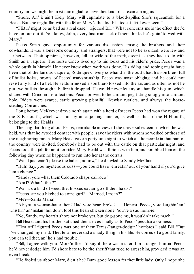country an'we might be most damn glad to have thet kind of a Texan among us."

"Shore. An' it ain't likely Mary will capitulate to a blood-spiller. She's squeamish for a Heald. But she might flirt with the fellar. Mary's the dod-blastedest flirt I ever seen."

"Flirtin'might be as bad as a real case," rejoined Bill. "What concerns me is the effect thet'd have on our outfit. You know, John, every last man Jack of them thinks he's goin' to wed with Mary."

Pecos Smith gave opportunity for various discussion among the brothers and their cowhands. It was a lonesome country, and strangers, that were not to be avoided, were few and far between. Their opinions, however, fell far wide of the mark, except as they had to do with Smith as a vaquero. The horse Cinco lived up to his looks and his rider's pride. Pecos was a whole outfit in himself. He never knew when work was done. His riding and roping might have been that of the famous vaquero, Rodiriquez. Every cowhand in the outfit had his sombrero full of bullet holes, proofs of Pecos' marksmanship. Pecos was most obliging and he could not resist any kind of a bet. He seldommissed a sombrero tossed into the air, and as often as not he put two bullets through it before it dropped. He would never let anyone handle his gun, which shared with Cinco in his affections. Pecos proved to be a round peg fitting snugly into a round hole. Riders were scarce, cattle growing plentiful, likewise rustlers, and always the horsestealing Comanches.

Long before McKeever drove north again with a herd of steers Pecos had won the regard of the X Bar outfit, which was run by an adjoining rancher, as well as that of the H H outfit, belonging to the Healds.

The singular thing about Pecos, remarkable in view of the universal esteem in which he was held, was that he avoided contact with people, save the riders with whomhe worked or those of the neighboring ranch. Mary Heald gave a party one night to which all the people in that part of the country were invited. Somebody had to be out with the cattle on that particular night, and Pecos took the job for another rider. Mary Heald was furious with him, and snubbed him on the following day when he happened to run into her at the corrals.

"Wal, I just cain't please the ladies, nohow," he drawled to Sandy McClain.

"Huh! Say, you mysterious cuss—you could have 'em eatin' out of your hand if you'd give 'ema chance."

"Sandy, yore what themColorado chaps call loco."

"AmI? What's thet?"

"Wal, it's a kind of weed thet hosses eat an' go off their haids."

"Pecos, air you hitched to some gurl?—Married, I mean?"

"Me?—Santa Maria!"

"Air you a woman-hater then? Had yore heart broke? . . . Honest, Pecos, yore laughin' an' whistlin' an'makin'fun don't fool this heah chicken none. You're a sad hombre."

"No, Sandy, my heart's shore not broke yet, but dog-gone me, it wouldn't take much."

Bill Heald and his brother satisfied themselves finally as to Pecos' peculiar aloofness.

"First off I figured Pecos was one of them Texas-Ranger-dodgin' hombres," said Bill. "But I've changed my mind. Thet fellar never did a shady thing in his life. He comes of a good family, you can tell thet, an' he's had trouble."

"Bill, I agree with you. More'n thet I'd say if there was a sheriff or a ranger huntin' Pecos he'd never dodge him. I'd shore hate to be the sheriff that tried to arrest him, provided it was an even break"

"He fooled us aboot Mary, didn't he? Darn good lesson fer thet little lady. Only I hope she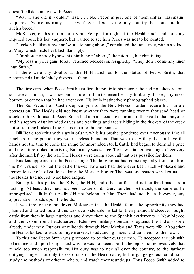doesn't fall daid in love with Pecos."

"Wal, if she did it wouldn't last. . . . No, Pecos is just one of them driftin', fascinatin' vaqueros. I've met as many as I have fingers. Texas is the only country thet could produce such a breed."

McKeever, on his return from Santa Fé spent a night at the Heald ranch and not only inquired about his lost vaquero, but wanted to see him. Pecos was not to be located.

"Reckon he likes it hyar an'wants to hang aboot," concluded the trail driver, with a sly look at Mary, which made her blush flamingly.

"I'mshore nobody hyar wants himhangin' aboot," she retorted, her chin tilting.

"My loss is your gain, folks," returned McKeever, resignedly. "They don't come any finer than Smith."

If there were any doubts at the H H ranch as to the status of Pecos Smith, that recommendation definitely dispersed them.

The time came when Pecos Smith justified the prefix to his name, if he had not already done so. Like an Indian, it was second nature for him to remember any trail, any thicket, any creek bottom, or canyon that he had ever seen. His brain instinctively photographed places.

The Rio Pecos from Castle Gap Canyon to the New Mexico border became his intimate possession. The Healds did not know whether they were running twenty thousand head of stock or thirty thousand. Pecos Smith had a more accurate estimate of their cattle than anyone, and his reports of unbranded calves and yearlings and steers hiding in the thickets of the creek bottoms or the brakes of the Pecos ran into the thousands.

Bill Heald took this with a grain of salt, while his brother pondered over it seriously. Like all ranchers of the period, they were careless branders. That was to say they did not have the hands nor the time to comb the range for unbranded stock. Cattle had begun to demand a price and the future looked promising. But money was scarce. Texas was in her first stage of recovery after the ruin left by the war. The Healds were doing about all that was possible for them.

Rustlers appeared on the Pecos range. The long-horns had come originally from south of the Rio Grande; so had the cattle thieves. Nowhere had there ever been such wholesale and tremendous thefts of cattle as along the Mexican border. That was one reason why Texans like the Healds had moved to isolated ranges.

But up to this period the X Bar, the H H, and other outfits had not suffered much from rustling. At least they had not been aware of it. Every rancher lost stock, the same as he appropriated a little that really did not belong to him. There had not been, however, any appreciable inroads upon the herds.

It was through the trail driver, McKeever, that the Healds found the opportunity they had planned and waited for, and this was a considerable market for their product. McKeever bought cattle from them in large numbers and drove them to the Spanish settlements in New Mexico and the Government headquarters. Extensive military operations against the Indians were already under way. Rumors of railroads through New Mexico and Texas were rife. Altogether the Healds looked forward to huge markets, to advancing prices, and trail herds of their own.

To this end Pecos Smith was promoted to be their outside man. He accepted the job with reluctance, and upon being asked why he was not keen about it he replied rather evasively that it held too much responsibility. His duty was to ride all over the country, to the farthest outlying ranges, not only to keep track of the Heald cattle, but to gauge general conditions, study the methods of other ranchers, and watch their round-ups. Thus Pecos Smith added to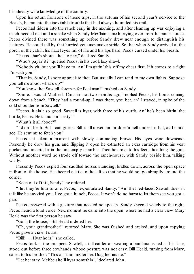his already wide knowledge of the country.

Upon his return from one of these trips, in the autumn of his second year's service to the Healds, he ran into the inevitable trouble that had always hounded his trail.

Pecos had ridden into the ranch early in the morning, and after cleaning up was enjoying a much-needed rest and a smoke when Sandy McClain came hurrying over fromthe ranch-house. Pecos divined there was something up before Sandy drew near enough to distinguish his features. He could tell by that hurried yet suspensive stride. So that when Sandy arrived at the porch of the cabin, his hazel eyes full of fire and his lips hard, Pecos cursed under his breath.

"Pecos, thar's shore—hell to pay," declared Sandy.

"Who's payin'it?" queried Pecos, in his cool, lazy drawl.

"Nobody yit, but you'll have to. An' I'm gittin' this off my chest first. If it comes to a fight I'mwith you."

"Thanks, Sandy, I shore appreciate thet. But usually I can tend to my own fights. Suppose you tell me aboot what's up?"

"You know thet Sawtell, foreman fer Beckman?" rushed on Sandy.

"Shore. I was at Marber's Crossin' not two months ago," replied Pecos, his boots coming down from a bench. "They had a round-up. I was there, you bet, an' I stayed, in spite of the cold shoulder fromSawtell."

"Pecos, it ain't so good. Sawtell is hyar, with three of his outfit. An' he's been hittin' the bottle, Pecos. He's loud an' nasty."

"What's it all aboot?"

"I didn't heah. But I can guess. Bill is all upset, an' madder'n hell under his hat, as I could see. He sent me to fetch you."

Pecos sat silent a moment with slowly contracting brows. His eyes were downcast. Presently he drew his gun, and flipping it open he extracted an extra cartridge from his vest pocket and inserted it in the one empty chamber. Then he arose to his feet, sheathing the gun. Without another word he strode off toward the ranch-house, with Sandy beside him, talking wildly.

Presently Pecos espied four saddled horses standing, bridles down, across the open space in front of the house. He sheered a little to the left so that he would not go abruptly around the corner.

"Keep out of this, Sandy," he ordered.

"But they're four to one, Pecos," expostulated Sandy. "An' thet red-faced Sawtell doesn't talk like he savvied you. I've got a hunch, Pecos. It won't do no harm to let them see you got a pard."

Pecos answered with a gesture that needed no speech. Sandy sheered widely to the right. Pecos heard a loud voice. Next moment he came into the open, where he had a clear view. Mary Heald was the first person he saw.

"Go in the house," Bill Heald ordered her.

"Oh, your grandmother!" retorted Mary. She was flushed and excited, and upon espying Pecos gave a violent start.

"Bill! . . . Hyar he is," she called.

Pecos took in the prospect. Sawtell, a tall cattleman wearing a bandana as red as his face, stood out before three cowhands whose posture was not easy. Bill Heald, turning from Mary, called to his brother: "This ain't no mixfer her. Drag her inside."

"Let her stay. Mebbe she'll hyar somethin'," declared John.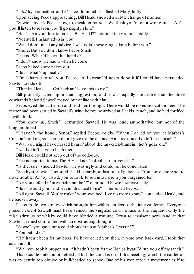"I *did* hyar somethin' and it's a confounded lie," flashed Mary, hotly.

Upon seeing Pecos approaching, Bill Heald showed a subtle change of manner.

"Sawtell, hyar's Pecos now, to speak fer himself. We think you're on a wrong track. An' if you'll listen to reason, you'll go mighty slow."

"Hell!—Air you threatenin'me, Bill Heald?" returned the visitor, harshly.

"Not atall. I'm just advisin' you."

"Wal, I don't need any advice. I was ridin'these ranges long before you."

"Shore. But you don't know Pecos Smith."

"Pecos! Whar'd he git thet handle?"

"I don't know. He had it when he come."

Pecos halted some paces out.

"Boss, what's up heah?"

"I'm ashamed to tell you, Pecos, an' I swear I'd never done it if I could have persuaded Sawtell to ride off."

"Thanks, Heald. . . . Get back an'leave this to me."

Bill promptly acted upon that suggestion, and it was equally noticeable that the three cowhands behind Sawtell moved out of line with him.

Pecos eyed the cattleman and read him through. There would be no equivocation here. The matter had been settled in Sawtell's mind before he arrived at Healds'ranch, and he had fortified it with drink.

"You know me, Smith?" demanded Sawtell. He was loud, authoritative, but not of the braggart breed.

"I haven't the honor, Señor," replied Pecos, coldly. "When I called on you at Marber's Crossin' not long since you didn't give me the chance. An'I reckoned I didn't miss much."

"Wal, you might have missed hyarin' aboot the maverick-brandin'thet's goin' on."

"No. I didn't have to heah thet."

Bill Heald could not keep out of the colloquy.

"Pecos reported to me. The H H is losin' a dribble of mavericks."

"Is thet so?" sneered Sawtell. He was ugly and could not be conciliated.

"See hyar, Sawtell," retorted Heald, sharply, at last out of patience. "You come shore set to make trouble. An' by Gawd, you're liable to run into more'n you bargained fer."

"Air you defendin'maverick-brandin'?" demanded Sawtell, sarcastically.

"Boss, would you mind leavin'this deal to me?" interposed Pecos.

"All right, Sawtell. You're makin' your own bed. I've no more to say," concluded Heald, and he backed away.

Pecos made two strides which brought him within ten feet of the irate cattleman. Everyone present except Sawtell must have sensed the singular, cold menace of the vaquero. Only the false stimulus of whisky could have blinded a matured Texan to imminent peril. And at that Sawtell seemed confronted with an obstructing thought.

"Sawtell, you gave me a cold shoulder up at Marber's Crossin'."

"You bet I did."

"If it hadn't been fer my boss, I'd have called you then, in yore own back yard. I took thet as an insult."

"Wal, you took it proper. An'if it hadn't been fer the Healds hyar I'd run you off my ranch."

That was definite and it settled all but the conclusion of this meeting, which the cattleman was evidently too obtuse or bull-headed to sense. One of his men made a movement as if to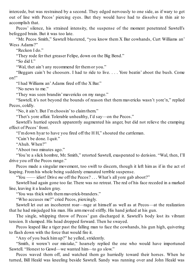intercede, but was restrained by a second. They edged nervously to one side, as if wary to get out of line with Pecos' piercing eyes. But they would have had to dissolve in thin air to accomplish that.

Pecos' silence, his strained intensity, the suspense of the moment penetrated Sawtell's befogged brain. But it was too late.

"Mr. Pecos Smith," Sawtell blustered, "you know them X Bar cowhands, Curt Williams an' Wess Adams?"

"Reckon I do."

"They rode fer thet greaser Felipe, down on the Big Bend."

"So did I."

"Wal, thet ain't any recommend fer themor you."

"Beggars cain't be choosers. I had to ride to live. . . . Yore beatin' aboot the bush. Come on!"

"I had Williams an'Adams fired off the X Bar."

"No news to me."

"They was seen brandin'mavericks on my range."

"Sawtell, it's not beyond the bounds of reason thet them mavericks wasn't yore'n," replied Pecos, coldly.

"No, it ain't. But I'mchoosin'to claimthem."

"Thet's yore affair. Tolerable unhealthy, I'd say—on the Pecos."

Sawtell's hurried speech apparently augmented his anger, but did not relieve the cramping effect of Pecos' front.

"I'mdown hyar to have you fired off the H H," shouted the cattleman.

"Cain't be done. I quit."

"Ahuh. When?"

"Aboot two minutes ago."

"You're a slick hombre, Mr. Smith," retorted Sawtell, exasperated to derision. "Wal, then, I'll drive you off the Pecos range."

Pecos made a singular movement, too swift to discern, though it left him as if in the act of leaping. Fromhis whole being suddenly emanated terrible suspense.

"You —— idiot! Drive *me* off the Pecos? . . . What's all yore gab aboot?"

Sawtell had again gone too far. There was no retreat. The red of his face receded in a marked line, leaving it a leaden gray.

"You was thick with themmaverick-branders."

"Who accuses me?" cried Pecos, piercingly.

Sawtell let out an incoherent roar—rage at himself as well as at Pecos—at the realization that he had misjudged his man. His armmoved stiffly. His hand jerked at his gun.

The single, whipping throw of Pecos' gun discharged it. Sawtell's body lost its vibrant tension. It slumped. His head dropped forward. Then he swayed.

Pecos leaped like a tiger past the falling man to face the cowhands, his gun high, quivering to flash down with the force that would fire it.

"Any of you back himup?" he yelled, stridently.

"Smith, it weren't our mistake," hoarsely replied the one who would have importuned Sawtell. "Honest to Gawd—we wanted him—to go slow."

Pecos waved them off, and watched them go hurriedly toward their horses. When he turned, Bill Heald was kneeling beside Sawtell. Sandy was running over and John Heald was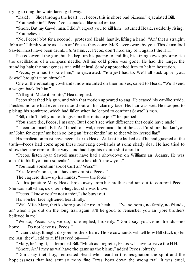trying to drag the white-faced girl away.

"Daid! . . . Shot through the heart! . . . Pecos, this is shore bad bizness," ejaculated Bill.

"You heah him!" Pecos' voice cracked like steel on ice.

"Shore. But my Gawd, man, I didn't expect you to kill him," returned Heald, suddenly rising. "You believe——"

"No, Pecos! Not fer a second," protested Heald, hastily, lifting a hand. "An' thet's straight. John an' I think you're as clean an'fine as they come. McKeever swore by you. This damn fool Sawtell must have been drunk. I *told* him. . . . Pecos, don't hold any of it against the H H."

Pecos lowered the gun, but he kept up his pacing to and fro, his strange eyes pivoting like the oscillations of a compass needle. All his cold poise was gone. He had the lunge, the standing hair, the savageness of a wild animal. Sandy approached him, to halt in hesitation.

"Pecos, you had to bore him," he ejaculated. "You jest had to. We'll all stick up fer you. Sawtell brought it on himself."

One of the retreating cowhands, now mounted on their horses, called to Heald: "We'll send a wagon back fer him."

"All right. Make it pronto," Heald replied.

Pecos sheathed his gun, and with that motion appeared to sag. He ceased his cat-like stride. Freckles no one had ever seen stood out on his clammy face. His hair was wet. He stooped to pick up his sombrero, which had fallen when he leaped to confront Sawtell's men.

"Bill, didn't I tell you not to give me thet outside job?" he queried.

"You shore did, Pecos. I'msorry. But I don't see what difference thet could have made."

"I seen too much, Bill. An'I tried to—wal, never mind aboot thet. . . . I'mshore thankin' you an'John fer keepin'me heah so long an'fer defendin'me to thet white-livered liar."

His implication must have been clear to Heald. At least he looked as if he had grasped at the truth—Pecos had come upon these roistering cowhands at some shady deal. He had tried to show themthe error of their ways and had kept his mouth shut about it.

"Pecos, listen hyar. Sawtell must have had a showdown on Williams an' Adams. He was aimin'to bluff you into squealin'—shore he didn't know you."

"You heah somethin' aboot Curt an'Wess?"

"Yes. More'n once, an'I have my doubts, Pecos."

The vaquero threw up his hands. "- the fools!"

At this juncture Mary Heald broke away from her brother and ran out to confront Pecos. She was still white, sick, trembling, but she was brave.

"Pecos, I know you're not a thief," she burst out.

His somber face lightened beautifully.

"Wal, Miss Mary, thet's shore good fer me to heah. . . . I've no home, no family, no friends, an' when I go out on the long trail again, it'll be good to remember you an' yore brothers believed in me."

"We do, Pecos. Oh, we do," she replied, brokenly. "Don't say you've no friends—no home... . Do not leave us, Pecos."

"I cain't stay. It might do yore brothers harm. Those cowhands will tell how Billstuck up fer me. An' they'll add to it. If I stayed on——"

"Mary, he's right," interposed Bill. "Much as I regret it, Pecos will have to leave the H H."

"Shore. An'I may as wal have the game as the blame," added Pecos, bitterly.

"Don't say thet, boy," entreated Heald who heard in this resignation the spirit and the hopelessness that had sent so many fine Texas boys down the wrong trail. It was cruel,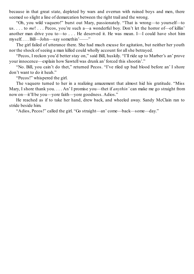because in that great state, depleted by wars and overrun with ruined boys and men, there seemed so slight a line of demarcation between the right trail and the wrong.

"Oh, you wild vaquero!" burst out Mary, passionately. "That is wrong—to yourself—to us. . . . to *me*! . . . Pecos, you're such a—a wonderful boy. Don't let the horror of—of killin' another man drive you to—to . . . He deserved it. He was mean. I—I could have shot him myself. . . . Bill—John—say somethin'——"

The girl failed of utterance there. She had much excuse for agitation, but neither her youth nor the shock of seeing a man killed could wholly account for allshe betrayed.

"Pecos, I reckon you'd better stay on," said Bill, huskily. "I'll ride up to Marber's an' prove your innocence—explain how Sawtell was drunk an'forced this shootin'."

"No. Bill, you cain't do thet," returned Pecos. "I've riled up bad blood before an' I shore don't want to do it heah."

"Pecos!" whispered the girl.

The vaquero turned to her in a realizing amazement that almost hid his gratitude. "Miss Mary, I shore thank you. . . . An'I promise you—thet if *anythin'* can make me go straight from now on—it'll be you—yore faith—yore goodness. Adios."

He reached as if to take her hand, drew back, and wheeled away. Sandy McClain ran to stride beside him.

"Adios, Pecos!" called the girl. "Go straight—an' come—back—some—day."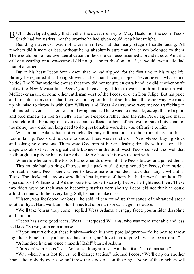$B_{\text{Smith}}$  has discribed quickly that neither the sweet memory of Mary Heald, nor the scorn Pecos Smith had for rustlers, nor the promise he had given could keep him straight. Smith had for rustlers, nor the promise he had given could keep himstraight.

Branding mavericks was not a crime in Texas at that early stage of cattle-raising. All ranchers did it more or less, without being absolutely sure that the calves belonged to them. There could be no positive identification, unless the calf accompanied a branded cow. And if a calf or a yearling or a two-year-old did not get the mark of one outfit, it would eventually find that of another.

But in his heart Pecos Smith knew that he had slipped, for the first time in his range life. Bitterly he regarded it as being shoved, rather than having slipped. Nevertheless, what could he do? The X Bar made the excuse that they did not require an extra hand; so did another outfit below the New Mexico line. Pecos' good sense urged him to work south and take up with McKeever again, or some other cattleman west of the Pecos, or even Don Felipe. But his pride and his bitter conviction that there was a step on his trail set his face the other way. He made up his mind to throw in with Curt Williams and Wess Adams, who were indeed trafficking in unbranded mavericks. There was no law against it. There was no obstacle, except that of a gun; and bold maneuvers like Sawtell's were the exception rather than the rule. Pecos argued that if he stuck to the branding of mavericks, and collected a herd of his own, or saved his share of the money he would not long need to do questionable work that was offensive to him.

Williams and Adams had not vouchsafed any information as to their market, except that it was unfailing. Pecos did not care to know. There were ranchers in New Mexico buying stock and asking no questions. There were Government buyers dealing directly with rustlers. The stage was almost set for a great cattle business in the Southwest. Pecos sensed it so well that he thought it a pity he had not already a sizable herd of his own to start with.

Wherefore he trailed the two X Bar cowhands down into the Pecos brakes and joined them.

This couple had a string of horses and a pack outfit. Strengthened by Pecos, they made a formidable band. Pecos knew where to locate more unbranded stock than any cowhand in Texas. The thicketed canyons were full of cattle, many of them that had never felt an iron. The operations of Williams and Adams were too loose to satisfy Pecos. He tightened them. These two riders were on their way to becoming rustlers very shortly. Pecos did not think he could afford to train with themvery long. Still, he had to take risks.

"Listen, you footloose hombres," he said. "I can round up thousands of unbranded stock south of hyar. Hard work an'lots of time, but shore an'we cain't get in trouble."

"We'll take 'em as they come," replied Wess Adams, a craggy faced young rider, dissolute and forceful.

"Pecos has some good idees, Wess," interposed Williams, who was more amenable and less reckless. "So we gotta compromise."

"If you must work out these brakes—which is shore pore judgment—it'd be best to throw together a bunch of say a hundred haid or less, an' drive themto yore buyers once a month."

"A hundred haid an' once a month? Bah!" blurted Adams.

"I'msidin'with Pecos," said Williams, thoughtfully. "An'then it ain't so damn safe."

"Wal, when it gits hot for us we'll change tactics," rejoined Pecos. "We'll clap on another brand thet nobody ever saw, an' throw the stock out on the range. None of the ranchers will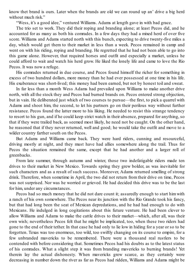know thet brand is ours. Later when the brands are old we can round up an' drive a big herd without much risk."

"Wess, it's a good idee," ventured Williams. Adams at length gave in with bad grace.

The trio set to work. They did their roping and branding alone; at least Pecos did, and he accounted for as many as both his comrades. In a few days they had a mixed herd of over five score. Williams and Adams started north with this bunch, expecting to drive twenty-five miles a day, which would get them to their market in less than a week. Pecos remained in camp and went on with his riding, roping and branding. He regretted that he had not been able to go into this game alone. However, that required horses and outfit and especially a market, unless he could afford to wait and watch his herd grow. He liked the lonely life and came to love the Rio Pecos. It was now a refuge.

His comrades returned in due course, and Pecos found himself the richer for something in excess of two hundred dollars, more money than he had ever possessed at one time in his life. His exuberance was short-lived; this money had been earned, but not by honest toil and sweat.

In far less than a month Wess Adams had prevailed upon Williams to make another drive north, with all the stock they and Pecos had burned brands on. Pecos entered strong objection, but in vain. He deliberated just which of two courses to pursue—the first, to pick a quarrel with Adams and shoot him, the second, to let his partners go on their perilous way without further resistance. Pecos found the latter more to his liking. He needed to resist this strange tendency to resort to his gun, and if he could keep strict watch in their absence, prepared for anything, so that if they were trailed back, as seemed most likely, he need not be caught. On the other hand, he reasoned that if they never returned, well and good; he would take the outfit and move to a wilder country farther south on the Pecos.

But Adams and Williams came back. They were hard riders, cunning and resourceful, driving mostly at night, and they must have had allies somewhere along the trail. Thus for Pecos the situation remained the same, except that he had another and a larger roll of greenbacks.

From late summer, through autumn and winter, those two indefatigable riders made ten drives to their market in New Mexico. Towards spring they grew bolder, as was inevitable for such characters and as a result of such success. Moreover, Adams returned smelling of strong drink. Therefore, when sometime in April, the two did not return from their drive on time, Pecos was not surprised. Nor was he worried or grieved. He had decided this drive was to be the last for him, under any circumstances.

Pecos had so much money that he did not dare count it; assuredly enough to start him with a ranch of his own somewhere. The Pecos near its junction with the Rio Grande took his fancy, but that had long been the seat of Mexican depredations, and he had had enough to do with Mexicans. He indulged in long cogitations about this future venture. He had been clever to allow Williams and Adams to make the cattle drives to their market—which, after all, was their own wish; nevertheless Pecos felt that he might be implicated, too, when these two riders had gone to the end of their tether. In that case he had only to lie low in hiding for a year or so to be forgotten. Texas was too enormous, too wild, too swiftly changing on its course to empire, for a few unbranded mavericks to be remembered. There were a thousand real rustlers to be contended with before considering that. Sometimes Pecos had his doubts as to the latest status of his comrades. What a slight step it was from branding mavericks to burning brands! Yet therein lay the actual dishonesty. When mavericks grew scarce, as they certainly were decreasing in number down the river as far as Pecos had ridden, Williams and Adams might be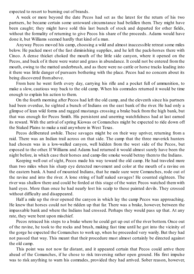expected to resort to burning out of brands.

A week or more beyond the date Pecos had set as the latest for the return of his two partners, he became certain some untoward circumstance had befallen them. They might have been caught; they might have sold this last bunch of stock and departed for other fields, without the formality of returning to give Pecos his share of the proceeds. Adams would have done it, but Williams seemed hardly that kind of a man.

Anyway Pecos moved his camp, choosing a wild and almost inaccessible retreat some miles below. He packed most of the fast diminishing supplies, and he left the pack-horses there with Cinco. A dense thicket choked the mouth of the little side canyon, where it opened on the Pecos, and back of it there were water and grass in abundance. It could not be entered from the mouth, owing to the matted underbrush, and as there were no cattle or horse tracks leading into it there was little danger of pursuers bothering with the place. Pecos had no concern about its being discovered fromabove.

From here he went forth every day, carrying his rifle and a pocket full of ammunition, to make a slow, cautious way back to the old camp. When his comrades returned it would be time enough to explain his action to them.

On the fourth morning after Pecos had left the old camp, and the eleventh since his partners had been overdue, he sighted a bunch of Indians on the east bank of the river. He had only a glimpse of lean wild forms and ragged mustangs crossing a brake back from the high bank, but that was enough for Pecos Smith. His persistent and unerring watchfulness had at last earned its reward. With the arrival of spring Kiowas or Comanches might be expected to ride down off the Staked Plains to make a raid anywhere in West Texas.

Pecos deliberated awhile. These savages might be on their way upriver, returning from a raid. There was an Indian trail across on that side. The camp that the three maverick hunters had chosen was in a low-walled canyon, well hidden from the west side of the Pecos, but exposed to the other. If Williams and Adams had returned it would almost surely have been the night before, in which case their horses and camp-fire smoke would betray themto the Indians.

Keeping well out of sight, Pecos made his way toward the old camp. He had traveled more than two miles when his sharp eye detected movement and color at the mouth of a ravine on the eastern bank. A band of mounted Indians, that he made sure were Comanches, rode out of the ravine and into the river. A lone string of half naked savages! He counted eighteen. The river was shallow there and could be forded at this stage of the water. Pecos watched themwith hard eyes. More than once he had nearly lost his scalp to these painted devils. They crossed without difficulty and disappeared.

Half a mile up the river opened the canyon in which lay the camp Pecos was approaching. He knew that horses could not be ridden up that far. There was a brake, however, between the impassable bank and where the Indians had crossed. Perhaps they would pass up that. At any rate, they were bent upon mischief.

Pecos retraced his steps to a brake where he could get up out of the river bottom. Once out of the ravine, he took to the rocks and brush, making fast time until he got into the vicinity of the gorge he expected the Comanches to work up, when he proceeded very warily. But they had not passed that way. This meant that their procedure must almost certainly be directed against the old camp.

This point was not now far distant, and it appeared certain that Pecos could arrive there ahead of the Comanches, if he chose to risk traversing rather open ground. His first impulse was to risk anything to warn his comrades, provided they had arrived. Sober reason, however,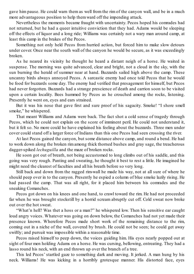gave him pause. He could warn them as well from the rim of the canyon wall, and be in a much more advantageous position to help themward off the impending attack.

Nevertheless the moments became fraught with uncertainty. Pecos hoped his comrades had not returned, but he had a queer intuitive conviction that they had. Adams would be sleeping off the effects of liquor and a long ride; Williams was certainly not a wary man around camp, at least this camp in the brakes of the Pecos.

Something not only held Pecos from hurried action, but forced him to make slow detours under cover. Once near the south wall of the canyon he would be secure, as it was exceedingly broken.

As he neared its vicinity he thought he heard a distant neigh of a horse. He waited in suspense. The morning was quite advanced, clear and bright, not a cloud in the sky, with the sun burning the herald of summer near at hand. Buzzards sailed high above the camp. These uncanny birds always annoyed Pecos. A sarcastic enemy had once told Pecos that he would be food for buzzards some day. The enemy had verified that presagement for himself, but Pecos had never forgotten. Buzzards had a strange prescience of death and carrion soon to be visited upon a certain locality. Bees hummed by Pecos as he crouched among the rocks, listening. Presently he went on, eyes and ears strained.

But it was his nose that gave first and sure proof of his sagacity. Smoke! "I shore smell smoke," he whispered.

That meant Williams and Adams were back. The fact shot a cold sense of tragedy through Pecos, which he could not explain on the score of imminent peril. He could not understand it, but it felt so. No more could he have explained his feeling about the buzzards. Three men under cover could stand off a larger force of Indians than this one Pecos had seen crossing the river.

At last Pecos gained the canyon, but some distance above camp, and round a bend. He had to work down along the broken rimamong thick thorned bushes and gray sage, the treacherous dagger-spiked *lechuguilla* and the maze of broken rocks.

He soon got out of breath, not being accustomed to long climbs out of his saddle, and this going was very rough. Panting and sweating, he thought it best to rest a little. He imagined he might need the clearest of faculties and all his breath before so very long.

Still back and down from the ragged rim-wall he made his way, not at all sure of where he should peep over in to the canyon. Presently he espied a column of blue smoke lazily rising. He had passed the camp. That was all right, for it placed him between his comrades and the sneaking Comanches.

Pecos got down on his knees and one hand, to crawl toward the rim. He had not proceeded far when he was brought stockstill by a horrid scream abruptly cut off. Cold sweat now broke out over the hot sweat.

"What'n hell? Was thet a hoss or a man?" he whispered low. Then his sensitive ear caught loud angry voices. Whatever was going on down below, the Comanches had not yet made their presence known. Wherefore Pecos made short work of the remaining distance to the rim, coming out in a niche of the wall, covered by brush. He could not be seen; he could get away swiftly; and pursuit was impossible within a reasonable time.

Pecos raised himself to peep down, the voices guiding him. His eyes nearly popped out at sight of four men holding Adams on a horse. He was cursing, bellowing, entreating. They had a lasso round his neck, with an end thrown up over the branch of a tree.

This led Pecos' startled gaze to something dark and moving. It jerked. A man hung by his neck. Williams! He was kicking in a horribly grotesque manner. His distorted face, eyes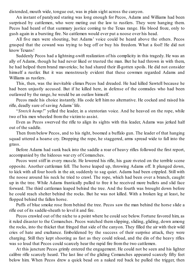distended, mouth wide, tongue out, was in plain sight across the canyon.

An instant of paralyzed staring was long enough for Pecos, Adams and Williams had been surprised by cattlemen, who were meting out the law to rustlers. They were hanging them. Pecos had heard of that summary justice coming to the Texas range. His blood froze, only to gush again in a bursting fire. No cattlemen would ever put a noose over his head.

All five men were shouting, but Adams' voice could be heard above the others. Pecos grasped that the coward was trying to beg off or buy his freedom. What a fool! He did not know Texans!

Suddenly Pecos had a lightning-swift realization of his complicity in this tragedy. He was an ally of Adams, though he had never liked or trusted the man. But he had thrown in with them, he had helped them brand mavericks; he had shared their ill-gotten spoils. He did not consider himself a rustler. But it was monstrously evident that these cowmen regarded Adams and Williams as rustlers.

This, then, was the inevitable climax Pecos had dreaded. He had killed Sawtell because he had been unjustly accused. But if he killed here, in defense of the comrades who had been outlawed by the range, he would be an outlaw himself.

Pecos made his choice instantly. His code left him no alternative. He cocked and raised his rifle, deadly sure of saving Adams'life.

"*Stretch hemp!*" yelled the leader, in a stentorian voice. And he heaved on the rope, while two of his men wheeled fromthe victimto assist.

Even as Pecos swerved the rifle to align its sights with this leader, Adams was jerked half out of the saddle.

Then from below Pecos, and to his right, boomed a buffalo gun. The leader of that hanging squad uttered a hoarse cry. Dropping the rope, he staggered, arms spread wide to fall into the grass.

Before Adams had sunk back into the saddle a roar of heavy rifles followed the first report, accompanied by the hideous war cry of Comanches.

Pecos went stiff in every muscle. He lowered his rifle, his gaze riveted on the terrible scene opposite. Another cattleman fell. The horse leaped up, throwing Adams off. It plunged down, to kick with all four hoofs in the air, suddenly to sag quiet. Adams had been crippled. Still with the noose around his neck he tried to crawl. The rope, which had been over a branch, caught up in the tree. While Adams frantically pulled to free it he received more bullets and slid face forward. The third cattleman leaped behind the tree. And the fourth was brought down before he could reach shelter behind the rocks. But he was not killed. With a broken leg at least, he flopped behind the fallen horse.

Puffs of blue smoke rose from behind the tree. Pecos saw the man behind the horse slide a rifle out of its saddle-sheath to level it and fire.

Pecos crawled out of the niche to a point where he could see below. Fortune favored him, as it ruled disaster to the Comanches. Pecos watched them slipping, sliding, gliding, down among the rocks, into the thicket that fringed that side of the canyon. They filled the air with their wild cries of hate and exultance. Emboldened by the success of their surprise attack, they were charging. Still they kept shooting as fast as they could reload, and the din of the heavy rifles was so loud that Pecos could scarcely hear the rapid fire fromthe two cattlemen.

At this juncture Pecos grimly entered the engagement. He could not be seen and his lighter calibre rifle scarcely heard. The last line of the gliding Comanches appeared scarcely fifty feet below him. When Pecos drew a quick bead on a naked red back he pulled the trigger, then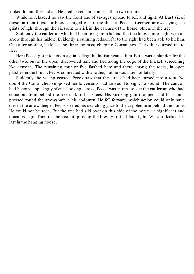looked for another Indian. He fired seven shots in less than two minutes.

While he reloaded he saw the front line of savages spread to left and right. At least six of these, in their thirst for blood charged out of the thicket. Pecos discerned arrows flying like glints of light through the air, some to stick in the carcass of the horse, others in the tree.

Suddenly the cattleman who had been firing from behind the tree lunged into sight with an arrow through his middle. Evidently a cunning redskin far to the right had been able to hit him. One after another, he killed the three foremost charging Comanches. The others turned tail to flee.

Here Pecos got into action again, killing the Indian nearest him. But it was a blunder, for the other two, out in the open, discovered him, and fled along the edge of the thicket, screeching like demons. The remaining four or five flashed here and there among the rocks, in open patches in the brush. Pecos connected with another, but he was sure not fatally.

Suddenly the yelling ceased. Pecos saw that the attack had been turned into a rout. No doubt the Comanches supposed reinforcements had arrived. No sign, no sound! The canyon had become appallingly silent. Looking across, Pecos was in time to see the cattleman who had come out from behind the tree sink to his knees. His smoking gun dropped, and his hands pressed round the arrowshaft in his abdomen. He fell forward, which action could only have driven the arrow deeper. Pecos veered his searching gaze to the crippled man behind the horse. He could not be seen. But the rifle had slid over on this side of the horse—a significant and ominous sign. Then on the instant, proving the brevity of that fatal fight, Williams kicked his last in the hanging noose.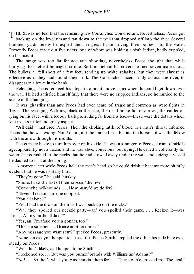T HERE was no fear that the remaining few Comanches would return. Nevertheless, Pecos got back up on the level rim and ran down to the wall that dropped off into the river. Several back up on the level rim and ran down to the wall that dropped off into the river. Several hundred yards below he espied them in great haste driving their ponies into the water. Presently Pecos made out five riders, one of whom was holding a sixth Indian, badly crippled, on his mount.

The range was too far for accurate shooting, nevertheless Pecos thought that while hurrying their retreat he might hit one. So from behind his covert he fired seven more shots. The bullets all fell short of a few feet, sending up white splashes, but they were almost as effective as if they had found their mark. The Comanches raced madly across the river, to disappear in a brake in the bank.

Reloading, Pecos retraced his steps to a point above camp where he could get down over the wall. He had satisfied himself fully that there were no crippled Indians, so he hurried to the scene of the hanging.

It was ghastlier than any Pecos had ever heard of, tragic and common as were fights in Texas. The swinging Williams, black in the face; the dead horse full of arrows; the cattleman lying on his face, with a bloody barb protruding far fromhis back—these were the details which lent most sinister and grisly aspect.

"All daid!" muttered Pecos. Then the choking rattle of blood in a man's throat informed Pecos that he was wrong. Not Adams, not the brained man behind the horse—it was the fellow with the arrow through his middle.

Pecos made haste to turn him over on his side. He was a stranger to Pecos, a man of middle age, apparently not a Texan, and he was alive, conscious, but dying. He called incoherently for water. Pecos rushed to the packs that he had stowed away under the wall, and seizing a vessel he dashed to fill it at the spring.

A moment later while Pecos held the man's head so he could drink it became more pitifully evident that he was mortally hurt.

"They're gone," he said, huskily.

"Shore. I saw the last of themcrossin'the river."

"Comanche hell-hounds. . . . How many'd we do fer?"

"Eleven, I reckon, an' one crippled."

"You all alone?"

"Yes. I had the drop on them, as I was back up on the rocks."

"Wal, they spoiled our necktie party—an' you spoiled their game. . . . Reckon it—was fair. . . . Air my outfit all daid?"

"Yes, an'I'mafraid yore a gonner, too."

"Thet's a safe bet. . . . Gimme another drink?"

"Any message you want sent?" queried Pecos, presently.

"None, onless you happen to—meet this Pecos Smith," replied the other, his pale blue eyes steady on Pecos.

"Wal, thet's likely, as I happen to be Smith."

"I reckoned so. . . . But was you burnin' brands with Williams an'Adams?"

"No! . . . So thet's what you was hangin' them fer. . . . They double-crossed me. The deal I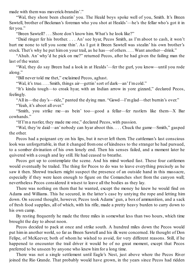made with them was maverick-brandin'"

"Wal, they shore been cheatin' you. The Heald boys spoke well of you, Smith. It's Breen Sawtell, brother of Beckman's foreman who you shot at Healds'—he's the fellar who's got it in fer you."

"Breen Sawtell? . . . Shore don't know him. What's he look like?"

"Daid ringer fer his brother. . . . An' see hyar, Pecos Smith, as I'm aboot to cash, it won't hurt me none to tell you some thin'. As I got it Breen Sawtell was stealin' his own brother's stock. Thet's why he put himon your trail, as he has—of others. . . . Want another—drink."

"Ahuh. An' why'd he pick on me?" returned Pecos, after he had given the failing man the last of the water.

"Wal, they do say Breen had a look in at Healds'—fer the gurl, you know—until you rode along."

"Bill never told me thet," exclaimed Pecos, aghast.

"Wal, it's true. . . . Smith, things air—gettin'sort of dark—an'I'mcold."

"It's kinda tough—to croak hyar, with an Indian arrow in yore gizzard," declared Pecos, feelingly.

"All in—the day's—ride," panted the dying man. "Gawd—I'mglad—thet burnin's over."

"Yeah, it's aboot all over."

"Smith, you strike me—as bein' too—good a fellar—fer rustlers like them—X Bar cowhands."

"If I'ma rustler, they made me one," declared Pecos, with passion.

"Wal, they're daid—an' nobody can hyar aboot this. . . . Chuck the game—Smith," gasped the other.

Pecos had a poignant cry on his lips, but it never left them. The cattleman's last conscious look was unforgettable, in that it changed fromone of kindness to the stranger he had pursued, to a somber divination of his own lonely end. Then his senses failed, and a moment later he quivered with a cough and lay still. He had ceased to breathe.

Pecos got up to contemplate the scene. And his mind worked fast. These four cattlemen would eventually be trailed. The thing for Pecos to do was to leave everything precisely as he saw it then. Shrewd trackers might suspect the presence of an outside hand in this massacre, especially if they were keen enough to figure on the Comanches shot from the canyon wall; nevertheless Pecos considered it wisest to leave all the bodies as they lay.

There was nothing on them that he wanted, except the money he knew he would find on Adams and Williams. This he secured, in the latter's case by untying the rope and letting him down. On second thought, however, Pecos took Adams' gun, a box of ammunition, and a sack of fresh food supplies, all of which, with his rifle, made a pretty heavy burden to carry down to his own camp.

By resting frequently he made the three miles in somewhat less than two hours, which time brought the day to about noon.

Pecos decided to pack at once and strike south. A hundred miles down the Pecos would put himin another world, so far as Breen Sawtell and his ilk were concerned. He thought of Don Felipe, of McKeever, both of whom he wished to avoid, for very different reasons. Still, if he happened to encounter the trail driver it would be of no great moment, except that Pecos preferred to be unseen by anyone who knew himfor a long time.

There was not a single settlement until Eagle's Nest, just above where the Pecos River joined the Rio Grande. That probably would have grown, in the years since Pecos had ridden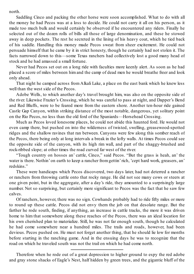north.

Saddling Cinco and packing the other horse were soon accomplished. What to do with all the money he had Pecos was at a loss to decide. He could not carry it all on his person, as it made too much bulk and would certainly be observed if he encountered any riders. Finally he selected out of the dozen rolls of bills all those of large denomination, and these he stowed away in deep pockets. The rest he secreted in the lining of his heavy coat, which he tied back of his saddle. Handling this money made Pecos sweat from sheer excitement. He could not persuade himself that he came by it in strict honesty, though he certainly had not stolen it. The facts narrowed down to this—some Texas ranchers had collectively lost a good many head of stock and he had amassed a small fortune.

Never had Pecos set out on a long ride with faculties more keenly alert. As soon as he had placed a score of miles between him and the camp of dead men he would breathe freer and look only ahead.

That night he camped across from Alkali Lake, a place on the east bank which he knew less well than the west side of the Pecos.

Adobe Wells, to which another day's travel brought him, was also on the opposite side of the river. Likewise Frazier's Crossing, which he was careful to pass at night, and Dapper's Bend and Red Bluffs, were to be feared more from the eastern shore. Another ten-hour ride gained Castle Gap Canyon, within striking distance of the most notable, dangerous, yet solitary point on the Rio Pecos, no less than the old ford of the Spaniards—Horsehead Crossing.

Much as Pecos loved lonesome places, he could not abide this haunted ford. He would not even camp there, but pushed on into the wilderness of twisted, swelling, greasewood-spotted ridges and the shallow ravines that ran between. Canyons were few along this somber reach of the Pecos, there being only at long intervals a break in the lofty walls. At times Pecos could see the opposite side of the canyon, with its high rim wall, and part of the shaggy-brushed and rock-ribbed slope; at other times the road curved far west of the river.

"Tough country on hosses an' cattle, Cinco," said Pecos. "But the grass is heah, an' the water is there. Nothin' on earth to keep a rancher from gettin' rich, 'cept hard work, greasers, an' redskins."

These were handicaps which Pecos discovered, two days later, had not deterred a rancher or ranchers from throwing cattle onto that rocky range. He did not see many cows or steers at one given point, but in the aggregate, after a day's ride, they amounted to a surprisingly large number. Not so surprising, but certainly more significant to Pecos was the fact that he saw few calves.

Of ranchers, however, there was no sign. Cowhands probably had to ride fifty miles or more to round up these cattle. Pecos did not envy them the job on that desolate range. But the farther he rode south, finding, if anything, an increase in cattle tracks, the more it was driven home to him that somewhere along these reaches of the Pecos, there was an ideal location for his own cherished plan to materialize. Still, he was not far enough south, though he calculated he had come somewhere near a hundred miles. The trails and roads, however, had been devious. Pecos pushed on. He must not forget another thing, that he should lie low for months before starting in the ranching game. And in the ensuing days he was to recognize that the road on which he traveled south was not the trail on which he had come north.

Therefore when he rode out of a great depression to higher ground to espy the red adobe and gray stone shacks of Eagle's Nest, half hidden by green trees, and the gigantic bluff of the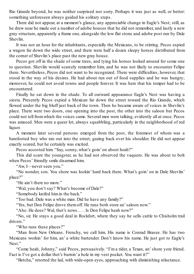Rio Grande beyond, he was neither surprised nor sorry. Perhaps it was just as well, or better: something unforeseen always guided his solitary steps.

There did not appear, at a moment's glance, any appreciable change in Eagle's Nest; still, as he drew near he made out a number of adobe houses that he did not remember, and lastly a new gray structure, apparently a frame one, alongside the low flat stone and adobe post run by Dale Shevlin.

It was not an hour for the inhabitants, especially the Mexicans, to be stirring. Pecos espied a wagon far down the wide street, and there were half a dozen sleepy horses distributed from the corner of Shevlin's place past the new gray house.

Pecos got off in the shade of some trees, and tying his horses looked around for some one to question. Shevlin would scarcely remember him, and he was not likely to encounter Felipe there. Nevertheless, Pecos did not want to be recognized. There were difficulties, however, that stood in the way of his desires. He had about run out of food supplies and he was hungry; moreover, he could not avoid towns and people forever. It was here that his temper had to be encountered.

Finally he sat down in the shade. To all outward appearance Eagle's Nest was having a siesta. Presently Pecos espied a Mexican far down the street toward the Rio Grande, which flowed under the big bluff just back of the town. Then he became aware of voices in Shevlin's place. There were two doors, one opening into the post, the other into the saloon but Pecos could not tell fromwhich the voices came. Several men were talking, evidently all at once. Pecos was amused. Men were a queer lot, always squabbling, particularly in the neighborhood of red liquor.

A moment later several persons emerged from the post, the foremost of whom was a barefooted boy who ran out into the street, gazing back over his shoulder. He did not appear exactly scared, but he certainly was excited.

Pecos accosted him. "Say, sonny, what's goin' on aboot heah?"

This did scare the youngster, as he had not observed the vaquero. He was about to bolt when Pecos' friendly smile disarmed him.

"Aw, I—never seen you."

"No wonder, son. You shore was lookin' hard back there. What's goin' on in Dale Shevlin' place?"

"He ain't there no more."

"Wal, you don't say? What's become of Dale?"

"Somebody knifed himin the back."

"Too bad. Dale was a white man. Did he have any family?"

"Yes, but Don Felipe drove themoff. He runs both store an'saloon now."

"Aho. He does? Wal, thet's news. . . . Is Don Felipe heah now?"

"No, sir. He stays a good deal in Rockfort, where they say he sells cattle to Chisholm trail drivers."

"Who runs these places?"

"Man from New Orleans. Frenchy, we call him. His name is Conrad Brasee. He has two Mexicans workin' for him, an' a white bartender. Don't know his name. He just got to Eagle's Nest."

"Come heah, Johnny," said Pecos, persuasively. "I'm a rider, a Texan, an'shore yore friend. Fact is I've got a dollar thet's burnin' a hole in my vest pocket. You want it?"

"Betcha," retorted the lad, with wide-open eyes, approaching with diminishing reluctance.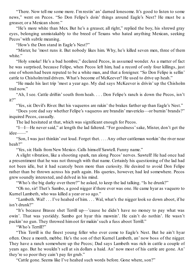"There. Now tell me some more. I'm restin' an' darned lonesome. It's good to listen to some news," went on Pecos. "So Don Felipe's doin' things around Eagle's Nest? He must be a greaser, or a Mexican shore."

"He's more white than Mex. But he's a greaser, all right," replied the boy, his shrewd gray eyes, belonging unmistakably to the breed of Texans who hated anything Mexican, seeking Pecos'with subtle meaning.

"How's the Don stand in Eagle's Nest?"

"Mister, he 'most runs it. But nobody likes him. Why, he's killed seven men, three of them white."

"Holy smoke! He's a bad hombre," declared Pecos, in assumed wonder. As a matter of fact he was surprised, because Felipe, when Pecos left him, had a record of only four killings, just one of whom had been reputed to be a white man, and that a foreigner. "So Don Felipe is sellin' cattle to Chisholmtrail drivers. What's become of McKeever? He used to drive up heah."

"He made his last trip 'most a year ago. My dad says McKeever is drivin' up the Chisholm trail now."

"Ah, I see. Cattle driftin'south from heah. . . . Don Felipe's ranch is down the Pecos, isn't it?"

"Yes, sir. Devil's River. But his vaqueros are rakin' the brakes farther up than Eagle's Nest."

"Does yore dad say whether Felipe's vaqueros are brandin'mavericks—or burnin' brands?" inquired Pecos, casually.

The lad hesitated at that, which was significant enough for Pecos.

"I—I—He never said," at length the lad faltered. "For goodness'sake, Mister, don't get the idee——"

"Son, I was just thinkin' out loud. Forget thet. . . . Any other cattleman workin'the river near heah?"

"Yes, sir. Hails fromNew Mexico. Calls himself Sawtell. Funny name."

A slight vibration, like a shooting spark, ran along Pecos' nerves. Sawtell! He had once had a presentiment that he was not through with that name. Certainly his questioning of the lad had not been idle, but it had scarcely been more than curiosity. He desired to avoid Don Felipe rather than be thrown across his path again. His queries, however, had led somewhere. Pecos grew soundly interested, and delved in his mind.

"Who's the big darky over there?" he asked, to keep the lad talking. "Is he drunk?"

"Oh no, sir! Thet's Sambo, a good nigger if there ever was one. He came hyar as vaquero to Kurnel Lambeth, who was killed a year or so ago."

"Lambeth. Wal! . . . I've heahed of him. . . . Wal, what's the nigger look so down aboot, if he isn't drunk?"

"It's because Brasee shet Terrill up—'cause he didn't have no money to pay what was owin'. That was yestiddy. Sambo got hyar this mawnin'. He cain't do nothin'. He wasn't packin' no gun. They throwed himoot fer makin'such a fuss aboot Terrill."

"Who's Terrill?"

"This Terrill is the finest young feller who ever come to Eagle's Nest. But he ain't hyar often. Once a month, mebbe. He's the son of thet Kurnel Lambeth, an' now boss of the nigger. They have a ranch somewhere up the Pecos; Dad says Lambeth was rich in cattle a couple of years ago. But he wouldn't sell at six dollars a haid. An' now most of his cattle are gone. An' they're so poor they cain't pay fer grub."

"Cattle gone. Seems like I've heahed such words before. Gone where, son?"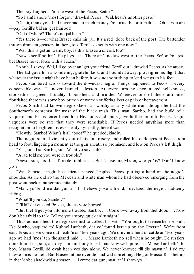The boy laughed. "You're west of the Pecos, Señor."

"So I am! I shore 'most forgot," drawled Pecos. "Wal, heah's another peso."

"Oh sir, thank you. I—I never had so much money. You must be orful rich. . . . Oh, if you are —pay Terrill's bill an' get himoot!"

"Out of where? There's no jail heah."

"Yes there is—or what Brasee calls his jail. It's a red 'dobe back of the post. The bartender throws drunken greasers in there, too. Terrill is shet in with one now."

"Wal, this is gettin'warm, boy. Is this Brasee a sheriff, too?"

"Naw, sheriff nothin'. He plays at it. There ain't no law west of the Pecos, Señor. You jest bet Brasee never fools with a Texan."

"Ahuh. I savvy. Wal, I'll go over an' get your friend Terrill out," drawled Pecos, as he arose. The lad gave him a wondering, grateful look, and bounded away, proving in his flight that whatever the issue might have been before, it was not something to lend wings to his feet.

Pecos sauntered across toward the downcast negro. Things happened to Pecos in every conceivable way. He never learned a lesson. At every turn he encountered selfishness, crookedness, greed, brutality, bloodshed, and murder. Wherever one of these attributes flourished there was some boy or man or woman suffering loss or pain or bereavement.

Pecos Smith had known negro slaves as worthy as any white man, though he had the Southerner's contempt for most of the black trash. This man, Sambo, had the build of a vaquero, and Pecos remembered him. His boots and spurs gave further proof to Pecos. Negro vaqueros were so rare that they were remarkable. If Pecos needed anything more than recognition to heighten his ever-ready sympathy, here it was.

"Howdy, Sambo! What's it all aboot?" he queried, kindly.

The negro started violently out of his dull misery and rolled his dark eyes at Pecos from head to foot, lingering a moment at the gun sheath so prominent and low on Pecos's left thigh.

"Yas, suh. I'se Sambo, suh. What yo say, suh?"

"A lad told me you were in trouble."

"Gawd, suh, I is, I is. Turrible trubble. . . . But 'scuse me, Mister, who yo' is? Don' I know yo'?"

"Wal, Sambo, I might be a friend in need," replied Pecos, putting a hand on the negro's shoulder. As he did so the Mexican and white man whom he had observed emerging from the post went back in rather precipitately.

"Man, yo' lend me dat gun an' I'll believe yose a friend," declared the negro, suddenly flaring.

"What'll you do, Sambo?"

"I'll kill dat cussed Brasee, sho as yore borned."

"But thet'll get you into more trouble, Sambo. . . . Come over away from thet door. . . . Now don't be afraid to talk. Tell me your story, quick an'straight."

Thus admonished, the negro seemed to collect his wits. "You ought to remember me, suh. I'se Sambo, vaquero fo' Kuhnel Lambeth, dat yo' found lost up on the Crossin'. We're from east Texas an'we come out heah 'mos'five years ago. We druv in a herd of cattle an'two years ago we had 'mos' ten thousand haid. . . . Marse Lambeth no sell when he ought. De rustlers done found us, suh, an' dey—or sumbody killed him. Now we's pore. . . . Marse Lambeth's bboy, Massa Terrill, rid ovah heah yes'day alone. We never knowed till dis mawnin'. I rid my hawse 'mos' to deff. But Brasee hit me over de haid wid something. He got Massa Rill shet up in thet 'dobe shack wid a greaser. . . . Lemme dat gun, man, an'I show yo'."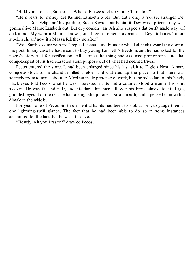"Hold yore hosses, Sambo. . . . What'd Brasee shet up young Terrill for?"

"He swears fo' money det Kuhnel Lambeth owes. But dat's only a 'scuse, stranger. Det – Don Felipe an' his pardner, Breen Sawtell, air behin' it. Dey was upriver—dey was gonna drive Marse Lambeth out. But dey couldn', an'Ah sho suspec's dat outfit made way wif de Kuhnel. My woman Mauree knows, suh. It come to her in a dream. . . . Dey stole mos' of our stock, suh, an' now it's Massa Rill they'se after."

"Wal, Sambo, come with me," replied Pecos, quietly, as he wheeled back toward the door of the post. In any case he had meant to buy young Lambeth's freedom, and he had asked for the negro's story just for verification. All at once the thing had assumed proportions, and that complexspirit of his had extracted stern purpose out of what had seemed trivial.

Pecos entered the store. It had been enlarged since his last visit to Eagle's Nest. A more complete stock of merchandise filled shelves and cluttered up the place so that there was scarcely roomto move about. A Mexican made pretense of work, but the side slant of his beady black eyes told Pecos what he was interested in. Behind a counter stood a man in his shirt sleeves. He was fat and pale, and his dark thin hair fell over his brow, almost to his large, ghoulish eyes. For the rest he had a long, sharp nose, a small mouth, and a peaked chin with a dimple in the middle.

For years one of Pecos Smith's essential habits had been to look at men, to gauge them in one lightning-swift glance. The fact that he had been able to do so in some instances accounted for the fact that he was still alive.

"Howdy. Air you Brasee?" drawled Pecos.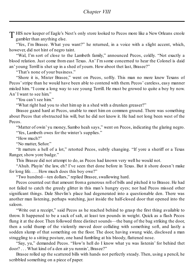$T$  HIS new keeper of Eagle's Nest's only store looked to Pecos more like a New Orleans creole gambler than anything else. gambler than anything else.

"Yes, I'm Brasee. What you want?" he returned, in a voice with a slight accent, which, however, did not hint of negro taint.

"Wal, I'm sort of close to the Lambeth family," announced Pecos, coldly. "Not exactly a blood relation. Just come from east Texas. An' I'm some concerned to hear the Colonel is daid an' young Terrill is shet up in a shed of yourn. How aboot thet last, Brasee?"

"That's none of your business."

"Shore it is, Mister Brasee," went on Pecos, softly. This man no more knew Texans of Pecos'stripe than he would have been able to contend with them. Pecos' careless, easy manner misled him. "I come a long way to see young Terrill. He must be growed to quite a boy by now. An'I want to see him."

"You can't see him."

"What right had you to shet himup in a shed with a drunken greaser?"

Brasee gazed hard at Pecos, unable to meet him on common ground. There was something about Pecos that obstructed his will, but he did not know it. He had not long been west of the Pecos.

"Matter of owin' yu money, Sambo heah says," went on Pecos, indicating the glaring negro. "Yes, Lambeth owes for the winter's supplies."

"How much?"

"No matter, Señor."

"It matters a hell of a lot," retorted Pecos, subtly changing. "If yore a sheriff or a Texas Ranger, show yore badge."

This Brasee did not attempt to do, as Pecos had known very well he would not.

"Ahuh. Playin' the law, eh? I've seen thet done before in Texas. But it shore doesn't make for long life. . . . How much does this boy owe?"

"Two hundred—ten dollars," replied Brasee, swallowing hard.

Pecos counted out that amount froma generous roll of bills and pitched it to Brasee. He had not failed to catch the greedy glitter in this man's hungry eyes; nor had Pecos missed other significant things. Dale Shevlin's place had degenerated into a questionable den. There was another man listening, perhaps watching, just inside the half-closed door that opened into the saloon.

"Write out a receipt," said Pecos as he reached behind to grasp the first thing available to throw. It happened to be a sack of salt, at least ten pounds in weight. Quick as a flash Pecos flung it at the door. Then followed three distinct sounds—the bang of the bag striking the door, then a solid thump of the violently moved door colliding with something soft, and lastly a sodden slump of that something on the floor. The door, having swung wide, disclosed a man straggling to a sitting posture, one hand fumbling at his bloody, flattened nose.

"Say, yu," demanded Pecos. "How'n hell do I know what yu was listenin' for behind thet door? ... What kind of a den air yu runnin', Brasee?"

Brasee rolled up the scattered bills with hands not perfectly steady. Then, using a pencil, he scribbled something on a piece of paper.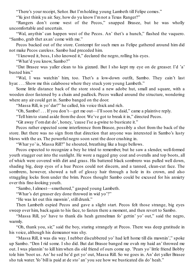"There's your receipt, Señor. But I'mholding young Lambeth till Felipe comes."

"Yu jest think yu air. Say, how do yu know I'mnot a Texas Ranger?"

"Rangers don't come west of the Pecos," snapped Brasee, but he was wholly uncomfortable and uncertain.

"Wal, anythin' can happen west of the Pecos. An' thet's a hunch," flashed the vaquero. "Sambo, grab thet axan' come with me."

Pecos backed out of the store. Contempt for such men as Felipe gathered around him did not make Pecos careless. Sambo had preceded him.

"I knowed it, boss, I sho knowed it," declared the negro, rolling his eyes.

"What'd you know, Sambo?"

"Dat Brasee wus yaller clean to his gizzard. But I sho kept my eye on de greaser. I'd 'a' busted him."

"Wal, I was watchin' him, too. Thet's a low-down outfit, Sambo. They cain't last hyar.... Show me this calaboose where they stuck yore young Lambeth."

Some little distance back of the store stood a new adobe hut, small and square, with a wooden door fastened by a chain and padlock. Pecos walked around the structure, wondering where any air could get in. Sambo banged on the door.

"Massa Rill, is yo' dar?" he called, his voice thick and rich.

"Oh, Sambo! . . . If you don't—get me out—I'llsoon be daid," came a plaintive reply.

"Tell himto stand aside fromthe door. We've got to break it in," directed Pecos.

"Git away f'omdat do', honey, 'cause I'se a-gwine to busticate it."

Pecos rather expected some interference from Brasee, possibly a shot from the back of the store. But there was no sign from that direction that anyone was interested in Sambo's lusty blows with the ax. The powerful negro soon sent the door crashing in.

"Whar yo' is, Massa Rill?" he shouted, breathing like a huge bellows.

Pecos expected to recognize a boy he tried to remember, but he saw a slender, well-formed youth stagger out into the sunlight. He wore a ragged gray coat and overalls and top boots, all of which were covered with dirt and grass. His battered black sombrero was pulled well down, shading big, deep eyes of a hue Pecos could not discern, and a tanned, clean-cut face. The sombrero, however, showed a tuft of glossy hair through a hole in its crown, and also straggling locks from under the brim. Pecos thought Sambo could be excused for his anxiety over this fine-looking youth.

"Sambo, I almost—smothered," gasped young Lambeth.

"Whar's det greaser dey done throwed in wid yo'?"

"He was let out this mawnin', still drunk."

Then Lambeth espied Pecos and gave a slight start. Pecos felt those strange, big eyes sweep over him, back again to his face, to fasten there a moment, and then revert to Sambo.

"Massa Rill, yo' have to thank dis heah gennelman fo' gettin' yo' out," said the negro, warmly.

"Oh, thank you, sir," said the boy, staring strangely at Pecos. There was deep gratitude in his voice, although his demeanor was shy.

"Massa Rill, it was dis way. I nebber discubbered yo' had left home till dis mawnin'," spoke up Sambo. "Den I rid some. I sho did. But dat Brasee banged me ovah my haid an'throwed me out. I wus plannin'to kill him when dis old friend of ours come up. 'Pears yo'little friend Bobby tole him 'boot us. An' he sed he'd get yo' out, Massa Rill. So we goes in. An' det yaller Brasee sho tuk water. Yo' bill is paid at de sto' an' you see how we busticated dis do' heah."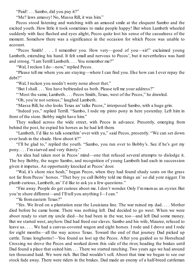"Paid! . . . Sambo, did you pay it?"

"Me? laws amassy! No, Massa Rill, it was him."

Pecos stood listening and watching with an amused smile at the eloquent Sambo and the excited youth. How little it took sometimes to make people happy! But when Lambeth wheeled suddenly with face flushed and eyes alight, Pecos quite lost his sense of the casualness of the moment. Somehow there was a significance in the occasion for which Pecos was unable to account.

"Pecos Smith! . . . I remember you. How very—good of you—sir!" exclaimed young Lambeth, extending his hand. It felt small and nervous to Pecos', but it nevertheless was hard and strong. "I amTerrill Lambeth. . . . You remember me?"

"Wal, I reckon I do—now," replied Pecos.

"Please tell me where you are staying—where I can find you. Else how can I ever repay the debt?"

"Wal, I reckon you needn't worry none aboot thet."

"But I shall. . . . You have befriended us both. Please tell me your address?"

"'Most the same, Lambeth. . . . Pecos Smith, Texas, west of the Pecos," he drawled.

"Oh, you're not serious," laughed Lambeth.

"Massa Rill, he sho looks Texas an'talks Pecos," interposed Sambo, with a huge grin.

"Indeed yes," replied Terrill. "Sambo, I rode my pinto pony in here yesterday. Left him in front of the store. Bobby might have him."

They walked across the wide street, with Pecos in advance. Presently, emerging from behind the post, he espied his horses as he had left them.

"Lambeth, I'd like to talk somethin' over with yu," said Pecos, presently. "We can set down over heah in the shade. How aboot it?"

"I'll be glad to," replied the youth. "Sambo, you run over to Bobby's. See if he's got my pony. . . . I'mstarved and very thirsty."

An idea had taken root in Pecos' mind—one that refused several attempts to dislodge it. The boy Bobby, the negro Sambo, and recognition of young Lambeth had each in succession given it impetus. An opportunity knocked at Pecos' door.

"Wal, it's shore nice heah," began Pecos, when they had found shady seats on the grass not far from Pecos' horses. "Thet boy yu call Bobby told me things an' so did yore nigger. I'm plumb curious, Lambeth, an' I'd like to ask yu a few questions."

"Fire away. People do get curious aboot me. I don't wonder. Only I'mmumas an oyster. But you're shore different—and I'll tell you anything I—I can."

"Yu fromeastern Texas?"

"Yes. We lived on a plantation near the Louisiana line. The war ruined my dad. . . . Mother died before he came home. There was nothing left. Dad decided to go west. When we were aboot ready to start my uncle died—he had been in the war, too—and left Dad some money. But we started west, anyhow. Dad had freed our slaves. Sambo and his wife, Mauree, refused to leave us. . . . We had a canvas-covered wagon and eight horses. I rode and I drove and I rode for eight months—all the way across Texas. Toward the end of that journey Dad picked up cattle. Texas longhorns!—You found us lost up the Pecos. After you guided us to Horsehead Crossing we drove the Pecos and worked down this side of the river, heading the brakes until Dad found a place that suited him. . . . There we started ranching. Two years ago we had around ten thousand haid. We were rich. But Dad wouldn't sell. Aboot that time we began to see our stock fade away. There were riders in the brakes. Dad made an enemy of a half-breed cattleman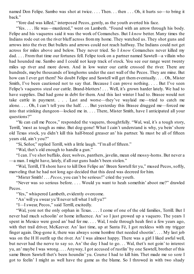named Don Felipe. Sambo was shot at twice. . . . Then. . . then . . . Oh, it hurts so—to bring it back."

"Yore dad was killed," interposed Pecos, gently, as the youth averted his face.

"Yes. . . . He was—murdered," went on Lambeth. "Found with an arrow through his body. Felipe and his vaqueros said it was the work of Comanches. But I *know* better. Many times the Indians rode out on the river bluff across frommy home. They watched us. They shot guns and arrows into the river. But bullets and arrows could not reach halfway. The Indians could not get across for miles above and below. They never tried. So I *know* Comanches never killed my dad. . . . From that time our fortunes fell. Felipe took on a partner named Sawtell—a villain who had hounded me. Sambo and I could not keep track of stock. You see our range went twenty miles up river and more down. And in low water our cattle crossed the river. There are hundreds, maybe thousands of longhorns under the east wall of the Pecos. They are mine. But how can I ever get them? No doubt Felipe and Sawtell will get them eventually. . . . Oh, Mister Smith, I've been cautioned not to say that. Because I can prove nothing. . . . But I've seen Felipe's vaqueros steal our cattle. Brand-blotters! . . . Well, it's grown harder lately. We had to have supplies. Dad had gone in debt for them. And this last winter I had to. Brasee would not take cattle in payment. . . . Last and worse—they've waylaid me—tried to catch me alone. . . . Oh, I can't tell you the half. . . . But yesterday this Brasee dragged me—forced me into that stinking dungeon—locked me in. . . . There, Mister Smith, have I anticipated all your questions?"

"Yu can call me Pecos," responded the vaquero, thoughtfully. "Wal, wal, it's a tough story, Terrill, 'most as tough as mine. But dog-gone! What I cain't understand is why, yu bein'shore old Texas stock, yu didn't kill this half-breed greaser an' his partner. Yu must be all of fifteen years old, ain't you?"

"Si, Señor," replied Terrill, with a little laugh. "I'mall of fifteen."

"Wal, thet's old enough to handle a gun."

"I can. I've shot buffalo, deer, wolves, panthers, javelin, mean old mossy-horns. But never a —a man. I might have, lately, if all our guns hadn't been stolen."

"Wal, Terrill, I'll shore have to kill Don Felipe an' Breen Sawtell fer yu," mused Pecos, softly, marveling that he had not long ago decided that this deed was decreed for him.

"Mister Smith! . . . *Pecos*, you can't be serious!" cried the youth.

"Never was so serious before. . . . Would yu want to heah somethin' aboot me?" drawled Pecos.

"Yes," whispered Lambeth, evidently overcome.

"An'will yu swear yu'll never tell what I tell yu?"

"I—I swear, Pecos," said Terrill, excitedly.

"Wal, yore not the only orphan in Texas. . . . I come of one of the old families, Terrill. But I never had much schoolin' or home influence. An' so I just growed up a vaquero. The years I spent in Mexico were good an' bad fer me. . . . Wal, I rode through heah first a few years ago, with thet trail driver, McKeever. An' last time, up at Santa Fé, I got reckless with my trigger finger again. Dog-gone it, there was always some hombre thet needed shootin'. . . . My last job was on the H H outfit up the river. An' I was almost happy. There was a girl I liked awful well, but never had the nerve to say so. An' the day I had to go. . . Wal, thet's not goin' to interest yu, an'maybe I was wrong. . . . Anyway, I got accused of rustlin' by one Sawtell, brother of this same Breen Sawtell thet's been houndin' yu. Course I had to kill him. Thet made me so sore I got to feelin' I might as well have the game as the blame. So I throwed in with two shady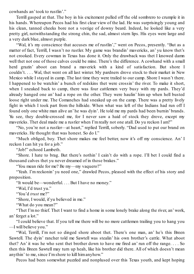cowhands an'took to rustlin'."

Terrill gasped at that. The boy in his excitement pulled off the old sombrero to crumple it in his hands. Whereupon Pecos had his first clear view of the lad. He was surprisingly young and his clean, tanned cheeks bore not a vestige of downy beard. Indeed, he looked like a very pretty girl, notwithstanding the strong chin, the sad, almost stern lips. His eyes were large and a very dark blue, almost purple.

"Wal, it's my conscience that accuses me of rustlin'," went on Pecos, presently. "But as a matter of fact, Terrill, I wasn't no rustler. My game was brandin' mavericks, an' yu know thet's not crooked. Every cowman in Texas has done it. Only the drawback was thet I knowed damn well thet not one of those calves could be mine. There's the difference. A cowhand with a small herd grazin' aboot can brand a maverick with a kind of satisfaction. But shore I couldn't. . . . Wal, thet went on all last winter. My pardners drove stock to their market in New Mexico while I stayed in camp. The last time they were trailed to our camp. Shore I wasn't there. I happened to be watchin' a bunch of redskins thet were crossin' the river. To make it short, when I sneaked back to camp, there was four cattlemen very busy with my pards. They'd already hanged one an' had a rope on the other. They were haulin' him up when hell busted loose right under me. The Comanches had sneaked up on the camp. There was a pretty lively fight in which I took part from the hillside. When what was left of the Indians had run off I found only one white man alive an' he was dyin'. He told me my pards had been burnin' brands. Yu see, they double-crossed me, for I never saw a haid of stock they drove, except my mavericks. Thet deal made me a rustler when I'mreally not one atall. Do yu reckon I am?"

"No, you're not a rustler—at heart," replied Terrill, soberly. "Dad used to put our brand on mavericks. He thought that was honest. So do I."

"Much obliged, boy. Thet shore makes me feel better, now it's off my conscience. An' I reckon I can hit yu for a job."

"Job!" echoed Lambeth.

"Shore. I hate to brag. But there's nothin' I cain't do with a rope. I'll bet I could find a thousand calves thet yu never dreamed of in those brakes."

"You mean ride for me? Be my—my vaquero?"

"Yeah. I'm reckonin' yu need one," drawled Pecos, pleased with the effect of his story and proposition.

"It would be—wonderful. . . . But I have no money."

"Wal, I'd trust yu."

"You'd *trust* me?"

"Shore, I would, if yu believed in me."

"What do you mean?"

"Thet I'mno thief. Thet I want to find a home in some lonely brake along the river, an'work, an'ferget a lot."

"I could believe that. If you tell me there will be no more cattlemen trailing you to hang you —I will believe you."

"Wal, Terrill, I'm not so dinged shore aboot thet. There's one man, an' he's this Breen Sawtell. The dyin' rancher told me Sawtell was stealin' his own brother's cattle. What aboot thet? An' it was he who sent thet brother down to have me fired an' run off the range. . . . So then this Breen Sawtell may turn up heah, like his brother did there. All of which doesn't mean anythin' to me, since I'mshore to kill himanyhow."

Pecos had been somewhat puzzled and nonplused over this Texas youth, and kept hoping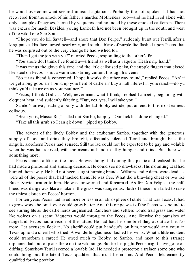he would overcome what seemed unusual agitations. Probably the soft-spoken lad had not recovered from the shock of his father's murder. Motherless, too—and he had lived alone with only a couple of negroes, harried by vaqueros and hounded by these crooked cattlemen. There was excuse for much. Besides, young Lambeth had not been brought up in the south and west of the wild Lone Star State.

"I hope you do kill Sawtell—and shore that Don Felipe," suddenly burst out Terrill, after a long pause. His face turned pearl gray, and such a blaze of purple fire flashed upon Pecos that he was surprised out of the very change he had wished for.

"Then I get the job with yu?" retorted Pecos, responding to the other's fire.

"You shore do. I think I've found a—a friend as well as a vaquero. Heah's my hand."

It was minus the glove this time, and the little calloused palm, the supple fingers that closed like steel on Pecos', shot a warmand stirring current through his veins.

"So far as friend is concerned, I hope it works the other way round," replied Pecos. "An' if we get along good an'I build up yore herd of cattle an' buy a half interest in yore ranch—do yu think yu'd take me on as yore pardner?"

"Pecos, I think God . . . Well, never mind what I think," replied Lambeth, beginning with eloquent heat, and suddenly faltering. "But, yes, yes, I will take you."

Sambo's arrival, leading a pony with the lad Bobby astride, put an end to this most earnest colloquy.

"Heah yo is, Massa Rill," called out Sambo, happily. "Our luck has done changed."

"Take all this grub so I can git down," piped up Bobby.

The advent of the lively Bobby and the exuberant Sambo, together with the generous supply of food and drink they brought, effectually silenced Terrill and brought back the singular aloofness Pecos had sensed. Still the lad could not be expected to be gay and voluble when he was half starved, with the means at hand to allay hunger and thirst. But there was something more.

Pecos shared a little of the food. He was thoughtful during this picnic and realized that he had made a profound and amazing decision. He could see no drawbacks. His mounting zeal had burned them away. He had not been caught burning brands. Williams and Adams were dead, as were all of the posse that had tracked them. He was free. What did a brawling cheat or two like Breen Sawtell matter to him? He was forewarned and forearmed. As for Don Felipe—the halfbreed was dangerous like a snake in the grass was dangerous. Both of these men failed to raise the tiniest clouds on Pecos' horizon.

For ten years Pecos had lived more or less in an atmosphere of strife. That was Texas. It had to grow worse before it ever could grow better. And this range west of the Pecos was bound to see stirring life as the cattle herds augmented. Ranchers and settlers would trail grass and water like wolves on a scent. Vaqueros would throng to the Pecos. And likewise the parasites of rangeland. Pecos had a vision of the future. He had had his one brief fling at outlaw life. No more! Let accusers flock in. No sheriff could put handcuffs on him, nor would any court in Texas uphold a sheriff who tried. A wonderful gladness flushed his veins. What a little incident could transform a career! He owed much to Bobby, to Sambo, and most to this strange orphaned lad, out of place there on the wild range. But for his plight Pecos might have gone on drifting. Somehow Terrill seemed a lovable lad. He needed a protector, a trainer, some one who could bring out the latent Texas qualities that must be in him. And Pecos felt eminently qualified for the position.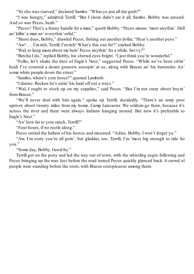"Yo sho wuz starved," declared Sambo. "Whar yo put all dat grub?"

"I was hungry," admitted Terrill. "But I shore didn't eat it all, Sambo. Bobby was around. And so was Pecos, heah."

"Pecos? Thet's a funny handle fer a man," quoth Bobby. "Pecos means 'most anythin'. Hell an' killin' a man an' everythin' orful."

"Shore does, Bobby," drawled Pecos, fishing out another dollar. "Hyar's another peso."

"Aw! . . . I'mrich, Terrill, I'mrich! What's this one fer?" exulted Bobby.

"Wal, to keep mumaboot me bein'Pecos anythin' fer a while. Savvy?"

"Betcha I do," replied Bobby, his shrewd eyes bright. "I jest think you're wonderful."

"Folks, let's shake the dust of Eagle's Nest," suggested Pecos. "While we've been sittin' heah I've counted a dozen greasers snoopin' at us, along with Brasee an' his bartender. An' some white people down the street."

"Sambo, where's yore horse?" queried Lambeth.

"I dunno. Reckon he's eatin' his haid off out a ways."

"Wal, I ought to stock up on my supplies," said Pecos. "But I'm not crazy aboot buyin" fromBrasee."

"We'll never deal with him again," spoke up Terrill, decidedly. "There's an army post upriver, aboot twenty miles from my home. Camp Lancaster. We seldom go there, because it's across the river and there were always Indians hanging around. But now it's preferable to Eagle's Nest."

"An' how far to yore ranch, Terrill?"

"Four hours, if we rustle along."

Pecos untied the halters of his horses and mounted. "Adios, Bobby. I won't forget yu."

"Aw, I'm sorry you're all goin', but gladder, too. Terrill, I'm 'most big enough to ride fer you."

"Some day, Bobby. Good-by."

Terrill got on the pony and led the way out of town, with the whistling negro following and Pecos bringing up the rear. Just before the road turned Pecos quickly glanced back. A crowd of people were standing before the store, with Brasee conspicuous among them.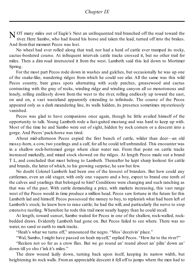$N$  OT many miles out of Eagle's Nest an unfrequented trail branched off the road toward the river. Here Sambo, who had found his horse and taken the lead, turned off into the brakes. river. Here Sambo, who had found his horse and taken the lead, turned off into the brakes. And fromthat moment Pecos was lost.

No wheel had ever rolled along that trail, nor had a herd of cattle ever tramped its rocky, cactus-bordered course. At infrequent intervals cattle tracks crossed it, but no other trail for miles. Then a dim road intersected it from the west. Lambeth said this led down to Mortimer Spring.

For the most part Pecos rode down in washes and gulches, but occasionally he was up one of the snake-like, wandering ridges from which he could see afar. All the same was this wild Pecos country, bare grass spots alternating with scaly patches, greasewood and cactus contrasting with the gray of rocks, winding ridge and winding canyon all so monotonous and lonely, rolling endlessly down from the west to the river, rolling endlessly up toward the east, on and on, a vast wasteland apparently extending to infinitude. The course of the Pecos appeared only as a dark meandering line, its walls hidden, its presence sometimes mysteriously vanished.

Pecos was glad to have companions once again, though he little availed himself of the opportunity to talk. Young Lambeth rode a fast-gaited mustang and was hard to keep up with. Most of the time he and Sambo were out of sight, hidden by rock corners or a descent into a gorge. And Pecos' pack-horse was tired.

About mid-afternoon Pecos espied the first bunch of cattle, wilder than deer—an old mossy-horn, a cow, two yearlings and a calf, for all he could tell unbranded. This encounter was in a shallow rock-bottomed gorge where clear water ran. From that point on cattle tracks increased markedly, and mixed stock showed on the ridges. At length Pecos made out a brand T L, and concluded that must belong to Lambeth. Thereafter he kept sharp lookout for cattle and brands, the latter of which, to his growing surprise, he saw but few.

No doubt Colonel Lambeth had been one of the loosest of branders. But how could any cattleman, even an old stager, with only one vaquero and a boy, expect to brand one tenth of the calves and yearlings that belonged to him? Conditions were changing and such ranching as that was of the past. With cattle demanding a price, with markets increasing, this vast range west of the Pecos would in time produce a million head. Pecos saw fortune in the future for this Lambeth lad and himself. Pecos possessed the money to buy, to replenish what had been left of Lambeth's stock; he knew how to raise cattle; he had the will, and particularly the nerve to stop extensive rustling. Wherefore he rode this trail more nearly happy than he could recall.

At length, toward sunset, Sambo waited for Pecos in one of the shallow, rock-walled, rockbedded draws. Evidently Lambeth had gone on. But Pecos failed to see where. There was no water, no sand or earth to mark tracks.

"Heah's whar we turns off," announced the negro. "Mos' deceivin' place."

"Wal, Sambo, I might have passed on heah myself," replied Pecos. "How far to the river?"

"Reckon not so fur as a crow flies. But we go round an' round aboot an' pilin' down an' down till yo sho t'ink it's miles."

The draw wound lazily down, turning back upon itself, keeping its narrow width, but heightening its rock walls. Froman appreciable descent it fell off to jumps where the men had to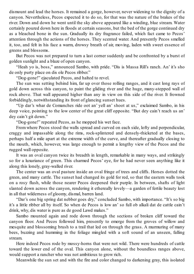dismount and lead the horses. It remained a gorge, however, never widening to the dignity of a canyon. Nevertheless, Pecos expected it to do so, for that was the nature of the brakes of the river. Down and down he went until the sky above appeared like a winding, blue stream. Water certainly poured down here in floods at certain seasons, but the bed of the gorge continued dry as a bleached bone in the sun. Gradually its dry fragrance failed, which fact came to Pecos' attention through the actions of the horses. They scented water. And presently Pecos smelled it, too, and felt in his face a warm, drowsy breath of air, moving, laden with sweet essence of greens and blossoms.

But Pecos was not prepared to turn a last corner suddenly and be confronted by a burst of golden sunlight and a blaze of open canyon.

"Heah yo is, boss," announced Sambo, with pride. "Dis is Massa Rill's ranch. An' it's sho de only purty place on dis ole Pecos ribber."

"Dog-gone!" ejaculated Pecos, and halted to revel.

The sun was setting behind him, far up over those rolling ranges, and it cast long rays of gold down across this canyon, to paint the gliding river and the huge, many-stepped wall of rock above. That wall appeared higher than any in view on this side of the river. It frowned forbiddingly, notwithstanding its front of glancing sunset hues.

"Up dar's whar de Comanches ride oot an' yell an' shoot at us," exclaimed Sambo, in his deep voice, pointing to the low center of the great cliff opposite. "But dey cain't reach us an' dey cain't git down."

"Dog-gone!" repeated Pecos, as he mopped his wet face.

From where Pecos stood the walls spread and curved on each side, lofty and perpendicular, craggy and impassable along the rims, rock-splintered and densely-thicketed at the bases, perhaps half a mile apart at the extreme width of the curve, and thereafter gradually closing to the mouth, which, however, was large enough to permit a lengthy view of the Pecos and the rugged wall opposite.

It was an oval canyon twice its breadth in length, remarkable in many ways, and strikingly so for a luxuriance of green. This charmed Pecos' eye, for he had never seen anything like it along this lonely, gray-walled river.

The center was an oval pasture inside an oval fringe of trees and cliffs. Horses dotted the green, and many cattle. The sunset had changed its gold for red, so that the eastern walls took on a rosy flush, while those nearer Pecos deepened their purple. In between, shafts of light slanted down across the canyon, rendering it ethereally lovely—a garden of fertile beauty lost in all that wilderness of gloomy, dismal, barren land.

"Dar's one big spring dat nebber goes dry," concluded Sambo, with importance. "It's so big it's a little ribber all by itself. So when de Pecos is low an' so full ob alkali dat de cattle cain't drink, why, dis water is pure as de good Lawd makes."

Sambo mounted again and rode down through the sections of broken cliff toward the canyon floor. And Pecos followed him, presently to emerge from the groves of willow and mesquite and blossoming brush to a trail that led on through the grass. A murmuring of many bees, buzzing and humming in the foliage mingled with a soft sound of an unseen, falling stream.

Here indeed Pecos rode by mossy-horns that were not wild. There were hundreds of cattle toward the lower end of the oval. This canyon alone, without the boundless ranges above, would support a rancher who was not ambitious to grow rich.

Meanwhile the sun set and with the fire and color changed to darkening gray, this isolated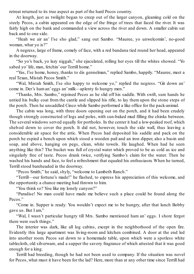retreat returned to its true aspect as part of the hard Pecos country.

At length, just as twilight began to creep out of the larger canyon, gleaming cold on the steely Pecos, a cabin appeared on the edge of the fringe of trees that faced the river. It was fairly high on the bank and commanded a view across the river and down. A smaller cabin sat back and to one side.

"Heah we air an' I'se sho glad," sang out Sambo. "Mauree, yo unwelcomin', no-good woman, whar yo is?"

A negress, large of frame, comely of face, with a red bandana tied round her head, appeared in the doorway.

"So yo's back, yo lazy niggah," she ejaculated, rolling her eyes till the whites showed. "Yo sabed yo'life, man, fetchin' our Terrill home."

"Yas, I'se home, honey, thanks to dis gennelman," replied Sambo, happily. "Mauree, meet a real Texan, Mistah Pecos Smith."

"Wal, Mistah Smith, I'se sho happy to welcome yo," replied the negress. "Git down an' come in. Der's haman' eggs an'milk—aplenty fo hungry men."

"Thanks, Mrs. Sambo," rejoined Pecos as he slid off his saddle. With swift, sure hands he untied his bulky coat from the cantle and slipped his rifle, to lay them upon the stone steps of the porch. Then he unsaddled Cinco while Sambo performed a like office for the pack-animal.

The cabin was long, with three doors opening out on the porch, and it had been crudely though strongly constructed of logs and poles, with sun-baked mud filling the chinks between. The several windows served equally for portholes. In the center it had a low-peaked roof, which shelved down to cover the porch. It did not, however, touch the side wall, thus leaving a considerable air space for the attic. When Pecos had deposited his saddle and pack on the porch he espied a bench upon which stood a wooden pail and an iron dipper, also a basin and soap, and above, hanging on pegs, clean, white towels. He laughed. When had he seen anything like this? The bucket was full of crystal water which proved to be as cold as ice and singularly free of taste. Pecos drank twice, verifying Sambo's claim for the water. Then he washed his hands and face, to feel a refreshment that equaled his enthusiasm. When he turned, Terrillstood bareheaded in the doorway.

"Pecos Smith," he said, shyly, "welcome to Lambeth Ranch."

"Terrill—our fortune's made!" he flashed, to express his appreciation of this welcome, and the opportunity a chance meeting had thrown to him.

"You think so? You like my lonely canyon?"

"Paradise! No man could have made me believe such a place could be found along the Pecos."

"Come in. Supper is ready. You wouldn't expect me to be hungry, after that lunch Bobby gave us. But I am."

"Wal, I wasn't particular hungry till Mrs. Sambo mentioned ham an' eggs. I shore fergot there were such things."

The interior was dark, like all log cabins, except in the neighborhood of the open fire. Evidently this large apartment was living-room and kitchen combined. A door at the end led into another room. Pecos sat down to a homemade table, upon which were a spotless white tablecloth, old silverware, and a supper the savory fragrance of which attested that it was good enough for a king.

Terrill had breeding, though he had not been used to company. If the situation was novel for Pecos, what must it have been for the lad? Here, more than at any other time since Terrill had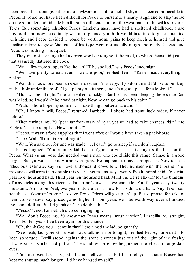been freed, that strange, rather aloof awkwardness, if not actual shyness, seemed noticeable to Pecos. It would not have been difficult for Pecos to burst into a hearty laugh and to slap the lad on the shoulder and ridicule him for such diffidence out on the west bank of the wildest river in Texas. But something inhibited Pecos. Lambeth must have had a sheltered childhood, a sad boyhood, and now he certainly was an orphaned youth. It would take time to get acquainted with him, and Pecos decided it would be worth some pains to keep much to himself and give familiarity time to grow. Vaqueros of his type were not usually rough and ready fellows, and Pecos was nothing if not quiet.

They did not exchange half a dozen words throughout the meal, to which Pecos did justice that assuredly flattered the cook.

"Wal, a few more suppers like thet an'I'll be spoiled," was Pecos' encomium.

"We have plenty to eat, even if we are poor," replied Terrill. "Raise 'most everything, I reckon. . . ."

"Wal, this has shore been an excitin' day, an'I'msleepy. If yo don't mind I'd like to bunk up in thet hole under the roof. I'll get plenty of air there, and it's a good place for a lookout."

"That will be all right," the lad replied, quickly. "Sambo has been sleeping there since Dad was killed, so I wouldn't be afraid at night. Now he can go back to his cabin."

"Yeah. I shore hope my comin'will make things better all around."

"Oh, I know it will, Pecos," returned Lambeth. "I shore had some luck today, if never before."

"Thet reminds me. Yu 'pear far from starvin' hyar, yet yu had to take chances ridin' into Eagle's Nest for supplies. How aboot it?"

"Pecos, it wasn't food supplies that I went after, or I would have taken a pack-horse."

"I see. Wal, I'll turn in. Good-night."

"Wait. You said our fortune was made. . . . I cain't go to sleep if you don't explain."

Pecos laughed. "Yore a funny kid. Let me figure for yu. . . . This range is the best on the Pecos. What yu an' yore dad needed was a man who could ride this range. Sambo is a good nigger. But yu want a handy man with guns. He happens to have dropped in. Now takin' a ridiculous estimate, say yu have a thousand cows left. Thet number with the brandin' of mavericks will more than double this year. Thet means, say, twenty-five hundred haid. Followin' year five thousand haid. Third year ten thousand haid. Mind yu, we're allowin' for the brandin' of mavericks along this river as far up an' down as we can ride. Fourth year easy twenty thousand. An' so on. Wal, two-year-olds are sellin' now for six dollars a haid. Any Texan can see thet cattle-raisin' is goin' to save Texas. Prices will go up an' up. But suppose, for sake of bein' conservative, say prices go no higher. In four years we'll be worth way over a hundred thousand dollars. But I'd gamble it'll be double thet."

"*Pecos!*" cried Lambeth, his voice ringing high.

"Wal, don't Pecos me. Yu know thet Pecos means 'most anythin'. I'm tellin' yu straight, Terrill. For ten years I've been layin'for this chance."

"Oh, thank God you—came in time!" exclaimed the lad, poignantly.

"See heah, lad, yore still upset. Let's talk no more tonight," replied Pecos, surprised into keen solicitude. Terrill stood against the stone chimney just out of the light of the freshly blazing sticks Sambo had put on. The shadow somehow heightened the effect of large dark eyes.

"I'm not upset. It's—it's just—I cain't tell you. . . . But I can tell you—that if Brasee had kept me shut up much longer—I'd have hanged myself."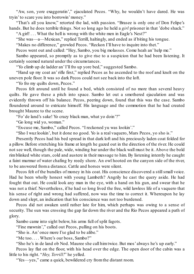"Aw, son, yore exaggeratin'," ejaculated Pecos. "Why, he wouldn't have dared. He was tryin'to scare you into borrowin'money."

"That's all you know," retorted the lad, with passion. "Brasee is only one of Don Felipe's hands. But he does terrible things. Not so long ago he held a *girl* prisoner in that 'dobe shack."

"A girl! . . . What the hell is wrong with the white men in Eagle's Nest?"

"She was—a—Mexican," replied Terrill, haltingly, and ended as if biting his tongue.

"Makes no difference," growled Pecos. "Reckon I'll have to inquire into thet."

Pecos went out and called: "Hey, Sambo, you big molasses. Come heah an' help me."

Sambo appeared, so promptly as to give rise to a suspicion that he had been listening. It certainly seemed natural under the circumstances.

"Yo climb up de ladder an'I'll fro up yore bed," suggested Sambo.

"Hand up my coat an' rifle first," replied Pecos as he ascended to the roof and knelt on the uneven pole floor. It was so dark Pecos could not see back into the loft.

"Yo fro my quilts down, Pecos."

Pecos felt around until he found a bed, which consisted of no more than several heavy quilts. He gave these a pitch into space. Sambo let out a smothered ejaculation and was evidently thrown off his balance. Pecos, peering down, found that this was the case. Sambo floundered around to extricate himself. His language and the commotion that he had created brought Mauree to the scene.

"Fo' de land's sake! Yo crazy black man, what yo doin'?"

"Go long wid yo, woman."

"Ex-cuse me, Sambo," called Pecos. "I reckoned yu was lookin'."

"Sho I wuz lookin', but it done no good. Yo is a real vaquero, Mars Pecos, yo sho is."

Presently Pecos had his bed spread in that dark loft and his preciously laden coat folded for a pillow. Before stretching his frame at length he gazed out in the direction of the river. He could not see well, though the pale, wide, winding bar under the black wall must be it. Above the bold rimblinked white stars, cold and austere in their message to him. By listening intently he caught a faint murmur of water chafing by reedy shore. An owl hooted on the canyon side of the river, to be answered froma distance. Cattle and horses were silent.

Pecos felt of the bundles of money in his coat. His conscience discovered a still small voice. Had he been wholly honest with young Lambeth? Angrily he cast the query aside. He had fought that out. He could look any man in the eye, with a hand on his gun, and swear that he was not a thief. Nevertheless, if he had so long lived the free, wild lawless life of a vaquero that his sense of right and wrong had suffered, now was the time to correct it. Whereupon he lay down and slept, an indication that his conscience was not too burdened.

Pecos did not awaken until rather late for him, which perhaps was owing to a sense of security. The sun was crossing the gap far down the river and the Rio Pecos appeared a path of glory.

Sambo came into sight below, his arms full of split fagots.

"Fine mawnin'," called out Pecos, pulling on his boots.

"Sho is. An' once more I'se glad to be alibe."

"Me too. . . . Where's our boss, Sambo?"

"Sho he's in de land ob Nod. Mauree she call himtwice. But mos' always he's up early."

Pecos lay flat on the floor, with his head over the edge. The open door of the cabin was a little to his right. "*Hey, Terrill!*" he yelled.

"Yes—yes," came a quick, bewildered cry fromthe distant room.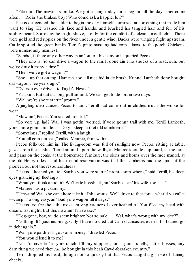"Pile out. The mawnin's broke. We gotta hang today on a peg an' all the days thet come after... . Ridin'the brakes, boy! Who could ask a happier lot?"

Pecos descended the ladder to begin the day himself, surprised at something that made him want to sing. He washed his face and hands, and brushed his tangled hair, and felt of his stubby beard. Some day he might shave, if only for the comfort of a clean, smooth chin. There were gold and red ripples on the river, under a gentle wind. Ducks were winging flight upstream. Cattle spotted the green banks. Terrill's pinto mustang had come almost to the porch. Chickens were numerously manifest.

"Sambo, is there any other way in an' out of this canyon?" queried Pecos.

"They sho is. Yo can drive a wagon to the rim. It done ain't no shucks of a road, suh, but we've druv it many a time."

"Then we've got a wagon?"

"Sho—up thar on top. Harness, too, all nice hid in de brush. Kuhnel Lambeth done bought dat wagon t'ree years ago."

"Did you ever drive it to Eagle's Nest?"

"Yas, suh. But dat's a long pull around. We can get to de fort in two days."

"Wal, we're shore startin' pronto."

A jingling step caused Pecos to turn. Terrill had come out in clothes much the worse for wear.

"Mawnin', Pecos. You scared me stiff."

"So yore up, lad? Wal, I was gettin' worried. If yore gonna trail with me, Terrill Lambeth, yore shore gonna rustle. . . . Do yu sleep in thet old sombrero?"

"Sometimes," replied Terrill, with a laugh.

"You-all come an' eat," called Mauree, fromwithin.

Pecos followed him in. The living-room was full of sunlight now. Pecos, sitting at table, gazed from the flushed Terrill around upon the walls, at Mauree's crude cupboard, at the pots and pans on the coals, at the homemade furniture, the skins and horns over the rude mantel, at the old Henry rifles—and his mental reservation was that the Lambeths had the spirit of the pioneer, but not the resourcefulness.

"Pecos, I heahed you tell Sambo you were startin' pronto somewhere," said Terrill, his deep eyes glancing up fleetingly.

"What you think aboot it? We'll ride hossback, an'Sambo—an' his wife, too——"

"Mauree has a pickaninny."

"Ump-um! Wal, she can shore take it, if she wants. We'll drive to thet fort—what'd yu call it —campin' along easy, an'load yore wagon till it sags."

"Pecos, you're the—the most amazing vaquero I ever heahed of. You filled my head with dreams last night. But this mawnin'I'mawake."

"Dog-gone, boy, yu do seembrighter. Not so pale. . . . Wal, what's wrong with my idee?"

"Nothing. It's just inspiring. Only I have no credit at Camp Lancaster, even if I—I dared go in debt again."

"Wal, yore pardner's got some money," drawled Pecos.

"You would lend it to me?"

"No. I'm investin' in yore ranch. I'll buy supplies, tools, guns, shells, cattle, hosses, any darn thing we need thet *can* be bought in this heah Gawd-forsaken country."

Terrill dropped his head, though not so quickly but that Pecos caught a glimpse of flaming cheeks.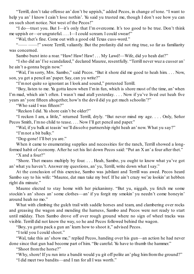"Terrill, don't take offense an' don't be uppish," added Pecos, in change of tone. "I want to help yu an' I know I cain't lose nothin'. Yu said yu trusted me, though I don't see how yu can on such short notice. Not west of the Pecos!"

"I do—trust you. But I—it's only that I'm overcome. It's too good to be true. Don't think me uppish or—or ungrateful. . . . I—I could scream. I could swear!"

"Wal, thet's fine. Come out with a good old Texas cuss-word."

"<sup>------</sup> " swore Terrill, valiantly. But the profanity did not ring true, so far as familiarity was concerned.

Sambo burst into a roar. "Haw! Haw! Haw! . . . My Lawd!—Wife, did yo heah dat?"

"I sho did an'I'se scandalized," declared Mauree, resentfully. "Terrill never wuz a cusser an' he ain't a-gonna begin now."

"Wal, I'm sorry, Mrs. Sambo," said Pecos. "But it shore did me good to heah him. . . . Now, son, yu get a pencil an' paper. Say, can yu write?"

"I'mnot quite so ignorant as I look and sound," protested Terrill.

"Boy, listen to me. Yu gotta know when I'min fun, which is shore most of the time, an'when I'm mad, which ain't often. I wasn't mad atall yesterday. . . . Now if yu've lived out heah five years an' yore fifteen altogether, how'n the devil did yu get much schoolin'?"

"Who said I was fifteen?"

"Reckon I did. Yu shore cain't be older?"

"I reckon I am, a little," returned Terrill, dryly. "But never mind my age. . . . Only, Señor Pecos Smith, I'm no child to tease... Now I'll get pencil and paper."

"Wal, if yu balk at teasin'we'll dissolve partnership right heah an' now. What yu say?"

"I'mnot a bit balky."

"Dog-gone! I'll bet yu are."

When it came to enumerating supplies and necessities for the ranch, Terrill showed a longformed habit of economy. After he set his list down Pecos said: "Put an X an' a four after thet."

"X and a four?"

"Shore. Thet means multiply by four. . . . Heah, Sambo, yu ought to know what yu've got an'what yu haven't. Answer my questions, an' yu, Terrill, write down what I say."

At the conclusion of this exercise, Sambo was jubilant and Terrill was awed. Pecos heard Sambo say to his wife: "Mauree, dat man take my bref. If he ain't crazy we'ze lookin' at hebben right dis minute."

Mauree elected to stay home with her pickaninny. "But yu, niggah, yu fetch me some stockin's an' shoes an' some clothes—an' if yu forgit my smokin' yu needn't come honeyin' around heah no mo."

What with climbing the gulch trail with saddle horses and team, and clambering over rocks and greasing the wagon and mending the harness, Sambo and Pecos were not ready to start until midday. Then Sambo drove off over rough ground where no sign of wheel tracks was visible. Terrill did not know the way, so he and Pecos followed behind the wagon.

"Boy, yu gotta pack a gun an'learn how to shoot it," advised Pecos.

"I told you I could shoot."

"Wal, take this an'show me," replied Pecos, handing over his gun—an action he had never done since that gun had become part of him. "Be careful. Yu have to thumb the hammer."

"Shoot fromthe horse?"

"Why, shore! If yu run into a bandit would yu git off polite an' plug himfromthe ground?" "I did meet two bandits—and I ran for all I was worth."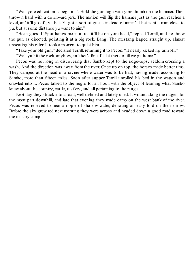"Wal, yore education is beginnin'. Hold the gun high with yore thumb on the hammer. Then throw it hard with a downward jerk. The motion will flip the hammer just as the gun reaches a level, an' it'll go off, yu bet. Yu gotta sort of guess instead of aimin'. Thet is at a man close to yu, but at some distance yu want to aim."

"Heah goes. If Spot hangs me in a tree it'll be on yore head," replied Terrill, and he threw the gun as directed, pointing it at a big rock. Bang! The mustang leaped straight up, almost unseating his rider. It took a moment to quiet him.

"Take your old gun," declared Terrill, returning it to Pecos. "It nearly kicked my armoff."

"Wal, yu hit the rock, anyhow, an'thet's fine. I'll let thet do till we git home."

Pecos was not long in discovering that Sambo kept to the ridge-tops, seldom crossing a wash. And the direction was away from the river. Once up on top, the horses made better time. They camped at the head of a ravine where water was to be had, having made, according to Sambo, more than fifteen miles. Soon after supper Terrill unrolled his bed in the wagon and crawled into it. Pecos talked to the negro for an hour, with the object of learning what Sambo knew about the country, cattle, rustlers, and all pertaining to the range.

Next day they struck into a road, well defined and lately used. It wound along the ridges, for the most part downhill, and late that evening they made camp on the west bank of the river. Pecos was relieved to hear a ripple of shallow water, denoting an easy ford on the morrow. Before the sky grew red next morning they were across and headed down a good road toward the military camp.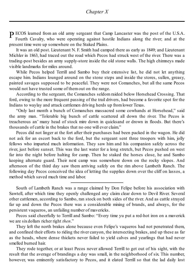**P** ECOS learned from an old army sergeant that Camp Lancaster was the post of the U.S.A. Fourth Cavalry, who were operating against hostile Indians along the river; and at the Fourth Cavalry, who were operating against hostile Indians along the river; and at the present time were up somewhere on the Staked Plains.

It was an old post. Lieutenant N. F. Smith had camped there as early as 1849; and Lieutenant Michler in 1863, had traced out the road which Pecos had struck west of the river. There was a trading-post besides an army supply-store inside the old stone walls. The high chimneys made visible landmarks for miles around.

While Pecos helped Terrill and Sambo buy their extensive list, he did not let anything escape him. Indians lounged around on the stone steps and inside the stores, sullen, greasy, painted savages supposed to be peaceful. They were not Comanches, but all the same Pecos would not have trusted some of themout on the range.

According to the sergeant, the Comanches seldom raided below Horsehead Crossing. That ford, owing to the more frequent passing of the trail drivers, had become a favorite spot for the Indians to waylay and attack cattlemen driving herds up fromlower Texas.

"Only last month a bunch of Comanches massacred some cowhands at Horsehead," said the army man. "Tolerable big bunch of cattle scattered all down the river. The Pecos is treacherous an' many head of stock mire down in quicksand or drown in floods. But there's thousands of cattle in the brakes that no one will ever claim."

Pecos did not linger at the fort after their purchases had been packed in the wagon. He did not ask for an escort back to the ford, but the sergeant sent three troopers with him, jolly fellows who imparted much information. They saw him and his companion safely across the river, just before sunset. This was the last water for a long stretch, but Pecos pushed on west far into the night before halting for camp. Then he staked the horses close, he and Sambo keeping alternate guard. Their next camp was somewhere down on the rocky slopes. And afternoon of the third day saw them arriving safely on the rim above Lambeth Ranch. The following day Pecos conceived the idea of letting the supplies down over the cliff on lassos, a method which saved much time and labor.

South of Lambeth Ranch was a range claimed by Don Felipe before his association with Sawtell, after which time they openly challenged any claim clear down to Devil River. Several other cattlemen, according to Sambo, ran stock on both sides of the river. And as cattle strayed far up and down the Pecos there was a considerable mixing of brands, and always, for the persistent vaqueros, an unfailing number of mavericks.

Pecos said cheerfully to Terrill and Sambo: "Every time yu put a red-hot iron on a maverick we are sixdollars richer right *then*."

They left the north brakes alone because even Felipe's vaqueros had not penetrated them, and confined their efforts to riding the river canyon, the intersecting brakes, and up these as far as the heads, where dense thickets never failed to yield calves and yearlings that had never smelled burned hair.

They rode together, or at least Pecos never allowed Terrill to get out of his sight, with the result that the average of brandings a day was small, in the neighborhood of six. This number, however, was eminently satisfactory to Pecos, and it elated Terrill so that the lad daily lost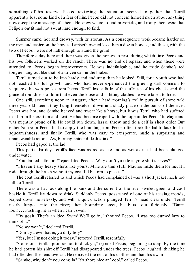something of his reserve. Pecos, reviewing the situation, seemed to gather that Terrill apparently lost some kind of a fear of him. Pecos did not concern himself much about anything now except the amassing of a herd. He knew where to find mavericks, and many there were that Felipe's outfit had not sweat hard enough to find.

Summer came, hot and drowsy, with its storms. As a consequence work became harder on the men and easier on the horses. Lambeth owned less than a dozen horses, and these, with the two of Pecos', were not half enough to stand the grind.

Therefore a day here and there was given the horses to rest, during which time Pecos and his two followers worked on the ranch. There was no end of repairs, and when these were attended to, Pecos began improvements. He was indefatigable, and he made Sambo's red tongue hang out like that of a driven calf in the brakes.

Terrill turned out to be less hardy and enduring than he looked. Still, for a youth who had not reached his full growth and who had never experienced the grueling drill common to vaqueros, he won praise from Pecos. Terrill lost a little of the fullness of his cheeks and the graceful roundness of formthat even the loose and ill-fitting clothes he wore failed to hide.

One still, scorching noon in August, after a hard morning's toil in pursuit of some wild three-year-old steers, they flung themselves down in a shady place on the banks of the river. Pecos was hot, and Sambo heaved and sweat like a horse, but it was Terrill who had suffered most from the exertion and heat. He had become expert with the rope under Pecos'tutelage and was mightily proud of it. He could run down, lasso, throw, and tie a calf in short order. But either Sambo or Pecos had to apply the branding-iron. Pecos often took the lad to task for his squeamishness, and finally Terrill, who was easy to exasperate, made a surprising and unanswerable retort. "Aw, burning hair and flesh stink!"

Pecos had gaped at the lad.

This particular day Terrill's face was as red as fire and as wet as if it had been plunged under water.

"You darned little fool!" ejaculated Pecos. "Why don't yu ride in yore shirt sleeves?"

"I haven't any heavy shirts like yours. Mine are thin stuff. Mauree made them for me. If I rode through the brush without my coat I'd be torn to pieces."

The coat Terrill referred to and which Pecos had complained of was a short jacket much too full for Terrill.

There was a flat rock along the bank and the current of the river swirled green and cool beside it. Terrill lay down to drink. Suddenly Pecos, possessed of one of his teasing moods, leaped down noiselessly, and with a quick action plunged Terrill's head clear under. Terrill nearly lunged into the river; then bounding erect, he burst out furiously: "Damn fool! . . . Pushing me in when I can't swim!"

"By gosh! Thet's an idee. Swim! We'll go in," shouted Pecos. "I was too durned lazy to think of it."

"No *we* won't," declared Terrill.

"Don't yu ever bathe, yu dirty boy?"

"Yes, but I'mnot doing it today," retorted Terrill, resentfully.

"Come on, Terrill. I promise not to duck yu," rejoined Pecos, beginning to strip. By the time he had gotten his shirt off Terrill had disappeared under the trees. Pecos laughed, thinking he had offended the sensitive lad. He removed the rest of his clothes and had his swim.

"Sambo, why don't you come in? It's shore nice an' cool," called Pecos.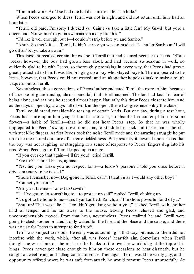"Too much work. An'I'se had one baf dis summer. I fell in a hole."

When Pecos emerged to dress Terrill was not in sight, and did not return until fully half an hour later.

"Terrill, old pard, I'm sorry I ducked yu. Cain't yu take a little fun? My Gawd! but yore a queer kind. Not wantin' to go in swimmin' on a day like this!"

"I'd like it well enough, but I—I couldn't strip before yu and Sambo."

"Ahuh. So thet's it. . . . Terrill, I didn't savvy yu was so modest. Heahafter Sambo an' I will go off an' let yu take a swim."

This incident recalled certain things about Terrill that had seemed peculiar to Pecos. Of late weeks, however, the boy had grown less aloof, and had become so zealous in work, so evidently glad to be with Pecos, so thoroughly promising in every way, that Pecos had grown greatly attached to him. It was like bringing up a boy who stayed boyish. There appeared to be limits, however, that Pecos could not exceed; and an altogether hopeless task to make a rough vaquero out of Terrill.

Nevertheless, these convictions of Pecos' rather endeared Terrill the more to him, because of a sense of guardianship, almost parental, that Terrill inspired. The lad had lost his fear of being alone, and at times he seemed almost happy. Naturally this drew Pecos closer to him. And as the days slipped by, always full of work in the open, these two grew insensibly the closer.

Terrill could stand considerable teasing of certain kinds. But one day, during a rest hour, Pecos had come upon him lying flat on his stomach, so absorbed in contemplation of some flowers—a habit of Terrill's—that he did not hear Pecos' step. So that he was wholly unprepared for Pecos' swoop down upon him, to straddle his back and tickle him in the ribs with steel-like fingers. At first Pecos took the noise Terrill made and the amazing struggle he put up to be the natural outcome of extreme ticklishness. But presently it dawned upon Pecos that the boy was not laughing, or struggling in a sense of response to Pecos' fingers dug into his ribs. When Pecos got off, Terrill leaped up in a rage.

"If you ever do that again—I'll fire you!" cried Terrill.

"Fire me?" echoed Pecos, aghast.

"Yes, fire you! Have you no respect for a—a fellow's person? I told you once before it drives me crazy to be tickled."

"Shore I remember now, Dog-gone it, Terrill, cain't I treat yu as I would any other boy?"

"You bet you can't."

"An' yu'd fire me—honest to Gawd?"

"I—I've got to do something to—to protect myself," replied Terrill, choking up.

"It's got to be home to me—this hyar Lambeth Ranch, an'I'mshore powerful fond of yu."

"Shut up! That was a lie. I—I couldn't get along without you," flashed Terrill, with another kind of temper, and he ran away to the house, leaving Pecos relieved and glad, and uncomprehensibly moved. From that hour, nevertheless, Pecos realized he and Terrill were going to clash sooner or later. It only waited for the time and the place and the cause; and there was no use for Pecos to attempt to fend it off.

Terrill was subject to moods. He really was astounding in that way, but most of themdid not interfere with the work, which, after all, was Pecos' heartfelt aim. Sometimes when Terrill thought he was alone on the rocks or the banks of the river he would sing at the top of his lungs. Pecos never got close enough to him on these occasions to hear distinctly, but he caught a sweet rising and falling contralto voice. Then again Terrill would be wildly gay, and if opportunity offered where he was safe from attack, he would torment Pecos unmercifully. At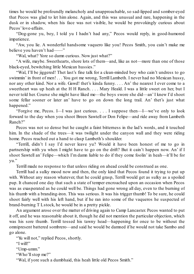times he would be profoundly melancholy and unapproachable, so sad-lipped and somber-eyed that Pecos was glad to let him alone. Again, and this was unusual and rare, happening in the dusk or in shadow, when his face was not visible, he would be provokingly curious about Pecos'love-affairs.

"Dog-gone yu, boy, I told yu I hadn't had any," Pecos would reply, in good-humored impatience.

"Aw, you lie. A wonderful handsome vaquero like you! Pecos Smith, you cain't make me believe you haven't had——"

"Wal, what? Yore so damn curious. Now just what?"

"A wife, maybe. Sweethearts, shore lots of them—and, like as not—more than one of those black-eyed, bewitching little Mexican hussies."

"Wal, I'll be jiggered! Thet last's fine talk for a clean-minded boy who cain't undress to go swimmin' in front of men! . . . You got me wrong, Terrill Lambeth. I never had no Mexican hussy, nor any other kind. Nor a wife. Gawd! thet's kinda funny. . . . An' the nearest I ever come to a sweetheart was up heah at the H H Ranch. . . . Mary Heald. I was a little sweet on her, but I never told her. Course she might have liked me—the boys swore she did—an'I knew I'd shoot some fellar sooner or later an' have to go on down the long trail. An' thet's just what happened."

"Forgive me, Pecos. I—I was just curious. . . . I suppose then—I—we've only to look forward to the day when you shoot Breen Sawtell or Don Felipe—and ride away from Lambeth Ranch?"

Pecos was not so dense but he caught a faint bitterness in the lad's words, and it touched him. In the shade of the trees—it was twilight under the canyon wall and they were riding home. Pecos reached out a hand to clasp Lambeth's shoulder.

"Terrill, didn't I say I'd never leave yu? Would it have been honest of me to go in partnership with yu when I might have to go on the drift? But it cain't happen now. An' if I shoot Sawtell an' Felipe—which I'm damn liable to do if they come foolin' in heah—it'll be for yu."

Terrill made no response to that unless riding on ahead could be construed as one.

Terrill had a sulky mood now and then, the only kind that Pecos found it trying to put up with. Without any reason whatever, that he could grasp, Terrill would get as sulky as a spoiled pup. It chanced one day that such a state of temper encroached upon an occasion when Pecos was as exasperated as he could well be. Things had gone wrong all day, even to the burning of his thumb with a branding-iron. This was serious. It was his trigger thumb! To be sure, he could shoot fairly well with his left hand, but if he ran into some of the vaqueros he suspected of brand-burning T Lstock, he would be in a pretty pickle.

An argument arose over the matter of driving again to Camp Lancaster. Pecos wanted to put it off, and he was reasonable about it, though he did not mention the particular objection, which was his sore thumb. Terrill tossed his tawny head—happening for once to be without the omnipresent battered sombrero—and said he would be damned if he would not take Sambo and go alone.

"Yu will not," replied Pecos, shortly.

"I will!"

"Ump-umm."

"Who'llstop me?"

"Wal, if yore such a dumbhaid, this heah little old Pecos Smith."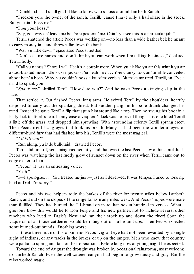"Dumbhaid! . . . I shall go. I'd like to know who's boss around Lambeth Ranch."

"I reckon yore the owner of the ranch, Terrill, 'cause I have only a half share in the stock. But yu cain't boss me."

"I *am* your boss."

"Say, go away an'leave me be. Yore pesterin'me. Cain't yu see this is a particular job."

Terrillsnatched the article Pecos was working on—no less than a wide leather belt he meant to carry money in—and threw it far down the bank.

"Wal, yu little devil!" ejaculated Pecos, nettled.

"Don't call me names and don't think you can work when I'm talking business," declared Terrill, hotly.

"Call yu names? Shore I will. Heah's a couple more. When yu air like yu air this minnit yu air a dod-blasted mean little kickin'jackass. Yu heah me? . . . Yore cranky, too, an'turrible conceited aboot bein' a boss. Why, yu couldn't boss a lot of mavericks. Yu make me tired, Terrill, an'I've a mind to spank you."

"*Spank me!*" shrilled Terrill. "How dare you?" And he gave Pecos a stinging slap in the face.

That settled it. Out flashed Pecos' long arms. He seized Terrill by the shoulders, heartily disposed to carry out the spanking threat. But sudden pangs in his sore thumb changed his mind. Instead he gave Terrill a flip that spun him around like a top. Then he swung his boot in a lusty kick to Terrill's rear. In any case a vaquero's kick was no trivial thing. This one lifted Terrill a little off the grass and dropped him sprawling. With astounding celerity Terrill sprang erect. Then Pecos met blazing eyes that took his breath. Many as had been the wonderful eyes of different-hued fury that had flashed into his, Terrill's were the most magical.

"*I'll kill you!*"

"Run along, yu little bull-haid," drawled Pecos.

Terrill did run off, screaming incoherently, and that was the last Pecos saw of himuntil dusk. Pecos was watching the last ruddy glow of sunset down on the river when Terrill came out to edge closer to him.

"Pecos." It was an entreating voice.

"Yeah"

"I—I apologize. . . . You treated me just—just as I deserved. It was temper. I used to lose my haid at Dad. I'msorry."

Pecos and his two helpers rode the brakes of the river for twenty miles below Lambeth Ranch, and out on the slopes of the range for as many miles west. And Pecos' hopes were more than fulfilled. They had burned the T Lbrand on more than seven hundred mavericks. What a grievous blow this would be to Don Felipe and his new partner, not to include several other ranchers who lived in Eagle's Nest and ran their stock up and down the river! Soon the vaqueros of all those cattlemen would be riding out on full round-ups. Then Pecos expected some burned-out brands, if nothing worse.

In these three hot months of summer Pecos' vigilant eye had not been rewarded by a single sight of Indians, or any tracks in the brakes or up on the ranges. Men who knew that country were partial to spring and fall for their operations. Before long now anything might be expected.

Toward the end of August the drought was broken by occasional rainstorms, most welcome to Lambeth Ranch. Even the well-watered canyon had begun to grow dusty and gray. But the rains worked magic.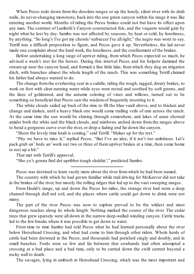When Pecos rode down from the desolate ranges or up the lonely, silent river with its drab walls, its never-changing monotony, back into the one green canyon within his range it was like entering another world. Months of riding the Pecos brakes could not but have its effect upon any man. The contrast of Lambeth's Canyon counteracted this, and the vaquero would gain by night what he lost by day. Sambo was not affected by seasons, by heat or cold, by loneliness, by anything. "So long's I'se got my chewin'-terbaccer I'se all right," the negro was wont to say. Terrill was a difficult proposition to figure, and Pecos gave it up. Nevertheless, the lad never made one complaint about the hard work, the loneliness, and the confinement of the brakes.

Before undertaking a long siege of upriver riding, from which Pecos expected so much, he advised a week's rest for the horses. During this interval Pecos and his helpers dammed the stream up near the canyon head, and formed a fine little lake, from which they dug an irrigation ditch, with branches almost the whole length of the ranch. This was something Terrill claimed his father had always wanted to do.

The change fromthe everlasting seat in a saddle, riding the rough, ragged, dreary brakes, to work on foot with clear running water while eyes were rested and soothed by soft greens, and the lines of goldenrod, and the autumn coloring of vines and willows, turned out to be something so beneficial that Pecos saw the wisdomof frequently resorting to it.

The white clouds sailed up back of the rims to fill the blue vault above, and to thicken and change and darken, until a heavy black one would come trailing veils of rain across the ranch. At the same time the sun would be shining through somewhere, and lakes of azure showed amidst both the white and the black clouds, and rainbows arched down from the ranges above to bend a gorgeous curve over the river, or drop a fading end far down the canyon.

"Shore the lovely time heah is coming," said Terrill. "Makes up for the rest."

"Pity we have to miss it," replied Pecos. "But I've an idee, if it isn't too ambitious. Let's pack grub an' beds an' work out two or three of them upriver brakes at a time, then come home to rest up a bit."

That met with Terrill's approval.

"Sho yo's gonna find det upribber tough sleddin'," predicted Sambo.

Pecos was destined to learn vastly more about the river fromwhich he had been named.

The country with which he had grown familiar while trail driving for McKeever did not take in the brakes of the river, but mostly the rolling ridges that led up to the vast sweeping ranges.

From Heald's range, up and down the Pecos for miles, the strange river had worn a deep channel through dull red soil, and the places where cattle could get down to drink were not many.

The part of the river Pecos was now to explore proved to be the wildest and most dangerous reaches along its whole length. Nothing marked the course of the river. The cedar trees that grew sparsely were all down in the narrow deep-walled winding canyon. Cattle tracks led to the few breaks where it was possible to get down to water.

From time to time Sambo had told Pecos what he had learned personally about the river below Horsehead Crossing, and what had come to him through other riders. Whole herds of cattle had been drowned in the Pecos, and thousands had perished singly and doubly, and in small bunches. Fords were so few and far between that cowhands had often attempted a crossing at a bad place and a bad time, only to be carried down the swift current beyond a rocky wall to death.

The savages, lying in ambush at Horsehead Crossing, which was the most important and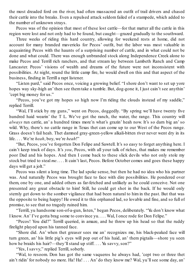the most dreaded ford on the river, had often massacred an outfit of trail drivers and chased their cattle into the breaks. Even a repulsed attack seldom failed of a stampede, which added to the number of unknown strays.

Pecos was of the opinion that most of these lost cattle—for that matter all the cattle in this region were lost and not only had to be found, but caught—grazed gradually to the southward.

Three weeks of riding this hard country, allowing for weekend rests at home, did not account for many branded mavericks for Pecos' outfit, but the labor was most valuable in acquainting Pecos with the haunts of a surprising number of cattle, and in what could not be done and what could. There was enough unbranded stock along Independence Creek alone to make Pecos and Terrill rich ranchers, and that stream lay between Lambeth Ranch and Camp Lancaster. Pecos' visions of wealth and dreams of the future were not inconsistent with possibilities. At night, round the little camp fire, he would dwell on this and that aspect of the business, finding in Terrill a rapt listener.

"Listen pard," said Pecos once, voicing a growing belief. "I shore don't want to set up yore hopes way sky-high an'then see them take a tumble. But, dog-gone it, I just cain't see anythin' 'cept big money for us."

"Pecos, you've got my hopes so high now I'm riding the clouds instead of my saddle," replied Terrill.

"Wal, I'll stick by my guns," went on Pecos, doggedly. "By spring we'll have twenty five hundred haid wearin' the T L. We've got the ranch, the water, the range. This country will *always* run cattle, an' a hundred times more'n what's grazin' heah now. It's so darn big an' so wild. Why, there's no cattle range in Texas thet can come up to our West of the Pecos range. Grass doesn't fail heah. Thet damned gray-green-yellow alkali-bitten river never went dry in its life. . . . We're *heah*, boy, we're *heah*!"

"But, Pecos, you've forgotten Don Felipe and Sawtell. It's so easy to forget anything here. I cain't keep track of days. It's *you*, Pecos, with all your talk of riches, that makes me remember poor Dad and his hopes. And then I come back to these slick devils who not only stole my stock but tried to steal *me*. . . . It cain't last, Pecos. Before October comes and goes these happy days will get a jolt."

Pecos was silent a long time. The lad spoke sense, but then he had no idea who his partner was. And naturally Pecos was brought face to face with dire possibilities. He pondered over them, one by one, and added others as far-fetched and unlikely as he could conceive. Not one presented any great obstacle to him! Still, he could get shot in the back. If he would only sternly get down to the somber vigilance that had been natural to him in the past. But that was the opposite to being happy! He owed it to this orphaned lad, so lovable and fine, and so full of promise, to see that no tragedy ruined him.

"Terrill, yu handsome son-of-a-gun, listen," began Pecos, deliberately. "Yu don't know what I know. An' I've gotta brag some to convince yu. . . . Wal, I once rode for Don Felipe."

"Pecos! You did?" Terrill queried, in amaze, and he threw up his head so that the ruddy firelight played upon his tanned face.

"Shore did. An' when thet greaser sees me an' recognizes me, his black-peaked face will turn green, an' his little pig's eyes will pop out of his haid, an' them pigtails—shore yu seen how he braids his hair?—they'll stand up stiff... Yu savvy, son?"

"Yes, I savvy," replied Terrill, soberly.

"Wal, to resoom. Don has got the same vaqueros he always had, 'cept two or three thet ain't ridin' for nobody no more. Ha! Ha! . . . An' do they know me? Wal, yu'll see some day, an'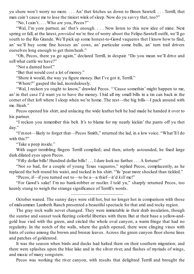yu shore won't worry no more. . . . An' thet fetches us down to Breen Sawtell. . . . Terrill, thet man cain't cause me to lose the tiniest wink of sleep. Now do yu savvy thet, too?"

"No, I cain't. . . . Who *are* you, Pecos?"

"Wal, I'm yore partner, an' thet's enough. . . . Now listen to this new idee of mine. Next spring or fall, at the latest, *provided* we're free of worry aboot the Felipe-Sawtell outfit, we'll go south to the Rio Grande. We'll pick up some honest-to-Gawd vaqueros thet I know how to find, an' we'll buy some fine hosses an' cows, an' particular some bulls, an' turn trail drivers ourselves long enough to get themheah."

"Oh, Pecos, there yu go again," declared Terrill, in despair. "Do you mean we'll drive and sell what cattle we have?"

"Not a darned hoof"

"But that would cost a lot of money."

"Shore it would, the way yu figure money. But I've got it, Terrill."

"Where?" gasped the lad, incredulously.

"Wal, I reckon yu ought to know," drawled Pecos. "'Cause somethin' might happen to me, an' in thet case I'd want yu to have the money. I hid all my small bills in a tin can back in the corner of thet loft where I sleep when we're home. The rest—the big bills—I pack around with me. Heah."

Pecos opened his shirt, and unlacing the wide leather belt he had made he handed it over to his partner.

"I reckon you remember this belt. It's to blame for my nearly kickin' the pants off yu thet day."

"I'mnot—likely to forget that—Pecos Smith," returned the lad, in a low voice. "What'll I do with this?"

"Take a peep inside."

With eager trembling fingers Terrill complied; and then, utterly astounded, he fixed large dark dilated eyes upon Pecos.

"Fifty dollar bills! Hundred dollar bills! . . . I dare look no farther. . . . A fortune!"

"Not so bad, for a couple of young Texas vaqueros," replied Pecos, complacently, as he replaced the belt round his waist, and tucked in his shirt. "Yu 'pear more shocked than tickled."

"Pecos, if—if you turned out to—to be a—a thief—it'd *kill* me!"

"For Gawd's sake! I'm no bank-robber or rustler. I told yu," sharply returned Pecos, too keenly stung to weigh the strange significance of Terrill's words.

October waned. The sunny days were still hot, but no longer hot in comparison with those of midsummer. Lambeth Ranch presented a beautifulspectacle for that arid and rocky region.

The gray rock walls never changed. They were immutable in their drab insulation, though the sunrise and sunset took fleeting colorful liberties with them. But at their base a yellow-andgold hue vied with the green, and circled the whole oval canyon, a warm fringe that had no regularity. In the notch of the walls, where the gulch opened, there were clinging vines with hints of cerise among the brown and bronze leaves. Across the green canyon floor shone lines and patches of goldenrod.

It was the season when birds and ducks had halted there on their southern migration; and there were splashes upon the blue lake and in the silver river, and flashes of myriads of wings, and music of many songsters.

Pecos was working the river canyon, with results that delighted Terrill and brought the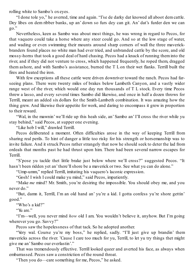rolling white to Sambo's oxeyes.

"I done tole yo," he averred, time and again. "I'se de darky dat knowed all aboot dem cattle. Dey libes on dem ribber banks, up an' down so furs dey can git. An' dat's furder den we can go."

Nevertheless, keen as Sambo was about most things, he was wrong in regard to Pecos, for that vaquero could take a horse where any steer could go. And so at the low stage of water, and wading or even swimming their mounts around sharp corners of wall the three maverickbranders found places no white man had ever tried, and unbranded cattle by the score, and old mossy-horns that took a good deal of hard chasing. Pecos had a knack of running theminto the river, and if they did not venture to cross, which happened frequently, he roped them, dragged them ashore, and with Sambo's assistance, burned the T L on their wet flanks. Terrill built the fires and heated the iron.

With few exceptions all these cattle were driven downriver toward the ranch. Pecos had farseeing plans. There were twenty miles of brakes below Lambeth Canyon, and a vastly wider range west of the river, which would one day run thousands of T L stock. Every time Pecos threw a lasso, and every several times Sambo did likewise, and once in half a dozen throws for Terrill, meant an added six dollars for the Smith-Lambeth combination. It was amazing how the thing grew. And likewise their appetite for work, and daring to encompass it grew in proportion to their reward.

"Wal, in the mawnin' we'll ride up this heah side, an' Sambo an' I'll cross the river while yu stay behind," said Pecos, at supper one evening.

"Like hob I will," drawled Terrill.

Pecos deliberated a moment. Often difficulties arose in the way of keeping Terrill from sharing real perils. To hint of danger a little too risky for his strength or horsemanship was to invite failure. And it struck Pecos rather strangely that now he should seek to deter the lad from ordeals that months past he had thrust upon him. There had been several narrow escapes for Terrill.

"S'pose yu tackle thet little brake just below where we'll cross?" suggested Pecos. "It hasn't been ridden yet an'there'll shore be a maverick or two. See what yu can do alone."

"Ump-umm," replied Terrill, imitating his vaquero's laconic expression.

"Gosh! I wish I could make yu mind," said Pecos, impatiently.

"Make *me* mind? Mr. Smith, you're desiring the impossible. You should obey me, and you never do."

"But, damn it, Terrill, I'm an old hand an' yu're a kid. I gotta confess yu're shore gettin' good."

"Who's a kid?"

"Yu are."

"I'm—well, you never mind *how* old I am. You wouldn't believe it, anyhow. But I'm going wherever you go. Savvy?"

Pecos saw the hopelessness of that tack. So he adopted another.

"Very wal. Course yu're my boss," he replied, sadly. "I'll just give up brandin' them mavericks across the river. 'Cause I care too much for yu, Terrill, to let yu try things thet might give me an'Sambo our everlastin'."

That was tremendously effective. Terrill looked queer and averted his face, as always when embarrassed. Pecos saw a constriction of the round throat.

"Then you do—care something for me, Pecos," he asked.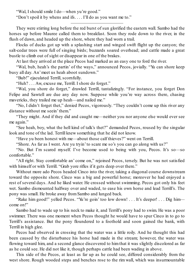"Wal, I should smile I do—when yu're good."

"Don't spoil it by whens and ifs. . . . I'll do as you want me to."

They were stirring long before the red burst of sun glorified the eastern wall. Sambo had the horses up before Mauree called them to breakfast. Soon they rode down to the river, in the flush of dawn, and headed up the shore, where they had worn a trail.

Flocks of ducks got up with a splashing start and winged swift flight up the canyon; the salt-cedar trees were full of singing birds; buzzards soared overhead; and cattle made a great bustle to climb out of sight or disappear in one of the brakes.

At last they arrived at the place Pecos had marked as an easy one to ford the river.

"Wal, bub, heah's the partin' of the ways," announced Pecos, jovially. "Yu can shore keep busy all day. An'meet us heah aboot sundown."

"Bub!" ejaculated Terrill, scornfully.

"Huh? . . . Aw, excuse me, Terrill. I shore do forget."

"Wal, you shore do forget," drawled Terrill, tantalizingly. "For instance, you forget Don Felipe and Sawtell are due any day now. Suppose while you're way across there, chasing mavericks, they trailed me up heah—and nailed me."

"No, I didn't forget thet," denied Pecos, vigorously. "They couldn't come up this river any distance without me seein' them."

"They might. And if they did and caught me—neither you nor anyone else would ever see me again."

"See heah, boy, what the hell kind of talk's thet?" demanded Pecos, roused by the singular look and tone of the lad. Terrill knew something that he did not know.

"Have yu been honest with me—about those calf thieves?" went on Terrill.

"Shore. As far as I went. Are yu tryin'to scare me so's you can go along with us?"

"No. But I'm scared myself. I've become used to being with you, Pecos. It's so—so comfortable."

"All right. Stay comfortable an' come on," rejoined Pecos, tersely. But he was not satisfied with himself or with Terrill. "Grab yore rifles if it gets deep over there."

Without more ado Pecos headed Cinco into the river, taking a diagonal course downstream toward the opposite shore. Cinco was a big and powerful horse; moreover he had enjoyed a rest of several days. And he liked water. He crossed without swimming. Pecos got only his feet wet. Sambo dismounted halfway over and waded, to ease his own horse and lead Terrill's. The pony was small. He broke away fromSambo and lunged back.

"Rake him good!" yelled Pecos. "Yu're goin' too low down! . . . It's deeper! . . . Dig him come on!"

Sambo had to wade up to his neck to make it, and Terrill's pony had to swim. He was a poor swimmer. There was one moment when Pecos thought he would have to spur Cinco in to go to Terrill's assistance. But the pony floundered to a foothold and soon gained the bank, with Terrill in high glee.

Pecos had observed in crossing that the water was a little roily. And he thought this had been caused by the disturbance his horse had made in the stream; however, the water was flowing toward him, and a second glance discovered to himthat it was slightly discolored as far as he could see. He did not like it, though perhaps cattle had been wading in above.

This side of the Pecos, at least as far up as he could see, differed considerably from the west shore. Rough wooded steps and benches rose to the rim wall, which was insurmountable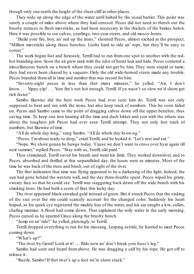though only one-tenth the height of the sheer cliff in other places.

They rode up along the edge of the water until halted by the usual barrier. This point was surely a couple of miles above where they had crossed. Pecos did not need to thresh out the brushy terraces to flush mavericks, as had been necessary in the thickets of the brakes below. Here it was possible to see calves, yearlings, two-year steers, and old mossy-horns.

"Build yore fire, boy, an' red up the irons," shouted Pecos, almost excited at the prospect. "Million mavericks along these benches. Looks hard to ride an' rope, but they'll be easy to corner"

The work began fast and furiously. Terrill had to run from one spot to another with the redhot branding-iron. Soon the air grew rank with the odor of burnt hair and hide. Pecos cornered a miscellaneous bunch on a bench where they could not get by him. They were stupid or tame; they had never been chased by a vaquero. Only the old wide-horned steers made any trouble. Pecos branded themall in time and number that was record for him.

"Seventy-eight pesos in less than thet many minutes," he yelled. "Aw, I don't know. . . . Yippy-yip! . . . Yore fire's not hot enough, Terrill. If yu wasn't so slow we'd shore get rich faster"

Sambo likewise did the best work Pecos had ever seen him do. Terrill was not only supposed to heat and run with the irons, but also keep track of numbers. This he soon failed on. Pecos and Sambo came to the point of dragging calves down off the upper benches, thus saving time. To keep one iron heating all the time and dash hither and yon with the others was about the toughest job Pecos had ever seen Terrill attempt. They not only lost track of numbers, but likewise of time.

"All de whole day long," sang Sambo. "All de whole day lo-on-ng."

"Pecos, I'mabout ready to drop," cried Terrill, and he looked it. "Let's rest and eat."

"Nope. We shore gonna be hawgs today. 'Cause we don't want to cross over hyar again till next summer," replied Pecos. "Stay with us, Terrill, old pard."

Thus stimulated, Terrill saved his breath and went his limit. They worked downriver, and to Pecos, absorbed and thrilled at this unparalleled day, the hours were as minutes. Most of the time he was back of the trees and brash, out of sight of the river.

The first indication that time was flying appeared to be a darkening of the light. Indeed, the sun had gone behind the western wall, and the day three-fourths spent. Pecos wiped his grimy, sweaty face so that he could see. Terrill was staggering back down off the wide bench with his smoking irons. He had built a score of fires this lucky day.

The river appeared black-streaked gold instead of green. But it struck Pecos that the sinking of the sun over the rim could scarcely account for the changed color. Suddenly his heart leaped, as his quick eye registered the muddy hue of the water, and his ear caught a low, sullen, chafing murmur. A flood had come down. That explained the roily water in the early morning. Pecos cursed as he spurred Cinco along the brushy bench.

"Jump on an'ride!" he yelled, piercingly, to Terrill.

Terrill dropped everything to run for his mustang. Leaping astride, he hurried to meet Pecos coming down.

"What's up?"

"The river, by Gawd! Look at it! . . . Ride now an' don't break yore hoss's leg."

Sambo had seen and heard from above. He was dragging a calf by his rope. He got off to release it.

"Rustle, Sambo! If thet river's up a foot we're shore stuck."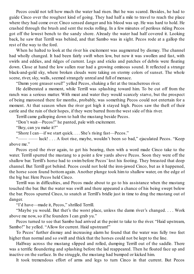Pecos could not tell how much the water had risen. But he was scared. Besides, he had to guide Cinco over the roughest kind of going. They had half a mile to travel to reach the place where they had come over. Cinco sensed danger and his blood was up. He was hard to hold. He crashed through the brush and sent the rocks rolling. In a few minutes of perilous riding Pecos got off the lowest bench to the sandy shore. Already the water had half covered it. Looking back, he saw that Terrill was behind, and that Sambo was in sight. Pecos rode at a gallop the rest of the way to the ford.

When he halted to look at the river his excitement was augmented by dismay. The channel had wholly changed. It had been fairly swift when low, but now it was swollen and fast, with swirls and eddies, and ridges of current. Logs and sticks and patches of debris were floating down. Close at hand the low sullen roar had a growing ominous sound. It reflected a strange black-and-gold sky, where broken clouds were taking on stormy colors of sunset. The whole scene, river, sky, walls, seemed strangely unreal and full of menace.

"Damn yore greaser soul!" yelled Pecos, shaking a fist at the treacherous river.

He deliberated a moment, while Terrill was splashing toward him. To be cut off from the ranch was a serious matter. With meat and water they would scarcely starve, but the prospect of being marooned there for months, probably, was something Pecos could not entertain for a moment. At that season when the river got high it stayed high. Pecos saw the theft of their cattle and the ruin of their hopes, if they were barred fromthe west side of this river.

Terrill came galloping down to halt the mustang beside Pecos.

"Don't wait—Pecos!" he panted, pale with excitement.

"Boy, can yu make it?"

"Shore I can—if we start quick. . . . She's rising fast—Pecos."

"—— —— luck! . . . A foot rise, maybe, wouldn't been so bad," ejaculated Pecos. "Keep" above me."

Pecos eyed the river again, to get his bearing, then with a word made Cinco take to the water. Terrill spurred the mustang to a point a few yards above Pecos. Soon they were off the shallow bar. Terrill's horse had to swim before Pecos' lost his footing. They breasted that deep channel. But Terrill got behind. Pecos could not hold the iron-jawed Cinco, but as it happened, the horse soon found bottom again. Another plunge took him to shallow water, on the edge of the big bar. Here Pecos held Cinco.

Terrill was in difficulties, and Pecos made about to go to his assistance when the mustang touched the bar. But the water was swift and there appeared a chance of his being swept below the bar. Pecos spurred Cinco, to snatch at Terrill's bridle just in time to drag the mustang out of danger.

"I'd have—made it, Pecos," shrilled Terrill.

"Maybe yu would. But thet's the worst place, unless the damn river's changed. . . . Work above me now, so if he founders I can grab yu."

Pecos turned to see that Sambo had arrived at the point to take to the river. "Haid upstream, Sambo!" he yelled. "Allow for current. Haid upstream!"

To Pecos' further dismay and increasing alarm he found that the water was fully two feet higher than normal and so swift and thick that the horses could not be kept to the line.

Halfway across the mustang slipped and rolled, dumping Terrill out of the saddle. There was a terrific floundering and splashing before the lad reappeared. Then he floated face up and inactive on the surface. In the struggle, the mustang had bumped or kicked him.

It took tremendous effort of arms and legs to turn Cinco in that current. But Pecos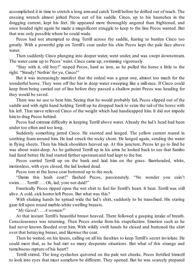accomplished it in time to stretch a long armand catch Terrill before he drifted out of reach. The ensuing wrench almost jerked Pecos out of his saddle. Cinco, up to his haunches in the dragging current, kept his feet. He appeared more thoroughly angered than frightened, and once headed right again he made a magnificent struggle to keep to the line Pecos wanted. But that was only possible where he could wade.

Pecos had not attempted to drag Terrill across the saddle, fearing to burden Cinco too greatly. With a powerful grip on Terrill's coat under his chin Pecos kept the pale face above water.

Then suddenly Cinco plunging into deeper water, went under, and was swept downstream. The water came up to Pecos'waist. Cinco came up, swimming vigorously.

"Stay with it, old boy!" rasped Pecos, hard as iron, as he pulled the horse a little to the right. "Steady! Nothin' for yu, Cinco!"

But it was increasingly manifest that the ordeal was a great one, almost too much for the wonderful horse. They were off the bar in deep water sweeping like a mill-race. If Cinco could keep from being carried out of line before they passed a shallow point Pecos was heading for they would be saved.

There was no use to beat him. Seeing that he would probably fail, Pecos slipped out of the saddle and with right hand holding Terrill up he dropped back to seize the tail of the horse with his left. That move relieved Cinco of the weight which had handicapped him. It did not impede himto drag Pecos behind.

Pecos had extreme difficulty in keeping Terrill above water. Already the lad's head had been under too often and too long.

Suddenly something jarred Cinco. He snorted and lunged. The yellow current roared in seething foam around him. He had struck the rocky shore. He lunged again, sending the water in flying sheets. Then his black shoulders heaved up. At this juncture, Pecos let go to find he was about waist-deep. As he gathered Terrill up in his arms he looked back to see that Sambo had fared better. He had started farther upstreamand had kept to the bar.

Pecos carried Terrill up on the bank and laid him on the grass. Bareheaded, white, motionless, with eyes closed, the lad looked dead.

Pecos tore at the loose coat buttoned up to the neck.

"Damn this heah coat!" flashed Pecos, passionately. "No wonder you cain't swim. . . . Terrill! . . . Oh, lad, yore not daid!"

Frantically Pecos ripped open the wet shirt to feel for Terrill's heart. It beat. Terrill was still alive. A cold, sick horror left Pecos. But what was this?

With shaking hands he spread wide the lad's shirt, suddenly to be transfixed. His staring gaze fell upon round marble-white swelling breasts.

"*My Gawd! . . . A woman!*"

At that instant Terrill's beautiful breast heaved. There followed a gasping intake of breath. Consciousness was returning. Then Pecos awoke from his stupefaction. Emotion such as he had never known flooded over him. With wildly swift hands he closed and buttoned the shirt over that betraying breast, and likewise the coat.

Then he waited, on his knees, calling on all his faculties to keep Terrill's secret inviolate. He could meet that, as he had met so many desperate situations. But what of this strange and tumultuous rapture of his heart?

Terrill stirred. The long eyelashes quivered on the pale wet cheeks. Pecos fortified himself to look into eyes that must somehow be different. They opened. But he was scarcely prepared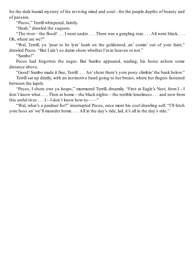for the dark humid mystery of the reviving mind and soul—for the purple depths of beauty and of passion.

"Pecos," Terrill whispered, faintly.

"Heah," drawled the vaquero.

"The river—the flood! . . . I went under. . . . There was a gurgling roar. . . . All went black. . . . Oh, where are we?"

"Wal, Terrill, yu 'pear to be lyin' heah on the goldenrod, an' comin' out of yore faint," drawled Pecos. "But I ain't so damn shore whether I'min heaven or not."

"Sambo!"

Pecos had forgotten the negro. But Sambo appeared, wading, his horse ashore some distance above.

"Good! Sambo made it fine, Terrill. . . . An'shore there's yore pony climbin'the bank below." Terrillsat up dizzily, with an instinctive hand going to her breast, where her fingers fastened between the lapels.

"Pecos, I shore owe yu heaps," murmured Terrill, dreamily. "First at Eagle's Nest, from I—I don't know what.... Then at home—the black nights—the terrible loneliness ... and now from this awful river. . . . I—I don't know how to——"

"Wal, what's a pardner for?" interrupted Pecos, once more his cool drawling self. "I'll fetch yore hoss an'we'll meander home. . . . All in the day's ride, lad, it's all in the day's ride."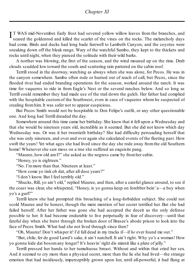**I** T WAS mid-November. Early frost had severed yellow willow leaves from the branches, and seared the goldenrod and killed the scarlet of the vines on the rocks. The melancholy days seared the goldenrod and killed the scarlet of the vines on the rocks. The melancholy days had come. Birds and ducks had long bade farewell to Lambeth Canyon; and the coyotes were sneaking down off the bleak range. Wary of the watchful Sambo, they kept to the thickets and rocks until night, when they pierced the solitude with their wild barks.

A norther was blowing, the first of the season, and the wind moaned up on the rims. Drab clouds scudded low toward the south and scattering rain pattered on the cabin roof.

Terrill stood in the doorway, watching as always when she was alone, for Pecos. He was in the canyon somewhere. Sambo often rode or hunted out of reach of call, but Pecos, since the flooded river had ended branding operations for the season, worked around the ranch. It was time for vaqueros to ride in from Eagle's Nest or the several ranches below. And so long as Terrill could remember they had made use of the trail down the gulch. Her father had complied with the hospitable custom of the Southwest, even in case of vaqueros whom he suspected of stealing fromhim. It was safer not to appear suspicious.

But Pecos Smith would not be hospitable to Don Felipe's outfit, or any other questionable one. And long had Terrill dreaded the day.

Somewhere around this time came her birthday. She knew that it fell upon a Wednesday and that she would be nineteen years old, incredible as it seemed. But she did not know which day Wednesday was. Or was it her twentieth birthday? She had difficulty persuading herself that she was only nineteen, and over and over again she calculated events of the fleeting past. How swift the years! Yet what ages she had lived since the day she rode away fromthe old Southern home! Whenever she saw moss on a tree she suffered an exquisite pang.

"Mauree, how old amI?" she asked as the negress came by fromher cabin.

"Honey, yo is eighteen."

"No. I'mmore than that. Nineteen at least."

"How come yo tink ob dat, after all dese years?"

"I don't know. But I feel terribly old."

"Shucks, Rill, yo ain't old," replied Mauree, and then, after a careful glance around, to see if the coast was clear, she whispered, "Honey, is yo gonna keep on forebber bein' a—a boy when yo's a gurl?"

Terrill knew she had prompted this broaching of a long-forbidden subject. She could not scold Mauree and be honest, though the mere mention of her secret terrified her. But she had failed herself. After her father was gone she had accepted the deceit as the only defense possible to her. It had become endurable to live perpetually in fear of discovery—until that fateful day when she burst through the broken door of Brasee's abode prison to look into the face of Pecos Smith. What had she not lived through since then?

"Oh, Mauree! Don't whisper it! I'd fall dead in my tracks if—if *he* ever found me out."

"But, chile, fer de good Lawd's sake, it ain't natchell. It ain't right. Why yo's a woman! How yo gonna hide dat bosomany longer? It's heavin'right dis minnit like a plate of jelly."

Terrill pressed her hands to her tumultuous breast. Without and within that cried her sex. And it seemed to cry more than a physical secret, more than the lie she had lived—the strange emotion that had insidiously, imperceptibly grown upon her, until all-powerful, it had flung at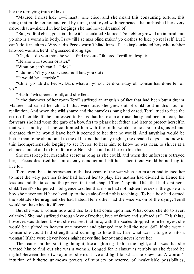her the terrifying truth of love.

"Mauree, I must hide it—I must," she cried, and she meant this consuming torture, this thing that made her hot and cold by turns, that toyed with her peace, that ambushed her every mood, that awakened in her longings she had never dreamed of.

"But, yo fool chile, yo cain't hide it," ejaculated Mauree. "Yo nebber growed up in mind, but yo sho is a woman in body. I sew till I'se mos blind makin' yo clothes to hide yo real self. But I can't do it much mo. Why, if dis Pecos wuzn't blind himself—a simple-minded boy who nebber knowed woman, he'd 'a' guessed it long ago."

"Oh, do—do you think he will—find me out?" faltered Terrill, in despair.

"He sho will, sooner or later."

"What on earth can I—I do?"

"I dunno. Why yo so scared he'll find you out?"

"It would be—terrible."

"Chile, yo lub dis Pecos. Dat's what ail yo so. De doomsday ob woman has done fell on yo."

"Hush!" whispered Terrill, and she fled.

In the darkness of her room Terrill suffered an anguish of fact that had been but a dream. Mauree had called her child. If that were true, she grew out of childhood in this hour of realization. And when the wild shame and the nameless pang had eased, Terrill tried to face the crisis of her life. If she confessed to Pecos that her claim of masculinity had been a hoax, that for years she had worn the garb of a boy, first to please her father, and later to protect herself in that wild country—if she confronted him with the truth, would he not be so disgusted and alienated that he would leave her? It seemed to her that he would. And anything would be better than to be abandoned to the old fears, the lonely nights, the dreaded days—and now to this incomprehensible longing to see Pecos, to hear him, to know he was near, to shiver at a chance contact and to burn for more. No—she could not bear to lose him.

She must keep her miserable secret as long as she could, and when the unforseen betrayed her, if Pecos despised her unmaidenly conduct and left her—then there would be nothing to live for.

Terrill went back in retrospect to the last years of the war when her mother had trained her to meet the very part her father had forced her to play. Her mother had divined it. Hence the lessons and the talks and the prayers that had shaped Terrill's spiritual life, that had kept her a child. Terrill's sharpened intelligence told her that if she had not hidden her sexin the guise of a boy she never could have lived up to those aloof and noble teachings. To be a boy had earned the solitude she imagined she had hated. Her mother had the wise vision of the dying. Terrill would not have had it different.

But she was a woman now and this love had come upon her. What could she do to avert calamity? She had suffered through love of mother, love of father, and suffered still. This thing, however, was different. And she realized that now, with the scales dropped from her eyes, she would be uplifted to heaven one moment and plunged into hell the next. Still, if she were a woman she could find strength and cunning to hide that. Else what was it to grow into a woman? If she were clever Pecos might never find her out and never leave her.

Then came another startling thought, like a lightning flash in the night, and it was that she wanted him to find out she was a woman. Longed for it almost as terribly as she feared he might! Between these two agonies she must live and fight for what she knew not. A woman's intuition of hitherto unknown powers of subtlety or reserve, of incalculable possibilities,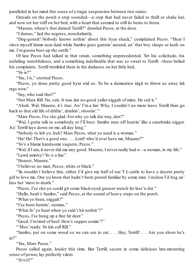paralleled in her mind this sense of a tragic suspension between two states.

Outside on the porch a step sounded—a step that had never failed to thrill or shake her, and now set her stiff on her bed, with a heart that seemed to still its beats to listen.

"Mauree, where's thet darned Terrill?" drawled Pecos, at the door.

"I dunno," lied the negress, nonchalantly.

"Dog-goneit! Nobody knows nothin' aboot this hyar shack," complained Pecos. "Hyar I slave myself damn near daid while Sambo goes gunnin' around, an' thet boy sleeps or loafs on me. I'mgonna bust up the outfit."

Of late Pecos had talked in that strain, something unprecedented. Yet his solicitude, his unfailing watchfulness, and a something indefinable that was so sweet to Terrill—these belied his complaints. Terrill trembled there in the darkness on her little bed.

"Yo is?"

"Yas, I is," snorted Pecos.

"Pecos, yo done pretty good hyar wid us. Yo be a damnation idgit to throw us away lak rags now."

"Say, who said thet?"

"Not Mars Rill. No, suh. It was dat no-good yaller niggah of mine. He sed it."

"Ahuh. Wal, Mauree, it's true. An' I'm a liar. Why, I couldn't no more leave Terrill than go back to thet old life of driftin', drinkin', shootin'."

"Mars Pecos, I'se sho glad. For why yo talk dat way, den?"

"Wal, I gotta talk to somebody or I'll bust. Sambo runs off huntin' like a canebrake nigger. An'Terrill lays down on me, all day long."

"Nobody to lub yo, huh? Mars Pecos, what yo need is a woman."

"Ha! Ha! Thet's a good one. . . . Lord! who'd ever have me, Mauree?"

"Yo's a blame handsome vaquero, Pecos."

"Wal, if I am, it never did me any good. Mauree, I never really had a—a woman, in my life."

"Lawd amercy! Yo *is* a liar."

"Honest, Mauree."

"I believes no man, Pecos, white or black."

"Yu wouldn't believe this, either. I'd give my half of our T L cattle to have a decent pretty girl to love me. One yu know thet hadn't been pawed familiar by some man. I reckon I'd hug an' kiss her 'most to death."

"Pecos, I'se sho yo could git some black-eyed greaser wench fer less'n dat."

"Hullo, heah's Sambo," said Pecos, at the sound of heavy steps on the porch.

"Whar yo been, niggah?"

"I'se been huntin', woman."

"What fo' yo hunt when yo cain't hit nothin'?"

"Pecos, I'se hung up a fine fat deer."

"Good. I'mtired of beef. How's supper comin'?"

"'Mos'ready. Yo kin call Rill."

"Sambo, put on some wood so we can see to eat. . . . Hey, Terrill! . . . Are you shore he's in?"

"Yas, Mars Pecos."

Pecos called again, louder this time. But Terrill, secure in some delicious late-mounting sense of power, lay perfectly silent.

"*Terrill!*"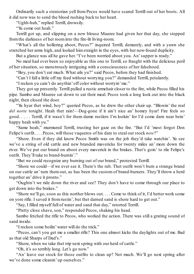Ordinarily such a stentorian yell from Pecos would have scared Terrill out of her boots. All it did now was to send the blood rushing back to her heart.

"Ughh-huh," replied Terrill, drowsily.

"Yu come out heah."

Terrill got up, and slipping on a new blouse Mauree had given her that day, she stepped fromthe darkness of her roominto the fire-lit living-room.

"What's all the hollering aboot, Pecos?" inquired Terrill, demurely, and with a yawn she stretched her arms high, and looked himstraight in the eyes, with her new-found duplicity.

But a glance was all he gave her. "I've been worried aboot you. An' supper is ready."

No meal had ever been so enjoyable as this one to Terrill, so fraught with the delicious peril of her situation, so monstrously intriguing with a consciousness of her falsehood.

"Boy, you don't eat much. What ails yu?" said Pecos, before they had finished.

"Can't I fall a little off my feed without worrying you?" demanded Terrill, petulantly.

"I reckon yu cain't do anythin' off color without worryin'me."

They got up presently. Terrill pulled a rustic armchair closer to the fire, while Pecos filled his pipe. Sambo and Mauree sat down to eat their meal. Pecos took a long look out into the black night, then closed the door.

"Yu hyar thet wind, boy?" queried Pecos, as he drew the other chair up. "Blowin' the real *del norte* tonight. Heah thet rain!—Dog-gone if it ain't nice an' homey hyar! Fire feels so good. . . . . Terrill, if it wasn't for them damn rustlers I'm lookin' for I'd come darn near bein' happy heah with yu."

"Same heah," murmured Terrill, trusting her gaze on the fire. "But I'd 'most forgot Don Felipe's outfit. . . . Pecos, will those vaqueros of his dare to steal our stock *now*?"

"Shore. Even if they did know Pecos Smith was on the job they'd take watchin'. Yu see we've a string of old cattle and new branded mavericks for twenty miles an' more down the river. We've put our brand on aboot every maverick in the brakes. Thet's goin' to rile Felipe's outfit. They'll take to brand-burnin'."

"But we could recognize any burning out of our brand," protested Terrill.

"Shore we could—if we ever see it. There's the rub. Thet outfit won't burn a strange brand on our cattle an' turn them out, as has been the custom of brand-burners. They'll throw a herd together an' drive it pronto."

"Oughtn't we ride down the river and see? They don't have to come through our place to get down into the brakes."

"Shore we'll go, soon as this norther blows out. . . . Come to think of it, I'd better work some on yore rifle. I saved it fromrustin', but thet darned sand is shore hard to get out."

"Say, I filled myself full of water and sand that day," retorted Terrill.

"Pretty close shave, son," responded Pecos, shaking his head.

Sambo fetched the rifle to Pecos, who worked the action. There was still a grating sound of sand inside.

"I reckon some boilin'water will do the trick."

"Pecos, can't you get me a smaller rifle? This one almost kicks the daylights out of me. Bad as that old Sharps of Dad's."

"Shore, when we take thet trip next spring with our herd of cattle."

"Oh, it's so terribly long. Let's go now."

"An' leave our stock for those outfits to clean up? Not much. We'll go next spring after we've done some cleanin' up ourselves."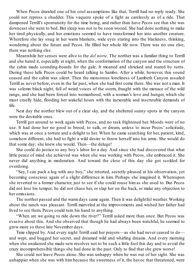When Pecos drawled one of his cool assumptions like that, Terrill had no reply ready. She could not repress a shudder. This vaquero spoke of a fight as carelessly as of a ride. That dampened Terrill's spontaneity for the time being, and rather than have Pecos see that she was downcast she went to bed. But sleep was not to be soon wooed. She had done nothing to make her tired physically, and her emotions seemed to have transformed her into another creature. Wherefore she lay snug in her warm blankets, wide eyes staring into the blackness, thinking, wondering about the future and Pecos. He filled her whole life now. There was no one else; there was nothing else.

Meanwhile her senses were alive to the *del norte*. The norther was a familiar thing to Terrill and she hated it, especially at night, when the conformation of the canyon and the structure of the cabin made sounding-boards for the gale. It moaned and shrieked and roared by turns. During these lulls Pecos could be heard talking to Sambo. After a while, however, this sound ceased and the cabin was silent. Then the monstrous loneliness of Lambeth Canyon assailed Terrill as never before, even in the far past, when she had first come there. She was not a man. It was solemn black night, full of weird voices of the storm, fraught with the menace of the wild range, and she had been forced into womanhood, with a woman's love and hunger, which she must cruelly hide, flooding her wakeful hours with the inexorable and inscrutable demands of life.

Next day the norther blew out of a clear sky, and the sheltered sunny spots in the canyon were the desirable ones.

Terrill got around to work again with Pecos, and no task frightened her. Moods were of no use. It had done her no good to brood, to sulk, or dream, unless to incur Pecos' solicitude, which was at once a torture and a delight to her. When he came searching for her, patient, kind, somehow different, she had to fight a wild desire to throw herself into his arms. She would do that some day; she knew she would. Then—the deluge!

She could do justice to any boy's labor for a day. And since she had discovered that what little peace of mind she achieved was when she was working with Pecos, she embraced it. She never did anything in moderation. And toward the close of this day she got scolded for overdoing.

"Say, I can pack a log with any boy," she retorted, secretly pleased at his observation, yet becoming conscious again of a slight difference in him. Perhaps she imagined it. Whereupon she reverted to a former character, just to see if she could rouse him as she used to. But Pecos did not lose his temper; he did not chase her, or slap her on the back, or make any objection to her omissions.

The norther passed and the warmdays came again. Then it was delightful weather. Working about the ranch was pleasant. Terrill marveled at the improvements and wished her father had lived to see them. Pecos could turn his hand to anything.

"When are we going to ride down the river?" Terrill asked more than once. But Pecos was evasive about this. And she observed that though he had always been watchful, he seemed to grow more so these late November days.

Time slipped by. And every night Terrill said her prayers—as she had never ceased to do and wept, and hugged her secret, and dreamed wild and whirling dreams. And every morning when she awakened she made new resolves not to be such a little fool this day and to avoid the crazy incomprehensible things she had done in the past. Only to find that she grew worse!

She could not leave Pecos alone. She was unhappy when he was out of her sight. She was unhappier when she was with him because the sweetness of it, the havoc that threatened, were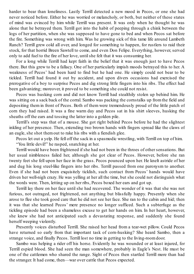harder to bear than loneliness. Lastly Terrill detected a new mood in Pecos, or one she had never noticed before. Either he was worried or melancholy, or both, but neither of these states of mind was evinced by him while Terrill was present. It was only when he thought he was alone that he betrayed them. Terrill got into the habit of peeping through a chink between the logs of her partition, when she was supposed to have gone to bed and when Pecos sat before the fire. Something was wrong with him. Was he growing sick of this tame life around Lambeth Ranch? Terrill grew cold all over, and longed for something to happen, for rustlers to raid their stock, for that horrid Breen Sawtell to come, and even Don Felipe. Everything, however, served only to add fuel to the fire of her love, untilshe felt that it was consuming her.

For a long while Terrill had kept faith in the belief that it was enough just to have Pecos there. But this grew to be a fallacy. One of her particularly impish moods betrayed this to her. A weakness of Pecos' had been hard to find but he had one. He simply could not bear to be tickled. Terrill had found it out by accident, and upon divers occasions had exercised the prerogative of a boy to surprise Pecos and dig strong little fingers into his ribs. The effect had been galvanizing; moreover, it proved to be something she could not resist.

Pecos was husking corn and did not know Terrill had stealthily stolen up behind him. He was sitting on a sack back of the corral. Sambo was packing the cornstalks up fromthe field and depositing them in front of Pecos. Both of them were tremendously proud of the little patch of corn they had raised. It was a fine warm day and Pecos sat in his shirt sleeves, husking the sheaths off the ears and tossing the latter into a golden pile.

Terrill's step was that of a mouse. She got right behind Pecos before he had the slightest inkling of her presence. Then, extending two brown hands with fingers spread like the claws of an eagle, she shot themout to rake his ribs with a fiendish glee.

Pecos let out a yelp. He fell off the sack in a spasmodic wrestling, with Terrill on top of him.

"You little devil!" he rasped, snatching at her.

Terrill would have been frightened if she had not been in the throes of other sensations. But her usual nimbleness failed her, although she got clear of Pecos. However, before she ran twenty feet she fell upon her face in the grass. Pecos pounced upon her. He knelt astride of her and dug his long steel-like fingers into her ribs. Terrill passed from one paroxysm to another. Even if she had not been exquisitely ticklish, such contact from Pecos' hands would have driven her well-nigh crazy. He was yelling at her all the time, but she could not distinguish what the words were. Then, letting up on her ribs, Pecos boxed her ears and got up.

Terrill lay there on her face until she had recovered. The wonder of it was that she was not furious, not outraged, not frightened, not anything but blissfully happy. Presently when she arose to flee she took good care that he did not see her face. She ran to the cabin and hid; then it was that she learned Pecos' mere presence no longer sufficed. Such a subterfuge as the tickling episode had been a shameless excuse to get her hands on him. In her heart, however, she knew she had not anticipated such a devastating response, and suddenly she found herself weeping violently.

Presently voices disturbed Terrill. She raised her head from a tear-wet pillow. Could Pecos have returned so early from that important task of corn-husking? She heard Sambo, then a strange voice, and finally Pecos. Terrill lost no time in getting to the living-roomdoor.

Sambo was helping a rider off his horse. Evidently he was wounded or at least injured, for Terrill espied blood. She had seen the man somewhere, probably in Eagle's Nest. He must be one of the cattlemen who shared the range. Sight of Pecos then startled Terrill more than had the stranger. It had come, then—war over cattle that Pecos expected.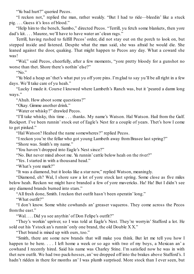"Yu bad hurt?" queried Pecos.

"I reckon not," replied the man, rather weakly. "But I had to ride—bleedin' like a stuck pig. . . . Guess it's loss of blood."

"Help him to the bench, Sambo," directed Pecos. "Terrill, yu fetch some blankets, then yore dad's kit. . . . Mauree, we'll have to have water an' clean rags."

Terrill, having rushed to fulfill Pecos' order, did not stay out on the porch to look on, but stepped inside and listened. Despite what the man said, she was afraid he would die. She leaned against the door, quaking. That might happen to Pecos any day. What a coward she was!

"Wal," said Pecos, cheerfully, after a few moments, "yore pretty bloody for a gunshot no worse than thet. Shore there's nothin' else?"

"No."

"Yu bled a heap an'thet's what put yu off yore pins. I'mglad to say yu'll be all right in a few days. We'll take care of yu heah."

"Lucky I made it. Course I knowed where Lambeth's Ranch was, but it 'peared a damn long ways."

"Ahuh. How aboot some questions?"

"Okay. Gimme another drink."

"Water or whisky?" drawled Pecos.

"I'll take whisky, this time . . . thanks. My name's Watson. Hal Watson. Hail from the Gulf. Rockport. I've been runnin'stock out of Eagle's Nest fer a couple of years. Thet's how I come to get pinked."

"Hal Watson? Heahed the name somewheres?" replied Pecos.

"I reckon you're the fellar who got young Lambeth away fromBrasee last spring?"

"Shore was. Smith's my name."

"You haven't dropped into Eagle's Nest since?"

"No. But never mind aboot me. Yu runnin' cattle below heah on the river?"

"Yes. I started in with a thousand head."

"What's yore mark?"

"It was a diamond, but it looks like a star now," replied Watson, meaningly.

"Diamond, eh? Wal, I shore saw a lot of yore stock last spring. Some close as five miles below heah. Reckon we might have branded a few of yore mavericks. Ha! Ha! But I didn't see any diamond brands burned into stars."

"All fresh done, Smith. I reckon thet outfit hasn't been operatin'long."

"What outfit?"

"I don't know. Some white cowhands an' greaser vaqueros. They come across the Pecos from the east."

"Wal. . . . Did yu see anythin' of Don Felipe's outfit?"

"They's workin' upriver, so I was told at Eagle's Nest. They're worryin' Stafford a lot. He sold out his Ystock an's runnin' only one brand, the old Double X X."

"Thet brand is mixed up with ours, too."

"Smith, there are some new brands that will make you think. But let me tell you how I happen to be here. . . . I left home a week or so ago with two of my boys, a Mexican an' a cowhand I recently hired. Said his name was Charley Stine. I'm satisfied now he was in with thet new outfit. We had two pack-hosses, an'we dropped off into the brakes above Stafford's. I hadn't ridden in there for months an' I was plumb surprised. More stock than I ever seen, but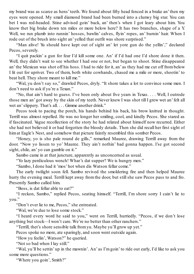my brand was as scarce as hens'teeth. We found about fifty head fenced in a brake an'then my eyes were opened. My small diamond brand had been burned into a clumsy big star. You can bet I was red-headed. Stine advised goin' back, an' then's when I got leary about him. You know thet big brake down ten miles or more below here? It has two branches, shape of a Y. Well, we run plumb into runnin' hosses, bawlin' calves, flyin' ropes, an' burnin' hair. When I rode out of the brush into sight an' yelled that outfit was shore surprised."

"Man alive! Yu should have kept out of sight an' let yore gun do the yellin'," declared Pecos, severely.

"I quit packin' a gun for fear I'd kill some one. An' if I'd had one I'd shore done it then. Well, they didn't wait to see whether I had one or not, but began to shoot. Stine disappeared an'the Mexican was shot off his hoss. I had to ride for it, an' as they had me cut off from below I lit out for upriver. Two of them, both white cowhands, chased me a mile or more, shootin' to beat hell. They shore meant to kill me."

"Wal, yu don't say so," drawled Pecos, dryly. "It shore takes a lot to convince some men. I don't need to ask if yu're a Texan."

"No, that ain't hard to guess. I've been only about five years in Texas. . . . Well, I outrode those men an' got away by the skin of my teeth. Never knew I was shot till I grew wet an'felt all wet an's lippery. That's all. . . . Gimme another drink."

Pecos took to pacing the porch, his hands behind his back, his brow knitted in thought. Terrill was almost repelled. He was no longer her smiling, cool, and kindly Pecos. She stared as if fascinated. Vague recollection of the story he had related about himself now recurred. Either she had not believed it or had forgotten the bloody details. Then she did recall her first sight of himat Eagle's Nest, and somehow that picture faintly resembled this somber Pecos.

"Honey, yo is sho pale round de gills," remarked Mauree, drawing Terrill away from the door. "Now yo lissen to yo' Mauree. They ain't nothin' bad gonna happen. I'se got second sight, chile, an' yo can gamble on it."

Sambo came in at that juncture, apparently as unconcerned as usual.

"Yo lazy perdiculous wench! Whar's dat supper? We is hungry men."

"Sambo, I done had it 'mos' hot when dis Watson fellar come."

The early twilight soon fell. Sambo revived the smoldering fire and then helped Mauree hurry the evening meal. Terrill kept away from the door, but still she saw Pecos pass to and fro. Presently Sambo called him.

"Boss, is dat fellar able to eat?"

"I reckon, Sambo," replied Pecos, seating himself. "Terrill, I'm shore sorry I cain't lie to you."

"Don't ever lie to me, Pecos," she entreated.

"Wal, we're due to lose some stock."

"I heard every word he said to you," went on Terrill, hurriedly. "Pecos, if we don't lose anything but stock—I won't care. We're no better than other ranchers."

"Terrill, thet's shore sensible talk fromyu. Maybe yu'll grow up yet."

Pecos spoke no more, ate sparingly, and soon went outside again.

"How yu feelin', Watson?" he queried.

"Not so bad when I lay still."

"Wal, yu'll be settin' up in the mawnin'. An' as I'm goin'to ride out early, I'd like to ask you some more questions."

"Where you goin', Smith?"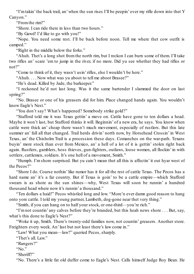"I'mtakin'the back trail, an'when the sun rises I'll be peepin' over my rifle down into thet Y Canyon."

"Fromthe rim?"

"Shore. I can ride there in less than two hours."

"By Gawd! I'd like to go with you!"

"Nope. You need some rest. I'll be back before noon. Tell me where thet cow outfit is camped."

"Right in the middle below the forks."

"Ahuh. Thet's a long shot from the north rim, but I reckon I can burn some of them. I'll take two rifles an' scare 'em to jump in the river, if no more. Did yu see whether they had rifles or not?"

"Come to think of it, they wasn't usin'rifles, else I wouldn't be here."

"Ahuh. . . . Now what was yu aboot to tell me aboot Brasee?"

"He's dead. Killed by Jade, the barkeeper."

"I reckoned he'd not last long. Was it the same bartender I slammed the door on last spring?"

"No. Brasee or one of his greasers did for him. Place changed hands again. You wouldn't know Eagle's Nest."

"You don't say? What's happened? Somebody strike gold?"

"Stafford told me it was Texas gettin' a move on. Cattle have gone to ten dollars a head. Maybe it won't last, but Stafford thinks it will. Beginnin' of a new era, he says. You know when cattle were thick an' cheap there wasn't much movement, especially of rustlers. But this late summer an' fall all that changed. Trail herds drivin' north now, by Horsehead Crossin' in West Texas, an' the Chisholm Trail is a procession these days. Comanches on the war-path. Texans buyin' more stock than ever from Mexico, an' a hell of a lot of it is gettin' stolen right back again. Rustlers, gamblers, hoss thieves, gun-fighters, outlaws, loose women, all flockin' in with settlers, cattlemen, soldiers. It's one hell of a movement, Smith."

"Humph. I'm shore surprised. But yu cain't mean thet all this is affectin'it out hyar west of the Pecos?"

"Shore I do. Course nothin'like rumor has it for all the rest of cattle Texas. The Pecos has a hard name an' it's a far country. But if Texas is goin' to be a cattle empire—which Stafford swears is as shore as the sun shines—why, West Texas will soon be runnin' a hundred thousand head where now it's runnin' a thousand."

"Ten dollars a haid!" Pecos whistled long and low. "More'n ever damn good reason to hang onto yore cattle. I told my young partner, Lambeth, dog-gone near thet very thing."

"Smith, if you can hang on to half your stock, or one-third—you're rich."

"I'm not countin' any calves before they're branded, but this heah news shore . . . But, say, what's this done to Eagle's Nest?"

"Woke it up, Smith. There's twenty-odd families now, not countin' greasers. Another store. Freighters every week. An'last but not least there's law come in."

"Law! What you mean—law?" queried Pecos, sharply.

"Thet's all. Law."

"Rangers?"

"No."

"Sheriff?"

"No. There's a little fat old duffer come to Eagle's Nest. Calls himself Judge Roy Bean. He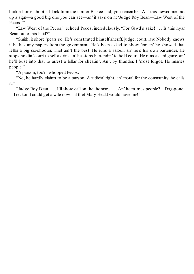built a home aboot a block from the corner Brasee had, you remember. An' this newcomer put up a sign—a good big one you can see—an'it says on it: 'Judge Roy Bean—Law West of the Pecos."

"Law West of the Pecos," echoed Pecos, incredulously. "For Gawd's sake! . . . Is this hyar Bean out of his haid?"

"Smith, it shore 'pears so. He's constituted himself sheriff, judge, court, law. Nobody knows if he has any papers from the government. He's been asked to show 'em an' he showed that fellar a big six-shooter. Thet ain't the best. He runs a saloon an' he's his own bartender. He stops holdin' court to sell a drink an' he stops bartendin'to hold court. He runs a card game, an' he'll bust into that to arrest a fellar for cheatin'. An', by thunder, I 'most forgot. He marries people."

"A parson, too?" whooped Pecos.

"No, he hardly claims to be a parson. A judicial right, an' moral for the community, he calls it."

"Judge Roy Bean! . . . I'llshore call on thet hombre. . . . An' he marries people?—Dog-gone! —I reckon I could get a wife now—if thet Mary Heald would have me!"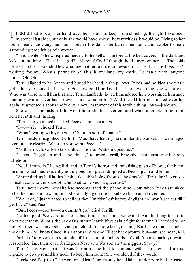$T$  ERRILL had to clap her hand over her mouth to keep from shrieking. It might have been<br>hyperical laughter, but only she would have known how mirthless it would be. Flying to her hysterical laughter, but only she would have known how mirthless it would be. Flying to her room, nearly knocking her brains out in the dark, she barred her door, and awoke to more astounding proclivities of a woman.

"Find a wife!" she whispered fiercely to herself as she tore at the bed covers in the dark and kicked at nothing. "That Heald girl?—Merciful God! I thought he'd forgotten her. . . . The coldhearted faithless wretch! He's what my mother told me to beware of... But I'm his boss. He's working for me. What's partnership? This is my land, my cattle. He can't marry anyone but . . . Oh! Oh!"

Terrill slipped to her knees and buried her head in the pillows. Pecos had no idea she was a girl—that she could be his wife. But how could he love her if he never knew she was a girl? Who was there to tell him that she, Terrill Lambeth, loved him, adored him, worshiped him more than any woman ever had or ever could worship him? And the old torment rushed over her again, augmented a thousandfold by a new instrument of this terrible thing, love—jealousy.

She was in the midst of the worst hour she had ever endured when a knock on her door sent her stiff and thrilling.

"Terrill, air yu in bed?" asked Pecos, in an anxious voice.

"I—I—Yes," choked Terrill.

"What's wrong with yore voice? Sounds sort of hoarse."

Terrill made a magnificent effort. "Must have had my haid under the blanket," she managed to enunciate clearly. "What do you want, Pecos?"

"Nothin'much. Only to talk a little. This man Watson upset me."

"Pecos, I'll get up and—and dress," returned Terrill, brazenly, anathematizing her silly falsehood.

"No. I'll come in," he replied, and to Terrill's horror and transfixing gush of blood, the bar of the door, which had evidently not slipped into place, dropped at Pecos' push and let himin.

"Shore dark as hell in this heah little cubbyhole of yores," he drawled. "First time I ever was in heah, come to think aboot it. Yu used to be such a queer lad."

Terrill never knew how she had accomplished the phenomenon, but when Pecos stumbled to her bed and sat down upon it she was lying on the far side with a blanket over her.

"Wal, son, I just wanted to tell yu thet I'm ridin' off before daylight an' won't see yu till I get back," said Pecos.

"But, Pecos—don't—you oughtn't go," cried Terrill.

"Listen, pard. We've struck some bad times. I reckoned we would. An' the thing for me to do is meet them. What's the use of us runnin' cattle if we cain't fight for them? If I needed yu or thought there was any risk leavin' yu behind I'd shore take yu along. But I'll be ridin'like hell in the dark. An' yu know Cinco. It's a thousand to one I'll get back pronto, but—an'see heah, Rill, I—I'm hatin' to give yu this hunch—if I lost out at such odds an' didn't come back, yu wait a reasonable time, then leave for Eagle's Nest with Watson an'the niggers. Savvy?"

Terrill's lips were mute. It was her arms she had to contend with—for they had a mad impulse to go up round his neck. To keep himhome! She wondered if they would.

"Reckoned I'd jar yu," he went on. "Heah's my money belt. Hide it under yore bed. In case I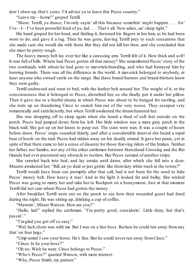don't show up, thet's yores. I'd advise yu to leave this Pecos country."

"Leave my—home!" gasped Terrill.

"Shore. Terrill, yu dunce, I'm only sayin' all this because somethin' *might* happen. . . . An' I've—I—I've been powerful fond of yu, lad. . . . Thet's all. Now adios, an'sleep tight."

His hand groped for her head, and finding it, fastened his fingers in her hair, as he had been wont to do, and gave it a tug. Then he was gone, leaving Terrill prey to such sensations that she made sure she would die with them. But they did not kill her then, and she concluded that she must be pretty tough.

The heavy money belt lay over her like a caressing arm. Terrill felt of it. How thick and soft! It was full of bills. Where had Pecos gotten all that money? She remembered Pecos'story of the two cowhands with whom he had gone to maverick-branding, and who had betrayed him by burning brands. There was all the difference in the world. A maverick belonged to anybody, at least anyone who owned cattle on the range. But these brand-burners and brand-blotters knew they were guilty.

Terrill undressed and went to bed, with the leather belt around her. The weight of it, or the consciousness that it belonged to Pecos, disturbed her, so she finally put it under her pillow. Then it gave rise to a fearful dream, in which Pecos was about to be hanged for rustling, and she rode up on thundering Cinco to snatch him out of the very noose. They escaped very romantically and satisfactorily, but when Terrill awakened the dreamhaunted her.

She was dropping off to sleep again when she heard a thud of soft feet outside on the porch. Pecos had jumped down from his loft. Her little window was a mere gray patch in the black wall. She got up on her knees to peep out. The stars were wan. It was a couple of hours before dawn. Pecos' steps sounded faintly, and after a considerable interval she heard a rapid beat of hoofs on the trail. Pecos had ridden away on his deadly errand. It gave her panic, yet in spite of that there came to her a sense of disaster for those thieving riders of the brakes. Neither her father, nor Sambo, nor any of the other cattlemen between Horsehead Crossing and the Rio Grande had ever presented any obstacle to rustlers. But Pecos seemed of another stripe.

She crawled back into bed, and lay awake until dawn, after which she fell into a doze. Mauree awakened her. "Rill, air yo daid or jest gettin' like them lazy white trash in the towns?"

Terrill would have been out promptly after that call, had it not been for the need to hide Pecos' money belt. How heavy it was! And in the light it looked fat and bulky. She wished Pecos was going to marry her and take her to Rockport on a honeymoon. Just at that moment Terrill did not care where Pecos had gotten the money.

After breakfast Terrill went out on the porch to see how their wounded guest had fared during the night. He was sitting up, drinking a cup of coffee.

"Mawnin', Mister Watson. How are you?"

"Hullo, lad!" replied the cattleman. "I'm pretty good, considerin'. Little dizzy, but that's passin'."

"I'mglad you got off so easy."

"Wal, luck shore was with me. But I was on a fast hoss. Reckon he could run away fromany thin' on four laigs."

"Ump-umm! I saw your horse. He's fine. But he could never run away fromCinco."

"Cinco. Is he your hoss?"

"Oh no. Wish he were. Cinco belongs to Pecos."

"Who's Pecos?" queried Watson, with more interest.

"Why, Pecos Smith, my partner."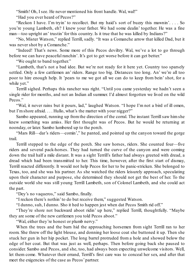"Smith! Oh, I see. He never mentioned his front handle. Wal, wal!"

"Had you ever heard of Pecos?"

"Reckon I have. I'm tryin' to recollect. But my haid's sort of buzzy this mawnin'. . . . So you're young Lambeth, eh? I knew your father. We had some dealin' together. He was a fine man—too upright an' trustin' for this country. Is it true that he was killed by Indians?"

"No, Mister Watson," replied Terrill, sadly. "It was a Comanche arrow that killed Dad, but it was never shot by a Comanche."

"Indeed! That's news. Some more of this Pecos deviltry. Wal, we've a lot to go through before we can have peaceful ranchin'. It's got to get worse before it can get better."

"We ought to band together."

"Lambeth, that's not a bad idee. But we're not ready for it here yet. Country too sparsely settled. Only a few cattlemen an' riders. Range too big. Distances too long. An' we're all too poor to hire enough help. It 'pears to me we got all we can do to keep from bein' shot, for a while yet."

Terrill sighed. Perhaps this rancher was right. "Until you came yesterday we hadn't seen a single rider for months, and not an Indian all summer. I'd almost forgotten we lived on the wild Pecos."

"Wal, it never rains but it pours, lad," laughed Watson. "I hope I'm not a bird of ill omen, but I'm shore afraid. . . . Hullo, what's the matter with your nigger?"

Sambo appeared, running up from the direction of the corral. The instant Terrill saw him she knew something was amiss. Her first thought was of Pecos. But he would be returning at noonday, or later. Sambo lumbered up to the porch.

"Mars Rill—dar's riders—comin'," he panted, and pointed up the canyon toward the gorge trail.

Terrill stepped to the edge of the porch. She saw horses, riders. She counted four—five riders and several pack-horses. They had turned the curve of the canyon and were coming down the trail half a mile distant. It was a sight Terrill's father had always greeted with dread, a dread which had been transmitted to her. This time, however, after the first start of dismay, Terrill reacted differently. It would not help Pecos for her to be panic-stricken. She belonged to Texas, too, and she was his partner. As she watched the riders leisurely approach, speculating upon their character and purpose, she determined they should not get the best of her. To the outside world she was still young Terrill Lambeth, son of Colonel Lambeth, and she could act the part.

"Dey's no vaqueros," said Sambo, finally.

"I reckon there's nothin'to do but receive them," suggested Watson.

"I dunno, suh, I dunno. Sho it hed to happen jest when dat Pecos Smith rid off."

"They're shore not backward aboot ridin' up here," replied Terrill, thoughtfully. "Maybe they are some of the new cattlemen you told Pecos aboot."

"Wal, either they're honest or plumb nervy."

When the trees and the barn hid the approaching horsemen from sight Terrill ran to her room. She threw off the light blouse, and donning her loose coat she buttoned it up. Then she stuck her gun in her hip pocket. The long barrel protruded from a hole and showed below the edge of her coat. But that was just as well, perhaps. Then before going back she paused to consider. Sambo and Pecos, and she, too, had always been expecting unwelcome visitors. Well, let them come. Whatever their errand, Terrill's first care was to conceal her sex, and after that meet the exigencies of the case as Pecos' partner.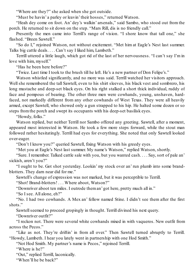"Where are they?" she asked when she got outside.

"Must be havin' a parley or leavin'their hosses," returned Watson.

"Heah dey come on foot. An' dey's walkin' arsenals," said Sambo, who stood out from the porch. He returned to sit down on the step. "Mars Rill, dis is no friendly call."

Presently the men came into Terrill's range of vision. "I shore know that tall one," she flashed. "Breen Sawtell."

"So do I," rejoined Watson, not without excitement. "Met him at Eagle's Nest last summer. Talks big cattle deals. . . . Can't say I liked him, Lambeth."

Terrill uttered a little laugh, which got rid of the last of her nervousness. "I can't say I'm in love with him, myself."

"Has he been here before?"

"Twice. Last time I took to the brush till he left. He's a new partner of Don Felipe's."

Watson whistled significantly, and no more was said. Terrill watched her visitors approach. Well she remembered the tall Sawtell, even to his shirt sleeves, his black vest and sombrero, his long mustache and deep-set black eyes. On his right stalked a short thick individual, ruddy of face and pompous of bearing. The other three men were cowhands, young, unshaven, hardfaced, not markedly different from any other cowhands of West Texas. They were all heavily armed, except Sawtell, who showed only a gun strapped to his hip. He halted some dozen or so steps fromthe porch and swept its occupants with his deep-set basilisk eyes.

"Howdy, folks."

Watson replied, but neither Terrill nor Sambo offered any greeting. Sawtell, after a moment, appeared most interested in Watson. He took a few more steps forward, while the stout man followed rather hesitatingly. Terrill had eyes for everything. She noted that only Sawtell looked over-eager.

"Don't I know you?" queried Sawtell, fixing Watson with his greedy eyes.

"Met you at Eagle's Nest last summer. My name's Watson," replied Watson, shortly.

"Sure. I remember. Talked cattle sale with you, but you wanted cash. . . . Say, sort of pale an' sickish, aren't you?"

"I ought to be. Got shot yesterday. Lookin' my stock over an' run plumb into some brandblotters. They darn near did for me."

Sawtell's change of expression was not marked, but it was perceptible to Terrill.

"Shot! Brand-blotters! . . . Where aboot, Watson?"

"Downriver aboot ten miles. I outrode theman' got here, pretty much all in."

"So I see. All alone, eh?"

"No. I had two cowhands. A Mex an' fellow named Stine. I didn't see them after the first shots."

Sawtell seemed to proceed gropingly in thought. Terrill divined his next query.

"Downriver outfit?"

"I reckon not. There were several white cowhands mixed in with vaqueros. New outfit from across the Pecos."

"Like as not. They're driftin' in from all over." Then Sawtell turned abruptly to Terrill. "Howdy, Lambeth. I hear you lately went in partnership with one Hod Smith."

"Not Hod Smith. My partner's name is Pecos," rejoined Terrill.

"Where is he?"

"Out," replied Terrill, laconically.

"When'll he be back?"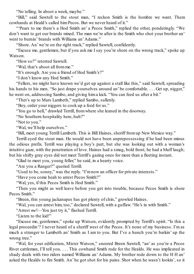"No telling. In aboot a week, maybe."

"Bill," said Sawtell to the stout man, "I reckon Smith is the hombre we want. Them cowhands at Heald's called himPecos. But we never heard of it."

"'Pears to me there's a Hod Smith an' a Pecos Smith," replied the other, ponderingly. "We don't want to get our brands mixed. The man we're after is the Smith who shot your brother an' went to burnin' brands with Williams an'Adams."

"Shore. An'we're on the right track," replied Sawtell, confidently.

"Excuse me, gentlemen, but if you ask me I say you're shore on the wrong track," spoke up Watson.

"How so?" retorted Sawtell.

"Wal, that's aboot all fromme."

"It's enough. Are you a friend of Hod Smith's?"

"I don't know any Hod Smith."

"Fellers, we might have known we'd get up against a stall like this," said Sawtell, spreading his hands to his men. "So just drape yourselves around an' be comfortable.... Get up, nigger," he went on, addressing Sambo, and giving hima kick. "You can feed us after a bit."

"Thet's up to Mars Lambeth," replied Sambo, sullenly.

"Boy, order your niggers to cook up a feed for us."

"You go to hell," drawled Terrill, fromwhere she leaned in the doorway.

"No Southern hospitality here, huh?"

"Not to you."

"Wal, we'll help ourselves."

"Bill, meet young Terrill Lambeth. This is Bill Haines, sheriff fromup New Mexico way."

Terrill eyed the stout man. He would not have been unprepossessing if he had been minus the odious prefix. Terrill was playing a boy's part, but she was looking out with a woman's intuitive gaze, with the penetration of love. Haines had a smug, bold front; he had a bluff laugh; but his shifty gray eyes did not meet Terrill's gazing ones for more than a fleeting instant.

"Glad to meet you, young feller," he said, in a hearty voice.

"Are you a Ranger?" queried Terrill.

"Used to be, sonny," was the reply. "I'mnow an officer for private interests."

"Have you come heah to arrest Pecos Smith?"

"Wal, yes, if this Pecos Smith is Hod Smith."

"Then you might as well leave before you get into trouble, because Pecos Smith is shore Pecos Smith."

"Breen, this young jackanapes has got plenty of chin," growled Haines.

"Wal, you can arrest him, too," declared Sawtell, with a guffaw. "He's in with Smith."

"Arrest *me*!—You just try it," flashed Terrill.

"Listen to the kid!"

"Excuse me, gentlemen," spoke up Watson, evidently prompted by Terrill's spirit. "Is this a legal proceedin'? I never heard of a sheriff west of the Pecos. It's none of my business. I'm as much a stranger to Lambeth an' Smith as I am to you. But I've a hunch you're barkin' up the wrong tree."

"Wal, for your edification, Mister Watson," sneered Breen Sawtell, "an' as you're a Pecos River cattleman, I'll tell you. . . . This cowhand Smith rode for the Healds. He was implicated in shady deals with two riders named Williams an' Adams. My brother rode down to the H H an' asked the Healds to fire Smith. An' he got shot for his pains. Shot when he wasn't lookin', so it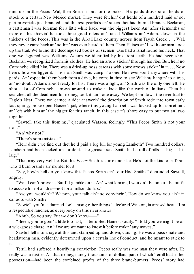runs up on the Pecos. Wal, then Smith lit out for the brakes. His pards drove small herds of stock to a certain New Mexico market. They were fetchin' out herds of a hundred haid or so, part mavericks just branded, and the rest yearlin's an'steers thet had burned brands. Beckman, a cattleman I was foreman for a little while back, was the biggest loser. An' after six months or more of this thievin' he took three good riders an' trailed Williams an' Adams down in the thickets of the Pecos. This was in the Alkali Lake country across from Tayah Creek. . . . Wal, they never came back an' nothin'was ever heard of them. Then Haines an'I, with our men, took up the trail. We found the decomposed bodies of sixmen. One had a lariat round his neck. That one we figgered was Williams. Adams we identified by his front teeth. He had been shot. Beckman we recognized from his clothes. He had an arrow stickin' through his ribs. But, hell! no Comanche killed him. There was a dried-up hoss carcass with some arrows stickin' in it. . . . Now here's how we figger it. This man Smith was campin' alone. He never went anywhere with his pards. An' expectin' them back from a drive, he come in time to see Williams hangin' to a tree, an' no doubt Adams aboot ready for his. There was a fight, an' Smith was the only one left. He shot a lot of Comanche arrows around to make it look like the work of Indians. Then he searched all the dead men for money, took it, an' rode away. We kept on down the river trail to Eagle's Nest. There we learned a rider answerin' the description of Smith rode into town early last spring, broke open Brasee's jail, where this young Lambeth was locked up for somethin', an' left with him an' the nigger for this ranch. In this case it's shore easy to put two an' two together."

"Sawtell, take this from me," ejaculated Watson, feelingly. "This Pecos Smith is not your man"

"An' why not?"

"There's some mistake."

"Hell! didn't we find out thet he'd paid a big bill for young Lambeth? Two hundred dollars. Lambeth had been locked up for debt. The greaser said Smith had a roll of bills as big as his laig."

"That may very well be. But this *Pecos* Smith is some one else. He's not the kind of a Texan who'd burn brands an'murder for it."

"Say, how'n hell do you know this Pecos Smith ain't our Hod Smith?" demanded Sawtell, angrily.

"Wal, I can't prove it. But I'd gamble on it. An' what's more, I wouldn't be one of the outfit to accuse himof all this—not for a million dollars."

"Aw, you wouldn't? Watson, your talk ain't so convincin'. How do we know you ain't in cahoots with Smith?"

"Sawtell, you're a damned fool, among other things," declared Watson, in amazed heat. "I'm a respectable rancher, as everybody on this river knows."

"Ahuh. So you say. But *we* don't know——"

"Breen, you're goin' a little too fast," interrupted Haines, sourly. "I told you we might be on a wild-goose chase. An'if we are we want to know it before makin' any moves."

Sawtell fell into a rage at this and stamped up and down, cursing. He was a passionate and headstrong man, evidently determined upon a certain line of conduct, and he meant to stick to it.

Terrill had suffered a horrifying conviction. Pecos really was the man they were after. He really was a rustler. All that money, surely thousands of dollars, part of which Terrill had in her possession—had been the combined profits of the three brand-burners. Pecos' story had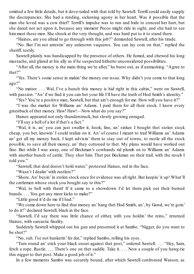omitted a few little details, but it dove-tailed with that told by Sawtell. Terrill could easily supply the discrepancies. She had a rending, sickening agony in her heart. Was it possible that the man she loved was a cow thief? Terrill's impulse was to run and hide to conceal her hurt, but she dared not act upon it, because any moment Pecos might ride in sight, and she had to see himmeet these men. She shook at the very thought, and was hard put to it to stand there.

"Haines, are you afraid to go through with this job?" demanded Sawtell, after his tirade.

"No. But I'm not arrestin' any unknown vaqueros. You can lay coin on that," replied the sheriff, testily.

Sawtell plainly was handicapped by the presence of others. He fumed, and chewed his long mustache, and glared at his ally as if he suspected hitherto unconsidered possibilities.

"After all, the money is the main thing we're after," he burst out, as if unmasking. "Agree to thet?"

"Yes. There's some sense in makin'the money our issue. Why didn't you come to that long ago?"

"No matter. . . . Wal, I've a hunch this money is hid right in this cabin," went on Sawtell, with passion. "An' if we find it you can bet your life I'll have the truth of Hod Smith's identity."

"Yes? You're a positive man, Sawtell, but that ain't enough for me. How will you have it?"

"I was the market for Williams an' Adams. I paid them for all their stock. I know every greenback of thet money. Haw! Haw!—Now what do you say?"

Haines appeared not only thunderstruck, but slowly growing enraged.

"I'llsay a hell of a lot if thet's a fact."

"Wal, it is, an' you can just swaller it, hook, line, an' sinker. I bought thet stolen stock cheap, you bet, knowin' I could realize on it. An' of course I meant to trail Williams an' Adams an' get all my money back. I kept advisin' them to stay out of towns, to rustle all the stock possible, to save all their money, an' they cottoned to thet. My plans would have worked out fine. But while I was away, one of Beckman's cowhands rid plumb on to Williams an' Adams with another bunch of cattle. They shot him. Thet put Beckman on their trail, with the result I told you."

"Sawtell, that deal doesn't hold water," protested Haines, red in the face.

"Wasn't I dealin'with rustlers?"

"Shore. An' buyin'in stolen stock once for evidence was all right. But keepin'it up! What'll the cattlemen whose stock you bought say to this?"

"Wal, to hell with them! If it came to a showdown I'd let them pick out their burned brands. . . . You got any more kicks to make?"

"Little good it'd do me if I had."

"We come down here to find that money an' hang thet Hod Smith, an', by Gawd, we're goin' to do it!" declared Sawtell, black in the face.

"Sawtell, I'd say there was little chance of either, with you holdin' the reins," returned Haines, with sarcastic finality.

Suddenly Sawtell whipped out his gun and presented it at Sambo. "Nigger, do you want to be shot?"

"No, suh. I'se not hankerin' fer dat," replied Sambo, rolling his eyes.

"Turn round an'stick your black snout against thet post," ordered Sawtell. . . . "Hey, Sam, fetch a rope. Rustle. . . . There's one on thet saddle. Take it. . . . Now a couple of you hawg-tie this nigger to thet post. Make a good job of it."

In a few moments Sambo was securely bound, after which Sawtell confronted Watson, as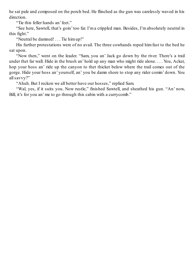he sat pale and composed on the porch bed. He flinched as the gun was carelessly waved in his direction.

"Tie this feller hands an'feet."

"See here, Sawtell, that's goin'too far. I'm a crippled man. Besides, I'm absolutely neutral in this fight."

"Neutral be damned! . . . Tie himup!"

His further protestations were of no avail. The three cowhands roped him fast to the bed he sat upon.

"Now then," went on the leader. "Sam, you an' Jack go down by the river. There's a trail under thet far wall. Hide in the brush an' hold up any man who might ride alone. . . . You, Acker, hop your hoss an' ride up the canyon to thet thicket below where the trail comes out of the gorge. Hide your hoss an' yourself, an' you be damn shore to stop any rider comin' down. You allsavvy?"

"Ahuh. But I reckon we all better have our hosses," replied Sam.

"Wal, yes, if it suits you. Now rustle," finished Sawtell, and sheathed his gun. "An' now, Bill, it's for you an'me to go through this cabin with a currycomb."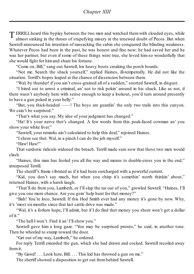$T$  ERRILL heard this byplay between the two men and watched them with clouded eyes, while almost sinking in the throes of stupefying misery at the renewed doubt of Pecos. But when almost sinking in the throes of stupefying misery at the renewed doubt of Pecos. But when Sawtell announced his intention of ransacking the cabin she conquered the blinding weakness. Whatever Pecos had been in the past, he was honest and fine now; he had saved her and he was her partner; but even if some of these things were true, she loved him so wonderfully that she would fight for himand share his fortune.

"Come on, Bill," sang out Sawtell, his heavy boots creaking the porch boards.

"Not me. Search the shack yourself," replied Haines, ill-temperedly. He did not like the situation. Terrill's hopes leaped at the chance of dissension between them.

"Wal, by thunder! if you ain't cross-grained all of a sudden," snorted Sawtell, in disgust.

"I hired out to arrest a criminal, an' not to risk pokin' around in his shack. Like as not, if there wasn't anybody here with sense enough to keep a lookout, you'd turn around presently to have a gun poked in your belly."

"But, you thick-headed ——! The boys are guardin' the only two trails into this canyon. We cain't be surprised."

"That's what you say. My idee of your judgment has changed."

"Ha! It's your nerve thet's changed. A few words from this peak-faced cowman an' you show your white liver."

"Sawtell, your remarks ain't calculated to help this deal," rejoined Haines.

"I shore see thet. Wal, in a pinch I can do the job myself."

"Haw! Haw!"

That sardonic ridicule widened the breach. Terrill made sure now that these two men would clash.

"Haines, this man has fooled you all the way and means to double-cross you in the end," interposed Terrill.

The sheriff's frame vibrated as if it had been surcharged with a powerful current.

"Kid, you don't say much, but when you chirp it's somethin' worth thinkin' about," returned Haines, with a harsh laugh.

"That'll do from you, Lambeth, or I'll slap the tar out of you," growled Sawtell. "Haines, I'll give you one more chance. Are you goin' help hunt for thet money?"

"Bah! You're loco, Sawtell. If this Hod Smith ever had any money it's gone by now. Why, it's 'most sixmonths since that last cattle drive was made."

"Wal, it's a forlorn hope, I'll admit, but if I do find thet money you shore won't get a dollar of it."

"The hell I won't. Find it an'I'll show you."

Sawtell gave him a long gaze. "You may be surprised pronto," he said, in another tone. Then he wheeled to stamp toward the door.

"Get out of my way, Lambeth," he ordered.

For reply Terrill extended the gun, which she had drawn and cocked. Sawtell recoiled away fromit.

"By Gawd! . . . Look here, Bill. . . . This kid has throwed a gun on me."

The sheriff showed a disposition to get out frombehind Sawtell.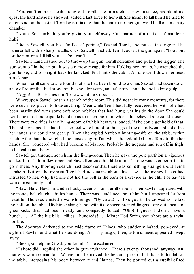"You can't come in heah," rang out Terrill. The man's close, raw presence, his blood-red eyes, the hard amaze he showed, added a last force to her will. She meant to kill himif he tried to enter. And on the instant Terrill was thinking that the hammer of her gun would fall on an empty chamber.

"Ahuh. So, Lambeth, you're givin' yourself away. Cub partner of a rustler an' murderer, huh?"

"Breen Sawtell, you bet I'm Pecos' partner," flashed Terrill, and pulled the trigger. The hammer fell with a sharp metallic click. Sawtell flinched. Terrill cocked the gun again. "Look out for the next one. I'll kill you.... You can't——"

Sawtell's hand flashed out to throw up the gun. Terrill screamed and pulled the trigger. The gun went off in the air, but it was a narrow escape for him. Holding her arm up, he wrenched the gun loose, and tossing it back he knocked Terrill into the cabin. As she went down her head struck hard.

When Terrill came to she found that she had been bound to a chair. Sawtell had taken down a jug of liquor that had stood on the shelf for years, and after smelling it he took a long gulp.

"Aggh! . . . Bill Haines don't know what he's missin'."

Whereupon Sawtell began a search of the room. This did not take many moments, for there were such few places to hide anything. Meanwhile Terrill had fully recovered her wits. She had been hastily tied with some soft rope hobbles that had hung just inside the door. She could twist one small and capable hand so as to reach the knot, which she believed she could loosen. There were two rifles in the living-room, of which hers was loaded. If she could get hold of that! Then she grasped the fact that her feet were bound to the legs of the chair. Even if she did free her hands she could not get up. Then she espied Sambo's hunting-knife on the table, within reach. After that she watched the ransacking ruffian while she redoubled her efforts to free her hands. She wondered what had become of Mauree. Probably the negress had run off in fright to her cabin and baby.

Sawtell got through searching the living-room. Then he gave the pole partition a vigorous shake. Terrill's door flew open and Sawtell entered her little room. No one was ever permitted to go in there. Any thorough search must discover that there was something strange about Terrill Lambeth. But on the moment Terrill had no qualms about this. It was the money Pecos had intrusted to her. Why had she not hid the belt in the barn or a crevice in the cliff. For Sawtell would most surely find it.

"Haw! Haw! Haw!" roared in husky accents from Terrill's room. Then Sawtell appeared with the money belt clutched in his hands. There was a radiance about him, but it appeared far from beautiful. His eyes emitted a wolfish hunger. "By Gawd! . . . I've got it," he crowed as he laid the belt on the table. His big shaking hand, with its tobacco-stained fingers, tore out sheafs of greenbacks that had been neatly and compactly folded. "Oho! I guess I didn't have a hunch. . . . All the big bills—fifties—hundreds! . . . Mister Hod Smith, you shore are a savin' hombre."

The doorway darkened to the wide frame of Haines, who suddenly halted, pop-eyed, at sight of Sawtell and what he was doing. As if by magic, then, astonishment appeared swept away.

"Breen, so help me Gawd, you found it!" he exclaimed.

"I shore did," replied the other, in grim exultance. "There's twenty thousand, anyway. An' that was worth comin' for." Whereupon he moved the belt and piles of bills back to his left on the table, interposing his body between it and Haines. Then he poured out a cupful of red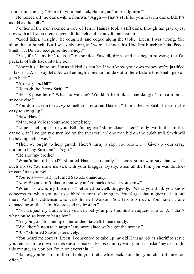liquor from the jug. "Here's to your bad luck, Haines, an' poor judgment!"

He tossed off the drink with a flourish. "Aggh!—That's stuff for you. Have a drink, Bill. It's as old as the hills."

Neither of the men seemed aware of Terrill. Haines took a stiff drink, though his gray eyes, now with a blaze in them, never left the belt and money for an instant.

"Good likker, all right," he coughed, and edged along the table. "Breen, I was wrong. You shore had a hunch. But I was only sore, an' worried aboot this Hod Smith mebbe bein' Pecos Smith. . . . Do you recognize the money?"

"Yes, if it's anythin' to you," responded Sawtell, dryly, and he began stowing the flat packets of bills back into the belt.

"Shore it's a lot to me. I'm as tickled as can be. If you know your own money we're justified in takin' it. An' I say let's let well enough alone an' rustle out of here before this Smith person gets back."

"An'why for, Bill?"

"He might be Pecos Smith?"

"Hell! S'pose he is? What do we care? Wouldn't he look as fine danglin' from a rope as anyone else?"

"You don't seem to savvy somethin'," retorted Haines. "If he is Pecos Smith he won't be easy to string up."

"Haw! Haw!"

"Man, you've lost your head completely."

"Nope. Thet applies to you, Bill. I'm figgerin' shore close. There's only two trails into this canyon, an'I've got two men hid on the river trail an' one man hid on the gulch trail. Smith will be held up either way."

"Then we ought to help guard. There's many a slip, you know. . . . Give up your crazy notion to hang Smith an'let's go."

"He shot my brother."

"What'n'hell if he did?" shouted Haines, stridently. "There's some who say that wasn't such a loss. You make me sick with your braggin' loyalty, when all the time you was doublecrossin' himyourself."

"You're a —— liar!" returned Sawtell, ominously.

"Now, Breen, don't bluster that way an' go back on what you know."

"What I know is my business," returned Sawtell, doggedly. "What you think you know concerns me when you get to gabbin' in front of strangers. You forget that nigger tied up out there. An' this cattleman who calls himself Watson. You talk too much. You haven't one damned proof that I double-crossed my brother."

"No. It's just my hunch. But you can bet your pile this Smith vaquero knows. An' that's why you're so keen to hang him."

"Air you goin'to shet up?" demanded Sawtell, threateningly.

"Wal, there's no use in arguin' any more since we've got the money."

"*We?*" shouted Sawtell, derisively.

"You heard me correct, Breen. I consented to take up my old Kansas job as sheriff to serve your ends. I rode down in this Gawd-forsaken Pecos country with you. I'm riskin'my skin right this minute, an' you bet I'min on everythin'."

"Haines, you're in on nothin'. I told you thet a while back. You shot your chin off once too often."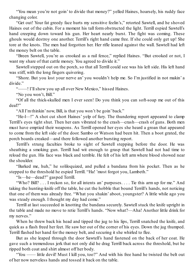"You mean you're not goin' to divide that money?" yelled Haines, hoarsely, his ruddy face changing color.

"Get out! Your fat greedy face hurts my sensitive feelin's," retorted Sawtell, and he shoved Haines out of the cabin. For a moment his tall form obstructed the light. Terrill espied Sawtell's hand creeping down toward his gun. Her heart nearly burst. The fight was coming. These ghouls would destroy one another. Terrill's right hand came free. If she could only get up! She tore at the knots. The men had forgotten her. Her rifle leaned against the wall. Sawtell had left the money belt on the table.

"Breen Sawtell, you're as crooked as a rail fence," replied Haines. "But crooked or not, I want my share of that cattle money. You agreed to divide it."

Sawtell stepped out on the porch, so that all Terrill could see was his left side. His left hand was stiff, with the long fingers quivering.

"Shore. But you lost your nerve an' you wouldn't help me. So I'm justified in not makin' a divide."

"-I'll show you up all over New Mexico," hissed Haines.

"No you won't, Bill."

"Of all the thick-skulled men I ever seen! Do you think you can soft-soap me out of this deal?"

"All I'm thinkin' now, Bill, is that you won't be goin' back."

"He-l—!" A shot cut short Haines' yelp of fury. The thundering report appeared to clamp Terrill's eyes tight shut. Then her ears vibrated to the crash—crash—crash of guns. Both men must have emptied their weapons. As Terrill opened her eyes she heard a groan that appeared to come from the left side of the door. Sambo or Watson had been hit. Then a boot grated, the porch boards creaked—and there followed another bursting report.

Terrill's strung faculties broke to sight of Sawtell stepping before the door. He was sheathing a smoking gun. Terrill had wit enough to grasp that Sawtell had not had time to reload the gun. His face was black and terrible. He felt of his left arm where blood showed near the shoulder.

"Barked me, huh," he soliloquized, and pulled a bandana from his pocket. Then as he stepped to the threshold he espied Terrill. "Ha! 'most forgot you, Lambeth."

"Is—he—dead?" gasped Terrill.

"Who? Bill? . . . I reckon so, for all intents an' purposes. . . . Tie this arm up for me." And taking the hunting-knife off the table, he cut the hobble that bound Terrill's hands, not noticing that one of them was already free. "What you shakin' aboot, youngster? A little while ago you was steady enough. I thought my day had come."

Terrill at last succeeded in knotting the bandana securely. Sawtell stuck the knife upright in the table and made no move to retie Terrill's hands. "Now what?—Aha! Another little drink for my nerves."

When he threw back his head and tipped the jug to his lips, Terrill snatched the knife, and quick as a flash freed her feet. He saw her out of the corner of his eyes. Down the jug thumped. Terrill flashed her hand for the money belt, and securing it she whirled to flee.

But as she leaped through the door Sawtell's hand fastened on the back of her coat. He gave such a tremendous jerk that not only did he drag Terrill back across the threshold, but he ripped both coat and shirt almost off her body.

"You —— little devil! Must I kill you, too?" And with his free hand he twisted the belt out of her now nerveless hands and tossed it back on the table.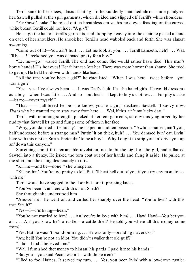Terrill sank to her knees, almost fainting. To be suddenly snatched almost nude paralyzed her. Sawtell pulled at the split garments, which divided and slipped off Terrill's white shoulders.

"Fer Gawd's sake!" he rolled out, in breathless amaze, his bold eyes feasting on the curved white breast Terrill could not hide. "A *girl*!"

He let go the half of Terrill's garments, and dropping heavily into the chair he placed a hand on each of her shoulders. He shook her. Terrill's head wabbled back and forth. She was almost swooning.

"Come out of it!—You ain't hurt. . . . Let me look at you. . . . Terrill Lambeth, heh? . . . Wal, I'll be . . .! I reckoned you was damned pretty for a boy."

"Let me—go!" wailed Terrill. The end had come. She would rather have died. This man's horny hands! His hot eyes! Her faintness left her. There was more horror than shame. She tried to get up. He held her down with hands like lead.

"All the time you've been a girl?" he ejaculated. "When I was here—twice before—you was a girl?"

"Yes—yes. I've always been. . . . It was Dad's fault. He—he hated girls. He would dress me as a boy—when I was little. . . . And so—out heah—I kept to boy's clothes. . . . For pity's sake —let me—cover myself!"

"That —— half-breed Felipe—he knows you're a girl," declared Sawtell. "I savvy now. *That's* why he wanted me to stay away from here.... Wal, if this ain't my lucky day!"

Terrill, with returning strength, plucked at her rent garments, so obviously agonized by her nudity that Sawtell let go and flung some of themin her face.

"Why, you damned little hussy!" he rasped in sudden passion. "Awful ashamed, ain't you, half undressed before a strange man? Puttin' it on thick, huh? . . . You damned lyin' cat. Livin' here with this rustler, Smith. Pretendin'to be a boy!—Why I ought to strip you an' drive you up an' down this canyon."

Something about this remarkable revelation, no doubt the sight of the girl, had inflamed Sawtell into a frenzy. He jerked the torn coat out of her hands and flung it aside. He pulled at the shirt, but she clung desperately to this.

"Kill me—and be—done!" she whispered.

"Kill nothin'. You're too pretty to kill. But I'll beat hell out of you if you try any more tricks with me."

Terrill would have sagged to the floor but for his pressing knees.

"You've been livin' here with this man Smith?"

She thought she understood him.

"Answer me," he went on, and cuffed her sharply over the head. "You're livin' with this man Smith?"

"Yes—I—I'mliving—heah."

"You're not married to him? . . . An' you're in love with him? . . . Haw! Haw!—You bet you air. . . . An' you know he's a rustler—a cattle thief? He told you where all this money come from?"

"Yes. But he wasn't brand-burning. . . . He was only—branding mavericks."

"Aw, hell! You're not an idiot. You didn't swaller that old guff?"

"I did—I did. I believed him."

"Wal, I furnished thet money to himan' his pards. I paid it into his hands."

"But you—you said Pecos wasn't—with those men?"

"I lied to fool Haines. It served my turn. . . . Yes, you been livin' with a low-down rustler.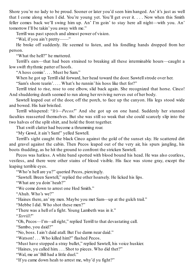Shore you're no lady to be proud. Sooner or later you'd seen him hanged. An' it's just as well that I come along when I did. You're young yet. You'll get over it. . . . Now when this Smith feller comes back we'll swing him up. An' I'm goin' to stay here all night—with you. An' tomorrow I'll be takin' you away with me."

Terrill was past speech and almost power of vision.

"Wal, if you ain't pretty——"

He broke off suddenly. He seemed to listen, and his fondling hands dropped from her person.

"What the hell?" he muttered.

Terrill's ears—that had been strained to breaking all these interminable hours—caught a low swift rhythmic patter of hoofs.

"A hoss comin'. . . . Must be Sam."

When he got up Terrill slid forward, her head toward the door. Sawtell strode over her.

"Sam's shore tearin'.... What's he runnin' his hoss like thet for?"

Terrill tried to rise, rose to one elbow, slid back again. She recognized that horse. Cinco! And shuddering death seemed to run along her reviving nerves out of her body.

Sawtell leaped out of the door, off the porch, to face up the canyon. His legs stood wide and bowed. His hair bristled.

Terrill whispered: "*It's—Pecos!*" And she got up on one hand. Suddenly her stunned faculties reasserted themselves. But she was still so weak that she could scarcely slip into the two halves of the split shirt, and hold the front together.

That swift clatter had become a thrumming roar.

"My Gawd, it ain't Sam!" yelled Sawtell.

Terrill's sight caught the black Cinco against the gold of the sunset sky. He scattered dirt and gravel against the cabin. Then Pecos leaped out of the very air, his spurs jangling, his boots thudding, as he hit the ground to confront the stricken Sawtell.

Pecos was hatless. A white band spotted with blood bound his head. He was also coatless, vestless, and there were other stains of blood visible. His face was stone gray, except the leaping terrible eyes.

"Who'n hell are yu?" queried Pecos, piercingly.

"Sawtell. Breen Sawtell," replied the other hoarsely. He licked his lips.

"What are yu doin' heah?"

"We come down to arrest one Hod Smith."

"Ahuh. Who's we?"

"Haines there, an'my men. Maybe you met Sam—up at the gulch trail."

"Mebbe I did. Who shot these men?"

"There was a hell of a fight. Young Lambeth was in it."

"*Terrill!*"

"Oh, Pecos—I'm—all right," replied Terrill to that devastating call.

"Sambo, you daid?"

"No, boss. I ain't daid atall. But I'se damn near daid."

"Watson! . . . Who killed him?" flashed Pecos.

"Must have stopped a stray bullet," replied Sawtell, his voice huskier.

"Haines, yu called him. . . . Shot to pieces. Who did thet?"

"Wal, me an'Bill had a little duel."

"If yu came down heah to arrest me, why'd yu fight?"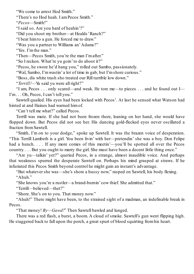"We come to arrest Hod Smith."

"There's no Hod heah. I amPecos Smith."

"*Pecos*—Smith!"

"I said so. Are you hard of heahin'?"

"Did you shoot my brother—at Healds'Ranch?"

"I beat himto a gun. He forced me to draw."

"Was you a partner to Williams an'Adams?"

"Yes. I'mthe man."

"Then—Pecos Smith, you're the man I'mafter."

"So I reckon. What're yu goin'to do aboot it?"

"Pecos, he swore he'd hang you," rolled out Sambo, passionately.

"Wal, Sambo, I'mwastin' a lot of time in gab, but I'mshore curious."

"Boss, dis white trash sho treated our Rill turrible low down."

"*Terrill!*—Yu said yu were all right?"

"I am, Pecos . . . only scared—and weak. He tore me—to pieces . . . and he found out I— I'm. . . Oh, Pecos, I can't tell you."

Sawtell quailed. His eyes had been locked with Pecos'. At last he sensed what Watson had hinted at and Haines had warned himof.

"Can't tell me what?" called Pecos.

Terrill was mute. If she had not been frozen there, leaning on her hand, she would have flopped down. But Pecos did not see her. His dancing gold-flecked eyes never oscillated a fraction fromSawtell.

"Smith, I'm on to your dodge," spoke up Sawtell. It was the brazen voice of desperation. "This Terrill Lambeth is a girl. You been livin' with her—pretendin' she was a boy. Don Felipe had a hunch. . . . If any more comes of this meetin'—you'll be spotted all over the Pecos country. . . . But you ought to marry the girl. She must have been a decent little thing once."

"Are yu—talkin' yet?" queried Pecos, in a strange, almost inaudible voice. And perhaps that weakness spurred the desperate Sawtell on. Perhaps his mind grasped at straws. If he infuriated this Pecos Smith beyond control he might gain an instant's advantage.

"But whatever she was—she's shore a hussy now," rasped on Sawtell, his body flexing. "Ahuh."

"She knows you're a rustler—a brand-burnin' cow thief. She admitted that."

"Terrill—believed—thet?"

"Shore. She's on to you. That money now."

"Ahuh!" There might have been, to the strained sight of a madman, an indefinable break in Pecos.

"That money! *By—Gawd!*" Then Sawtell bawled and lunged.

There was a red flash, a burst, a boom. A cloud of smoke. Sawtell's gun went flipping high. He staggered back to fall upon the porch, a great spurt of blood squirting fromhis heart.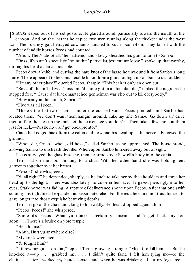$\mathbf{P}$  ECOS leaped out of his set posture. He glared around, particularly toward the mouth of the canvon. And on the instant he espied two men running along the thicket under the west canyon. And on the instant he espied two men running along the thicket under the west wall. Their clumsy gait betrayed cowhands unused to such locomotion. They tallied with the number of saddle horses Pecos had counted.

"Ahuh. Thet's aboot all," he muttered, and slowly sheathed his gun, to turn to Sambo.

"Boss, if yo ain't speculatin' on nuthin' particular, jest cut me loose," spoke up that worthy, turning his head as far as possible.

Pecos drew a knife, and cutting the hard knot of the lasso he unwound it fromSambo's long frame. There appeared to be considerable blood froma gunshot high up on Sambo's shoulder.

"Hit any other place?" queried Pecos, sharply. "This heah is only an open cut."

"Boss, if I hadn't played 'possum I'd shore got more hits dan dat," replied the negro as he stepped free. "'Cause dat black mustached gennelman was sho out to kill eberybody."

"How many in the bunch, Sambo?"

"Five was all I seen."

"There's the last two—across under the cracked wall." Pecos pointed until Sambo had located them. "We don't want them hangin' around. Take my rifle, Sambo. Go down an' drive thet outfit of hosses up the trail. Let those men see you doin'it. Then take a few shots at them just for luck.—Rustle now an' get back pronto."

Cinco had edged back from the cabin and now had his head up as he nervously pawed the ground.

"Whoa dar, Cinco—whoa, old hoss," called Sambo, as he approached. The horse stood, allowing Sambo to unsheath the rifle. Whereupon Sambo lumbered away out of sight.

Pecos surveyed the ghastly scene, then he strode over Sawtell's body into the cabin.

Terrill sat on the floor, holding to a chair. With her other hand she was holding rent garments together over her breast.

"Pe-cos!" she whispered.

"Yu all right?" he demanded, sharply, as he knelt to take her by the shoulders and force her head up to the light. There was absolutely no color in her face. He gazed piercingly into her eyes. Stark horror was fading. A rapture of deliverance shone upon Pecos. After that one swift scrutiny his tight breast expanded in passionate relief. For the rest, he could not trust himself to gaze longer into those exquisite betraying depths.

Terrill let go of the chair and clung to himwildly. Her head dropped against him.

"Pecos! Pecos!" she whispered.

"Shore it's Pecos. What yu think? I reckon yu mean I didn't get back any too soon. . . . There's a bruise on yore temple."

"He—hit me."

"Ahuh. Hurt yu anywhere else?"

"My arm's wrenched."

"Yu fought him?"

"I threw my gun—on him," replied Terrill, growing stronger. "Meant to kill him. . . . But he knocked it—up . . . grabbed me. . . . I didn't quite faint. I felt him tying me—to the chair. . . . Later I worked my hands loose—and when he was drinking—I cut my legs free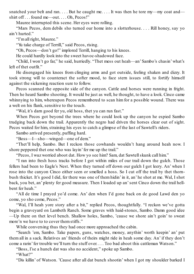snatched your belt and ran.  $\ldots$  But he caught me.  $\ldots$  It was then he tore my—my coat and shirt off . . . found me—out. . . . Oh, Pecos!"

Mauree interrupted this scene. Her eyes were rolling.

"Mars Pecos, dem debils sho turned our home into a slotterhouse. . . . Rill honey, say yo ain't hurted."

"I'mall right, Mauree."

"Yu take charge of Terrill," said Pecos, rising.

"Oh, Pecos—don't go!" implored Terrill, hanging to his knees.

He could hardly look into the sweet havoc-shadowed face.

"Child, I won't go far," he said, hurriedly. "Thet mess out heah—an'Sambo's chasin'what's left of thet outfit."

He disengaged his knees from clinging arms and got outside, feeling shaken and dizzy. It took strong will to counteract the softer mood, to face stern issues still, to fortify himself against the sickening reaction sure to follow.

Pecos scanned the opposite side of the canyon. Cattle and horses were running in fright. Then he heard Sambo shooting. It would be just as well, he thought, to have a look. Cinco came whinnying to him, whereupon Pecos remembered to scan him for a possible wound. There was a welt on his flank, sensitive to the touch.

"Wal, it's darn good fer yu, old hoss, thet yu can run fast."

When Pecos got beyond the trees where he could look up the canyon he espied Sambo trudging back down the trail. Apparently the negro had driven the horses clear out of sight. Pecos waited for him, straining his eyes to catch a glimpse of the last of Sawtell's riders.

Sambo arrived presently, puffing hard.

"Boss—I—sho—winged—one of dem."

"Thet'll help, Sambo. But I reckon those cowhands wouldn't hang around heah now. I shore peppered thet one who was layin' fer me up the trail."

"Pecos, I wuz worried aboot dat. How yo see him? Sam, dat Sawtell skunk call him."

"I ran into fresh hoss tracks before I got within miles of our trail down the gulch. Those fellers had been to Eagle's Nest. When they turned off down our gulch I got leery. An' when I rose into the canyon Cinco either seen or smelled a hoss. So I cut off the trail by thet thornbush thicket. It's good I did, fer there was one of them hidin' in it, an' he shot at me. Wal, I shot back, you bet, an' plenty fer good measure. Then I loaded up an'sent Cinco down the trail hellbent fer heah."

"All de time I prayed yo'd come. An' den when I'd gone back on de good Lawd den yo come, yo sho come, Pecos."

"Wal, I'll heah yore story after a bit," replied Pecos, thoughtfully. "I reckon we've gotta begin a graveyard on Lambeth Ranch. Some graves with haid-stones, Sambo. Damn good idee —Up there on thet level bench. Shallow holes, Sambo, 'cause we shore ain't goin' to sweat more'n we have to to cover themstiffs."

While conversing thus they had once more approached the cabin.

"Search 'em, Sambo. Take papers, guns, watches, money, anythin' worth keepin' an' put them all in a sack. Relatives an' friends of theirs might ride in heah some day. An' if they don't come a rarin' fer trouble we'll turn the stuff over. . . . Too bad aboot this cattleman Watson."

"Boss, I'se a hunch dat was sho no accident," spoke up Sambo.

"What?"

"Dis killin' of Watson. 'Cause after all dat bunch shootin' when I got my shoulder barked I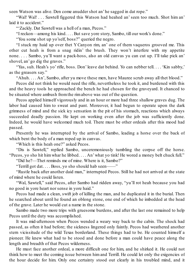seen Watson was alive. Den come anudder shot an' he sagged in dat rope."

"Wal! Wal! . . . Sawtell figgered this Watson had heahed an' seen too much. Shot him an' laid it to accident."

"'Zackly. Dat Sawtell was a hell of a man, Pecos."

"I reckon—among his kind. . . . But save yore story, Sambo, till our work's done."

"You some shot up yo'self, boss?" queried the negro.

"I stuck my haid up over thet YCanyon rim, an' one of them vaqueros grooved me. This other cut heah is from a snag ridin' the brush. They won't interfere with my appetite none. . . . Sambo, yu'll want a pack-hoss, also an old canvas yu can cut up. I'll take pick an' shovel, an' go dig the graves."

"Yas, suh. Heah's yo'rifle, boss. Don'leave dat behind. Yo can nebber tell. . . . 'Kin sabby,' as the greasers say."

"Ahuh. . . . An', Sambo, after yu move these men, have Mauree scrub away all thet blood."

Pecos did not think he would need the rifle, nevertheless he took it, and burdened with this and the heavy tools he approached the bench he had chosen for the graveyard. It chanced to be situated where ambush fromthe rimabove was out of the question.

Pecos applied himself vigorously and in an hour or more had three shallow graves dug. The labor had caused him to sweat and pant. Moreover, it had begun to operate upon the dark grimness of mind and the sick icy sensation in the pit of his stomach, reactions which always succeeded deadly passion. He kept on working even after the job was sufficiently done. Indeed, he would have welcomed much toil. There must be other ordeals after this mood had passed.

Presently he was interrupted by the arrival of Sambo, leading a horse over the back of which bent the body of a man roped up in canvas.

"Which is this heah one?" asked Pecos.

"Dis is Sawtell," replied Sambo, unceremoniously tumbling the corpse off the horse. "Pecos, yo sho hit himwhar he libbed. . . . An'what yo tink! He wored a money belt chuck full."

"Did he?—Thet reminds me of mine. Where is it, Sambo?"

"Terrill got dat. . . . Boss, yo sho should hab seen——"

"Rustle back after another daid man," interrupted Pecos. Still he had not arrived at the state of mind where he could listen.

"Wal, Sawtell," said Pecos, after Sambo had ridden away, "yu'll rot heah because you had no good in yore heart nor sense in yore haid."

Pecos had made a clean, swift job of killing the man, and he duplicated it in the burial. Then he searched about until he found an oblong stone, one end of which he imbedded at the head of the grave. Later he would cut a name in the stone.

Sambo made two more trips with gruesome burdens, and after the last one remained to help Pecos until the duty was accomplished.

It was mid-afternoon when Pecos wended a weary way back to the cabin. The shock had passed, as often it had before; the sickness lingered only faintly. Pecos had weathered another stern vicissitude of the wild Texas borderland. These things had to be. He counted himself a pioneer. He knew what had to be stood and done before a man could have peace along the length and breadth of that Pecos wilderness.

He must face another ordeal, a more difficult one for him, and he shirked it. He could not think how to meet the coming issue between him and Terrill. He could let only the exigencies of the hour decide for him. Only one certainty stood out clearly in his troubled mind, and it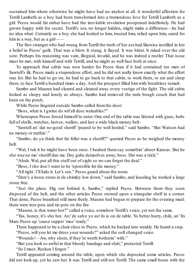sustained him where otherwise he might have had no anchor at all. A wonderful affection for Terrill Lambeth as a boy had been transformed into a tremendous love for Terrill Lambeth as a girl. Pecos would far rather have had the inevitable revelation postponed indefinitely. He had grown happy with his secret. Terrill's sex, no longer hidden, might make a difference—he had no idea what. Certainly as a boy she had looked to him, trusted him, relied upon him, cared for him in a way, but as a girl—

The first stranger who had wrung fromTerrill the truth of her sexhad likewise instilled in her a belief in Pecos' guilt. That was a blow. It stung, it flayed. It was bitter. It raked over the old sore. Perhaps his reasoning was vain, illogical, invalid, and he was indeed a rustler. That issue must be met, with himself and with Terrill; and he might as well face both at once.

To approach that cabin was now harder for Pecos than if it had contained ten men of Sawtell's ilk. Pecos made a stupendous effort, and he did not really know exactly what the effort was for. But he had to go on; he had to go back to that cabin, to work there, to eat and sleep there, to face Terrill a hundred times a day. And the prospect filled himwith breathless tumult.

Sambo and Mauree had cleared and cleaned away every vestige of the fight. The old cabin looked as sleepy and lonely as always. Sambo had removed the rude bough couch that had been on the porch.

While Pecos lingered outside Sambo called fromthe door:

"Boss, what is I gwine do wif all dese waluables?"

Whereupon Pecos forced himself to enter. One end of the table was littered with guns, belts full of shells, watches, knives, wallets, and last a wide black money belt.

"Sawtell an' dat no-good sheriff 'peared to be well heeled," said Sambo. "But Watson had no money or nuthin'."

"Sambo, do yu think thet fat feller was a sheriff?" queried Pecos as he weighed the money belt.

"Wal, I tuk it he might have been once. I heahed them say somethin' aboot Kansas. But he sho wuz no mo'sheriff dan me. Dey gabe demselves away, boss. Dat was a trick."

"Ahuh. Wal, put all this stuff out of sight so we can forget the deal."

"Boss, I sho don't want to be 'sponsible fer dis money."

"All right. I'll hide it. Let's see." Pecos gazed about the room.

"Dere's a loose stone in de chimley low down," said Sambo, and kneeling he worked a large stone free.

"Just the place. Dig out behind it, Sambo," replied Pecos. Between them they soon disposed of the belt, and the other articles Pecos stowed upon a triangular shelf in a corner. That done, Pecos breathed still more freely. Mauree had begun to prepare for the evening meal: there were iron pots and tin pots on the fire.

"Mauree, is that water hot?" called a voice, somehow Terrill's voice, yet not the same.

"Yas, honey, it's sho hot. An' de salve yo ast fo is on de table. Yo better hurry, chile, an'fix Mars Pecos up 'cause supper 'mos'ready."

There happened to be a chair close to Pecos, which he backed into weakly. He heard a step.

"Pecos, will you let me dress your wounds?" asked the soft changed voice.

"Wounds!—Aw, why shore, if they're worth botherin' with."

"But you look so awful in that bloody bandage and shirt," protested Terrill.

"So I must. Reckon I forgot."

Terrill appeared coming around the table, upon which she deposited some articles. Pecos did not look up, yet he saw her. It was Terrill and still not Terrill. The same small boots with the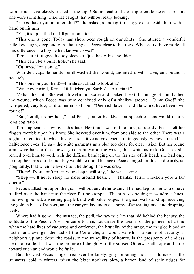worn trousers carelessly tucked in the tops! But instead of the omnipresent loose coat or shirt she wore something white. He caught that without really looking.

"Pecos, have you another shirt?" she asked, standing thrillingly close beside him, with a hand on his arm.

"Yes, it's up in the loft. I'll put it on after."

"This one is gone. Today has shore been rough on our shirts." She uttered a wonderful little low laugh, deep and rich, that tingled Pecos clear to his toes. What could have made all this difference in a boy he had known so well?

Terrill cut his ragged bloody sleeve off just below his shoulder.

"This can't be a bullet hole," she said.

"Cut myself on a snag."

With deft capable hands Terrill washed the wound, anointed it with salve, and bound it securely.

"This one on your haid!—I'malmost afraid to look at it."

"Wal, never mind, Terrill, if it'llsicken yu. Sambo'll do all right."

"*I* shall dress it." She wet a towel in hot water and soaked the stiff bandage off and bathed the wound, which Pecos was sure consisted only of a shallow groove. "O my God!" she whispered, very low, as if to her inmost soul. "One inch lower—and life would have been over for me!"

"But, Terrill, it's my haid," said Pecos, rather blankly. That speech of hers would require long cogitation.

Terrill appeared slow over this task. Her touch was not so sure, so steady. Pecos felt her fingers tremble upon his brow. She hovered over him, from one side to the other. There was a slight soft contact to which his over-sensitive nerves reacted outrageously. He never raised his half-closed eyes. He saw the white garments as a blur, too close for clear vision. But her round arms were bare to the elbows, golden brown at the wrists, then white as milk. Once, as she leaned over him, to work with the difficult bandaging on the far side of his head, she had only to drop her arms a trifle and they would be round his neck. Pecos longed for this so dreamily, so poignantly, that when he awoke to it he thought he was crazy.

"There! If you don't roll in your sleep it will stay," she was saying.

"Sleep!—I'll never sleep no more around heah. . . . Thanks, Terrill. I reckon yore a fair doctor."

Pecos stalked out upon the grass without any definite aim. If he had kept on he would have stalked over the bank into the river. But he stopped. The sun was setting in wondrous hues; the river gloomed, a winding purple band with silver edges; the great wall stood up, receiving the golden blast of sunset; and the canyon lay under a canopy of spreading rays and dropping veils.

Where had it gone—the menace, the peril, the raw wild life that hid behind the beauty, the solitude of the Pecos? A vision came to him, not unlike the dreams of the pioneer, of a time when the hard lives of vaqueros and cattlemen, the brutality of the range, the mingled blood of rustler and avenger, the raid of the Comanche, all would vanish in a sense of security in neighbors up and down the roads, in the tranquillity of homes, in the prosperity of endless herds of cattle. That was the promise of the glory of the sunset. Otherwise all hope and strife toward such an end would be futile.

But the vast Pecos range must ever be lonely, gray, brooding, hot as a furnace in the summers, cold in winters, when the bitter northers blew, a barren land of scaly ridges for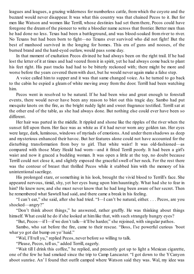leagues and leagues, a grazing wilderness for numberless cattle, from which the coyote and the buzzard would never disappear. It was what this country was that chained Pecos to it. But for men like Watson and women like Terrill, whose destinies had set them there, Pecos could have foregone the dream of the pioneer to write a bloodier name across that frontier. Better men than he had done no less. Texas had been a battleground, and was blood-soaked from river to river. No Texans but had been born to fight—no Texans ever survived who did not fight! But the best of manhood survived in the longing for homes. This era of guns and nooses, of the burned brand and the hard-eyed outlaw, would pass some day.

In that moment of exultation Pecos divined he had always been on the right trail. If he had lost the letter of it at times and had veered fromit in spirit, yet he had always come back to plant his feet right. His past tracks had had to be bitterly reckoned with; there might be more and worse before the years covered themwith dust, but he would never again make a false step.

A voice called him to supper and it was that same changed voice. As he turned to go back to the cabin he espied a gleam of white moving away from the door. Terrill had been watching him.

Pecos went in resolved to be natural. If he had been wise and great enough to forestall events, there would never have been any reason to blot out this tragic day. Sambo had put mesquite knots on the fire, as the bright ruddy light and sweet fragrance testified. Terrill sat at the other end of the table, as she had always done. But nothing else could ever have been so different.

Her hair was parted in the middle. It rippled and shone like the ripples of the river when the sunset fell upon them. Her face was as white as if it had never worn any golden tan. Her eyes were large, dark, luminous, windows of myriads of emotions. And under them shadows as deep and mysterious enhanced their havoc. But her features alone could not have accounted for the disturbing transformation from boy to girl. That white waist! It was old-fashioned—as compared with those Mary Heald had worn—and it fitted Terrill poorly. It had been a girl's waist and now it graced a budding woman. It was open a little at the top, no doubt because Terrill could not close it, and slightly exposed the graceful swell of her neck. For the rest there was the contour of breast that thrilled Pecos while it stabbed him with the memory of his unintentionalsacrilege.

His prolonged stare, or something in his look, brought the vivid blood to Terrill's face. She appeared nervous, timid, shy, yet her eyes hung upon him hauntingly. What had she to fear in him? He knew now, and she must never know that he had long been aware of her secret. Then he remembered what Sawtell had said, and there came a break in his feeling.

"I can't eat," she said, after she had tried. "I—I can't be natural, either. . . . Pecos, are you shocked—angry?"

"Don't think aboot things," he answered, rather gruffly. He was thinking about things himself. What could he do if she looked at himlike that, with such strangely hungry eyes?

"But, Pecos—if I—if we don't talk—it'll be harder," she rejoined, with singular pathos.

Sambo, who sat before the fire, came to their rescue. "Boss, I'se powerful curious 'boot whar yo got dat bump on yo' haid."

"Wal, I'll tell yu," replied Pecos, never before so willing to talk.

"Please, Pecos, tell us," added Terrill, eagerly.

"Wait till I drink this coffee," he replied, and presently got up to light a Mexican cigarette, one of the few he had smoked since the trip to Camp Lancaster. "I got down to the YCanyon aboot sunrise. An' I found thet outfit camped where Watson said they was. Wal, my idee was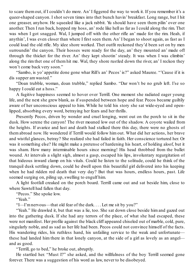to scare them out, if I couldn't do more. An'I figgered the way to work it. If you remember it's a queer-shaped canyon. I shot seven times into thet bunch havin' breakfast. Long range, but I hit one greaser, anyhow. He squealed like a jack rabbit. Yu should have seen them pilin' over one another. Then I run back, hopped my hoss, an' rode like hell as far as I could along the rim. Thet was when I got snagged. Wal, I jumped off with the other rifle an' made for the rim. Heah, if anythin', I was even closer than where I first seen them. An'I began to shoot again, as fast as I could load the old rifle. My idee shore worked. Thet outfit reckoned they'd been set on by men surroundin' the canyon. Their hosses were ready for the day, an' they mounted an' made off through the thicket for the river. An' they kept shootin' steady. It was when I was climbin' along the rim thet one of them hit me. Wal, they shore rustled down the river, an' I reckon they won't come back very soon."

"Sambo, is yo' appetite done gone whar Rill's an' Pecos'is?" asked Mauree. "'Cause if it is dis supper amwasted."

"Doan trubble, woman, doan trubble," replied Sambo. "Dar won't be no grub left. I'se so happy I could eat a hoss."

A fugitive happiness seemed to hover over Terrill. One moment she radiated eager young life, and the next she grew blank, as if suspended between hope and fear. Pecos became guiltily aware of her unconscious appeal to him. While he told his story she sat wide-eyed and openlipped, absorbing every word, betraying her fears and her thrills.

Presently Pecos, driven by wonder and cruel longing, went out on the porch to sit in the dusk. How serene the canyon! The river moaned low out of the shadow. A coyote wailed from the heights. If avarice and lust and death had stalked there this day, there were no ghosts of them abroad now. He wondered if Terrill would follow him out. What did her actions, her brave and wistful glances, betray? She realized she had failed in faith. Her conscience tortured her. Or was it something else? He might make a pretense of hardening his heart, of holding aloof, but it was sham. How many interminable hours since morning! His head throbbed from the bullet wound. At intervals a slight sigh, almost a gasp, escaped his lips, involuntary regurgitation of that hideous inward clamp on his vitals. Could he listen to the solitude, could he think of the tranquil dusk settling down, could he dwell upon this beautiful girl delivered into his keeping when he had ridden red death that very day? But that was hours, endless hours, past. Life seemed surging on, piling up, swelling to engulf him.

A light footfall creaked on the porch board. Terrill came out and sat beside him, close to where Sawtell had fallen that day.

"Pecos." She spoke low.

"Yeah"

"I—I'mnervous—that old fear of the dark. . . . Let me sit by you?"

"Yeah." He drawled it, but that was a lie, too. She sat down close beside him and gazed out into the gathering dusk. If she had any terrors of the place, of what she had escaped, these were not manifest. Her profile against the black cliff appeared chiseled out of marble, cold, pure, singularly noble, and as sad as her life had been. Pecos could not convince himself of the facts. His wandering rides, his ruthless hand, his unfailing service to the weak and unfortunate these had landed him there in that lonely canyon, at the side of a girl as lovely as an angel and as good.

"Terrill, go to bed," he broke out, abruptly.

He startled her. "Must I?" she asked, and the willfulness of the boy Terrill seemed gone forever. There was a suggestion of his word as law, never to be disobeyed.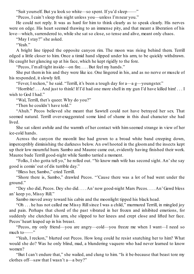"Suit yourself. But yu look so white—so spent. If yu'd sleep——"

"Pecos, I cain't sleep this night unless you—unless I'mnear you."

He could not reply. It was as hard for him to think clearly as to speak clearly. His nerves were on edge. His heart seemed thawing to an immense pity, and that meant a liberation of his love—which, surrendered to, while she sat so close, so tense and alive, meant only chaos.

"May I stay?" she asked.

"Yeah."

A bright line tipped the opposite canyon rim. The moon was rising behind them. Terrill edged a little closer to him. Once a timid hand slipped under his arm, to be quickly withdrawn. He caught her glancing up at his face, which he kept rigidly to the fore.

"Pecos, I'mall tight inside—on fire. . . . But feel my hands."

She put them in his and they were like ice. One lingered in his, and as no nerve or muscle of his responded, it slowly fell.

"Fever, I reckon," he said. "Terrill, it's been a tough day for a—a g—youngster."

"Horrible! . . . And just to think! If I'd had one more shell in my gun I'd have killed him! . . . I wish to God I had."

"Wal, Terrill, thet's queer. Why do you?"

"Then he couldn't have told."

"Ahuh." Pecos believed she meant that Sawtell could not have betrayed her sex. That seemed natural. Terrill over-exaggerated some kind of shame in this dual character she had lived.

She sat silent awhile and the warmth of her contact with him seemed strange in view of her ice-cold hands.

Across the canyon the moonlit line had grown to a broad white band creeping down, imperceptibly diminishing the darkness below. An owl hooted in the gloomand the insects kept up their low mournful hum. Sambo and Mauree came out, evidently having finished their work. Mauree bade Terrill good-night while Sambo tarried a moment.

"Folks, I sho gotta tell yo," he rolled out. "Yo know mah wife has second sight. An'she say good is comin' out of dis turrible day."

"Bless her, Sambo," cried Terrill.

"Shore there is, Sambo," drawled Pecos. "'Cause there was a lot of bad went under the ground."

"Dey sho did, Pecos. Dey sho did. . . . An' now good-night Mars Pecos. . . . An'Gawd bless an' keep yo, Missy Rill."

Sambo moved away toward his cabin and the moonlight tipped his black head.

"Oh . . . he has not called me Missy Rillsince I was a child," murmured Terrill, in mingled joy and pain. Perhaps that chord of the past vibrated in her frozen and inhibited emotions, for suddenly she clutched his arm, she slipped to her knees and crept close and lifted her face. Pecos' heart leaped up in his breast.

"Pecos, my only friend—you are angry—cold—you freeze me when I want—I need so much to——"

"Yeah, I reckon," blurted out Pecos. How long could he resist snatching her to him? What would she do? Was he only blind, mad, a blundering vaquero who had never learned to know women?

"But I can't endure that," she wailed, and clung to him. "Is it be-because that beast tore my clothes off—saw that I wasn't a—a boy?"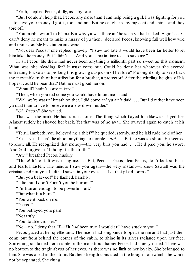"Yeah," replied Pecos, dully, as if by rote.

"But I couldn't help that, Pecos, any more than I can help being a girl. I was fighting for you —to save your money. I got it, too, and ran. But he caught me by my coat and shirt—and they tore off."

"You mebbe wasn't to blame. But why yu was there an' he seen yu half-naked. A girl! . . . Yu cain't deny he meant to make a hussy of yu then," declared Pecos, knowing full well how wild and unreasonable his statements were.

"No, dear Pecos," she replied, gravely. "I saw too late it would have been far better to let him take the money. But I didn't.... And you came in time to—to save me."

In all Pecos' life there had never been anything a millionth part so sweet as this moment. What was she pleading for? It must come out. Could he deny her whatever she seemed entreating for, so as to prolong this growing suspicion of her love? Prolong it only to keep back the inevitable truth of her affection for a brother, a protector? After the whirling heights of his hopes, could he bear that? But he must goad her on.

"What if I hadn't come in time?"

"Then, when you did come you would have found me—daid."

"Wal, we're wastin' breath on thet. I did come an' yu ain't daid. . . . But I'd rather have seen yu daid than to live to believe me a low-down rustler."

"*Oh, Pecos!*" She wailed.

That was the mark. He had struck home. The thing which flayed him likewise flayed her. Almost rudely he shoved her back. Yet that was of no avail. She swayed again to catch at his hands.

"Terrill Lambeth, you believed me a thief?" he queried, sternly, and he laid rude hold of her.

"Yes—yes. I cain't lie aboot anything so terrible. I *did*. . . . But he was so shore. He seemed to know all. He recognized that money—the very bills you had. . . . He'd paid you, he swore. And God forgive me! I thought it the truth."

"Aw!" breathed Pecos, huskily.

"There! It's out. It was killing me. . . . But, Pecos—Pecos, dear Pecos, don't look so black and fearful. Listen. The minute I saw you again—the very instant—I knew Sawtell was the criminal and not you. I felt it. I saw it in your eyes. . . . Let that plead for me."

"But you believed!" he flashed, harshly.

"I did, but I don't. Cain't you be human?"

"I'mhuman enough to be powerful hurt."

"But what is a hurt?"

"You went back on me."

"Pecos!"

"You betrayed yore pard."

"Not truly."

"You double-crosser."

"No—no. I deny that. If—if it *had* been true, I would still have stuck to you."

Pecos gazed at her spellbound. The moon had long since topped the rim and had just then come out from behind the corner of the cabin, to shine in its silver radiance upon her face. Something sustained her in spite of the monstrous barrier Pecos had cruelly raised. There was no bottom to the tragic abyss of her eyes, as there was no limit to her loyalty. She belonged to him. She was a leaf in the storm. But her strength consisted in the bough from which she would not be separated. She clung.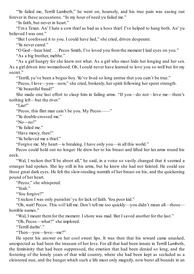"Yu failed me, Terrill Lambeth," he went on, hoarsely, and his true pain was easing out forever in these accusations. "In my hour of need yu failed me."

"In faith, but never in heart."

"I'm a Texan. An'I hate a cow thief as bad as a hoss thief. I've helped to hang both. An' yu believed I was one."

"But I confessed it to you. I could have lied," she cried, driven desperate.

"Yu never cared."

"O God—hear him! . . . Pecos Smith, I've loved you fromthe moment I laid eyes on you."

"As a big brother, mebbe."

"As a girl hungry for she knew not what. As a girl who must hide her longing and her sex. As a girl driven into womanhood. Oh, I could never have learned to love you so well but for my secret<sup>"</sup>

"Terrill, yu've been a bogus boy. Yu've lived so long untrue thet you cain't be true."

"Pecos, I love—you—now," she cried, brokenly, her spirit following her spent strength.

"Yu beautiful fraud!"

She made one last effort to clasp him in failing arms. "If you—do not—love me—there's nothing left—but the river."

"Liar!"

"Pecos, this flint man cain't be you. My Pecos——"

"Yu double-crossed me."

"No—no!"

"Yu failed me."

"Have mercy, then!"

"Yu believed me a thief."

"Forgive me. My heart—is breaking. I have only you—in all this world."

Pecos could hold out no longer. He drew her to his breast and lifted her lax arms round his neck.

"Wal, I reckon thet'll be aboot all," he said, in a voice so vastly changed that it seemed a stranger had spoken. She lay still in his arms, but he knew she had not fainted. He could see those great dark eyes. He felt the slow-stealing warmth of her breast on his, and the quickening pound of her heart.

"Pecos," she whispered.

"Yeah"

"You forgive?"

"I reckon I was only punishin' yu for lack of faith. You poor kid."

"Oh, wait! Pecos. This *will* kill me. Don't tell me too quickly—you didn't mean all—those horrible names."

"Wal, I meant themfor the moment. I shore was mad. But I saved another for the last."

"Oh, Pecos—what?" she implored.

"Terrill darlin'."

"Then—you—love—me?"

He spent his answer on her cool sweet lips. It was then that his reward came unasked, unexpected as had been the treasure of her love. For all that had been innate in Terrill Lambeth, the femininity that had been suppressed, the emotion that had been denied so long, and the fostering of the lonely years of that wild country, where she had been kept as secluded as a cloistered nun, and the hunger which such a life must only magnify, now burst all bounds in an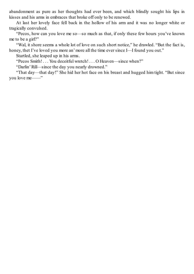abandonment as pure as her thoughts had ever been, and which blindly sought his lips in kisses and his arms in embraces that broke off only to be renewed.

At last her lovely face fell back in the hollow of his arm and it was no longer white or tragically convulsed.

"Pecos, how can you love me so—so much as that, if only these few hours you've known me to be a girl?"

"Wal, it shore seems a whole lot of love on such short notice," he drawled. "But the fact is, honey, thet I've loved you more an'more all the time ever since I—I found you out."

Startled, she leaped up in his arms.

"Pecos Smith! . . . You deceitful wretch! . . . O Heaven—since when?"

"Darlin'Rill—since the day you nearly drowned."

"That day—that day!" She hid her hot face on his breast and hugged him tight. "But since you love me——"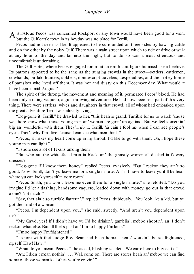$A$  S FAR as Pecos was concerned Rockport or any town would have been good for a visit, but the Gulf cattle town in its hevdav was no place for Terrill. but the Gulf cattle town in its heyday was no place for Terrill.

Pecos had not seen its like. It appeared to be surrounded on three sides by bawling cattle and on the other by the noisy Gulf. There was a main street upon which to ride or drive or walk at any hour of the day and far into the night, but to do so was a most strenuous and uncomfortable undertaking.

The Gulf Hotel, where Pecos engaged rooms at an exorbitant figure hummed like a beehive. Its patrons appeared to be the same as the surging crowds in the street—settlers, cattlemen, cowhands, buffalo-hunters, soldiers, nondescript travelers, desperadoes, and the motley horde of parasites who lived off them. It was hot and dusty on this December day. What would it have been in mid-August?

The spirit of the throng, the movement and meaning of it, permeated Pecos' blood. He had been only a riding vaquero, a gun-throwing adventurer. He had now become a part of this very thing. There were settlers' wives and daughters in that crowd, all of whom had embarked upon the great adventure Terrill was already living.

"Dog-gone it, Terrill," he drawled to her, "this heah is grand. Turrible for us to watch 'cause we shore know what those young men an' women are goin' up against. But we feel somethin' big an' wonderful with them. They'll *do* it, Terrill. Yu cain't fool me when I can see people's eyes. Thet's why I'malive, 'cause I can see what men think."

"Pecos, it makes my heart come up in my throat. I'd like to go with them. Oh, I hope these young men can fight."

"I shore see a lot of Texans among them."

"But who are the white-faced men in black, an' the ghastly women all decked in flowery dresses?"

"Dog-gone if I know them, honey," replied Pecos, evasively. "But I reckon they ain't so good. Now, Terrill, don't yu leave me for a single minute. An' if I have to leave yu it'll be heah where yu can lock yoreself in yore room."

"Pecos Smith, you won't leave me even there for a single minute," she retorted. "Do you imagine I'd let a dashing, handsome vaquero, loaded down with money, go out in that crowd alone? Not much!"

"Say, thet ain't so turrible flatterin'," replied Pecos, dubiously. "You look like a kid, but yu got the mind of a woman."

"Pecos, I'm dependent upon you," she said, sweetly. "And aren't you dependent upon me?"

"My Gawd, yes! If I didn't have yu I'd be drinkin', gamblin', mebbe shootin', an' I don't reckon what else. But all thet's past an'I'mso happy I'mloco."

"I'mso happy I'mfrightened."

"I shore wish thet Judge Roy Bean had been home. Then *I* wouldn't be so frightened, myself. Haw! Haw!"

"What do you mean, Pecos?" she asked, blushing scarlet. "We came here to buy cattle."

"Aw, I didn't mean nothin'. . . . Wal, come on. There are stores heah an' mebbe we can find some of those women's clothes you're cravin'."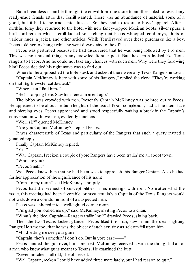But a breathless scramble through the crowd from one store to another failed to reveal any ready-made female attire that Terrill wanted. There was an abundance of material, some of it good, but it had to be made into dresses. So they had to resort to boys' apparel. After a mirthful foray they returned to the hotel with new fancy-topped Mexican boots, silver spurs, a buff sombrero in which Terrill looked so fetching that Pecos whooped, corduroys, shirts of various hues, a jacket, and other articles. While Terrill raved over these purchases like a boy, Pecos told her to change while he went downstairs to the office.

Pecos was perturbed because he had discovered that he was being followed by two men. This was no unusual thing in any crowded frontier post. But these men looked like Texas rangers to Pecos. And he could not take any chances with such men. Why were they following him? Pecos decided his right move was to find out.

Wherefor he approached the hotel desk and asked if there were any Texas Rangers in town.

"Captain McKinney is here with some of his Rangers," replied the clerk. "They're working on that Big Brewster cattle-steal."

"Where can I find him?"

"He's stopping here. Saw himhere a moment ago."

The lobby was crowded with men. Presently Captain McKinney was pointed out to Pecos. He appeared to be about medium height, of the usual Texan complexion, had a fine stern face and piercing eyes. Pecos approached and stood respectfully waiting a break in the Captain's conversation with two men, evidently ranchers.

"Well, sir?" queried McKinney.

"Are you Captain McKinney?" replied Pecos.

It was characteristic of Texas and particularly of the Rangers that such a query invited a guarded reply.

Finally Captain McKinney replied.

"Yes."

"Wal, Captain, I reckon a couple of yore Rangers have been trailin'me all aboot town."

"Who are you?"

"Pecos Smith."

Well Pecos knew then that he had been wise to approach this Ranger Captain. Also he had further appreciation of the significance of his name.

"Come to my room," said McKinney, abruptly.

Pecos had the keenest of susceptibilities in his meetings with men. No matter what the issue, this meeting had been favorable, or most certainly a Captain of the Texas Rangers would not walk down a corridor in front of a suspected man.

Pecos was ushered into a well-lighted corner room.

"I'mglad you looked me up," said McKinney, inviting Pecos to a chair.

"What's the idee, Captain—Rangers trailin'me?" drawled Pecos, sitting back.

Then the two Texans locked glances. Pecos liked this man, saw in him the clean-fighting Ranger. He saw, too, that he was the object of such scrutiny as seldom fell upon him.

"Mind letting me see your gun?"

"Captain, thet's somethin'I don't do. But in yore case——"

Pecos handed the gun over, butt foremost. McKinney received it with the thoughtful air of a man who knew what guns meant to Texans. He examined the butt.

"Seven notches—all old," he observed.

"Wal, Captain, reckon I could have added three more lately, but I had reason to quit."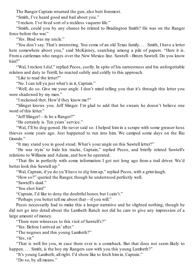The Ranger Captain returned the gun, also butt foremost.

"Smith, I've heard good and bad aboot you."

"I reckon. I've lived sort of a reckless vaquero life."

"Smith, could you by any chance be related to Bradington Smith? He was on the Ranger force before the war."

"Yes. Brad was my uncle."

"You don't say. That's interesting. You come of an old Texas family. . . . Smith, I have a letter here somewhere aboot you," said McKinney, searching among a pile of papers. "Here it is. From a cattleman who ranges over the New Mexico line. Sawtell—Breen Sawtell. Do you know him?"

"Wal, I reckon I *did*," replied Pecos, coolly. In spite of his earnestness and his unforgettable relation and duty to Terrill, he reacted subtly and coldly to this approach.

"Like to read the letter?"

"No. I can tell yu just what's in it, Captain."

"Well, do so. Give me your angle. I don't mind telling you that it's through this letter you were shadowed by my men."

"I reckoned thet. How'd they know me?"

"Slinger knows you. Jeff Slinger. I'm glad to add that he swears he doesn't believe one word of this letter."

"Jeff Slinger!—Is he a Ranger?"

"He certainly is. Ten years'service."

"Wal, I'll be dog-goned. He never said so. I helped him in a scrape with some greaser hoss thieves some years ago. Just happened to run into him. We camped some days on the Rio Grande<sup>"</sup>

"It may stand you in good stead. What's your angle on this Sawtell letter?"

"He was tryin' to hide his tracks, Captain," replied Pecos, and briefly related Sawtell's relations to Williams and Adams, and how he operated.

"That fits in perfectly with some information I got not long ago from a trail driver. We'd better look this Sawtell up."

"Wal, Captain, if yu do yu'll have to *dig* himup," replied Pecos, with a grimlaugh.

"How so?" queried the Ranger, though he understood perfectly well.

"Sawtell's daid."

"You shot him!"

"Captain, I'd like to deny the doubtful honor, but I cain't."

"Perhaps you better tell me aboot that—if you will."

Pecos necessarily had to make this a longer narrative and he slighted nothing, though he did not go into detail about the Lambeth Ranch nor did he care to give any impression of a large amount of money.

"There were witnesses to this visit of Sawtell's?"

"Yes. Before I arrived an' after."

"The negroes and this young Lambeth?"

"Yes, sir."

"That is well for you, in case there ever is a comeback. But that does not seem likely to happen. . . . Smith, is the boy my Rangers saw with you this young Lambeth?"

"It's young Lambeth, all right. I'd shore like to fetch himin, Captain."

"Do so, by all means."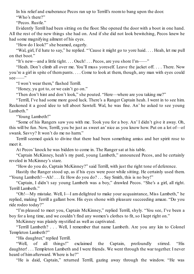In his relief and exuberance Pecos ran up to Terrill's roomto bang upon the door.

"Who's there?"

"Pecos. Rustle."

Evidently Terrill had been sitting on the floor. She opened the door with a boot in one hand. All the rest of the new things she had on. And if she did not look bewitching, Pecos knew he had some magnifying ailment of his eyes.

"How do I look?" she beamed, eagerly.

"Wal, girl, I'd hate to say," he replied. "'Cause it might go to yore haid. . . . Heah, let me pull on thet boot."

"It's new—and a little tight. . . . Ouch! . . . Pecos, are you shore I'm——"

"Heah. Don't climb all over me. You'll muss yoreself. Leave the jacket off. . . . There. Now you're a girl in spite of them pants. . . . Come to look at them, though, any man with eyes could see——"

"I won't wear them," flashed Terrill.

"Honey, yu got to, or we cain't go on."

"Then don't hint and don't look," she pouted. "Here—where are you taking me?"

"Terrill, I've had some more good luck. There's a Ranger Captain heah. I went in to see him. Reckoned it a good idee to tell aboot Sawtell. Wal, he was fine. An' he asked to see young Lambeth."

"Young Lambeth!"

"Some of his Rangers saw you with me. Took you for a boy. An' I didn't give it away. Oh, this will be fun. Now, Terrill, you be just as sweet an' nice as you know how. Put on a lot of—of swank. Savvy? It won't do me no harm."

Terrill seemed quick to divine that there had been something amiss and her spirit rose to meet it.

At Pecos' knock he was bidden to come in. The Ranger sat at his table.

"Captain McKinney, heah's my pard, young Lambeth," announced Pecos, and he certainly reveled in McKinney's stare.

"How do you do, Captain McKinney?" said Terrill, with just the right tone of deference.

Hastily the Ranger stood up, as if his eyes were poor while sitting. He certainly used them. "Young Lambeth!—Ah! . . . Er. How do you do? . . . Say Smith, this is no boy!"

"Captain, I didn't say young Lambeth was a boy," drawled Pecos. "She's a girl, all right. Terrill Lambeth<sup>"</sup>

"Oh!—My mistake. Well, I—I am delighted to make your acquaintance, Miss Lambeth," he replied, making Terrill a gallant bow. His eyes shone with pleasure succeeding amaze. "Do you ride rodeo today?"

"I'm pleased to meet you, Captain McKinney," replied Terrill, shyly. "You see, I've been a boy for a long time, and we couldn't find any women's clothes to fit, so I kept right on."

McKinney was plainly mystified as well as captivated.

"Terrill Lambeth? . . . Well, I remember that name Lambeth. Are you any kin to Colonel Templeton Lambeth?"

"His daughter," replied Terrill.

"Well, of all things!" exclaimed the Captain, profoundly stirred. "His daughter! . . . Templeton Lambeth and I were friends. We went through the war together. I never heard of himafterward. Where is he?"

"He is daid, Captain," returned Terrill, gazing away through the window. "He was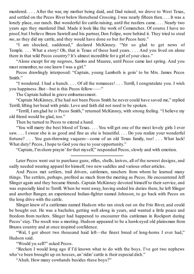murdered. . . . After the war, my mother being daid, and Dad ruined, we drove to West Texas, and settled on the Pecos River below Horsehead Crossing. I was nearly fifteen then. . . . It was a lonely place, our ranch. But wonderful for cattle-raising, until the rustlers came.... Nearly two years ago they murdered Dad. Made it look like the work of Comanches. Of course I have no proof, but I believe Breen Sawtell and his partner, Don Felipe, were behind it. They tried to steal *me*, as they did my cattle, and they would have done so but for Pecos here."

"I am shocked, saddened," declared McKinney. "Yet so glad to get news of Temple. . . . What a story! Oh, that is Texas of these hard years. . . . And you lived on alone there in that wild Pecos country? It's almost incredible for a girl of your class."

"Alone except for my negroes, Sambo and Mauree, until Pecos came last spring. And you must remember, no one knew I was a girl."

Pecos drawlingly interposed: "Captain, young Lambeth is goin' to be Mrs. James Pecos Smith."

"I wondered. I had a hunch. . . . Of all the romances! . . . Terrill, I congratulate you. I wish you happiness. But—but is this Pecos fellow——"

The Captain halted in grave embarrassment.

"Captain McKinney, if he had not been Pecos Smith he never could have saved me," replied Terrill, lifting her head with pride. Love and faith did not need to be spoken.

"Terrill, I am glad he *is* Pecos Smith," returned McKinney, with strong feeling. "I believe my old friend would be glad, too."

Then he turned to Pecos to extend a hand.

"You will marry the best blood of Texas. . . . You will get one of the most lovely girls I ever saw.... I swear she is as good and fine as she is beautiful... Do you realize your wonderful fortune? . . . You gun-throwing vaquero—come of an old Texas family, too! . . . What luck! What duty! Pecos, I hope to God you rise to your opportunity."

"Captain, I'mshore prayin'for thet myself," responded Pecos, slowly and with emotion.

Later Pecos went out to purchase guns, rifles, shells, knives, all of the newest designs, and sadly needed wearing apparel for himself, two new saddles and various other articles.

And Pecos met settlers, trail drivers, cattlemen, ranchers from whom he learned many things. The settlers, perhaps, profited as much from the meeting as Pecos. He encountered Jeff Slinger again and they became friends. Captain McKinney devoted himself to their service, and was especially kind to Terrill. When he went away, having ended his duties there, he left Slinger and another Ranger, an experienced Indian-fighter named Johnson, to go back with Pecos on the long drive with the cattle.

Slinger knew of a cattleman named Hudson who ran stock out on the Frio River, and could be bought out. He was a bachelor, getting well along in years, and wanted a little peace and freedom from rustlers. Slinger had happened to encounter this cattleman in Rockport during Pecos'stay. The result was a meeting. Hudson appeared to be a hawk-eyed old plainsman from Brazos country and at once inspired confidence.

"Wal, I got aboot two thousand haid left—the finest breed of long-horns I ever had," Hudson said.

"Would yu sell?" asked Pecos.

"Reckon I would long ago if I'd known what to do with the boys. I've got two nephews who've been brought up on hosses, an'ridin' cattle is their especial dish."

"Ahuh. How many cowhands besides these boys?"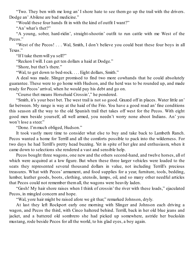"Two. They ben with me long an' I shore hate to see them go up the trail with the drivers. Dodge an' Abilene are bad medicine."

"Would these four hands fit in with the kind of outfit I want?"

"An'what's thet?"

"A young, sober, hard-ridin', straight-shootin' outfit to run cattle with me West of the Pecos."

"West of the Pecos! . . . Wal, Smith, I don't believe you could beat these four boys in all Texas."

"If I take themwill yu sell?"

"Reckon I will. I can get ten dollars a haid at Dodge."

"Shore, but thet's there."

"Wal, to get down to bed-rock. . . . Eight dollars, Smith."

A deal was made. Slinger promised to find two more cowhands that he could absolutely guarantee. These were to go home with Hudson, and the herd was to be rounded up, and made ready for Pecos' arrival, when he would pay his debt and go on.

"Course thet means Horsehaid Crossin'," he pondered.

"Smith, it's your best bet. The west trail is not so good. Grazed off in places. Water little an' far between. My range is way at the haid of the Frio. You have a good road an'fine conditions this season all the way to the old Spanish trail thet takes off west for the Pecos. With eight good men beside yourself, all well armed, you needn't worry none aboot Indians. An' you won't lose a steer."

"Done. I'mmuch obliged, Hudson."

It took vastly more time to consider what else to buy and take back to Lambeth Ranch. Pecos wanted a home for Terrill and all the comforts possible to pack into the wilderness. For two days he had Terrill's pretty head buzzing. Yet in spite of her glee and enthusiasm, when it came down to selections she rendered a vast and sensible help.

Pecos bought three wagons, one new and the others second-hand, and twelve horses, all of which were acquired at a low figure. But when these three larger vehicles were loaded to the seats they represented several thousand dollars in value, not including Terrill's precious treasures. What with Pecos' armament, and food supplies for a year, furniture, tools, bedding, lumber, leather goods, boots, clothing, utensils, lamps, oil, and so many other needful articles that Pecos could not remember themall, the wagons were heavily laden.

"Gosh! My hair shore raises when I think of crossin'the river with these loads," ejaculated Pecos, in mingled concern and hope.

"Wal, yore hair might be raised afore we git thar," remarked Johnson, dryly.

At last they left Rockport early one morning with Slinger and Johnson each driving a wagon, and Pecos the third, with Cinco haltered behind. Terrill, back in her old blue jeans and jacket, and a battered old sombrero she had picked up somewhere, astride her buckskin mustang, rode beside Pecos for all the world, to his glad eyes, a boy again.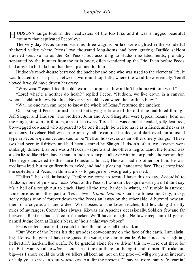$H_{\text{countrv}}$  that captivated Pecos' eve.<br>The Rio Frio, and it was a rugged beautiful country that captivated Pecos' eve. country that captivated Pecos' eye.

The very day Pecos arrived with his three wagons buffalo were sighted in the wonderful sheltered valley where Pecos' two thousand long-horns had been grazing. Buffalo seldom traveled west so far as the Rio Pecos, but according to Hudson isolated herds, probably separated by the hunters from the main body, often wandered up the Frio. Even before Pecos had arrived a buffalo hunt had been planned for him.

Hudson's ranch-house betrayed the bachelor and one who was used to the elemental life. It was located up in a pass, between two round-top hills, where the wind blew eternally. Terrill vowed it would have driven her crazy.

"Why wind!" ejaculated the old Texan, in surprise. "It wouldn't be home without wind."

"Lord! what'd a norther do heah?" replied Pecos. "Hudson, we live down in a canyon where it seldom blows. No dust. Never very cold, even when the northers blow."

"Wal, no one man can hope to know the whole of Texas," returned the rancher.

On first sight Pecos formed a most satisfying estimate of the outfit he had hired through Jeff Slinger and Hudson. The brothers, John and Abe Slaughter, were typical Texans, born on the range, stalwart six-footers, almost like twins. Texas Jack was a bullet-headed, jolly-featured, bow-legged cowhand who appeared to be one it might be well to have as a friend, and never as an enemy. Lovelace Hall was an extremely tall Texan, red-headed, and dark-eyed, an unusual type in Pecos' experience, and said to be "hell on hosses, cows an' other ornery things." These two had been trail drivers and had been secured by Slinger. Hudson's other two cowmen were strikingly different, as one was a Mexican vaquero and the other a negro. Lano, the former, was a slim lizard-like rider, darker than an Indian, stamped all over with incomparable horsemanship. The negro answered to the name Louisiana. In fact, Hudson had no other for him. He was medium-sized, but magnificently muscled, and had a pleasing, handsome face. These completed the sextette, and Pecos, seldomat a loss to gauge men, was greatly pleased.

"Fellers," he said, intimately, "before we come to terms I have this to say. Accordin' to Hudson, none of yu know Texas West of the Pecos. I wouldn't be square with yu if I didn't say it's a hell of a tough nut to crack. Hard all the time, harder in winter, an' turrible in summer. Lonesome as no other part of Texas. Even *L'lano Estacado* ain't so lonesome. Gray, rocky, scaly ridges runnin' forever down to the Pecos an' away on the other side. A buzzard now an' then, or a coyote, an' rarer a deer. Wild hosses on the lower reaches, but few along the fifty miles of my ranges. Comanches always, Kiowas an' Apaches occasionally. Soldiers few and far between. Rustlers bad an' comin' thicker. We'll have to fight. No law except an old geezer named Judge Bean at Eagle's Nest, an' he's a highway robber."

Pecos rested a moment to catch his breath and to let all that sink in.

"But West of the Pecos it's the grandest cow-country on the face of the earth. I am aimin' big. I know the game. I have the grass, the water, the start in cattle. What I need is a fightin', hell-rattlin', hard-shelled outfit. I'd be grateful alone for yu drivin' this new herd out there for me. But I want yu all to *stick*. There is a future out there for the right kind of men. If I make out big—as I shore could do with yu fellers all keen an' hot on the prod—I will give yu an interest, or help you to make a start yoreselves. An' for the present I'll pay yu more than yu're earnin'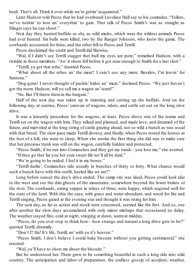heah. Thet's all. Think it over while we're gettin' acquainted."

Later Hudson told Pecos that he had overheard Lovelace Hallsay to his comrades: "Fellers, we've nothin' to lose an' everythin' to gain. Thet talk of Pecos Smith's was as straight as Slinger says he can shoot."

Next day they hunted buffalo as shy as wild mules, which were the wildest animals Pecos had ever hunted. Six bulls were killed, two by the Ranger Johnson, who knew the game. The cowhands accounted for three, and the other fell to Pecos and Terrill.

Pecos disclaimed the credit and Terrill did likewise.

"Wal, if I didn't see Terrill stagger thet bull my eyes are pore," remarked Hudson, with a twinkle in those members. "An'it shore fell before it got near enough to Smith for a last shot."

"Terrill, yu get that robe," drawled Pecos.

"What aboot all the robes an' the meat? I cain't use any more. Besides, I'm leavin' for Santone."

"Dog-gone! I never thought of packin' hides an' meat," declared Pecos. "We just haven't got the room. Hudson, will yu sell me a wagon an'team?"

"No. But I'll throw themin the bargain."

Half of the next day was taken up in skinning and cutting up the buffalo. And on the following day, at sunrise, Pecos' caravan of wagons, riders, and cattle set out on the long slow drive.

It was a leisurely procedure for the wagons, at least. Pecos drove one of the teams and Terrill sat on the wagon with him. They talked and planned, and made love, and dreamed of the future, and marveled at the long string of cattle grazing ahead, not so wild a bunch as was usual with that breed. The slow pace made Terrill drowsy, and finally, when Pecos rested the horses at the foot of a hill, she went to sleep. When she awoke the first thing she did was to make sure that her precious trunk was still on the wagon, carefully hidden and protected.

"Pecos Smith, if we run into Comanches and they get my trunk—you lose me," she averred.

"If they go thet far you bet yore sweet life we'll all be daid."

"We're going to be raided. I feel it in my bones."

"Terrill darlin', Comanches ride usually in bunches of thirty or forty. What chance would such a bunch have with this outfit, heeled like we are?"

Long before sunset the day's drive ended. The camp site was ideal; Pecos could look afar to the west and see the dim ghosts of the mountains, somewhere beyond the lower brakes of the river. The cowhands, eating supper in relays of three, were happy, which augured well for the state of the herd. With this the case, with grass and water abundant, and wood for fire and Terrillsinging, Pecos gazed at the evening star and thought it was rising for him.

The next day, as far as action and result were concerned, seemed like the first. And so, one after another the slow days accumulated with only minor mishaps that occasioned no delay. The weather stayed fine, cold at night, stinging at dawn, warmat midday.

"Pecos, do you ever stop to think how—how strange and natural a long drive gets to be?" queried Terrill, dreamily.

"Don't I? Ha! It's life, Terrill, an'with yu it's heaven."

"Pecos Smith, I don't believe I could bake biscuits without you getting sentimental," she retorted.

"Wal, yu'll have to show me aboot the biscuits."

But he understood her. There grew to be something beautiful in such a long ride into wild country. The anticipation and labor of preparation, the endless gossip of accident, weather,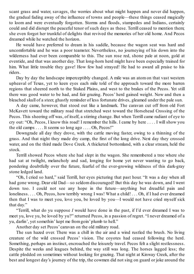scant grass and water, savages, the worries about what might happen and never did happen, the gradual fading away of the influence of towns and people—these things ceased magically to loom and were eventually forgotten. Storms and floods, stampedes and Indians, certainly could and did disrupt the peaceful tenor of such days as these. Terrill ceased to mention them; she even forgot her trunkful of delights that revived the memories of her old home. And Pecos dreamed while he watched the horizon.

He would have preferred to dream in his saddle, because the wagon seat was hard and uncomfortable and he was a poor teamster. Nevertheless, no journeying of his down into the wilderness had ever been comparable to this. The sun rose red, shone pale at noon, gold at eventide, and that was another day. That long-horn herd might have been especially trained for him. What little trouble they gave! How few had strayed! He had to award all praise to his riders.

Day by day the landscape imperceptibly changed. A mile was an atom on that vast western upheaval of Texas, yet to keen eyes each mile told of the approach toward the more barren regions that sheered north to the Staked Plains, and west to the brakes of the Pecos. Yet still there was good water to be had, and fair grazing. Pecos' herd gained weight. Now and then a bleached skull of a steer, ghastly reminder of less fortunate drives, gleamed under the pale sun.

A day came, however, that stood out like a landmark. The caravan cut off from old Fort McKavett toward the military road that stretched west toward the Horsehead Crossing of the Pecos. This sheering off was, of itself, a stirring change. But when Terrill came radiant of eye to cry out: "Oh, Pecos, I know this road! I remember the hills. I came by here . . . . I will show you the old camps . . . . It seems so long ago . . . . Oh, Pecos!"

Downgrade all day they drove, with the cattle moving faster, owing to a thinning of the grass. And that night they made dry camp, the first of the long drive. Next day they crossed water, and on the third made Dove Creek. A thicketed bottomland, with a clear stream, held the stock.

Terrill showed Pecos where she had slept in the wagon. She remembered a tree where she had sat at twilight, melancholy and sad, longing for home yet never wanting to go back, pondering doubtfully over the future, fearful of the ever-growing wildness of this dark-gray stone ledged land.

"Oh, I cried so hard," said Terrill, her eyes picturing that past hour. "It was a day when all had gone wrong. Dear old Dad—so seldomdiscouraged! But this day he was down, and I went down too. I could not see any hope in the future—anything but dreadful pain and loneliness. . . . Oh, Pecos, how terribly wrong I was! What a child! . . . Oh, if I had ever dreamed then that I was to meet you, love you, be loved by you—I would not have cried myself sick that day."

"Terrill, what do yu suppose *I* would have done in the past, if I'd ever dreamed I was to meet yu, love yu, be loved by yu?" returned Pecos, in a passion of regret. "I never dreamed of a yu, darlin', yet somethin' kept me fromgoin' plumb to hell."

Another day set Pecos' caravan on the old military road.

The sun hazed over. There was a chill in the air and a wind rustled the brush. No living creature of the wild crossed Pecos' vision. The coyotes had ceased following the herd. Something, perhaps an instinct, encroached the leisurely travel. Pecos felt a slight restlessness. Despite the weeks and leagues behind, the way still was long. The horses lagged less; the cattle plodded on sometimes without looking for grazing. That night at Kinway Creek, after the best and longest day's journey of the trip, the cowmen did not sing on guard or joke around the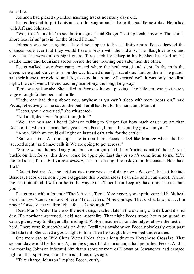camp fire.

Johnson had picked up Indian mustang tracks not many days old.

Pecos decided to put Louisiana on the wagon and take to the saddle next day. He talked with Jeff and Johnson.

"Wal, it ain't anythin'to see Indian signs," said Slinger. "Not up heah, anyway. The land is shore heavin' an' grayin' for the Staked Plains."

Johnson was not sanguine. He did not appear to be a talkative man. Pecos decided the chances were ever that they would have a brush with the Indians. The Slaughter boys and Lovelace Hall were out on night guard. Texas Jack lay asleep in his blanket, his head on his saddle. Lano and Louisiana stood beside the fire, toasting one side, then the other.

Pecos walked away from camp toward where the herd rested and slept. In the main the steers were quiet. Calves born on the way bawled drearily. Travel was hard on them. The guards sat their horses, or rode to and fro, to edge in a stray. All seemed well. It was only the silent night, the cold wind, the encroaching monotony, the long, long way.

Terrill was still awake. She called to Pecos as he was passing. The little tent was just barely large enough for her bed and duffle.

"Lady, one bad thing aboot you, anyhow, is yu cain't sleep with yore boots on," said Pecos, reflectively, as he sat on the bed. Terrill had felt for his hand and found it.

"Pecos, you are worried," she whispered.

"Not atall, dear. But I'mjust thoughtful."

"Well, the men are. I heard Johnson talking to Slinger. But how much easier we are than Dad's outfit when it camped here years ago. Pecos, I think the country grows on you."

"Ahuh. Wish we could drill right on instead of waitin'for the cattle."

"But we cain't. All our hopes are in that herd. Pecos, I feel like Mauree when she has 'second sight,' as Sambo calls it. We are going to get across."

"Shore we are, honey. Dog-gone, but yore a game kid. I don't mind admittin' thet it's yu I buckle on. But for yu, this drive would be apple pie. Last day or so it's come home to me. Yu're the real stuff, Terrill. But yu're a *woman*, an' no man ought to risk yu on this cussed Hosshaid Trail."

"Dad risked me. All the settlers risk their wives and daughters. We can't be left behind. Besides, Pecos dear, don't you exaggerate this woman idea? I can ride and I can shoot. I'm not the least bit afraid. I will not be in the way. And I'll bet I can keep my haid under better than you."

Pecos rose with a fervent: "Thet's just it, Terrill. Yore nerve, yore spirit, yore faith. Yu beat me all hollow. 'Cause yu have other an'finer feelin's. More courage. Thet's what kills me. . . . I'm prayin' Gawd to see yu through safe. . . . Good-night!"

Dead Man's Water Hole was the next camp, reached late in the evening of a dark and dismal day. If a norther threatened, it did not materialize. That night Pecos stood hours on guard at camp, giving way to Slinger after midnight. Wolves mourned from the ridges above the restless herd. There were four cowhands on duty. Terrill was awake when Pecos noiselessly crept past the little tent. She called a good-night to him. Then he sought his own bed under a tree.

One more day to Wild China Water Holes, then a long drive to Horsehead Crossing. That second day would be the rub. Again the signs of Indian mustangs had perturbed Pecos. And in the morning Johnson informed him that a score or more of Kiowas or Comanches had camped right on that spot two, or at the most, three, days ago.

"Take charge, Johnson," replied Pecos, curtly.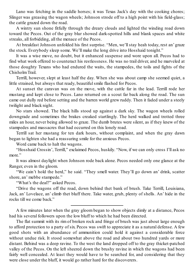Lano was fetching in the saddle horses; it was Texas Jack's day with the cooking chores; Slinger was greasing the wagon wheels; Johnson strode off to a high point with his field-glass; the cattle grazed down the road.

A wintry sun shone fitfully through the dreary clouds and lighted the winding road down toward the Pecos. Out of the gray blur showed dark-spotted hills and blank spaces and white streaks, all forbidding, all the menace of the Pecos.

At breakfast Johnson unfolded his first surprise. "Men, we'llstay heah today, rest an' graze the stock. Everybody sleep some. We'll make the long drive into Hosshaid tonight."

It was a wise move, no doubt, but it enhanced suspense and wore upon all. Pecos had to find what work offered to counteract his restlessness. He was no trail driver, and he marveled at those doughty Texans who had endured the waits, the stampedes, the toils and fights of the ChisholmTrail.

Terrill, however, slept at least half the day. When she was about camp she seemed quiet, a little strained, but always that ready, beautifulsmile flashed for Pecos.

At sunset the caravan was on the move, with the cattle far in the lead. Terrill rode her mustang and kept close to Pecos. Lano returned on a scout far back along the road. The sun came out dully red before setting and the barren world grew ruddy. Then it faded under a steely twilight and black night.

No stars showed. The black hills stood up against a dark sky. The wagon wheels rolled downgrade and sometimes the brakes creaked startlingly. The herd walked and trotted three miles an hour, never being allowed to graze. The dumb brutes were silent, as if they knew of the stampedes and massacres that had occurred on this lonely road.

Terrill sat her mustang for ten dark hours, without complaint, and when the gray dawn began to lighten she had a reassuring smile for the anxious Pecos.

Word came back to halt the wagons.

"Hosshaid Crossin', Terrill," exclaimed Pecos, huskily. "Now, if we can only cross I'll ask no more."

It was almost daylight when Johnson rode back alone. Pecos needed only one glance at the Ranger, even in the gloom.

"We cain't hold the herd," he said. "They smell water. They'll go down an' drink, scatter shore, an' mebbe stampede."

"What's the deal?" asked Pecos.

"Drive the wagons off the road, down behind thet bank of brush. Take Terrill, Louisiana, Jack, an' Lovelace, an' climb thet bluff there. Take water, grub, plenty of shells. An' hide in the rocks till we come back."

A few minutes later when the gray gloom began to show objects dimly at a distance, Pecos had his several followers upon the low bluff to which he had been directed.

The flat summit with its rim of broken rock and fringe of brush was just about large enough to afford protection to a party of six. Pecos was swift to appreciate it as a natural defense. A few good shots with an abundance of ammunition could hold it against a considerable force without undue risk. It stood somewhat above the road and about two hundred yards or more distant. Behind was a deep ravine. To the west the land dropped off to the gray thicket-patched valley of the Pecos. On the left sheered down the brushy ravine in which the wagons had been fairly well concealed. At least they would have to be searched for, and considering that they were close under the bluff, it would go rather hard for the discoverers.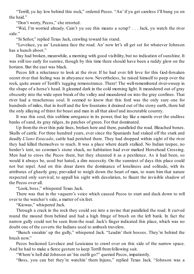"Terrill, yu lay low behind this rock," ordered Pecos. "An'if yu get careless I'll bang yu on the haid."

"Don't worry, Pecos," she retorted.

"Wal, I'm worried already. Cain't yu see this means a scrap? . . . Jack, yu watch the river side."

"Si Señor," replied Texas Jack, crawling toward his stand.

"Lovelace, yu an' Louisiana face the road. An' now let's all get set for whatever Johnson has a hunch aboot."

Day had broken, meanwhile, a morning with good visibility, but no indication of sunshine. It was still too early for sunrise, though by this time there should have been a ruddy glow on the horizon. But the east was black.

Pecos felt a reluctance to look at the river. If he had ever felt love for this God-forsaken secret river that feeling was in abeyance now. Nevertheless, he raised himself to peep over the rock, quite aware of Terrill's tugging remonstrance. There! The well-remembered river-sweep in the shape of a horse's head. It gleamed dark in the cold morning light. It meandered out of gray obscurity into the wide open break of the valley and meandered on into the gray confines. That river had a treacherous soul. It seemed to know that this ford was the only sure one for hundreds of miles, that in itself and the few fountains it drained out of the stony earth, there hid the only allaying of thirst for beast and man in all that aloof and inscrutable country.

It was this soul, this sublime arrogance in its power, that lay like a mantle over the endless banks of sand, its gray ridges, its patches of green. For that dominated.

Up fromthe river thin pale lines, broken here and there, paralleled the road. Bleached bones. Skulls of cattle. For three hundred years, ever since the Spaniards had staked off the stark and deadly *L'lano Estacado*, cattle had perished there. They had dropped within sight of the river they had killed themselves to reach. It was a place where death stalked. No Indian teepee, no herder's tent, no cowman's stone shack, no habitation had ever marked Horsehead Crossing. Men had to cross the Pecos there, but they shunned it as a pestilence. As it had been, so would it always be, used but hated, a dire necessity. On the sunniest of days this place could not but repel. And on this drear dawn the dominance of loneliness and solitude, with its attributes of ghastly gray, prevailed to weigh down the heart of man, to warn him that nature respected only survival; to appall his sight with desolation, to flaunt the invisible shadow of the Pecos over all.

"Look, boss," whispered Texas Jack.

There was that in the vaquero's voice which caused Pecos to start and duck down to roll over to the watcher's side, a matter of six feet.

"Kiowas," whispered Jack.

Through a crack in the rock they could see into a ravine that paralleled the road. It curved round the mound from behind and had a high fringe of brush on the left bank. In fact the narrow gully could not be seen from the road. Jack's finger indicated this place, which was no doubt one of the coverts the Indians used to ambush travelers.

"Bunch sneakin' up the gully," whispered Jack. "Leadin' their hosses. They're behind the brush now."

Pecos beckoned Lovelace and Louisiana to crawl over on this side of the narrow space. And he had to make a fierce gesture to keep Terrill fromfollowing suit.

"Where'n hell did Johnson an' his outfit go?" queried Pecos, impatiently.

"Boss, you can bet they're watchin' them Injuns," replied Texas Jack. "Johnson was a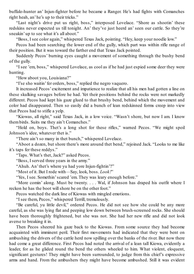buffalo-hunter an' Injun-fighter before he became a Ranger. He's had fights with Comanches right heah, an' he's up to their tricks."

"Last night's drive put us right, boss," interposed Lovelace. "Shore as shootin' these redskins never expected us till tonight. An' they've just heerd an' seen our cattle. So they're sneakin' up to see what it's all aboot."

"Boss, I see color again," whispered Texas Jack, pointing. "Hey, keep your noodle low."

Pecos had been searching the lower end of the gully, which part was within rifle range of their position. But it was toward the farther end that Texas Jack pointed.

Suddenly Pecos' burning eyes caught a movement of something through the bushy bend of the gully.

"I see 'em, boss," whispered Lovelace, as cool as if he had just espied some deer they were hunting.

"How aboot you, Louisiana?"

"I'se sho waitin' fer orders, boss," replied the negro vaquero.

It increased Pecos' excitement and impatience to realize that all his men had gotten a line on these skulking savages before he had. Yet their positions behind the rocks were not markedly different. Pecos had kept his gaze glued to that brushy bend, behind which the movement and color had disappeared. Then so easily did a bunch of lean redskinned forms creep into view that Pecos had to stifle a yelp.

"Kiowas, all right," said Texas Jack, in a low voice. "Wasn't shore, but now I am. I know thembirds. Suits me they ain't Comanches."

"Hold on, boys. Thet's a long shot for these rifles," warned Pecos. "We might spoil Johnson's idee, whatever thet is."

"There ain't so many in thet bunch," whispered Lovelace.

"Aboot a dozen, but shore there's more around thet bend," rejoined Jack. "Looks to me like it's taps fer these reddys."

"Taps. What's thet, Jack?" asked Pecos.

"Boss, I served three years in the army."

"Ahuh. An'thet's where yu had yore Injun-fightin'?"

"Most of it. But I rode with—Say, look, boss. *Look!*"

"Yes, I see. Somethin'scared 'em. They was leary enough before."

"More comin' along. Must be twenty. . . . Wal, if Johnson has draped his outfit where I reckon he has the boot willshore be on the other foot."

Pecos watched the dark line of Kiowas with mingled emotions.

"I see them, Pecos," whispered Terrill, tremulously.

"Be careful, yu little devil," ordered Pecos. He did not see how she could be any more careful, as she was lying flat and peeping low down between brush-screened rocks. She should have been thoroughly frightened, but she was not. She had her new rifle and did not look averse to breaking it in.

Then Pecos sheered his gaze back to the Kiowas. From some source they had become acquainted with imminent peril. Their first movements had indicated that they were bent on ambushing the drivers of the cattle herd now spilling over the banks of the river. But now there had come a great difference. First Pecos had noted the arrival of a lean tall Kiowa, evidently a leader, for as he glided round the bend the others wheeled to him. What violent, eloquent, significant gestures! They might have been surrounded, to judge from this chief's expressive arms and hand. From the ambushers they might have become ambushed. Still it was evident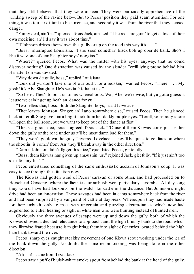that they still believed that they were unseen. They were particularly apprehensive of the winding sweep of the ravine below. But to Pecos' position they paid scant attention. For one thing, it was too far distant to be a menace, and secondly it was from the river that they sensed danger.

"Funny deal, ain't it?" queried Texas Jack, amused. "The reds are goin'to get a dose of their own medicine, an'I'd say it was aboot time."

"If Johnson drives themdown thet gully or up on the road this way it's——"

"Boss," interrupted Louisiana, "I sho seen somethin' black bob up ober de bank. Sho's I libe it wuz one of demSlaughter boys' noggins."

"Where?" queried Pecos. What was the matter with his eyes, anyway, that he could discover nothing? One distraction was caused by the slender Terrill lying prone behind him. His attention was divided.

"Way down de gully, boss," replied Louisiana.

"Look out yu don't take one of our outfit for a redskin," warned Pecos. "There! . . . My gosh! it's Abe Slaughter. He's wavin' his hat at us."

"So he is. Thet's to post us to his whereaboots. Wal, Abe, we're wise, but yu gotta guess it 'cause we cain't get up heah an' dance for yu."

"Two fellers thar, boss. Both the Slaughter boys," said Lovelace.

"Thet leaves Johnson, Slinger, an' Lano somewhere else," mused Pecos. Then he glanced back at Terrill. She gave him a bright look from her darkly purple eyes. "Terrill, somebody shore will open the ball soon, but we want to keep out of the dance at first."

"Thet's a good idee, boss," agreed Texas Jack. "'Cause if them Kiowas come pilin' either down the gully or the road under us it'll be most damn bad for them."

"They won't go down the gully," averred Lovelace. "They'll be quick to get lines on where the shootin' is comin'from. An'they'll break away in the other direction."

"Darn if Johnson didn't figger this nice," ejaculated Pecos, gratefully.

"Boss, themKiowas has given up ambushin' us," rejoined Jack, gleefully. "If it just ain't too slick for anythin'!"

Pecos entertained something of the same enthusiastic acclaim of Johnson's coup. It was easy to see through the situation now.

The Kiowas had gotten wind of Pecos' caravan or some other, and had proceeded on to Horsehead Crossing, where the facilities for ambush were particularly favorable. All day long they would have had lookouts on the watch for cattle in the distance. But Johnson's night drive had been an innovation. These savages had been in camp somewhere back from the river and had been surprised by a vanguard of cattle at daybreak. Whereupon they had made haste for their ambush, only to meet with uncertain and puzzling circumstances which now had augmented to either hearing or sight of white men who were hunting instead of hunted men.

Obviously the three avenues of escape were up and down the gully, both of which the Kiowas showed a decided reluctance to approach, and the high brushy bank to the road, which they likewise feared because it might bring them into sight of enemies located behind the high bare bank toward the river.

Pecos'sharp eyes caught stealthy movement of one Kiowa scout working under the lea of the bank down the gully. No doubt the same reconnoitering was being done in the other direction.

"Ah—h!" came fromTexas Jack.

Pecos saw a puff of bluish-white smoke spout frombehind the bank at the head of the gully.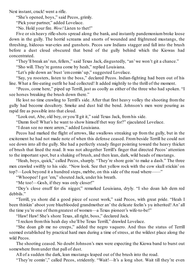Next instant, crack! went a rifle.

"She's opened, boys," said Pecos, grimly.

"Pick your partner," added Lovelace.

"No. Hold your fire. *Wow!* Listen to thet!"

Five or six heavy rifle-shots spread along the bank, and instantly pandemonium broke loose down in the gully. The horrid screams and snorts of wounded and frightened mustangs, the threshing, hideous war-cries and gunshots. Pecos saw Indians stagger and fall into the brush before a dust cloud obscured that bend of the gully behind which the Kiowas had concentrated.

"They'll break an'run, fellers," said Texas Jack, disgustedly, "an'we won't git a chance."

"Sho will. They're gonna come by heah," replied Louisiana.

"Let's pile down an' bust 'emcomin' up," suggested Lovelace.

"Say, yu roosters, listen to the boss," declared Pecos. Indian-fighting had been out of his line. What a fire-eating outfit he had collected! It added mightily to the thrill of the moment.

"Pecos, come here," piped up Terrill, just as coolly as either of the three who had spoken. "I see horses breaking the brush down there."

He lost no time crawling to Terrill's side. After that first heavy volley the shooting from the gully had become desultory. Smoke and dust hid the bend. Johnson's men were pouring as rapid fire as possible into that cloud.

"Look out, Abe, old boy, or you'll git it," said Texas Jack, fromhis side.

"Damn fool! What's he want to show himself thet way for?" ejaculated Lovelace.

"I doan see no more arrers," added Louisiana.

Pecos had marked the flight of arrows, like swallows streaking up from the gully, but in the excitement he had not made note of when this defense ceased. From beside Terrill he could not see down into all the gully. She had a perfectly steady finger pointing toward the heavy thicket of brush that lined the road. It was not altogether Terrill's finger that directed Pecos' attention to the important spot, but a shaking of brush, and then lean, dark, wild heads of mustangs.

"Heah, boys, quick," called Pecos, sharply. "They're shore goin' to make a dash." The three men crawled swiftly to his side. "Now look. See thet yellow rock with the cow skull stickin' on top?—Look beyond it a hundred steps, mebbe, on this side of the road where——"

"Whoopee! I got 'em," shouted Jack, under his breath.

"Me too!—Gosh, if they was only closer!"

"Dey's close enuff fer dis nigger," remarked Louisiana, dryly. "I sho doan lub dem red debbils."

"Terrill, yu shore did a good piece of scout work," said Pecos, with great pride. "Heah I been thinkin' aboot yore blueblooded grandmother an'the delicate feelin's yu inherited! An' all the time yu're one of themgreatest of women—a Texas pioneer's wife-to-be!"

"Haw! Haw! She's shore Texas, all right, boss," declared Jack.

"I reckon fromthis heah day she'll be Texas Terrill," drawled Lovelace.

"She doan gib me no creeps," added the negro vaquero. And thus the status of Terrill seemed established by practical hard men during a time of stress, at the wildest place along the wild Pecos.

The shooting ceased. No doubt Johnson's men were expecting the Kiowa band to burst out somewhere fromunder that pall of dust.

All of a sudden the dark, lean mustangs leaped out of the brush into the road.

"They're comin'," called Pecos, stridently. "Wait!—It's a long shot. Wait till they're even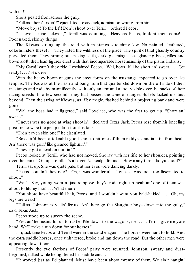with us!"

Shots pealed fromacross the gully.

"Fellers, there's ridin'!" ejaculated Texas Jack, admiration wrung fromhim.

"Move boys! To the left! Don't shoot over Terrill!" ordered Pecos.

"—seven—nine—eleven," Terrill was counting. "Heavens Pecos, look at them come!— Poor naked, skinny things!"

The Kiowas strung up the road with mustangs stretching low. No painted, feathered, colorful riders these! . . . They fitted the wildness of the place. The spirit of that ghastly country pervaded them. They strung out in single file, dark, gleaming faces glancing back, rifles and bows aloft, their lean figures erect with that incomparable horsemanship of the plains Indians.

"My Gawd! cain't they ride!" exclaimed Pecos. "Wal, boys, it'll be short an'sweet. . . . Get ready! . . . *Let drive!*"

With the heavy boom of guns the erect forms on the mustangs appeared to go over like tenpins. The Kiowas at the flash and bang from that quarter slid down on the off side of their mustangs and rode by magnificently, with only an arm and a foot visible over the backs of their racing steeds. In a few seconds they had passed the zone of danger. Bullets kicked up dust beyond. Then the string of Kiowas, as if by magic, flashed behind a projecting bank and were gone.

"Wal, the boss had it figgered," said Lovelace, who was the first to get up. "Short an' sweet."

"I never was no good at wing shootin'," declared Texas Jack. Pecos rose from his kneeling posture, to wipe the perspiration fromhis face.

"Didn't even skin one!" he ejaculated.

"Boss, it'd been a tolerable good shot to hit one of them reddys standin' still from heah. An'these was goin'like greased lightnin'."

"I never got a bead on nuthin'."

Pecos looked at Terrill, who had not moved. She lay with her rifle to her shoulder, pointing over the bank. "Get up, Terrill. It's all over. No scalps for us!—How many times did yu shoot?"

Terrill sat up. She was quite pale, but her eyes were dancing darkly.

"Pecos, couldn't they ride?—Oh, it was wonderful!—I guess I was too—too fascinated to shoot."

"Wal!—Say, young woman, just suppose they'd rode right up heah an' one of them was aboot to lift my hair! . . . What then?"

"You shore have beautiful hair, Pecos, and I wouldn't want you bald-haided. . . . Oh, my legs are weak!"

"Fellers, Johnson is yellin' fer us. An' there go the Slaughter boys down into the gully," said Texas Jack.

Pecos stood up to survey the scene.

"Yes, an' he means for us to rustle. Pile down to the wagons, men. . . . Terrill, give me yore hand. We'll make a run down for our horses."

In quick time Pecos and Terrill were in the saddle again. The horses were hard to hold. And the extra saddle horses, once unhaltered, broke and ran down the road. But the other men were appearing down there.

Presently the two factions of Pecos' party were reunited. Johnson, sweaty and dustbegrimed, talked while he tightened his saddle cinch.

"It worked jest as I'd planned. Must have been aboot twenty of them. We ain't hangin'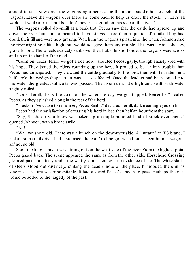around to see. Now drive the wagons right across. Tie them three saddle hosses behind the wagons. Leave the wagons over there an' come back to help us cross the stock. . . . Let's all work fast while our luck holds. I don't never feel good on this side of the river."

The wagons rolled downhill at a brisk trot. Pecos saw that the cattle had spread up and down the river, but none appeared to have strayed more than a quarter of a mile. They had drunk their fill and were now grazing. Watching the wagons splash into the water, Johnson said the river might be a little high, but would not give them any trouble. This was a wide, shallow, gravelly ford. The wheels scarcely sank over their hubs. In short order the wagons were across and up on the bank off the road.

"Come on, Texas Terrill; we gotta ride now," shouted Pecos, gayly, though anxiety vied with his hope. They joined the riders rounding up the herd. It proved to be far less trouble than Pecos had anticipated. They crowded the cattle gradually to the ford, then with ten riders in a half circle the wedge-shaped start was at last effected. Once the leaders had been forced into the water the greatest difficulty was passed. The river ran a little high and swift, with water slightly roiled.

"Look, Terrill, thet's the color of the water the day we got trapped. Remember?" called Pecos, as they splashed along in the rear of the herd.

"I reckon I've cause to remember, Pecos Smith," declared Terrill, dark meaning eyes on his.

Pecos had the satisfaction of crossing his herd in less than half an hour fromthe start.

"Say, Smith, do you know we picked up a couple hundred haid of stock over there?" queried Johnson, with a broad smile.

"No!"

"Wal, we shore did. There was a bunch on the downriver side. All wearin' an XS brand. I reckon some trail driver had a stampede here an' mebbe got wiped out. I seen burned wagons an' not so old."

Soon the long caravan was strung out on the west side of the river. From the highest point Pecos gazed back. The scene appeared the same as from the other side. Horsehead Crossing gleamed pale and steely under the wintry sun. There was no evidence of life. The white skulls of steers stood out distinctly, striking the deadly note of the place. It brooded there in its loneliness. Nature was inhospitable. It had allowed Pecos' caravan to pass; perhaps the next would be added to the tragedy of the past.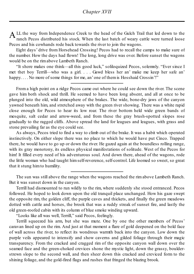$A<sub>an</sub>$  EL the way from Independence Creek to the head of the Gulch Trail that led down to the ranch Pecos distributed his stock. When the last batch of weary cattle were turned loose ranch Pecos distributed his stock. When the last batch of weary cattle were turned loose Pecos and his cowhands rode back towards the river to join the wagons.

Eight days' drive from Horsehead Crossing! Pecos had to recall the camps to make sure of the number. How the days had flown! The long, long drive was over. Before sunset the wagons would be on the rimabove Lambeth Ranch.

"It shore makes one think—all this good luck," soliloquized Pecos, solemnly. "Ever since I met thet boy Terrill—who was a girl. . . . Gawd bless her an' make me keep her safe an' happy.... No more of some things for me, an' one of them is Hosshaid Crossin'!"

From a high point on a ridge Pecos came out where he could see down the river. The scene gave him both shock and thrill. He seemed to have been long absent, and all at once to be plunged into the old, wild atmosphere of the brakes. The wide, bone-dry jaws of the canyon yawned beneath him, and stretched away with the green river showing. There was a white rapid close enough for Pecos to hear its low roar. The river bottom held wide green bands of mesquite, salt cedar and arrow-weed, and from these the gray brush-spotted slopes rose gradually to the ragged cliffs. Above spread the land for leagues and leagues, with grass and stone prevailing far as the eye could see.

As always, Pecos tried to find a way to climb out of the brake. It was a habit which operated instinctively. On either slope there was no place to which he would have put Cinco. Trapped there, he would have to go up or down the river. He gazed again at the boundless rolling range, with its gray monotony, its endless physical manifestations of solitude. West of the Pecos for him! It filled every need of his adventurous soul. And down there, ahead of the wagons, rode the little woman who had taught him self-reverence, self-control. Life loomed so sweet, so great that it stung himto humility.

The sun was still above the range when the wagons reached the rim above Lambeth Ranch. But it was sunset down in the canyon.

Terrill had dismounted to run wildly to the rim, where suddenly she stood entranced. Pecos followed. He hoped to look down upon the old tranquil place unchanged. How his gaze swept the opposite rim, the golden cliff, the purple caves and thickets, and finally the green meadows dotted with cattle and horses, the brook that was a ruddy streak of sunset fire, and lastly the old green-roofed cabin with its column of blue smoke winding upward.

"Looks like all was well, Terrill," said Pecos, feelingly.

Terrill squeezed his arm, but she was mute. One by one the other members of Pecos' caravan lined up on the rim. And just at that moment a flare of gold deepened on the bold face of wall across the river, to reflect its wondrous warmth back into the canyon. Low down the purple veils appeared to intensify and show caverns and gilded foliage through their magic transparency. From the cracked and cragged rim of the opposite canyon wall down over the seamed face and the green-choked crevices shone the mystic light, down the grassy, boulderstrewn slope to the second wall, and then sheer down this cracked and creviced form to the shining foliage, and the gold-fired flags and rushes that fringed the blazing brook.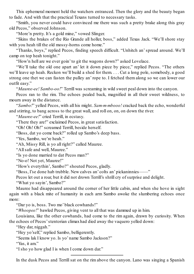This ephemeral moment held the watchers entranced. Then the glory and the beauty began to fade. And with that the practical Texans turned to necessary tasks.

"Smith, you never could have convinced me there was such a pretty brake along this gray old Pecos," observed Johnson.

"More'n pretty. It's a gold mine," vowed Slinger.

"Skins the brakes of the Rio Grande all holler, boss," added Texas Jack. "We'll shore stay with you heah till the old mossy-horns come home."

"Thanks, boys," replied Pecos, finding speech difficult. "Unhitch an'spread around. We'll camp on top heah tonight."

"How'n hell are we ever goin'to git the wagons down?" asked Lovelace.

"We'll take the old one apart an' let it down piece by piece," replied Pecos. "The others we'll leave up heah. Reckon we'll build a shed for them. . . . Cut a long pole, somebody, a good strong one thet we can fasten the pulley an' rope to. I fetched them along so we can lower our outfit easy."

"*Mauree-ee! Sambo-oo!*" Terrill was screaming in wild sweet peal down into the canyon.

Pecos ran to the rim. The echoes pealed back, magnified in all their sweet wildness, to mourn away in the distance.

"*Sambo!*" yelled Pecos, with all his might. *Sam-m-mbooo!* cracked back the echo, wonderful and stirring, to bang across to the great wall, and roll on, on, on down the river.

"*Mauree-ee!*" cried Terrill, in ecstasy.

"There they are!" exclaimed Pecos, in great satisfaction.

"Oh! Oh! Oh!" screamed Terrill, beside herself.

"Boss, dat yo come back?" rolled up Sambo's deep bass.

"Yes, Sambo, we're heah."

"Ah, Missy Rill, is yo all right?" called Mauree.

"Allsafe and well, Mauree."

"Is yo done married to dat Pecos man?"

"No-o! Not yet, Mauree!"

"How's everythin', Sambo?" shouted Pecos, gladly.

"Boss, I'se done hab trubble. New calves an' colts an' pickaninnies——"

Pecos let out a roar, but it did not drown Terrill's shrill cry of surprise and delight.

"What yo sayin', Sambo?"

Mauree had disappeared around the corner of her little cabin, and when she hove in sight again with a black mite of humanity in each arm Sambo awoke the slumbering echoes once more:

"Dar yo is, boss. Two mo' black cowhands!"

"*Whoopee!*" bawled Pecos, giving vent to all that was dammed up in him.

Louisiana, like the other cowhands, had come to the rim again, drawn by curiosity. When the echoes of Pecos'stentorian climaxhad died away the vaquero yelled down:

"Hey dar, niggah."

"Hey yo'self," replied Sambo, belligerently.

"Seems lak I know yo. Is yo' name Sambo Jackson?"

"Yas, it am."

"I sho yo how glad I is when I come down dar."

In the dusk Pecos and Terrill sat on the rim above the canyon. Lano was singing a Spanish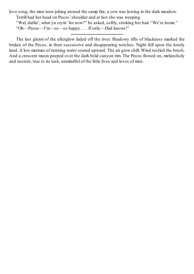love song, the men were joking around the camp fire, a cow was lowing in the dark meadow. Terrill had her head on Pecos'shoulder and at last she was weeping.

"Wal, darlin', what yu cryin' for now?" he asked, softly, stroking her hair. "We're home." "Oh—Pecos—I'm—so—so happy. . . . If only—Dad knows!"

The last gleam of the afterglow faded off the river. Shadowy rifts of blackness marked the brakes of the Pecos, in their successive and disappearing notches. Night fell upon the lonely land. A low murmur of running water soared upward. The air grew chill. Wind rustled the brush. And a crescent moon peeped over the dark bold canyon rim. The Pecos flowed on, melancholy and austere, true to its task, unmindful of the little lives and loves of men.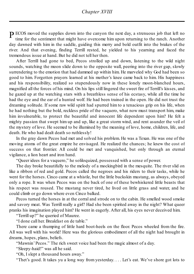$\mathbf{P}$  ECOS moved the supplies down into the canyon the next day, a strenuous job that left no time for the sentiment that might have overcome him upon returning to the ranch. Another time for the sentiment that might have overcome him upon returning to the ranch. Another day dawned with him in the saddle, guiding this merry and bold outfit into the brakes of the river. And that evening, finding Terrill rested, he yielded to his yearning and faced the tremendous issue at hand. But he did not tell her then.

After Terrill had gone to bed, Pecos strolled up and down, listening to the wild night sounds, watching the moon slide down to the opposite wall, peering into the river gap, slowly surrendering to the emotion that had dammed up within him. He marveled why God had been so good to him. Forgotten prayers learned at his mother's knee came back to him. His happiness and his responsibility, realized so stupendously now in these lonely moon-blanched hours, magnified all the forces of his mind. On his lips still lingered the sweet fire of Terrill's kisses, and he gazed up at the watching stars with a breathless sense of his ecstasy, while all the time he had the eye and the ear of a hunted wolf. He had been trained in the open. He did not trust the dreaming solitude. If some raw wild spirit had spurred him to a tenacious grip on his life, when he had nothing but the bold, reckless pride of the vaquero, what now must transport him, make him invulnerable, to protect the beautiful and innocent life dependent upon him? He felt a mighty passion that swept him up and up, like a great storm wind, and rent asunder the veil of the mystery of love. He seemed to be illumined by the meaning of love, home, children, life, and death. He who had dealt death so ruthlessly!

In the gray dawn Pecos had met and solved his problem. He was a Texan. He was one of the moving atoms of the great empire he envisaged. He realized the chances; he knew the cost of success on that frontier. All could be met and vanquished, but only through an eternal vigilance, a lion heart and iron hand.

"Queer idees for a vaquero," he soliloquized, possessed with a sense of power.

The day broke beautifully to the melody of a mockingbird in the mesquite. The river slid on like a ribbon of red and gold. Pecos called the negroes and his riders to their tasks, while he went for the horses. Cinco came at a whistle, but the little buckskin mustang, as always, obeyed only a rope. It was when Pecos was on the back of one of these bewhiskered little beasts that his respect was roused. The mustang never tired, he lived on little grass and water, and he could climb or go down where even Cinco balked.

Pecos turned the horses in at the corral and strode on to the cabin. He smelled wood smoke and savory meat. Was Terrill really a girl? Had she been spirited away in the night? What queer pranks his imagination played him? He went in eagerly. After all, his eyes never deceived him.

"Terrill up?" he queried of Mauree.

"I done call her. Breakfast on de table."

There came a thumping of little hard boot-heels on the floor. Pecos wheeled from the fire. All was well with his world! Here was the glorious embodiment of all the night had brought in dreams, hopes, plans, beliefs.

"Mawnin' Pecos." The rich sweet voice had been the magic almost of a day.

"Sleepy-haid!" was all he said.

"Oh, I slept a thousand hours away."

"Thet's good. It takes yu a long way from yesterday. . . . Let's eat. We've shore got lots to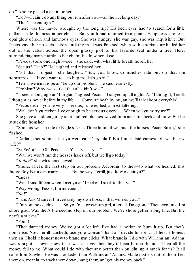do." And he placed a chair for her.

"Do?—I cain't do anything but run after you—all the livelong day."

"Thet'll be enough."

Where was the havoc wrought by the long trip? His keen eyes had to search for a little pallor, a little thinness in her cheeks. But youth had returned triumphant. Happiness shone in opal glow of skin and luminous eyes. She was hungry, she was gay, she was inquisitive. But Pecos gave her no satisfaction until the meal was finished, when with a serious air he led her out of the cabin, across the open grassy plot to his favorite seat under a tree. Here, surrendering momentarily to her charm, he drew her close.

"Pe-cos, some one might—see," she said, with what little breath he left her.

"See us? Heah?" He laughed and released her.

"Not that I object," she laughed. "But, you know, Comanches ride out on that rim sometimes. . . . If you want to—to hug me, let's go in."

"Terrill, we must rope an'tie up our problem," he said, earnestly.

"Problem? Why, we settled that all, didn't we?"

"It seems long ago an'I'm glad," agreed Pecos. "I stayed up all night. An'I thought, Terrill, I thought as never before in my life. . . . Come, sit heah by me, an'we'll talk aboot everythin'."

"Pecos dear—you're very—serious," she replied, almost faltering.

"Wal, don't yu reckon I've enough to be serious over? . . . When will yu marry me?"

She gave a sudden guilty start and red blushes waved from neck to cheek and brow. But he struck fire fromher.

"Soon as we can ride to Eagle's Nest. Three hours if we push the horses, Pecos Smith," she flashed.

"Darlin', thet sounds like yu were callin' my bluff. But I'm in daid earnest. Yu will be my wife?"

"Si, Señor! . . . Oh, Pecos. . . . Yes—yes—yes."

"Wal, we won't run the hosses haids off, but we'll go today."

"*Today!*" she whispered, awed.

"Shore. Thet's the first step on our problem. Accordin' to thet—to what we heahed, this Judge Roy Bean can marry us. . . . By the way, Terrill, just how old air yu?"

"Guess."

"Wal, I said fifteen when I met yu an'I reckon I stick to thet yet."

"Way wrong, Pecos. I'mnineteen."

"No!"

"I am. Ask Mauree. I'mcertainly my own boss, if that worries you."

"I'm yore boss, child. . . . So you're a grown-up girl, after all. Dog-gone! Thet accounts. I'm shore glad. Wal, thet's the second step on our problem. We're shore gettin' along fine. But the next's a sticker."

"Pooh!"

"Thet damned money. We've got a lot left. I've had a notion to burn it up. But thet's nonsense. Now Terrill Lambeth, use yore woman's haid an' decide for me. . . . I held it honest then an'I hold it honest now to brand mavericks. What brandin'I did with Williams an' Adams was straight. I never knew till it was all over thet they'd been burnin' brands. Then all the money fell to me. What could I do with thet any better than buildin' up a ranch for us? It all came from Sawtell. He was crookeder than Williams an' Adams. Made rustlers out of them. Led themon, meanin'to track themdown, hang them, an' get his money back."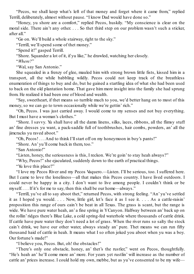"Pecos, we shall keep what's left of that money and forget where it came from," replied Terrill, deliberately, almost without pause. "I know Dad would have done so."

"Honey, yu shore are a comfort," replied Pecos, huskily. "My conscience is clear on the moral side. There ain't any other. . . . So thet third step on our problem wasn't such a sticker, after all."

"Go on. We'll build a whole stairway, right to the sky."

"Terrill, we'llspend some of thet money."

"Spend it!" gasped Terrill.

"Shore. Squander a lot of it, if yu like," he drawled, watching her closely.

"*Where?*"

"Wal, say San Antonio."

She squealed in a frenzy of glee, mauled him with strong brown little fists, kissed him in a transport, all the while babbling wildly. Pecos could not keep track of the breathless enumeration of things to buy and do, but he gained a startling idea of what she had been used to back on the old plantation home. That gave him more insight into the family she had sprung from. He realized it had been one of blood and wealth.

"Say, sweetheart, if thet means so turrible much to you, we'd better hang on to most of this money, so we can go to town occasionally while we're gettin' rich."

"Oh, Pecos. I was just carried away. I would come to my senses and not buy everything. But I must have a woman's clothes."

"Shore. I savvy. Yu shall have all the damn linens, silks, laces, ribbons, all the flimsy stuff an' fine dresses yu want, a pack-saddle full of toothbrushes, hair combs, powders, an' all the jimcracks yu raved aboot."

"Oh, Pecos! . . . And to think I'llstart off on my honeymoon in boy's pants!"

"Shore. An' yu'll come back in them, too."

"San Antonio!"

"Listen, honey, the seriousness is this, I reckon. We're goin'to stay heah always?"

"Why, Pecos!" she ejaculated, suddenly down to the earth of practical things.

"Yu love this place?"

"I love my Pecos River and my Pecos Vaquero.—Listen. I'll be serious, too. I suffered here. But I came to love the loneliness—all that makes this Pecos country. I have lived outdoors. I could never be happy in a city. I don't want to live among people. I couldn't think or be myself. . . . If it's for me to say, then this shall be our home—always."

"Terrill, yu've all to say aboot thet," returned Pecos, with strong feeling. "An' yu've settled it as I hoped yu would. . . . Now, little girl, let's face it as I see it. . . . As a cattle-raisin' proposition this range of ours cain't be beat in all Texas. The grass is scant, but the range is wide. We have pure water heah, an' a fine spring in YCanyon. Halfway between an' back up on the rollin'ridges there's Blue Lake, a cold spring-fed waterhole where thousands of cattle drink. If cattle have pure water they don't need a lot of grass. When the river runs so salty the stock cain't drink, we have our other water, always steady an' pure. Thet means we can run fifty thousand haid of cattle in heah. It means what I so often joked you aboot when yu was a boy. Our fortune's made!"

"I believe you, Pecos. But, oh! the obstacles!"

"There's only one obstacle, honey, an' thet's the rustler," went on Pecos, thoughtfully. "He's heah an' he'll come more an' more. For years yet rustlin' will increase as the number of cattle an' prices increase. I could hold my own, mebbe, but as yu've consented to be my wife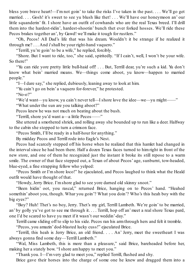bless yore brave heart!—I'm not goin' to take the risks I've taken in the past. . . . We'll go get married. . . . Gosh! it's sweet to see yu blush like thet! . . . We'll have our honeymoon an' our little squanderin' fit. I shore have an outfit of cowhands who are the real Texas breed. I'll drill them into the hardest-ridin', hardest-shootin' bunch thet ever forked hosses. We'll ride these Pecos brakes together an', by Gawd! we'll make it tough for rustlers."

"Oh, Pecos! All Dad's life that was his dream. Wouldn't it be strange if he realized it through me? . . . And *I* shall be your right-hand vaquero."

"Terrill, yu're goin'to be a wife," he replied, forcibly.

"Shore. But I want to ride, too," she said, spiritedly. "If I cain't, well, I won't be your wife. So there!"

"Yu can ride yore pretty little bull-haid off! . . . But, Terrill dear, yu're such a kid. Yu don't know what bein' married means. We—things come aboot, yu know—happen to married people."

"I—I dare say," she replied, dubiously, leaning away to look at him.

"Yu cain't go on bein' a vaquero for-forever," he protested.

"No-o?"

"We'd want—yu know, yu cain't never tell—I shore love the idee—we—yu might——" "What under the sun are you talking aboot?"

Pecos knew he was not much on beating about the bush.

"Terrill, shore yu'd want a—a little Pecos——"

She uttered a smothered shriek, and rolling away she bounded up to run like a deer. Halfway to the cabin she stopped to turn a crimson face.

"Pecos Smith, I'll be ready in a half-hour for anything."

By midday Pecos and Terrill rode into Eagle's Nest.

Pecos had scarcely stepped off his horse when he realized that this hamlet had changed in the interval since he had been there. Half a dozen Texas faces turned to him right in front of the new store, and one of them he recognized just the instant it broke its still repose to a warm smile. The owner of that face stepped out, a Texan of about Pecos' age, sunburnt, tow-headed, blue-eyed, a fine strapping fellow who yelped:

"Pecos Smith or I'm shore loco!" he ejaculated, and Pecos laughed to think what the Heald outfit would have thought of that.

"Howdy, Jerry Brice. I'mshore glad to see yore darned old skinny snoot."

"Been hidin' oot, you rascal," returned Brice, hanging on to Pecos' hand. "Heahed somethin' aboot you, though. Whar you goin'? What you doin'? Who's this heah boy with the big eyes?"

"Boy? Huh! Thet's no boy, Jerry. Thet's my girl, Terrill Lambeth. We're goin' to be married, an' by golly yu've got to see me through it. . . . Terrill, hop off an' meet a real shore Texas pard, one I'd be scared to have yu meet if it wasn't our weddin'-day."

Terrill came sliding off to slip to his side. Pecos ran his armthrough hers and felt it tremble.

"Pecos, you amazin' dod-blasted lucky cuss!" ejaculated Brice.

"Terrill, this heah is Jerry Brice, an old friend. . . . An' Jerry, meet the sweetheart I was always gonna find some day—Terrill Lambeth."

"Wal, Miss Lambeth, this is more than a pleasure," said Brice, bareheaded before her, making her a stately bow. "I shore amhappy to meet you."

"Thank you. I—I'mvery glad to meet you," replied Terrill, flushed and shy.

Brice gave their horses into the charge of some one he knew and dragged them into a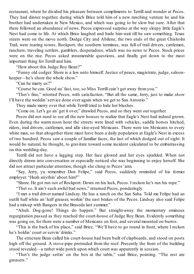restaurant, where he divided his pleasure between compliments to Terrill and wonder at Pecos. They had dinner together, during which Brice told him of a new ranching venture he and his brother had undertaken in New Mexico, and which was going to be slow but sure. After that there followed an abundance of news. Pecos expressed surprise at the way sleepy little Eagle's Nest had come to life. At which Brice laughed and bade him wait till he saw something. Texas steers were on the move north. Dodge City and Abilene, the two ends of the great Chisholm Trail, were roaring towns. Rockport, the southern terminus, was full of trail drivers, cattlemen, ranchers, traveling settlers, gamblers, desperadoes, which was no news to Pecos. Stock prices were on the rise. Pecos asked innumerable questions, and finally got down to the most important thing for Terrill and him.

"How aboot this Judge Roy Bean?"

"Funny old codger. Shore is a law unto himself. Justice of peace, magistrate, judge, saloonkeeper—he's shore the whole show."

"Can he marry us?"

"Course he can. Good an'fast, too, so Miss Terrill cain't get away fromyou."

"Thet's fine," retorted Pecos, with satisfaction. "But all the same, Jerry, just to make *shore* I'll have the weddin'service done over again when we get to San Antonio."

They made merry over that while Terrill tried to hide her blushes.

"Come on. Let's go an' get it over," drawled Pecos, and so they went out together.

Pecos did not need to see all the new houses to realize that Eagle's Nest had indeed grown. Even during the warm noon hour the streets were lined with vehicles, saddle horses hitched, riders, trail drivers, cattlemen, and idle sloe-eyed Mexicans. There were ten Mexicans to every white man, so that altogether there must have been a daily population at Eagle's Nest in excess of two hundred. Pecos saw a couple of familiar faces, the last of which dodged out of sight. It would be natural, he thought, to gravitate toward some incident calculated to be embarrassing on this wedding-day.

Terrill did not have a lagging step. Her face glowed and her eyes sparkled. When not directly drawn into conversation or especially noticed she was beginning to enjoy herself. She did not attract particular attention, though she clung to Pecos' arm.

"Say, Jerry, yu remember Don Felipe," said Pecos, suddenly reminded of his former employer. "Heah anythin' aboot him?"

"Shore. He got run oot of Rockport. Down on his luck, Pecos. I reckon he's run his rope."

"Thet so. It ain't such awful bad news," returned Pecos, ponderingly.

"I met a trail driver named Lindsay. He has a ranch on the San Saba. Told me Felipe had an outfit half white an' half greaser, workin' the east brakes of the Pecos. Lindsay also said Felipe had a mix-up with Rangers in the Braseda last summer."

"Ahuh. Dog-gone! Things do happen." But straight-away the momentary ominous regurgitation passed as they reached the court-house of Judge Roy Bean. Evidently something was going on, for there were a number of Mexicans on foot, and several mounted on burros.

"This is the back of his place," said Brice. "We'll have to go round in front, where I reckon he's holdin' court or servin' drinks."

The structure Bean called his court-house had been built of clapboards, and stood on posts high off the ground. A stove-pipe protruded from the roof. Presently the front of the building stood revealed—a rather wide porch upon which court was apparently in session.

"Thet's the judge settin' on the box at the table," said Brice, pointing. "The rest are greasers."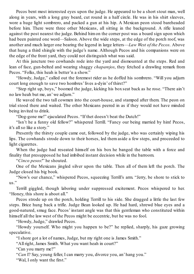Pecos bent most interested eyes upon the judge. He appeared to be a short stout man, well along in years, with a long gray beard, cut round in a half circle. He was in his shirt sleeves, wore a huge light sombrero, and packed a gun at his hip. A Mexican peon stood bareheaded before him. There were three other Mexicans, all sitting in the background. A rifle leaned against the post nearest the judge. Behind himon the corner post was a board sign upon which had been painted one word—Saloon. Above the wide steps, at the edge of the porch roof, was another and much larger one bearing the legend in large letters—*Law West of the Pecos*. Above that hung a third shingle with the judge's name. Although Pecos and his companions were on the edge of the front yard, they could not distinguish what was said.

At this juncture two cowhands rode into the yard and dismounted at the steps. Red and lean of face, gun-belted and wearing shaggy *chaparejos*, they fetched a drawling remark from Pecos. "Folks, this heah is better'n a show."

"Howdy, Judge," called out the foremost rider as he doffed his sombrero. "Will you adjurn court long enough to save two hombres' lives a-dyin' of thirst?"

"Step right up, boys," boomed the judge, kicking his box seat back as he rose. "There ain't no law heah but me, an'we adjurn."

He waved the two tall cowmen into the court-house, and stamped after them. The peon on trial stood there and waited. The other Mexicans peered in as if they would not have minded being invited to drink.

"Dog-gone me!" ejaculated Pecos. "If thet doesn't beat the Dutch!"

"Isn't he a funny old fellow?" whispered Terrill. "Fancy our being married by him! Pecos, it's allso like a story."

Presently the thirsty couple came out, followed by the judge, who was certainly wiping his lips. The cowhands strode down to their horses, led them aside a few steps, and proceeded to light cigarettes.

When the judge had reseated himself on his box he banged the table with a force and finality that presupposed he had imbibed instant decision while in the barroom.

"*Cinco pesos!*" he shouted.

One of the Mexicans jingled silver upon the table. Then all of them left the porch. The Judge closed his big book.

"Now's our chance," whispered Pecos, squeezing Terrill's arm. "Jerry, be shore to stick to us."

Terrill giggled, though laboring under suppressed excitement. Pecos whispered to her. "Honey, this shore is aboot all."

Pecos strode up on the porch, holding Terrill to his side. She dragged a little the last few steps. Brice hung back a trifle. Judge Bean looked up. He had hard, shrewd blue eyes and a good-natured, smug face. Pecos' instant angle was that this gentleman who constituted within himself all the law west of the Pecos might be eccentric, but he was no fool.

"Howdy, Judge," drawled Pecos.

"Howdy yourself. Who might you happen to be?" he replied, sharply, his gaze growing speculative.

"I shore got a lot of names, Judge, but my right one is James Smith."

"All right, James Smith. What you want heah in court?"

"Can you marry me?"

"*Can* I? Say, young feller, I can marry you, divorce you, an' hang you."

"Wal, I only want the first."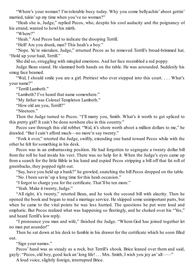"Where's your woman? I'm tolerable busy today. Why you come bellyachin' aboot gettin' married, takin' up my time when you've no woman?"

"Heah she is, Judge," replied Pecos, who, despite his cool audacity and the poignancy of his errand, wanted to howl his mirth.

"Where?"

"Heah." And Pecos had to indicate the drooping Terrill.

"Hell! Are you drunk, man? This heah's a boy."

"Nope. Yu're mistaken, Judge," returned Pecos as he removed Terrill's broad-brimmed hat. "Hold up your haid, Terrill."

She did so, struggling with mingled emotions. And her face resembled a red poppy.

Judge Bean stared. He slammed both hands on the table. He was astounded. Suddenly his smug face beamed.

"Wal, I should smile you are a girl. Prettiest who ever stepped into this court. . . . What's your name?"

"Terrill Lambeth."

"Lambeth? I've heard that name somewhere."

"My father was Colonel Templeton Lambeth."

"How old are you, Terrill?"

"Nineteen"

Then the Judge turned to Pecos. "I'll marry you, Smith. What's it worth to get spliced to this pretty girl? It cain't be done nowhere else in this country."

Pecos saw through this old robber. "Wal, it's shore worth aboot a million dollars to me," he drawled. "But I cain't afford much—no more'n say twenty."

"Fork it over," retorted the Judge, swiftly, extending one hand toward Pecos while with the other he felt for something in his desk.

Pecos was in an embarrassing position. He had forgotten to segregate a twenty dollar bill from the roll he had inside his vest. There was no help for it. When the Judge's eyes came up from a search for the little Bible in his hand and espied Pecos stripping a bill off that fat roll of greenbacks, they popped right out.

"Say, have you held up a bank?" he growled, snatching the bill Pecos dropped on the table.

"No. I been savin' up a long time for this heah occasion."

"I forgot to charge you for the certificate. That'll be ten more."

"Yeah. Make it twenty, Judge."

"All right, it's twenty," retorted Bean, and he took the second bill with alacrity. Then he opened the book and began to read a marriage service. He skipped some unimportant parts, but when he came to the vital points he was less hurried. The questions he put were loud and emphatic. But Pecos realized what was happening so fleetingly, and he choked over his "Yes," and heard Terrill's low reply.

"I pronounce you man and wife," finished the Judge. "Whom God has joined together let no man put asunder!"

Then he sat down at his desk to fumble in his drawer for the certificate which he soon filled out.

"Sign your names."

Pecos' hand was as steady as a rock, but Terrill's shook. Brice leaned over them and said, gayly: "Pecos, old boy, good luck an'long life! . . . Mrs. Smith, I wish you joy an' all——"

A loud voice, slightly foreign, interrupted Brice.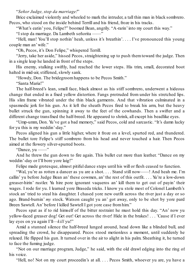"*Señor Judge, stop da marriage!*"

Brice exclaimed violently and wheeled to mark the intruder, a tall thin man in black sombrero. Pecos, who stood on the inside behind Terrill and his friend, froze in his tracks.

"What's eatin' you, Felipe?" boomed Bean, angrily. "A-rarin'into my court this way."

"I stop da marriage. Da Lambeth señorita ——"

"Hell, man! You'll stop nothin' heah, unless it's breathin'. . . . I've pronounced this young couple man an'wife."

"Oh, Pecos, it's Don Felipe," whispered Terrill.

"Jerry, take her aside," hissed Pecos, straightening up to push them toward the judge. Then in a single leap he landed in front of the steps.

His enemy, stalking swiftly, had reached the lower steps. His trim, small, decorated boot halted in mid-air, stiffened, slowly sank.

"Howdy, Don. The bridegroomhappens to be Pecos Smith."

"Santa Maria!"

The half-breed's lean, small face, black almost as his stiff sombrero, underwent a hideous change that ended in a fixed yellow distortion. Fangs protruded from under his stretched lips. His slim frame vibrated under the thin black garments. And that vibration culminated in a spasmodic jerk for his gun. As it left the sheath Pecos fired to break his arm, but the heavy bullet struck the gun, spinning it away to the feet of the cowhands. Then a swifter and a different change transfixed the half-breed. He appeared to shrink, all except his beadlike eyes.

"Ump-umm, Don. Yu've got a bad memory," said Pecos, cold and sarcastic. "It's damn lucky for yu this is my weddin'-day."

Pecos aligned his gun a little higher, where it froze on a level, spurted red, and thundered. The bullet tore Felipe's stiff sombrero from his head and never touched a hair. Then Pecos aimed at the flowery silver-spurred boots.

"Dance, yu ——"

And he threw the gun down to fire again. This bullet cut more than leather. "Dance on my weddin'-day or I'll bore yore laig!"

Felipe made grotesque, almost pitiful dance steps until his will or flesh ceased to function.

"Wal, yu're as rotten a dancer as yu are a shot. . . . Stand still now——! And heah me. I'm callin' yu before Judge Bean an'these cowmen, an'the rest of this outfit. . . . Yu're a low-down greaser-hirin' rustler. Yu hire pore ignorant vaqueros an' kill them to get out of payin' their wages. I rode for yu. I learned yore Braseda tricks. I know yu stole most of Colonel Lambeth's stock an' tried to steal his daughter. I chased yore new outfit across the river just a day or so ago. Brand-burnin' *my* stock. Watson caught yu an' got away, only to be shot by yore pard Breen Sawtell. An' before I killed Sawtell I got yore case fromhim."

Pecos spat as if to rid himself of the bitter restraint he must hold this day. "An' now yu yellow-faced greaser dog! Get out! Get across the river! Hide in the brakes! . . . 'Cause if I ever lay eyes on yu again I'll—*kill* yu!"

Amid a stunned silence the half-breed lunged around, head down like a blinded bull, and spreading the crowd, he disappeared. Pecos stood motionless a moment, until suddenly he relaxed. He flipped his gun. It turned over in the air to alight in his palm. Sheathing it, he turned to face the fuming judge.

"Not on our marriage program, Judge," he said, with the old drawl edging into the ring of his voice.

"Hell, no! Not on my court proceedin's at all. . . . Pecos Smith, whoever yu are, yu have a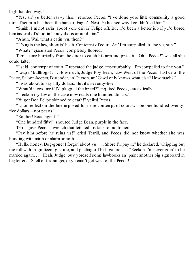high-handed way."

"Yes, an' yu better savvy this," retorted Pecos. "I've done yore little community a good turn. Thet man has been the bane of Eagle's Nest. Yu heahed why I couldn't kill him."

"Smith, I'm not rarin' aboot yore drivin' Felipe off. But it'd been a better job if yu'd bored him instead of shootin' fancy didos around him."

"Ahuh. Wal, what's eatin' yu, then?"

"It's agin the law, shootin' heah. Contempt of court. An'I'mcompelled to fine yu, suh."

"What?" ejaculated Pecos, completely floored.

Terrill came hurriedly from the door to catch his arm and press it. "Oh—Pecos!" was all she could falter.

"I said 'contempt of court,'" repeated the judge, imperturbably. "I'mcompelled to fine you." "Leapin' bullfrogs! . . . How much, Judge Roy Bean, Law West of the Pecos, Justice of the Peace, Saloon-keeper, Bartender, an'Parson, an'Gawd only knows what else? How much?"

"I was aboot to say fifty dollars. But it's seventy-five."

"What'd it cost me if I'd plugged the breed?" inquired Pecos, sarcastically.

"I reckon my law on the case now reads one hundred dollars."

"Yu got Don Felipe skinned to death!" yelled Pecos.

"Upon reflection the fine imposed for more contempt of court will be one hundred twentyfive dollars—not pesos."

"Robber! Road agent!"

"One hundred fifty!" shouted Judge Bean, purple in the face.

Terrill gave Pecos a wrench that fetched his face round to hers.

"Pay him before he ruins us!" cried Terrill, and Pecos did not know whether she was bursting with mirth or alarmor both.

"Hullo, honey. Dog-gone! I forgot aboot yu. . . . Shore I'll pay it," he declared, whipping out the roll with magnificent gesture, and peeling off bills galore. . . . "Reckon I'm never goin'to be married again. . . . Heah, Judge, buy yoreself some lawbooks an' paint another big signboard in big letters: 'Shell out, stranger, or yu cain't get west of the Pecos!'"